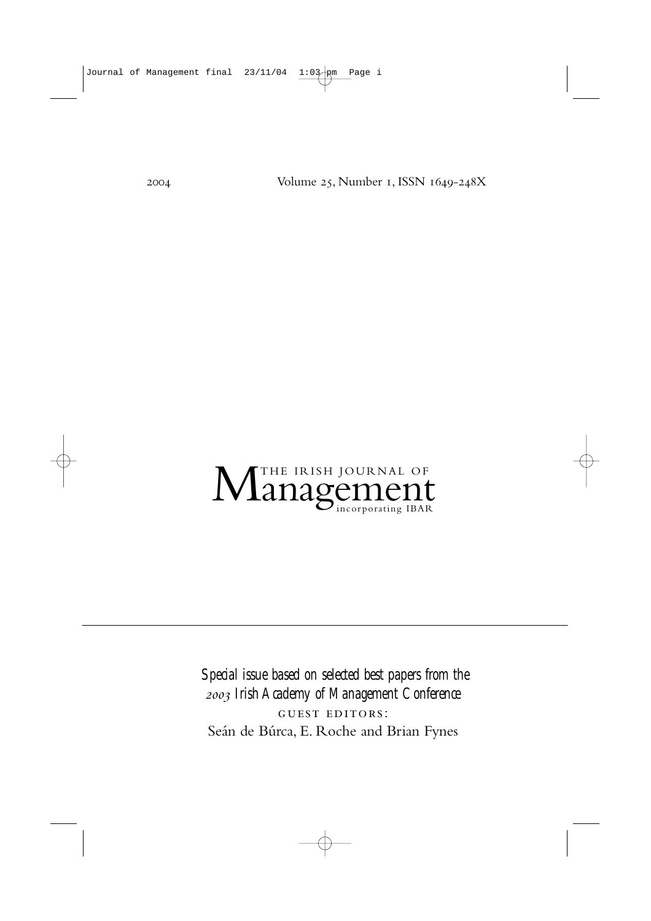2004 Volume 25, Number 1, ISSN 1649-248X

# M<sup>THE IRISH JOURNAL OF</sup> MANAGEMENT

*Special issue based on selected best papers from the Irish Academy of Management Conference* GUEST EDITORS: Seán de Búrca, E. Roche and Brian Fynes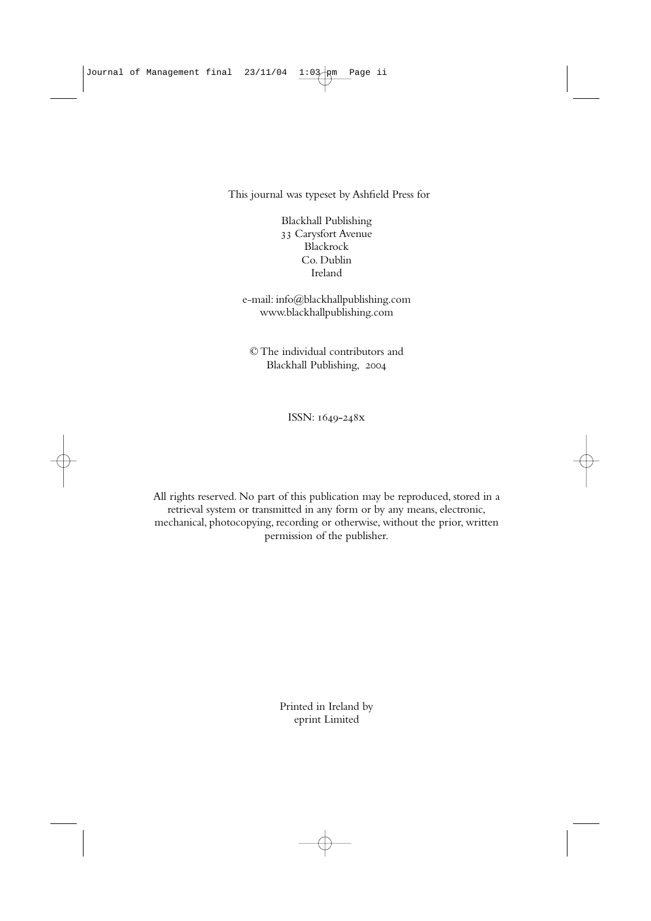This journal was typeset by Ashfield Press for

Blackhall Publishing 33 Carysfort Avenue Blackrock Co. Dublin Ireland

e-mail: info@blackhallpublishing.com www.blackhallpublishing.com

© The individual contributors and Blackhall Publishing,

ISSN: 1649-248x

All rights reserved. No part of this publication may be reproduced, stored in a retrieval system or transmitted in any form or by any means, electronic, mechanical, photocopying, recording or otherwise, without the prior, written permission of the publisher.

> Printed in Ireland by eprint Limited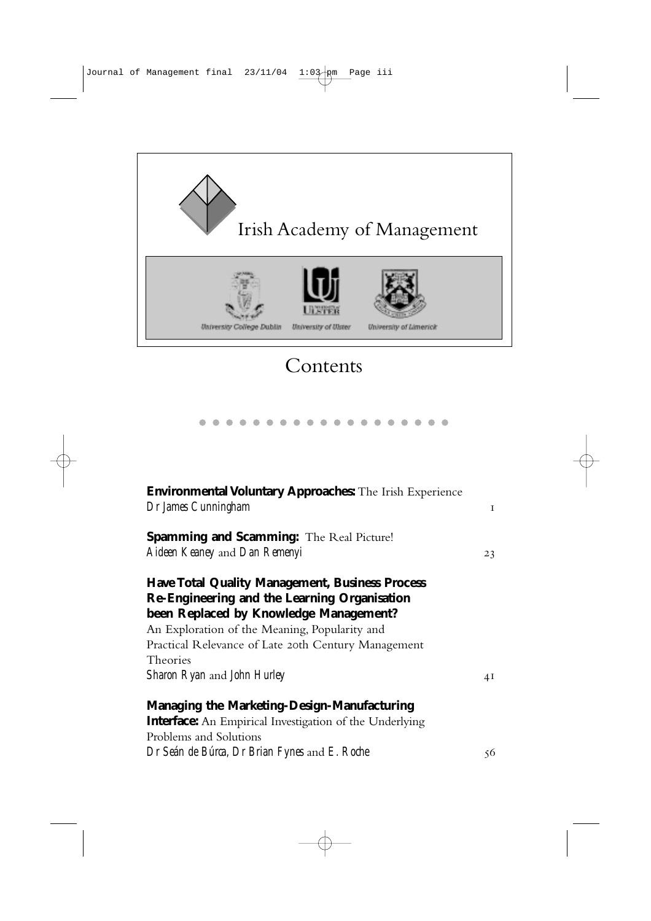

## Contents

| <b>Environmental Voluntary Approaches:</b> The Irish Experience |              |
|-----------------------------------------------------------------|--------------|
| Dr James Cunningham                                             | $\mathbf{I}$ |
| <b>Spamming and Scamming:</b> The Real Picture!                 |              |
| Aideen Keaney and Dan Remenyi                                   | 23           |
| <b>Have Total Quality Management, Business Process</b>          |              |
| Re-Engineering and the Learning Organisation                    |              |
| been Replaced by Knowledge Management?                          |              |
| An Exploration of the Meaning, Popularity and                   |              |
| Practical Relevance of Late 20th Century Management             |              |
| Theories                                                        |              |
| Sharon Ryan and John Hurley                                     | 4Ι           |
| <b>Managing the Marketing-Design-Manufacturing</b>              |              |
| <b>Interface:</b> An Empirical Investigation of the Underlying  |              |
| Problems and Solutions                                          |              |
| Dr Seán de Búrca, Dr Brian Fynes and E. Roche                   | 56           |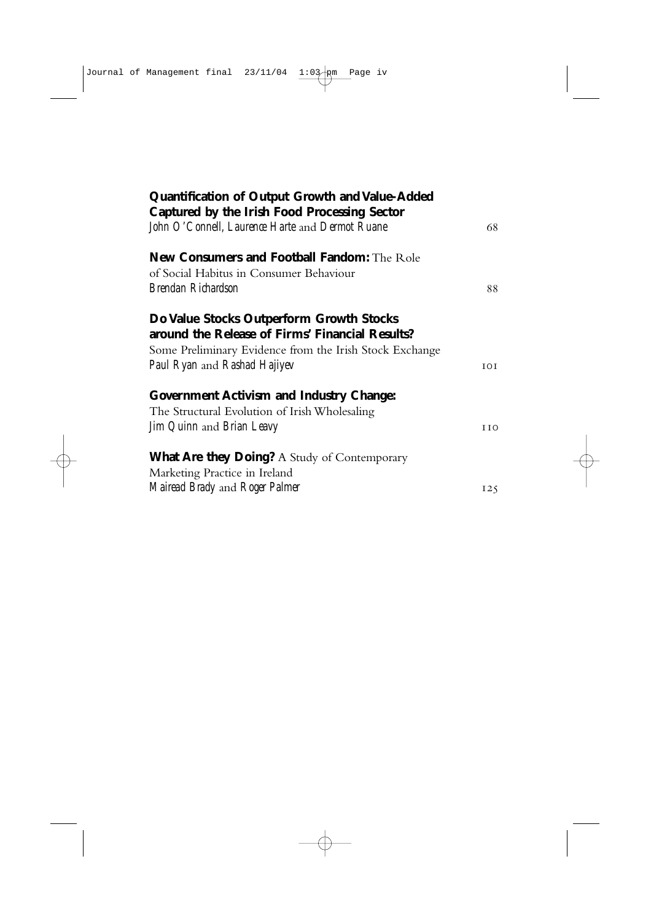| Quantification of Output Growth and Value-Added<br>Captured by the Irish Food Processing Sector  |            |
|--------------------------------------------------------------------------------------------------|------------|
| John O'Connell, Laurence Harte and Dermot Ruane                                                  | 68         |
| <b>New Consumers and Football Fandom:</b> The Role<br>of Social Habitus in Consumer Behaviour    |            |
| Brendan Richardson                                                                               | 88         |
| Do Value Stocks Outperform Growth Stocks<br>around the Release of Firms' Financial Results?      |            |
| Some Preliminary Evidence from the Irish Stock Exchange<br>Paul Ryan and Rashad Hajiyev          | TOT.       |
| <b>Government Activism and Industry Change:</b><br>The Structural Evolution of Irish Wholesaling |            |
| Jim Quinn and Brian Leavy                                                                        | <b>IIO</b> |
| <b>What Are they Doing?</b> A Study of Contemporary<br>Marketing Practice in Ireland             |            |
| Mairead Brady and Roger Palmer                                                                   | 125        |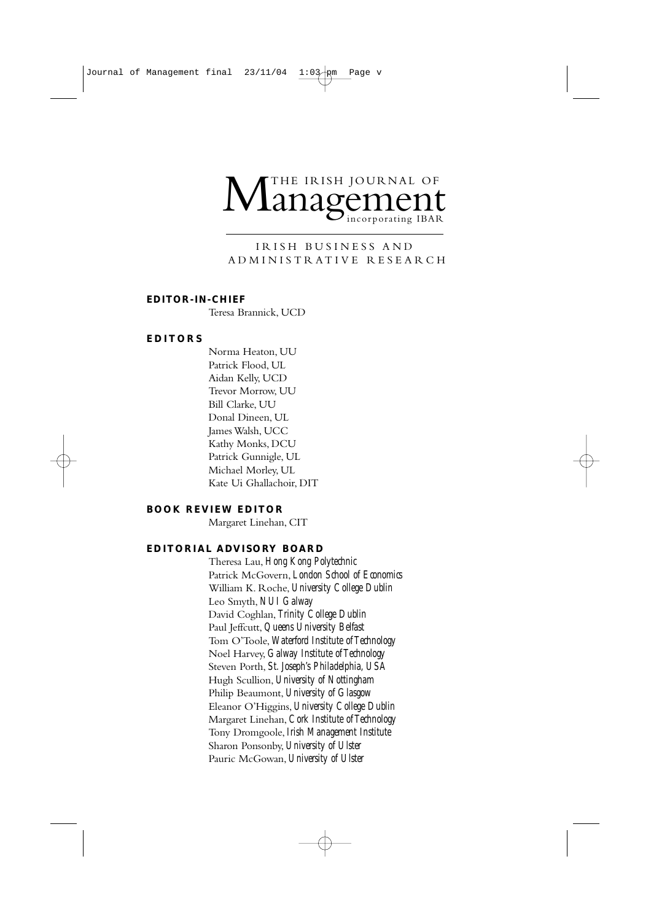## THE IRISH JOURNAL OF<br>**ANAGEMENT**

#### IRISH BUSINESS AND ADMINISTRATIVE RESEARCH

#### **EDITOR-IN-CHIEF**

Teresa Brannick, UCD

#### **EDITORS**

Norma Heaton, UU Patrick Flood, UL Aidan Kelly, UCD Trevor Morrow, UU Bill Clarke, UU Donal Dineen, UL James Walsh, UCC Kathy Monks, DCU Patrick Gunnigle, UL Michael Morley, UL Kate Ui Ghallachoir, DIT

#### **BOOK REVIEW EDITOR**

Margaret Linehan, CIT

#### **EDITORIAL ADVISORY BOARD**

Theresa Lau, *Hong Kong Polytechnic* Patrick McGovern, *London School of Economics* William K. Roche, *University College Dublin* Leo Smyth, *NUI Galway* David Coghlan, *Trinity College Dublin* Paul Jeffcutt, *Queens University Belfast* Tom O'Toole, *Waterford Institute of Technology* Noel Harvey, *Galway Institute of Technology* Steven Porth, *St. Joseph's Philadelphia, USA* Hugh Scullion, *University of Nottingham* Philip Beaumont, *University of Glasgow* Eleanor O'Higgins, *University College Dublin* Margaret Linehan, *Cork Institute of Technology* Tony Dromgoole, *Irish Management Institute* Sharon Ponsonby, *University of Ulster* Pauric McGowan, *University of Ulster*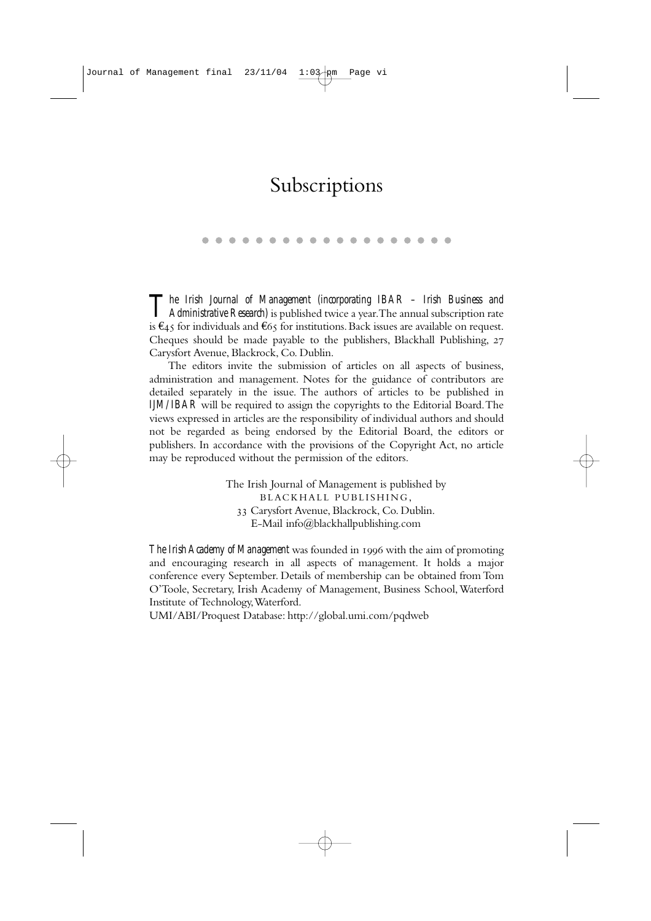## Subscriptions

*The Irish Journal of Management (incorporating IBAR – Irish Business and*<br>*Administrative Research*) is published twice a year.The annual subscription rate is €45 for individuals and €65 for institutions. Back issues are available on request. Cheques should be made payable to the publishers, Blackhall Publishing, Carysfort Avenue, Blackrock, Co. Dublin.

The editors invite the submission of articles on all aspects of business, administration and management. Notes for the guidance of contributors are detailed separately in the issue. The authors of articles to be published in *IJM/IBAR* will be required to assign the copyrights to the Editorial Board.The views expressed in articles are the responsibility of individual authors and should not be regarded as being endorsed by the Editorial Board, the editors or publishers. In accordance with the provisions of the Copyright Act, no article may be reproduced without the permission of the editors.

> The Irish Journal of Management is published by BLACKHALL PUBLISHING, Carysfort Avenue, Blackrock, Co. Dublin. E-Mail info@blackhallpublishing.com

*The Irish Academy of Management* was founded in 1996 with the aim of promoting and encouraging research in all aspects of management. It holds a major conference every September. Details of membership can be obtained from Tom O'Toole, Secretary, Irish Academy of Management, Business School,Waterford Institute of Technology,Waterford.

UMI/ABI/Proquest Database: http://global.umi.com/pqdweb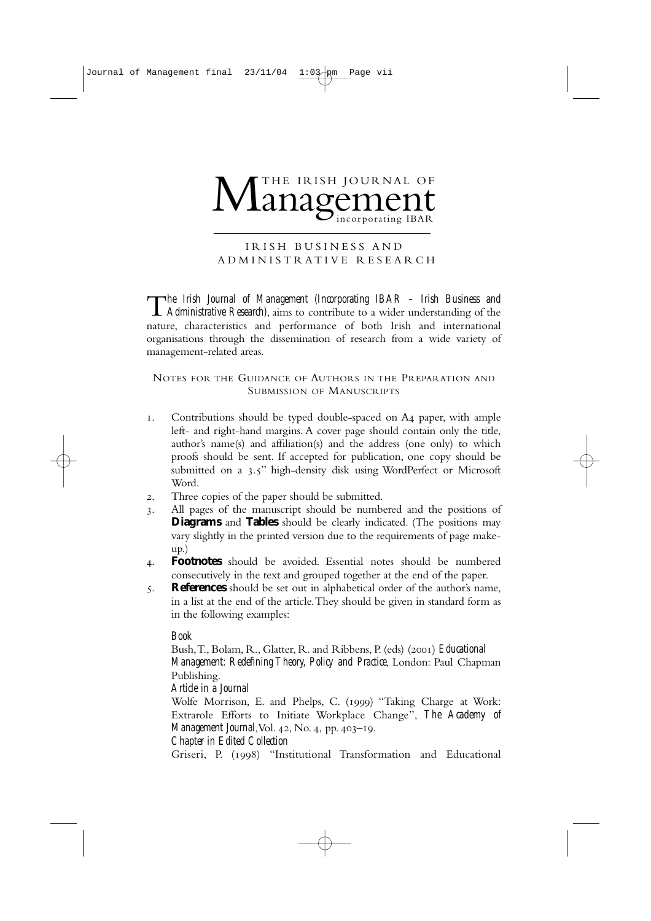## THE IRISH JOURNAL OF<br>**ANAGEMENT**

#### IRISH BUSINESS AND ADMINISTRATIVE RESEARCH

T*he Irish Journal of Management (Incorporating IBAR – Irish Business and Administrative Research)*, aims to contribute to a wider understanding of the nature, characteristics and performance of both Irish and international organisations through the dissemination of research from a wide variety of management-related areas.

NOTES FOR THE GUIDANCE OF AUTHORS IN THE PREPARATION AND SUBMISSION OF MANUSCRIPTS

- 1. Contributions should be typed double-spaced on A4 paper, with ample left- and right-hand margins. A cover page should contain only the title, author's name(s) and affiliation(s) and the address (one only) to which proofs should be sent. If accepted for publication, one copy should be submitted on a 3.5" high-density disk using WordPerfect or Microsoft Word.
- . Three copies of the paper should be submitted.
- . All pages of the manuscript should be numbered and the positions of **Diagrams** and **Tables** should be clearly indicated. (The positions may vary slightly in the printed version due to the requirements of page makeup.)
- . **Footnotes** should be avoided. Essential notes should be numbered consecutively in the text and grouped together at the end of the paper.
- . **References** should be set out in alphabetical order of the author's name, in a list at the end of the article.They should be given in standard form as in the following examples:

#### *Book*

Bush, T., Bolam, R., Glatter, R. and Ribbens, P. (eds) (2001) *Educational Management: Redefining Theory, Policy and Practice*, London: Paul Chapman Publishing.

*Article in a Journal*

Wolfe Morrison, E. and Phelps, C. (1999) "Taking Charge at Work: Extrarole Efforts to Initiate Workplace Change", *The Academy of Management Journal*, Vol. 42, No. 4, pp. 403-19.

*Chapter in Edited Collection*

Griseri, P. (1998) "Institutional Transformation and Educational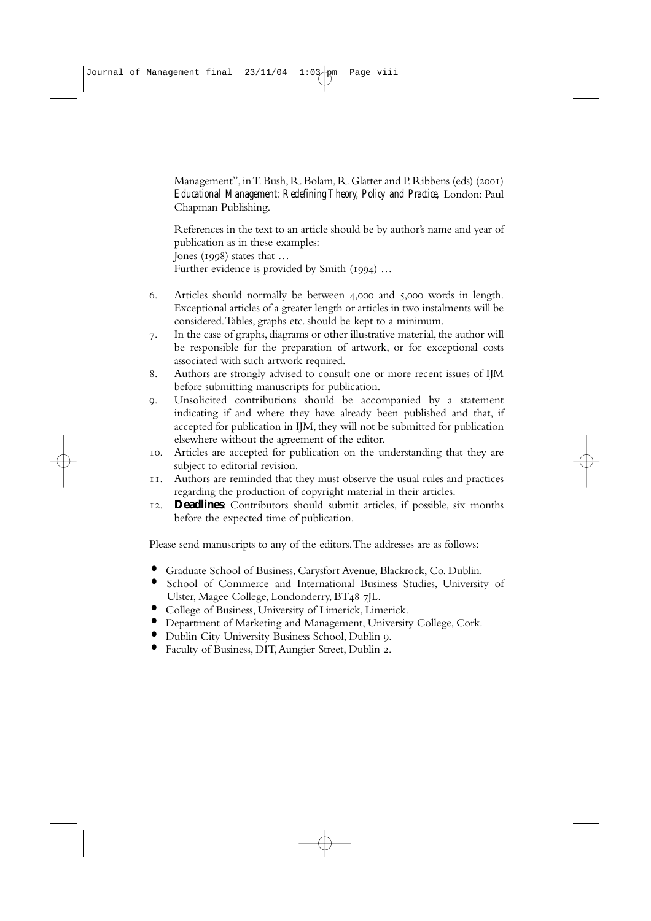Management", in T. Bush, R. Bolam, R. Glatter and P. Ribbens (eds) (2001) *Educational Management: Redefining Theory, Policy and Practice,* London: Paul Chapman Publishing.

References in the text to an article should be by author's name and year of publication as in these examples: Jones ( $1998$ ) states that ... Further evidence is provided by Smith  $(1994)$  ...

- 6. Articles should normally be between  $4,000$  and  $5,000$  words in length. Exceptional articles of a greater length or articles in two instalments will be considered.Tables, graphs etc. should be kept to a minimum.
- . In the case of graphs, diagrams or other illustrative material, the author will be responsible for the preparation of artwork, or for exceptional costs associated with such artwork required.
- . Authors are strongly advised to consult one or more recent issues of IJM before submitting manuscripts for publication.
- . Unsolicited contributions should be accompanied by a statement indicating if and where they have already been published and that, if accepted for publication in IJM, they will not be submitted for publication elsewhere without the agreement of the editor.
- . Articles are accepted for publication on the understanding that they are subject to editorial revision.
- . Authors are reminded that they must observe the usual rules and practices regarding the production of copyright material in their articles.
- . **Deadlines**: Contributors should submit articles, if possible, six months before the expected time of publication.

Please send manuscripts to any of the editors.The addresses are as follows:

- **•** Graduate School of Business, Carysfort Avenue, Blackrock, Co. Dublin.
- **•** School of Commerce and International Business Studies, University of Ulster, Magee College, Londonderry, BT48 7JL.
- **•** College of Business, University of Limerick, Limerick.
- **•** Department of Marketing and Management, University College, Cork.
- **•** Dublin City University Business School, Dublin .
- Faculty of Business, DIT, Aungier Street, Dublin 2.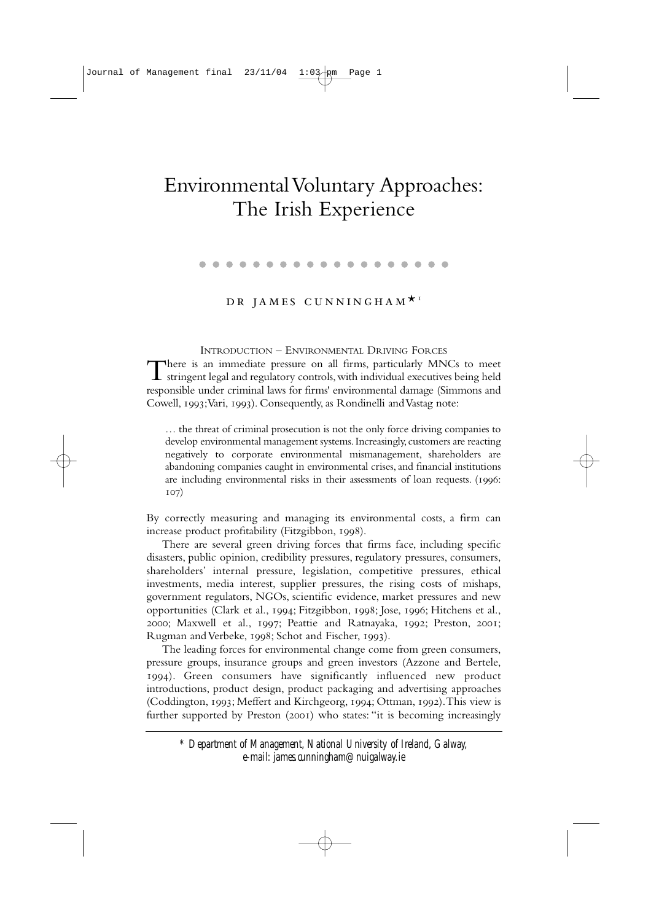## Environmental Voluntary Approaches: The Irish Experience

. . . . . . . . . . . . . . . . . . .

#### DR JAMES CUNNINGHAM<sup>\*</sup>

INTRODUCTION – ENVIRONMENTAL DRIVING FORCES There is an immediate pressure on all firms, particularly MNCs to meet stringent legal and regulatory controls,with individual executives being held responsible under criminal laws for firms' environmental damage (Simmons and Cowell, 1993; Vari, 1993). Consequently, as Rondinelli and Vastag note:

… the threat of criminal prosecution is not the only force driving companies to develop environmental management systems. Increasingly, customers are reacting negatively to corporate environmental mismanagement, shareholders are abandoning companies caught in environmental crises, and financial institutions are including environmental risks in their assessments of loan requests. (1996:  $107)$ 

By correctly measuring and managing its environmental costs, a firm can increase product profitability (Fitzgibbon, 1998).

There are several green driving forces that firms face, including specific disasters, public opinion, credibility pressures, regulatory pressures, consumers, shareholders' internal pressure, legislation, competitive pressures, ethical investments, media interest, supplier pressures, the rising costs of mishaps, government regulators, NGOs, scientific evidence, market pressures and new opportunities (Clark et al., 1994; Fitzgibbon, 1998; Jose, 1996; Hitchens et al., 2000; Maxwell et al., 1997; Peattie and Ratnayaka, 1992; Preston, 2001; Rugman and Verbeke, 1998; Schot and Fischer, 1993).

The leading forces for environmental change come from green consumers, pressure groups, insurance groups and green investors (Azzone and Bertele, ). Green consumers have significantly influenced new product introductions, product design, product packaging and advertising approaches (Coddington, 1993; Meffert and Kirchgeorg, 1994; Ottman, 1992). This view is further supported by Preston (2001) who states: "it is becoming increasingly

*\* Department of Management, National University of Ireland, Galway, e-mail: james.cunningham@nuigalway.ie*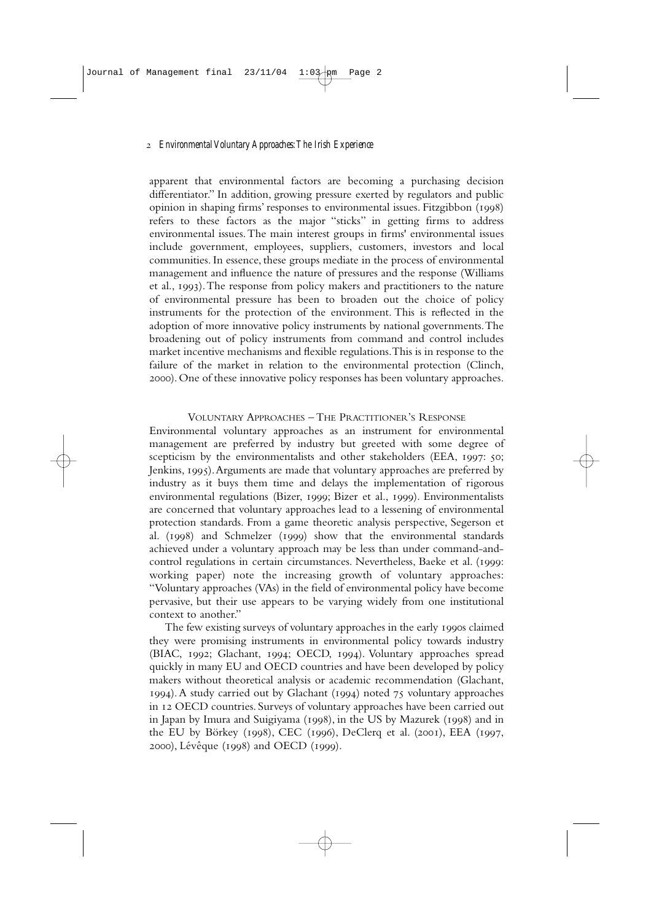apparent that environmental factors are becoming a purchasing decision differentiator." In addition, growing pressure exerted by regulators and public opinion in shaping firms' responses to environmental issues. Fitzgibbon  $(1998)$ refers to these factors as the major "sticks" in getting firms to address environmental issues.The main interest groups in firms' environmental issues include government, employees, suppliers, customers, investors and local communities. In essence, these groups mediate in the process of environmental management and influence the nature of pressures and the response (Williams et al., ).The response from policy makers and practitioners to the nature of environmental pressure has been to broaden out the choice of policy instruments for the protection of the environment. This is reflected in the adoption of more innovative policy instruments by national governments.The broadening out of policy instruments from command and control includes market incentive mechanisms and flexible regulations.This is in response to the failure of the market in relation to the environmental protection (Clinch, ). One of these innovative policy responses has been voluntary approaches.

#### VOLUNTARY APPROACHES – THE PRACTITIONER'S RESPONSE

Environmental voluntary approaches as an instrument for environmental management are preferred by industry but greeted with some degree of scepticism by the environmentalists and other stakeholders (EEA, 1997: 50; Jenkins, 1995). Arguments are made that voluntary approaches are preferred by industry as it buys them time and delays the implementation of rigorous environmental regulations (Bizer, 1999; Bizer et al., 1999). Environmentalists are concerned that voluntary approaches lead to a lessening of environmental protection standards. From a game theoretic analysis perspective, Segerson et al.  $(1998)$  and Schmelzer  $(1999)$  show that the environmental standards achieved under a voluntary approach may be less than under command-andcontrol regulations in certain circumstances. Nevertheless, Baeke et al. (1999: working paper) note the increasing growth of voluntary approaches: "Voluntary approaches (VAs) in the field of environmental policy have become pervasive, but their use appears to be varying widely from one institutional context to another."

The few existing surveys of voluntary approaches in the early 1990s claimed they were promising instruments in environmental policy towards industry (BIAC, 1992; Glachant, 1994; OECD, 1994). Voluntary approaches spread quickly in many EU and OECD countries and have been developed by policy makers without theoretical analysis or academic recommendation (Glachant, 1994). A study carried out by Glachant (1994) noted 75 voluntary approaches in OECD countries. Surveys of voluntary approaches have been carried out in Japan by Imura and Suigiyama  $(1998)$ , in the US by Mazurek  $(1998)$  and in the EU by Börkey (1998), CEC (1996), DeClerq et al. (2001), EEA (1997, 2000), Lévêque (1998) and OECD (1999).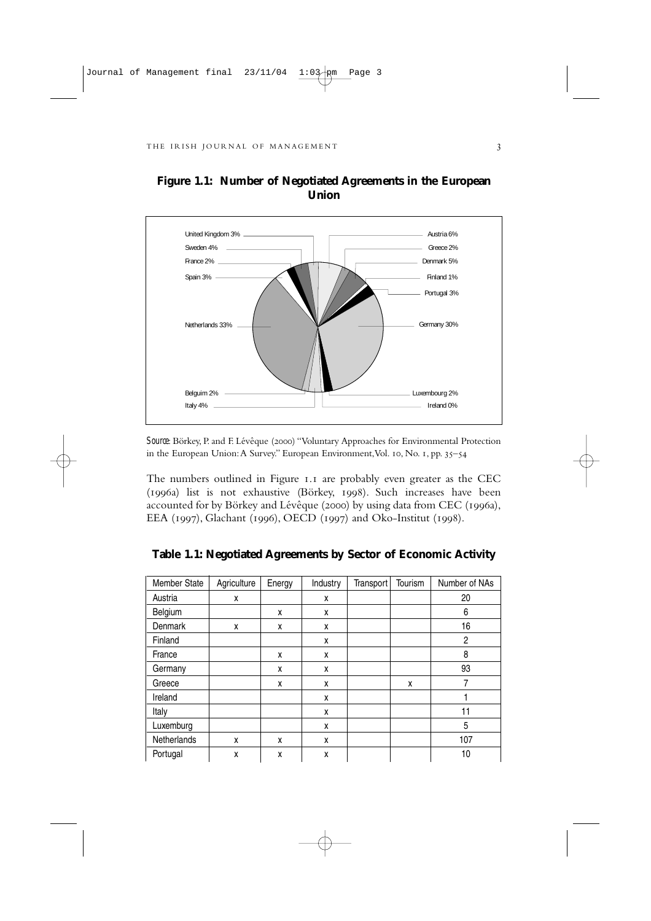

**Figure 1.1: Number of Negotiated Agreements in the European Union**

**Source**: Börkey, P. and F. Lévêque (2000) "Voluntary Approaches for Environmental Protection in the European Union: A Survey." European Environment, Vol. 10, No. 1, pp.  $35-54$ 

The numbers outlined in Figure 1.1 are probably even greater as the CEC (1996a) list is not exhaustive (Börkey, 1998). Such increases have been accounted for by Börkey and Lévêque (2000) by using data from CEC (1996a), EEA (1997), Glachant (1996), OECD (1997) and Oko-Institut (1998).

| Member State | Agriculture | Energy | Industry | Transport | Tourism | Number of NAs |
|--------------|-------------|--------|----------|-----------|---------|---------------|
| Austria      | X           |        | X        |           |         | 20            |
| Belgium      |             | x      | x        |           |         | 6             |
| Denmark      | X           | x      | X        |           |         | 16            |
| Finland      |             |        | X        |           |         | 2             |
| France       |             | x      | X        |           |         | 8             |
| Germany      |             | x      | x        |           |         | 93            |
| Greece       |             | X      | X        |           | X       | 7             |
| Ireland      |             |        | X        |           |         |               |
| Italy        |             |        | X        |           |         | 11            |
| Luxemburg    |             |        | X        |           |         | 5             |
| Netherlands  | X           | x      | X        |           |         | 107           |
| Portugal     | X           | X      | X        |           |         | 10            |

**Table 1.1: Negotiated Agreements by Sector of Economic Activity**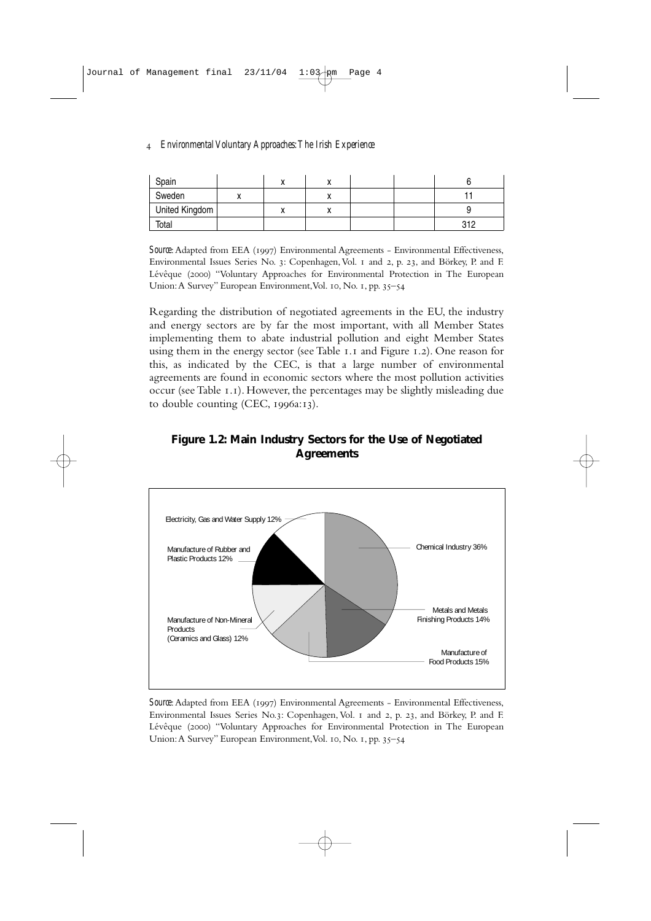| Spain          | $\lambda$ |          |  |     |
|----------------|-----------|----------|--|-----|
| Sweden         |           |          |  |     |
| United Kingdom |           | $\cdots$ |  |     |
| Total          |           |          |  | 210 |

**Source:** Adapted from EEA (1997) Environmental Agreements - Environmental Effectiveness, Environmental Issues Series No. 3: Copenhagen, Vol. 1 and 2, p. 23, and Börkey, P. and F. Lévêque (2000) "Voluntary Approaches for Environmental Protection in The European Union: A Survey" European Environment, Vol. 10, No. 1, pp. 35–54

Regarding the distribution of negotiated agreements in the EU, the industry and energy sectors are by far the most important, with all Member States implementing them to abate industrial pollution and eight Member States using them in the energy sector (see Table  $I.I$  and Figure  $I.2$ ). One reason for this, as indicated by the CEC, is that a large number of environmental agreements are found in economic sectors where the most pollution activities occur (see Table 1.1). However, the percentages may be slightly misleading due to double counting (CEC,  $1996a:13$ ).

#### **Figure 1.2: Main Industry Sectors for the Use of Negotiated Agreements**



**Source:** Adapted from EEA (1997) Environmental Agreements - Environmental Effectiveness, Environmental Issues Series No.3: Copenhagen, Vol. 1 and 2, p. 23, and Börkey, P. and F. Lévêque (2000) "Voluntary Approaches for Environmental Protection in The European Union: A Survey" European Environment, Vol. 10, No. 1, pp. 35-54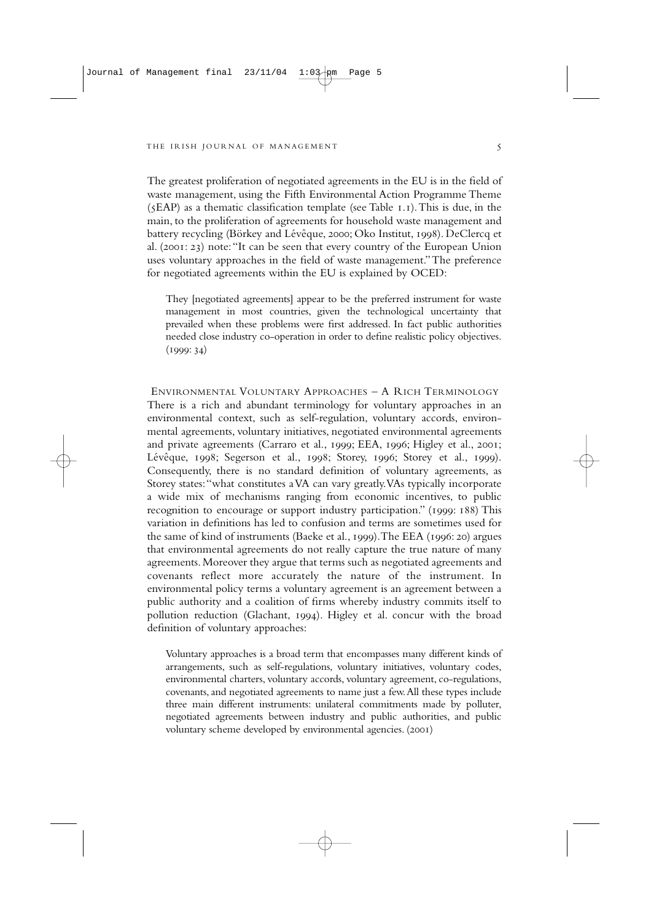The greatest proliferation of negotiated agreements in the EU is in the field of waste management, using the Fifth Environmental Action Programme Theme  $(5EAP)$  as a thematic classification template (see Table  $I.I$ ). This is due, in the main, to the proliferation of agreements for household waste management and battery recycling (Börkey and Lévêque, 2000; Oko Institut, 1998). DeClercq et al. (2001: 23) note: "It can be seen that every country of the European Union uses voluntary approaches in the field of waste management."The preference for negotiated agreements within the EU is explained by OCED:

They [negotiated agreements] appear to be the preferred instrument for waste management in most countries, given the technological uncertainty that prevailed when these problems were first addressed. In fact public authorities needed close industry co-operation in order to define realistic policy objectives.  $(1999:34)$ 

ENVIRONMENTAL VOLUNTARY APPROACHES – A RICH TERMINOLOGY There is a rich and abundant terminology for voluntary approaches in an environmental context, such as self-regulation, voluntary accords, environmental agreements, voluntary initiatives, negotiated environmental agreements and private agreements (Carraro et al., 1999; EEA, 1996; Higley et al., 2001; Lévêque,  $1998$ ; Segerson et al.,  $1998$ ; Storey,  $1996$ ; Storey et al.,  $1999$ ). Consequently, there is no standard definition of voluntary agreements, as Storey states:"what constitutes a VA can vary greatly.VAs typically incorporate a wide mix of mechanisms ranging from economic incentives, to public recognition to encourage or support industry participation." (1999: 188) This variation in definitions has led to confusion and terms are sometimes used for the same of kind of instruments (Baeke et al., 1999). The EEA (1996: 20) argues that environmental agreements do not really capture the true nature of many agreements. Moreover they argue that terms such as negotiated agreements and covenants reflect more accurately the nature of the instrument. In environmental policy terms a voluntary agreement is an agreement between a public authority and a coalition of firms whereby industry commits itself to pollution reduction (Glachant, 1994). Higley et al. concur with the broad definition of voluntary approaches:

Voluntary approaches is a broad term that encompasses many different kinds of arrangements, such as self-regulations, voluntary initiatives, voluntary codes, environmental charters, voluntary accords, voluntary agreement, co-regulations, covenants, and negotiated agreements to name just a few.All these types include three main different instruments: unilateral commitments made by polluter, negotiated agreements between industry and public authorities, and public voluntary scheme developed by environmental agencies. (2001)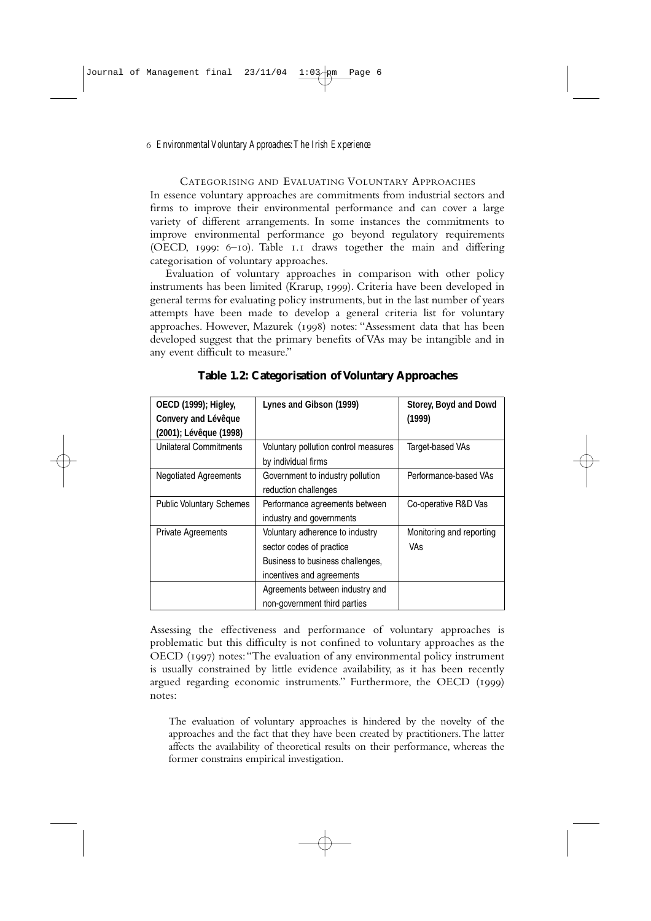CATEGORISING AND EVALUATING VOLUNTARY APPROACHES In essence voluntary approaches are commitments from industrial sectors and firms to improve their environmental performance and can cover a large variety of different arrangements. In some instances the commitments to improve environmental performance go beyond regulatory requirements (OECD,  $1999$ : 6-10). Table 1.1 draws together the main and differing categorisation of voluntary approaches.

Evaluation of voluntary approaches in comparison with other policy instruments has been limited (Krarup, 1999). Criteria have been developed in general terms for evaluating policy instruments, but in the last number of years attempts have been made to develop a general criteria list for voluntary approaches. However, Mazurek (1998) notes: "Assessment data that has been developed suggest that the primary benefits of VAs may be intangible and in any event difficult to measure."

| <b>OECD</b> (1999); Higley,<br>Convery and Lévêque<br>(2001); Lévêque (1998) | Lynes and Gibson (1999)                                                                                                      | Storey, Boyd and Dowd<br>(1999)        |
|------------------------------------------------------------------------------|------------------------------------------------------------------------------------------------------------------------------|----------------------------------------|
| Unilateral Commitments                                                       | Voluntary pollution control measures<br>by individual firms                                                                  | Target-based VAs                       |
| <b>Negotiated Agreements</b>                                                 | Government to industry pollution<br>reduction challenges                                                                     | Performance-based VAs                  |
| <b>Public Voluntary Schemes</b>                                              | Performance agreements between<br>industry and governments                                                                   | Co-operative R&D Vas                   |
| Private Agreements                                                           | Voluntary adherence to industry<br>sector codes of practice<br>Business to business challenges,<br>incentives and agreements | Monitoring and reporting<br><b>VAs</b> |
|                                                                              | Agreements between industry and<br>non-government third parties                                                              |                                        |

**Table 1.2: Categorisation of Voluntary Approaches**

Assessing the effectiveness and performance of voluntary approaches is problematic but this difficulty is not confined to voluntary approaches as the OECD (1997) notes: "The evaluation of any environmental policy instrument is usually constrained by little evidence availability, as it has been recently argued regarding economic instruments." Furthermore, the OECD  $(1999)$ notes:

The evaluation of voluntary approaches is hindered by the novelty of the approaches and the fact that they have been created by practitioners.The latter affects the availability of theoretical results on their performance, whereas the former constrains empirical investigation.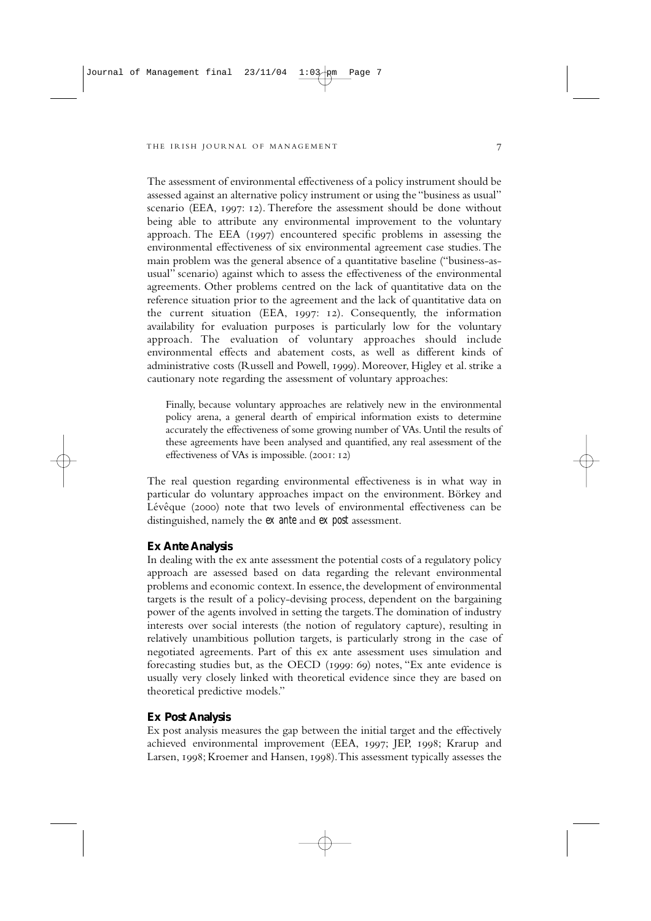The assessment of environmental effectiveness of a policy instrument should be assessed against an alternative policy instrument or using the "business as usual" scenario (EEA, 1997: 12). Therefore the assessment should be done without being able to attribute any environmental improvement to the voluntary approach. The EEA (1997) encountered specific problems in assessing the environmental effectiveness of six environmental agreement case studies.The main problem was the general absence of a quantitative baseline ("business-asusual" scenario) against which to assess the effectiveness of the environmental agreements. Other problems centred on the lack of quantitative data on the reference situation prior to the agreement and the lack of quantitative data on the current situation (EEA,  $1997: 12$ ). Consequently, the information availability for evaluation purposes is particularly low for the voluntary approach. The evaluation of voluntary approaches should include environmental effects and abatement costs, as well as different kinds of administrative costs (Russell and Powell, ). Moreover, Higley et al. strike a cautionary note regarding the assessment of voluntary approaches:

Finally, because voluntary approaches are relatively new in the environmental policy arena, a general dearth of empirical information exists to determine accurately the effectiveness of some growing number of VAs. Until the results of these agreements have been analysed and quantified, any real assessment of the effectiveness of VAs is impossible.  $(2001: 12)$ 

The real question regarding environmental effectiveness is in what way in particular do voluntary approaches impact on the environment. Börkey and Lévêque (2000) note that two levels of environmental effectiveness can be distinguished, namely the *ex ante* and *ex post* assessment.

#### **Ex Ante Analysis**

In dealing with the ex ante assessment the potential costs of a regulatory policy approach are assessed based on data regarding the relevant environmental problems and economic context. In essence, the development of environmental targets is the result of a policy-devising process, dependent on the bargaining power of the agents involved in setting the targets.The domination of industry interests over social interests (the notion of regulatory capture), resulting in relatively unambitious pollution targets, is particularly strong in the case of negotiated agreements. Part of this ex ante assessment uses simulation and forecasting studies but, as the OECD  $(1999: 69)$  notes, "Ex ante evidence is usually very closely linked with theoretical evidence since they are based on theoretical predictive models."

#### **Ex Post Analysis**

Ex post analysis measures the gap between the initial target and the effectively achieved environmental improvement (EEA, 1997; JEP, 1998; Krarup and Larsen, 1998; Kroemer and Hansen, 1998). This assessment typically assesses the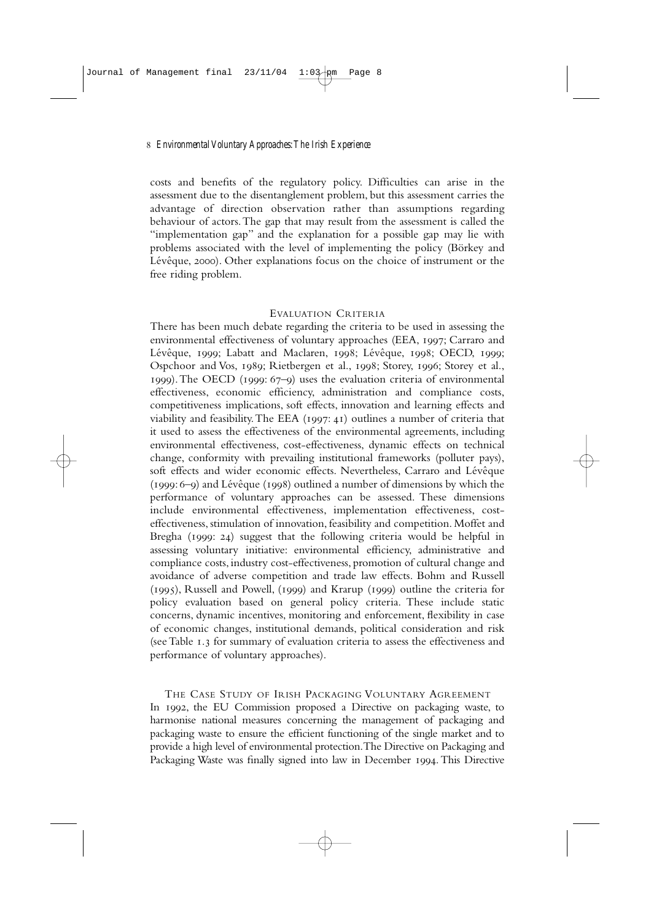costs and benefits of the regulatory policy. Difficulties can arise in the assessment due to the disentanglement problem, but this assessment carries the advantage of direction observation rather than assumptions regarding behaviour of actors.The gap that may result from the assessment is called the "implementation gap" and the explanation for a possible gap may lie with problems associated with the level of implementing the policy (Börkey and Lévêque, 2000). Other explanations focus on the choice of instrument or the free riding problem.

#### EVALUATION CRITERIA

There has been much debate regarding the criteria to be used in assessing the environmental effectiveness of voluntary approaches (EEA, 1997; Carraro and Lévêque, 1999; Labatt and Maclaren, 1998; Lévêque, 1998; OECD, 1999; Ospchoor and Vos, 1989; Rietbergen et al., 1998; Storey, 1996; Storey et al.,  $1999$ ). The OECD ( $1999$ :  $67-9$ ) uses the evaluation criteria of environmental effectiveness, economic efficiency, administration and compliance costs, competitiveness implications, soft effects, innovation and learning effects and viability and feasibility. The EEA  $(1997: 41)$  outlines a number of criteria that it used to assess the effectiveness of the environmental agreements, including environmental effectiveness, cost-effectiveness, dynamic effects on technical change, conformity with prevailing institutional frameworks (polluter pays), soft effects and wider economic effects. Nevertheless, Carraro and Lévêque  $(1999:6-9)$  and Lévêque  $(1998)$  outlined a number of dimensions by which the performance of voluntary approaches can be assessed. These dimensions include environmental effectiveness, implementation effectiveness, costeffectiveness, stimulation of innovation, feasibility and competition. Moffet and Bregha  $(1999: 24)$  suggest that the following criteria would be helpful in assessing voluntary initiative: environmental efficiency, administrative and compliance costs, industry cost-effectiveness, promotion of cultural change and avoidance of adverse competition and trade law effects. Bohm and Russell  $(1995)$ , Russell and Powell,  $(1999)$  and Krarup  $(1999)$  outline the criteria for policy evaluation based on general policy criteria. These include static concerns, dynamic incentives, monitoring and enforcement, flexibility in case of economic changes, institutional demands, political consideration and risk (see Table 1.3 for summary of evaluation criteria to assess the effectiveness and performance of voluntary approaches).

THE CASE STUDY OF IRISH PACKAGING VOLUNTARY AGREEMENT In 1992, the EU Commission proposed a Directive on packaging waste, to harmonise national measures concerning the management of packaging and packaging waste to ensure the efficient functioning of the single market and to provide a high level of environmental protection.The Directive on Packaging and Packaging Waste was finally signed into law in December 1994. This Directive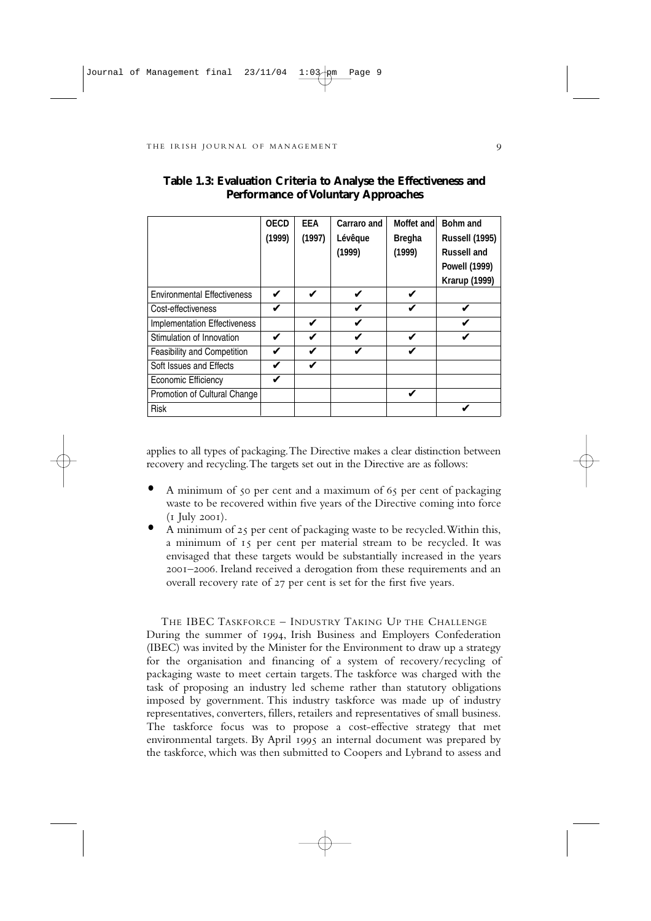|                                    | <b>OECD</b> | <b>FFA</b> | Carraro and             | Moffet and    | Bohm and              |
|------------------------------------|-------------|------------|-------------------------|---------------|-----------------------|
|                                    | (1999)      | (1997)     | Lévêque                 | <b>Bregha</b> | <b>Russell (1995)</b> |
|                                    |             |            | (1999)                  | (1999)        | <b>Russell and</b>    |
|                                    |             |            |                         |               | <b>Powell (1999)</b>  |
|                                    |             |            |                         |               | <b>Krarup (1999)</b>  |
| <b>Environmental Effectiveness</b> | V           | ✔          | V                       | V             |                       |
| Cost-effectiveness                 | V           |            | V                       | ✔             |                       |
| Implementation Effectiveness       |             | V          | V                       |               |                       |
| Stimulation of Innovation          | V           | V          | $\overline{\mathbf{v}}$ | ✔             |                       |
| Feasibility and Competition        | V           | ✔          | u                       | ✔             |                       |
| Soft Issues and Effects            | V           | ✔          |                         |               |                       |
| Economic Efficiency                |             |            |                         |               |                       |
| Promotion of Cultural Change       |             |            |                         | ✓             |                       |
| <b>Risk</b>                        |             |            |                         |               |                       |

#### **Table 1.3: Evaluation Criteria to Analyse the Effectiveness and Performance of Voluntary Approaches**

applies to all types of packaging.The Directive makes a clear distinction between recovery and recycling.The targets set out in the Directive are as follows:

- A minimum of 50 per cent and a maximum of 65 per cent of packaging waste to be recovered within five years of the Directive coming into force  $(I$  July 2001).
- A minimum of 25 per cent of packaging waste to be recycled. Within this, a minimum of 15 per cent per material stream to be recycled. It was envisaged that these targets would be substantially increased in the years –. Ireland received a derogation from these requirements and an overall recovery rate of 27 per cent is set for the first five years.

THE IBEC TASKFORCE – INDUSTRY TAKING UP THE CHALLENGE During the summer of 1994, Irish Business and Employers Confederation (IBEC) was invited by the Minister for the Environment to draw up a strategy for the organisation and financing of a system of recovery/recycling of packaging waste to meet certain targets. The taskforce was charged with the task of proposing an industry led scheme rather than statutory obligations imposed by government. This industry taskforce was made up of industry representatives, converters, fillers, retailers and representatives of small business. The taskforce focus was to propose a cost-effective strategy that met environmental targets. By April  $1995$  an internal document was prepared by the taskforce, which was then submitted to Coopers and Lybrand to assess and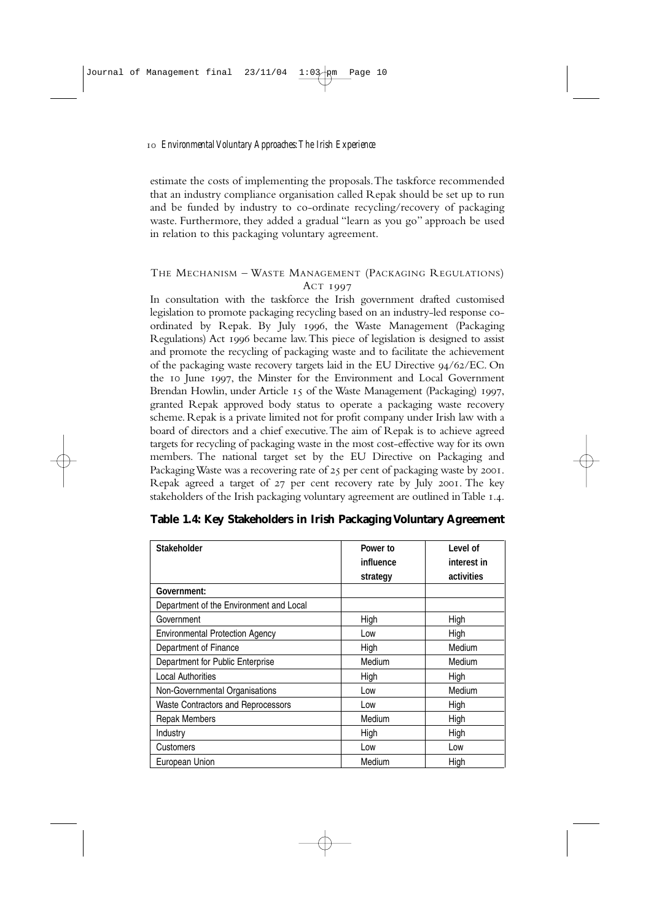estimate the costs of implementing the proposals.The taskforce recommended that an industry compliance organisation called Repak should be set up to run and be funded by industry to co-ordinate recycling/recovery of packaging waste. Furthermore, they added a gradual "learn as you go" approach be used in relation to this packaging voluntary agreement.

#### THE MECHANISM – WASTE MANAGEMENT (PACKAGING REGULATIONS) **ACT 1997**

In consultation with the taskforce the Irish government drafted customised legislation to promote packaging recycling based on an industry-led response coordinated by Repak. By July 1996, the Waste Management (Packaging Regulations) Act 1996 became law. This piece of legislation is designed to assist and promote the recycling of packaging waste and to facilitate the achievement of the packaging waste recovery targets laid in the EU Directive  $94/62/EC$ . On the 10 June 1997, the Minster for the Environment and Local Government Brendan Howlin, under Article  $\overline{15}$  of the Waste Management (Packaging)  $\overline{1997}$ , granted Repak approved body status to operate a packaging waste recovery scheme. Repak is a private limited not for profit company under Irish law with a board of directors and a chief executive.The aim of Repak is to achieve agreed targets for recycling of packaging waste in the most cost-effective way for its own members. The national target set by the EU Directive on Packaging and Packaging Waste was a recovering rate of 25 per cent of packaging waste by 2001. Repak agreed a target of  $27$  per cent recovery rate by July 2001. The key stakeholders of the Irish packaging voluntary agreement are outlined in Table 1.4.

| <b>Stakeholder</b>                        | Power to  | Level of    |
|-------------------------------------------|-----------|-------------|
|                                           | influence | interest in |
|                                           | strategy  | activities  |
| Government:                               |           |             |
| Department of the Environment and Local   |           |             |
| Government                                | High      | High        |
| <b>Environmental Protection Agency</b>    | Low       | High        |
| Department of Finance                     | High      | Medium      |
| Department for Public Enterprise          | Medium    | Medium      |
| <b>Local Authorities</b>                  | High      | High        |
| Non-Governmental Organisations            | Low       | Medium      |
| <b>Waste Contractors and Reprocessors</b> | Low       | High        |
| <b>Repak Members</b>                      | Medium    | High        |
| Industry                                  | High      | High        |
| Customers                                 | Low       | Low         |
| European Union                            | Medium    | High        |

|  | Table 1.4: Key Stakeholders in Irish Packaging Voluntary Agreement |  |  |  |
|--|--------------------------------------------------------------------|--|--|--|
|  |                                                                    |  |  |  |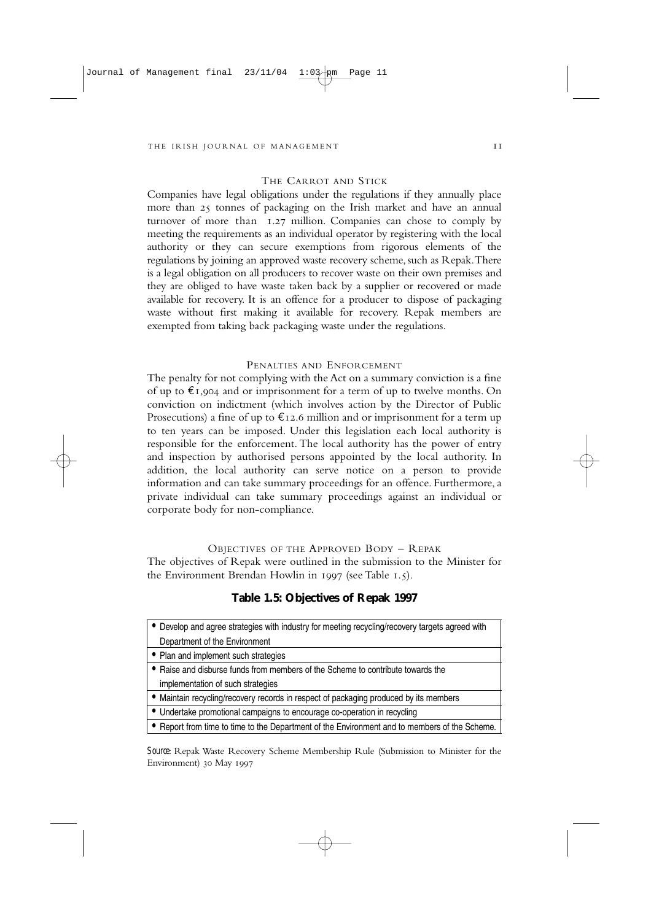#### THE CARROT AND STICK

Companies have legal obligations under the regulations if they annually place more than 25 tonnes of packaging on the Irish market and have an annual turnover of more than  $1.27$  million. Companies can chose to comply by meeting the requirements as an individual operator by registering with the local authority or they can secure exemptions from rigorous elements of the regulations by joining an approved waste recovery scheme, such as Repak.There is a legal obligation on all producers to recover waste on their own premises and they are obliged to have waste taken back by a supplier or recovered or made available for recovery. It is an offence for a producer to dispose of packaging waste without first making it available for recovery. Repak members are exempted from taking back packaging waste under the regulations.

#### PENALTIES AND ENFORCEMENT

The penalty for not complying with the Act on a summary conviction is a fine of up to  $\epsilon_{1,904}$  and or imprisonment for a term of up to twelve months. On conviction on indictment (which involves action by the Director of Public Prosecutions) a fine of up to  $\epsilon$ 12.6 million and or imprisonment for a term up to ten years can be imposed. Under this legislation each local authority is responsible for the enforcement. The local authority has the power of entry and inspection by authorised persons appointed by the local authority. In addition, the local authority can serve notice on a person to provide information and can take summary proceedings for an offence. Furthermore, a private individual can take summary proceedings against an individual or corporate body for non-compliance.

#### OBJECTIVES OF THE APPROVED BODY - REPAK

The objectives of Repak were outlined in the submission to the Minister for the Environment Brendan Howlin in  $1997$  (see Table  $1.5$ ).

#### **Table 1.5: Objectives of Repak 1997**

| • Develop and agree strategies with industry for meeting recycling/recovery targets agreed with |
|-------------------------------------------------------------------------------------------------|
| Department of the Environment                                                                   |
| • Plan and implement such strategies                                                            |
| • Raise and disburse funds from members of the Scheme to contribute towards the                 |
| implementation of such strategies                                                               |

• Maintain recycling/recovery records in respect of packaging produced by its members

• Undertake promotional campaigns to encourage co-operation in recycling

• Report from time to time to the Department of the Environment and to members of the Scheme.

*Source*: Repak Waste Recovery Scheme Membership Rule (Submission to Minister for the Environment) 30 May 1997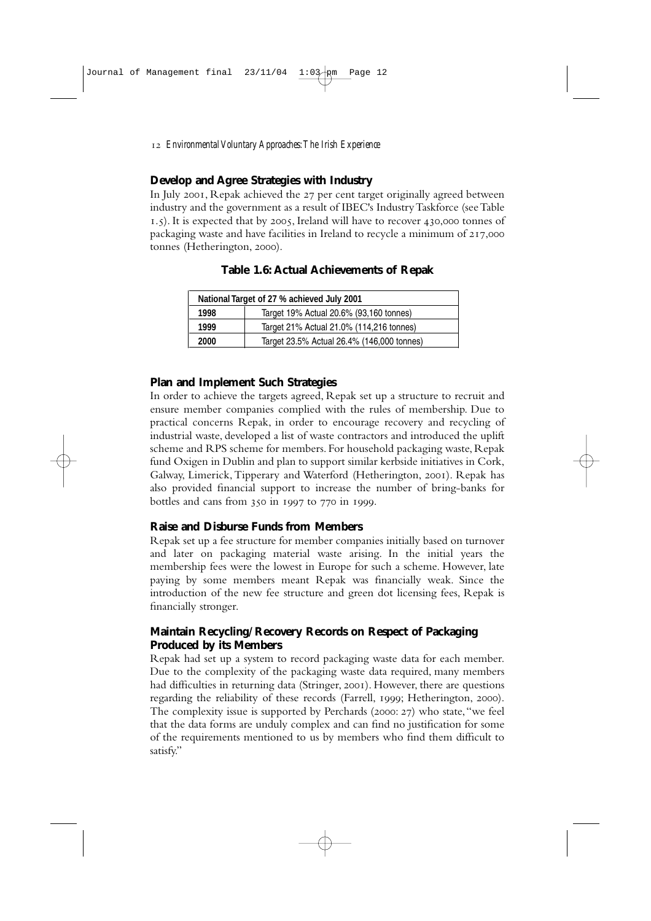#### **Develop and Agree Strategies with Industry**

In July 2001. Repak achieved the  $27$  per cent target originally agreed between industry and the government as a result of IBEC's Industry Taskforce (see Table  $1.5$ ). It is expected that by 2005, Ireland will have to recover 430,000 tonnes of packaging waste and have facilities in Ireland to recycle a minimum of 217,000 tonnes (Hetherington, 2000).

| National Target of 27 % achieved July 2001 |                                            |  |
|--------------------------------------------|--------------------------------------------|--|
| 1998                                       | Target 19% Actual 20.6% (93,160 tonnes)    |  |
| 1999                                       | Target 21% Actual 21.0% (114,216 tonnes)   |  |
| 2000                                       | Target 23.5% Actual 26.4% (146,000 tonnes) |  |

| <b>Table 1.6: Actual Achievements of Repak</b> |  |
|------------------------------------------------|--|
|------------------------------------------------|--|

#### **Plan and Implement Such Strategies**

In order to achieve the targets agreed, Repak set up a structure to recruit and ensure member companies complied with the rules of membership. Due to practical concerns Repak, in order to encourage recovery and recycling of industrial waste, developed a list of waste contractors and introduced the uplift scheme and RPS scheme for members. For household packaging waste, Repak fund Oxigen in Dublin and plan to support similar kerbside initiatives in Cork, Galway, Limerick, Tipperary and Waterford (Hetherington, 2001). Repak has also provided financial support to increase the number of bring-banks for bottles and cans from  $350 \text{ in } 1997$  to  $770 \text{ in } 1999$ .

#### **Raise and Disburse Funds from Members**

Repak set up a fee structure for member companies initially based on turnover and later on packaging material waste arising. In the initial years the membership fees were the lowest in Europe for such a scheme. However, late paying by some members meant Repak was financially weak. Since the introduction of the new fee structure and green dot licensing fees, Repak is financially stronger.

#### **Maintain Recycling/Recovery Records on Respect of Packaging Produced by its Members**

Repak had set up a system to record packaging waste data for each member. Due to the complexity of the packaging waste data required, many members had difficulties in returning data (Stringer, 2001). However, there are questions regarding the reliability of these records (Farrell, 1999; Hetherington, 2000). The complexity issue is supported by Perchards (2000: 27) who state, "we feel that the data forms are unduly complex and can find no justification for some of the requirements mentioned to us by members who find them difficult to satisfy."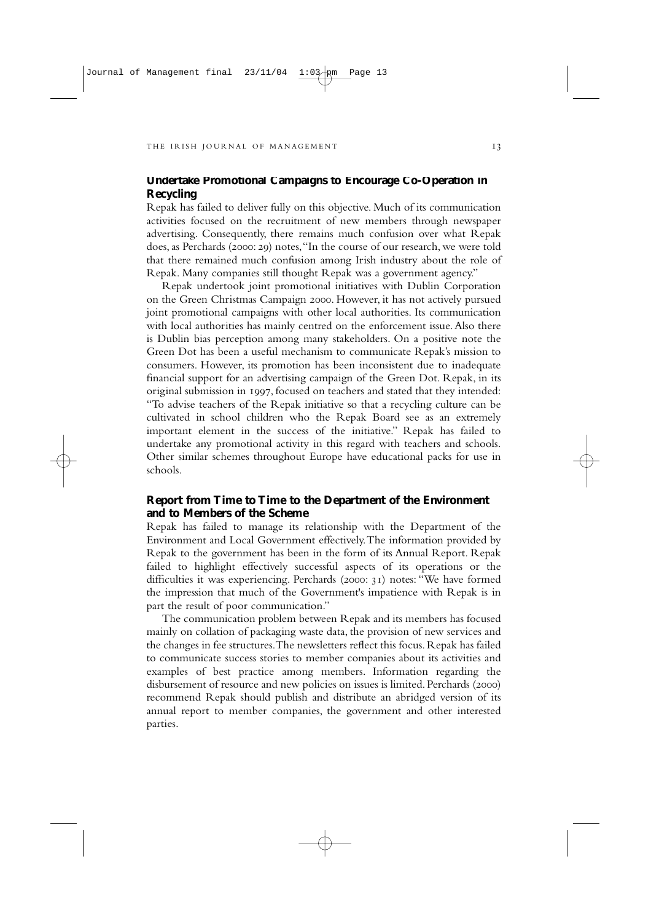#### **Undertake Promotional Campaigns to Encourage Co-Operation in Recycling**

Repak has failed to deliver fully on this objective. Much of its communication activities focused on the recruitment of new members through newspaper advertising. Consequently, there remains much confusion over what Repak does, as Perchards (2000: 29) notes, "In the course of our research, we were told that there remained much confusion among Irish industry about the role of Repak. Many companies still thought Repak was a government agency."

Repak undertook joint promotional initiatives with Dublin Corporation on the Green Christmas Campaign 2000. However, it has not actively pursued joint promotional campaigns with other local authorities. Its communication with local authorities has mainly centred on the enforcement issue.Also there is Dublin bias perception among many stakeholders. On a positive note the Green Dot has been a useful mechanism to communicate Repak's mission to consumers. However, its promotion has been inconsistent due to inadequate financial support for an advertising campaign of the Green Dot. Repak, in its original submission in 1997, focused on teachers and stated that they intended: "To advise teachers of the Repak initiative so that a recycling culture can be cultivated in school children who the Repak Board see as an extremely important element in the success of the initiative." Repak has failed to undertake any promotional activity in this regard with teachers and schools. Other similar schemes throughout Europe have educational packs for use in schools.

#### **Report from Time to Time to the Department of the Environment and to Members of the Scheme**

Repak has failed to manage its relationship with the Department of the Environment and Local Government effectively.The information provided by Repak to the government has been in the form of its Annual Report. Repak failed to highlight effectively successful aspects of its operations or the difficulties it was experiencing. Perchards (2000: 31) notes: "We have formed the impression that much of the Government's impatience with Repak is in part the result of poor communication."

The communication problem between Repak and its members has focused mainly on collation of packaging waste data, the provision of new services and the changes in fee structures. The newsletters reflect this focus. Repak has failed to communicate success stories to member companies about its activities and examples of best practice among members. Information regarding the disbursement of resource and new policies on issues is limited. Perchards (2000) recommend Repak should publish and distribute an abridged version of its annual report to member companies, the government and other interested parties.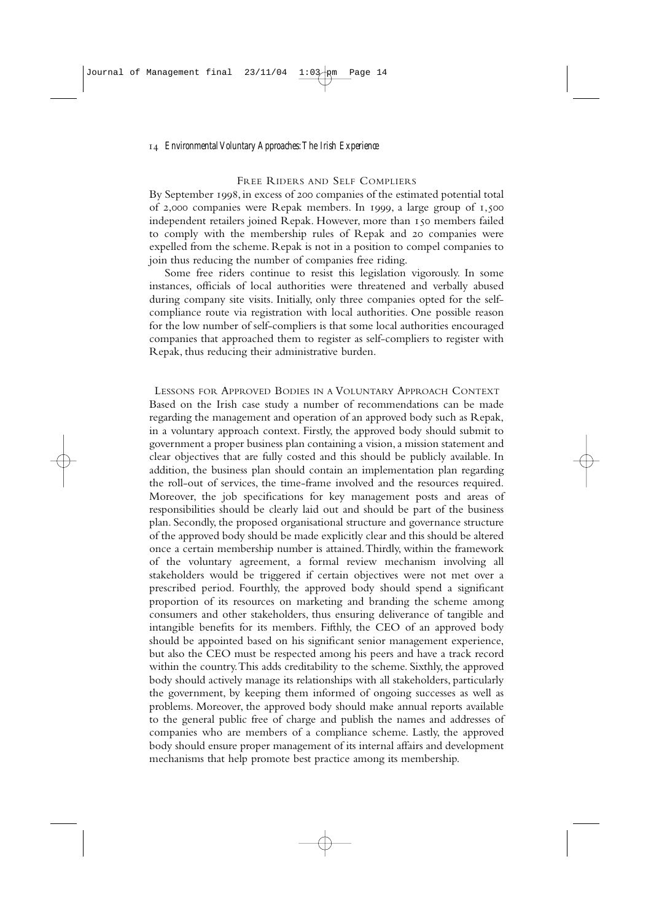#### FREE RIDERS AND SELF COMPLIERS

By September 1998, in excess of 200 companies of the estimated potential total of 2,000 companies were Repak members. In 1999, a large group of  $1,500$ independent retailers joined Repak. However, more than 150 members failed to comply with the membership rules of Repak and 20 companies were expelled from the scheme. Repak is not in a position to compel companies to join thus reducing the number of companies free riding.

Some free riders continue to resist this legislation vigorously. In some instances, officials of local authorities were threatened and verbally abused during company site visits. Initially, only three companies opted for the selfcompliance route via registration with local authorities. One possible reason for the low number of self-compliers is that some local authorities encouraged companies that approached them to register as self-compliers to register with Repak, thus reducing their administrative burden.

LESSONS FOR APPROVED BODIES IN A VOLUNTARY APPROACH CONTEXT Based on the Irish case study a number of recommendations can be made regarding the management and operation of an approved body such as Repak, in a voluntary approach context. Firstly, the approved body should submit to government a proper business plan containing a vision, a mission statement and clear objectives that are fully costed and this should be publicly available. In addition, the business plan should contain an implementation plan regarding the roll-out of services, the time-frame involved and the resources required. Moreover, the job specifications for key management posts and areas of responsibilities should be clearly laid out and should be part of the business plan. Secondly, the proposed organisational structure and governance structure of the approved body should be made explicitly clear and this should be altered once a certain membership number is attained.Thirdly, within the framework of the voluntary agreement, a formal review mechanism involving all stakeholders would be triggered if certain objectives were not met over a prescribed period. Fourthly, the approved body should spend a significant proportion of its resources on marketing and branding the scheme among consumers and other stakeholders, thus ensuring deliverance of tangible and intangible benefits for its members. Fifthly, the CEO of an approved body should be appointed based on his significant senior management experience, but also the CEO must be respected among his peers and have a track record within the country.This adds creditability to the scheme. Sixthly, the approved body should actively manage its relationships with all stakeholders, particularly the government, by keeping them informed of ongoing successes as well as problems. Moreover, the approved body should make annual reports available to the general public free of charge and publish the names and addresses of companies who are members of a compliance scheme. Lastly, the approved body should ensure proper management of its internal affairs and development mechanisms that help promote best practice among its membership.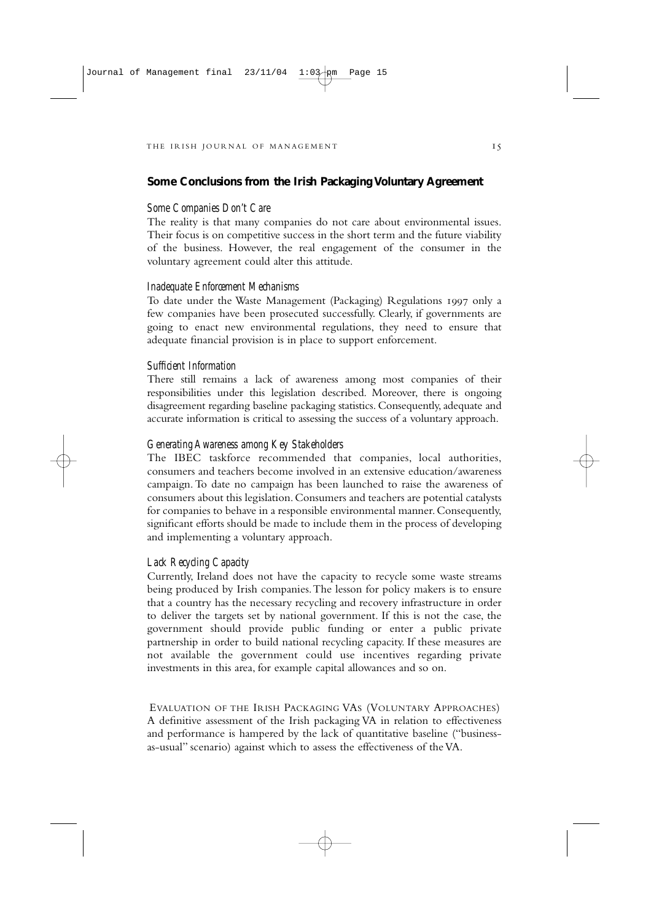#### **Some Conclusions from the Irish Packaging Voluntary Agreement**

#### *Some Companies Don't Care*

The reality is that many companies do not care about environmental issues. Their focus is on competitive success in the short term and the future viability of the business. However, the real engagement of the consumer in the voluntary agreement could alter this attitude.

#### *Inadequate Enforcement Mechanisms*

To date under the Waste Management (Packaging) Regulations 1997 only a few companies have been prosecuted successfully. Clearly, if governments are going to enact new environmental regulations, they need to ensure that adequate financial provision is in place to support enforcement.

#### *Sufficient Information*

There still remains a lack of awareness among most companies of their responsibilities under this legislation described. Moreover, there is ongoing disagreement regarding baseline packaging statistics. Consequently, adequate and accurate information is critical to assessing the success of a voluntary approach.

#### *Generating Awareness among Key Stakeholders*

The IBEC taskforce recommended that companies, local authorities, consumers and teachers become involved in an extensive education/awareness campaign. To date no campaign has been launched to raise the awareness of consumers about this legislation. Consumers and teachers are potential catalysts for companies to behave in a responsible environmental manner.Consequently, significant efforts should be made to include them in the process of developing and implementing a voluntary approach.

#### *Lack Recycling Capacity*

Currently, Ireland does not have the capacity to recycle some waste streams being produced by Irish companies.The lesson for policy makers is to ensure that a country has the necessary recycling and recovery infrastructure in order to deliver the targets set by national government. If this is not the case, the government should provide public funding or enter a public private partnership in order to build national recycling capacity. If these measures are not available the government could use incentives regarding private investments in this area, for example capital allowances and so on.

EVALUATION OF THE IRISH PACKAGING VAS (VOLUNTARY APPROACHES) A definitive assessment of the Irish packaging VA in relation to effectiveness and performance is hampered by the lack of quantitative baseline ("businessas-usual" scenario) against which to assess the effectiveness of the VA.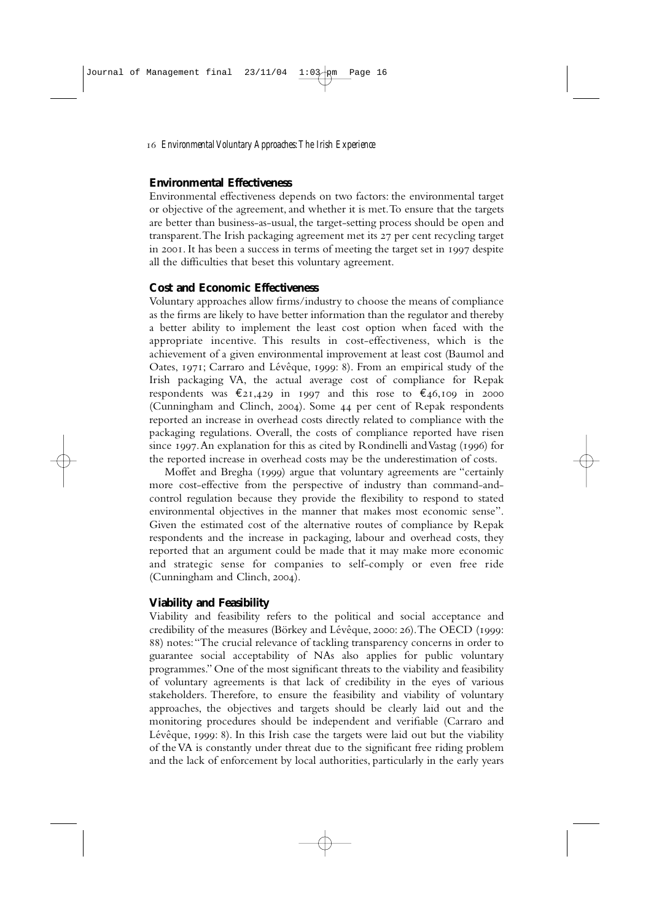#### **Environmental Effectiveness**

Environmental effectiveness depends on two factors: the environmental target or objective of the agreement, and whether it is met.To ensure that the targets are better than business-as-usual, the target-setting process should be open and transparent. The Irish packaging agreement met its 27 per cent recycling target in 2001. It has been a success in terms of meeting the target set in 1997 despite all the difficulties that beset this voluntary agreement.

#### **Cost and Economic Effectiveness**

Voluntary approaches allow firms/industry to choose the means of compliance as the firms are likely to have better information than the regulator and thereby a better ability to implement the least cost option when faced with the appropriate incentive. This results in cost-effectiveness, which is the achievement of a given environmental improvement at least cost (Baumol and Oates, 1971; Carraro and Lévêque, 1999: 8). From an empirical study of the Irish packaging VA, the actual average cost of compliance for Repak respondents was  $\epsilon_{21,429}$  in 1997 and this rose to  $\epsilon_{46,109}$  in 2000 (Cunningham and Clinch, 2004). Some 44 per cent of Repak respondents reported an increase in overhead costs directly related to compliance with the packaging regulations. Overall, the costs of compliance reported have risen since 1997. An explanation for this as cited by Rondinelli and Vastag (1996) for the reported increase in overhead costs may be the underestimation of costs.

Moffet and Bregha (1999) argue that voluntary agreements are "certainly more cost-effective from the perspective of industry than command-andcontrol regulation because they provide the flexibility to respond to stated environmental objectives in the manner that makes most economic sense". Given the estimated cost of the alternative routes of compliance by Repak respondents and the increase in packaging, labour and overhead costs, they reported that an argument could be made that it may make more economic and strategic sense for companies to self-comply or even free ride (Cunningham and Clinch, 2004).

#### **Viability and Feasibility**

Viability and feasibility refers to the political and social acceptance and credibility of the measures (Börkey and Lévêque, 2000: 26). The OECD (1999: ) notes:"The crucial relevance of tackling transparency concerns in order to guarantee social acceptability of NAs also applies for public voluntary programmes." One of the most significant threats to the viability and feasibility of voluntary agreements is that lack of credibility in the eyes of various stakeholders. Therefore, to ensure the feasibility and viability of voluntary approaches, the objectives and targets should be clearly laid out and the monitoring procedures should be independent and verifiable (Carraro and Lévêque,  $1999$ : 8). In this Irish case the targets were laid out but the viability of the VA is constantly under threat due to the significant free riding problem and the lack of enforcement by local authorities, particularly in the early years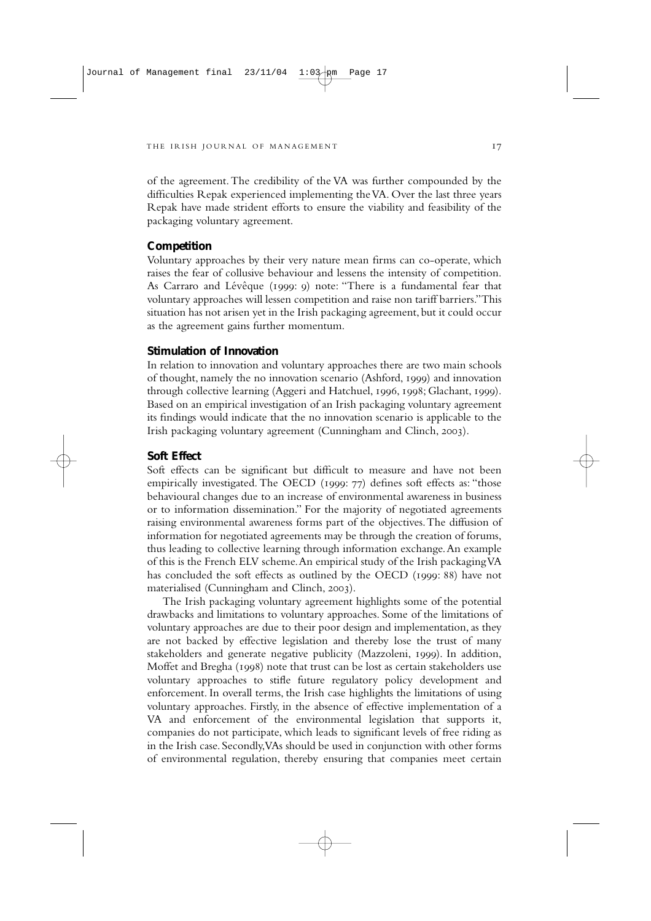of the agreement.The credibility of the VA was further compounded by the difficulties Repak experienced implementing the VA. Over the last three years Repak have made strident efforts to ensure the viability and feasibility of the packaging voluntary agreement.

#### **Competition**

Voluntary approaches by their very nature mean firms can co-operate, which raises the fear of collusive behaviour and lessens the intensity of competition. As Carraro and Lévêque (1999: 9) note: "There is a fundamental fear that voluntary approaches will lessen competition and raise non tariff barriers."This situation has not arisen yet in the Irish packaging agreement, but it could occur as the agreement gains further momentum.

#### **Stimulation of Innovation**

In relation to innovation and voluntary approaches there are two main schools of thought, namely the no innovation scenario (Ashford, 1999) and innovation through collective learning (Aggeri and Hatchuel, 1996, 1998; Glachant, 1999). Based on an empirical investigation of an Irish packaging voluntary agreement its findings would indicate that the no innovation scenario is applicable to the Irish packaging voluntary agreement (Cunningham and Clinch, 2003).

#### **Soft Effect**

Soft effects can be significant but difficult to measure and have not been empirically investigated. The OECD (1999: 77) defines soft effects as: "those behavioural changes due to an increase of environmental awareness in business or to information dissemination." For the majority of negotiated agreements raising environmental awareness forms part of the objectives.The diffusion of information for negotiated agreements may be through the creation of forums, thus leading to collective learning through information exchange.An example of this is the French ELV scheme.An empirical study of the Irish packaging VA has concluded the soft effects as outlined by the OECD (1999: 88) have not materialised (Cunningham and Clinch, 2003).

The Irish packaging voluntary agreement highlights some of the potential drawbacks and limitations to voluntary approaches. Some of the limitations of voluntary approaches are due to their poor design and implementation, as they are not backed by effective legislation and thereby lose the trust of many stakeholders and generate negative publicity (Mazzoleni, 1999). In addition, Moffet and Bregha (1998) note that trust can be lost as certain stakeholders use voluntary approaches to stifle future regulatory policy development and enforcement. In overall terms, the Irish case highlights the limitations of using voluntary approaches. Firstly, in the absence of effective implementation of a VA and enforcement of the environmental legislation that supports it, companies do not participate, which leads to significant levels of free riding as in the Irish case. Secondly,VAs should be used in conjunction with other forms of environmental regulation, thereby ensuring that companies meet certain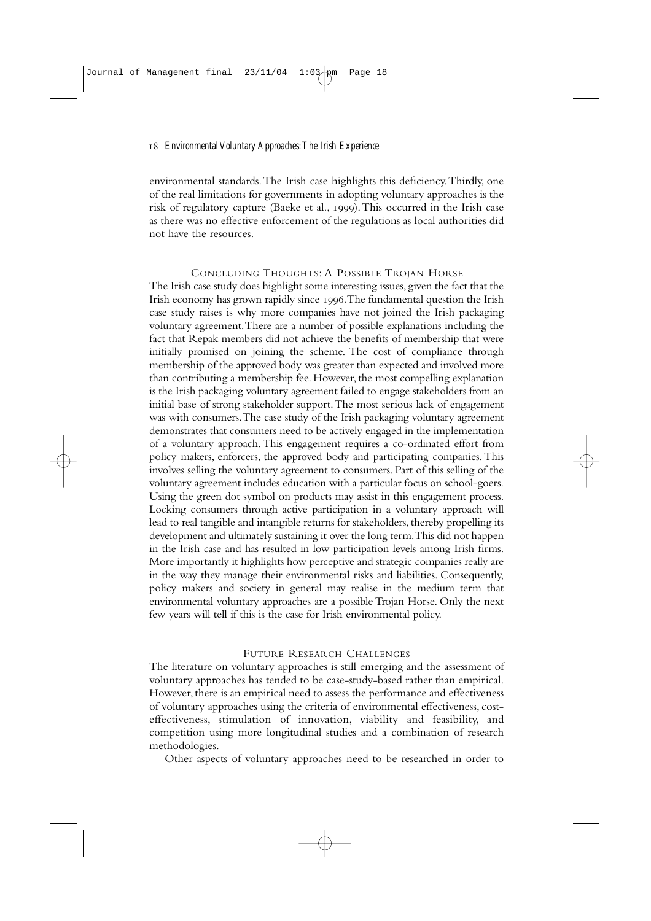environmental standards.The Irish case highlights this deficiency.Thirdly, one of the real limitations for governments in adopting voluntary approaches is the risk of regulatory capture (Baeke et al., 1999). This occurred in the Irish case as there was no effective enforcement of the regulations as local authorities did not have the resources.

#### CONCLUDING THOUGHTS: A POSSIBLE TROJAN HORSE

The Irish case study does highlight some interesting issues, given the fact that the Irish economy has grown rapidly since 1996. The fundamental question the Irish case study raises is why more companies have not joined the Irish packaging voluntary agreement.There are a number of possible explanations including the fact that Repak members did not achieve the benefits of membership that were initially promised on joining the scheme. The cost of compliance through membership of the approved body was greater than expected and involved more than contributing a membership fee. However, the most compelling explanation is the Irish packaging voluntary agreement failed to engage stakeholders from an initial base of strong stakeholder support.The most serious lack of engagement was with consumers.The case study of the Irish packaging voluntary agreement demonstrates that consumers need to be actively engaged in the implementation of a voluntary approach. This engagement requires a co-ordinated effort from policy makers, enforcers, the approved body and participating companies.This involves selling the voluntary agreement to consumers. Part of this selling of the voluntary agreement includes education with a particular focus on school-goers. Using the green dot symbol on products may assist in this engagement process. Locking consumers through active participation in a voluntary approach will lead to real tangible and intangible returns for stakeholders, thereby propelling its development and ultimately sustaining it over the long term.This did not happen in the Irish case and has resulted in low participation levels among Irish firms. More importantly it highlights how perceptive and strategic companies really are in the way they manage their environmental risks and liabilities. Consequently, policy makers and society in general may realise in the medium term that environmental voluntary approaches are a possible Trojan Horse. Only the next few years will tell if this is the case for Irish environmental policy.

#### FUTURE RESEARCH CHALLENGES

The literature on voluntary approaches is still emerging and the assessment of voluntary approaches has tended to be case-study-based rather than empirical. However, there is an empirical need to assess the performance and effectiveness of voluntary approaches using the criteria of environmental effectiveness, costeffectiveness, stimulation of innovation, viability and feasibility, and competition using more longitudinal studies and a combination of research methodologies.

Other aspects of voluntary approaches need to be researched in order to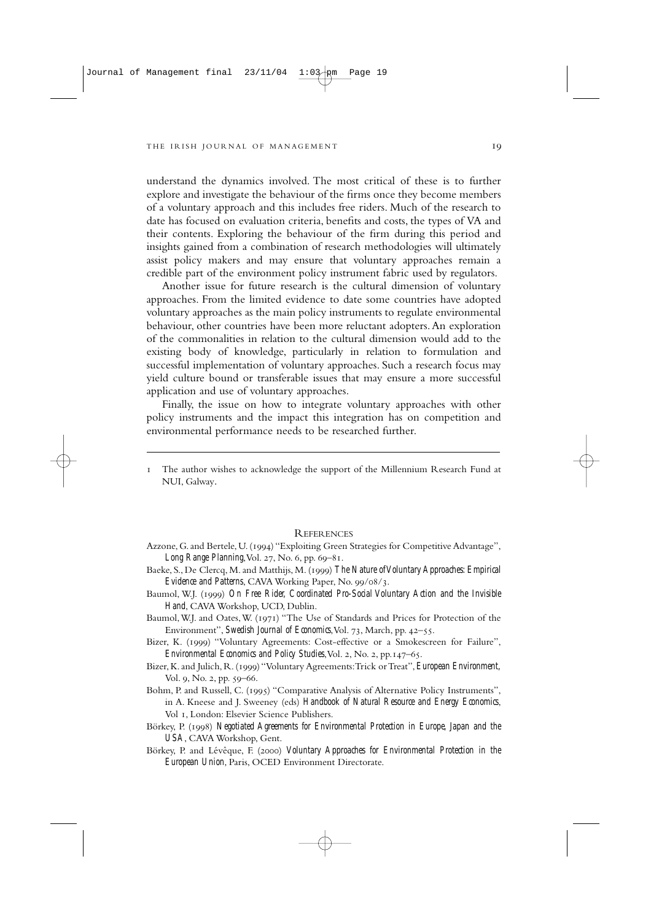understand the dynamics involved. The most critical of these is to further explore and investigate the behaviour of the firms once they become members of a voluntary approach and this includes free riders. Much of the research to date has focused on evaluation criteria, benefits and costs, the types of VA and their contents. Exploring the behaviour of the firm during this period and insights gained from a combination of research methodologies will ultimately assist policy makers and may ensure that voluntary approaches remain a credible part of the environment policy instrument fabric used by regulators.

Another issue for future research is the cultural dimension of voluntary approaches. From the limited evidence to date some countries have adopted voluntary approaches as the main policy instruments to regulate environmental behaviour, other countries have been more reluctant adopters.An exploration of the commonalities in relation to the cultural dimension would add to the existing body of knowledge, particularly in relation to formulation and successful implementation of voluntary approaches. Such a research focus may yield culture bound or transferable issues that may ensure a more successful application and use of voluntary approaches.

Finally, the issue on how to integrate voluntary approaches with other policy instruments and the impact this integration has on competition and environmental performance needs to be researched further.

 The author wishes to acknowledge the support of the Millennium Research Fund at NUI, Galway.

#### REFERENCES

- Azzone, G. and Bertele, U. (1994) "Exploiting Green Strategies for Competitive Advantage", *Long Range Planning*, Vol. 27, No. 6, pp. 69-81.
- Baeke, S., De Clercq, M. and Matthijs, M. (1999) The Nature of Voluntary Approaches: Empirical *Evidence and Patterns*, CAVA Working Paper, No. 99/08/3.
- Baumol, W.J. (1999) On Free Rider, Coordinated Pro-Social Voluntary Action and the Invisible *Hand*, CAVA Workshop, UCD, Dublin.
- Baumol, W.J. and Oates, W. (1971) "The Use of Standards and Prices for Protection of the Environment", *Swedish Journal of Economics*, Vol. 73, March, pp. 42–55.
- Bizer, K. (1999) "Voluntary Agreements: Cost-effective or a Smokescreen for Failure", *Environmental Economics and Policy Studies*, Vol. 2, No. 2, pp. 147–65.
- Bizer, K. and Julich, R. () "Voluntary Agreements:Trick or Treat",*European Environment,* Vol. 9, No. 2, pp. 59–66.
- Bohm, P. and Russell, C. (1995) "Comparative Analysis of Alternative Policy Instruments", in A. Kneese and J. Sweeney (eds) *Handbook of Natural Resource and Energy Economics*, Vol 1, London: Elsevier Science Publishers.
- Börkey, P. (1998) Negotiated Agreements for Environmental Protection in Europe, Japan and the *USA*, CAVA Workshop, Gent.
- Börkey, P. and Lévêque, F. (2000) *Voluntary Approaches for Environmental Protection in the European Union*, Paris, OCED Environment Directorate.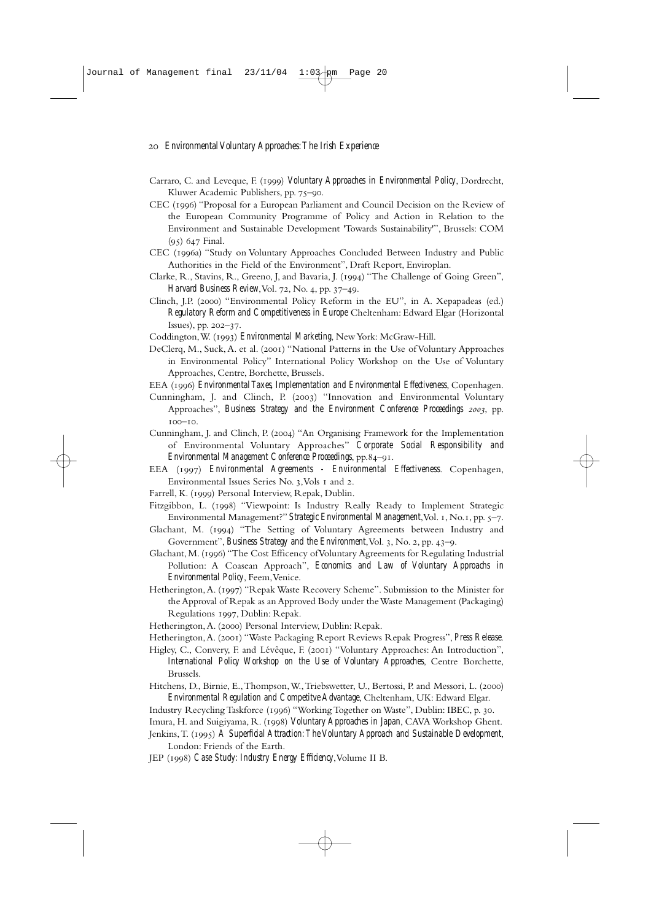- Carraro, C. and Leveque, F. (1999) Voluntary Approaches in Environmental Policy, Dordrecht, Kluwer Academic Publishers, pp. 75-90.
- CEC (1996) "Proposal for a European Parliament and Council Decision on the Review of the European Community Programme of Policy and Action in Relation to the Environment and Sustainable Development 'Towards Sustainability'", Brussels: COM  $(95)$  647 Final.
- CEC (1996a) "Study on Voluntary Approaches Concluded Between Industry and Public Authorities in the Field of the Environment", Draft Report, Enviroplan.
- Clarke, R., Stavins, R., Greeno, J, and Bavaria, J. (1994) "The Challenge of Going Green", *Harvard Business Review*, Vol. 72, No. 4, pp. 37-49.
- Clinch, J.P. (2000) "Environmental Policy Reform in the EU", in A. Xepapadeas (ed.) *Regulatory Reform and Competitiveness in Europe* Cheltenham: Edward Elgar (Horizontal  $Issues$ , pp.  $202 - 37$ .
- Coddington, W. (1993) *Environmental Marketing*, New York: McGraw-Hill.
- DeClerg, M., Suck, A. et al. (2001) "National Patterns in the Use of Voluntary Approaches in Environmental Policy" International Policy Workshop on the Use of Voluntary Approaches, Centre, Borchette, Brussels.
- EEA (1996) *Environmental Taxes, Implementation and Environmental Effectiveness*, Copenhagen.
- Cunningham, J. and Clinch, P. (2003) "Innovation and Environmental Voluntary Approaches", *Business Strategy and the Environment Conference Proceedings 2003*, pp.  $100 - 10.$
- Cunningham, J. and Clinch, P. (2004) "An Organising Framework for the Implementation of Environmental Voluntary Approaches" *Corporate Social Responsibility and Environmental Management Conference Proceedings*, pp.84–91.
- EEA () *Environmental Agreements Environmental Effectiveness*. Copenhagen, Environmental Issues Series No. 3, Vols I and 2.
- Farrell, K. (1999) Personal Interview, Repak, Dublin.
- Fitzgibbon, L. (1998) "Viewpoint: Is Industry Really Ready to Implement Strategic Environmental Management?" *Strategic Environmental Management*, Vol. 1, No. 1, pp. 5–7.
- Glachant, M. (1994) "The Setting of Voluntary Agreements between Industry and Government", *Business Strategy and the Environment*, Vol. 3, No. 2, pp. 43–9.
- Glachant, M. (1996) "The Cost Efficency of Voluntary Agreements for Regulating Industrial Pollution: A Coasean Approach", *Economics and Law of Voluntary Approachs in Environmental Policy*, Feem,Venice.
- Hetherington, A. (1997) "Repak Waste Recovery Scheme". Submission to the Minister for the Approval of Repak as an Approved Body under the Waste Management (Packaging) Regulations 1997, Dublin: Repak.
- Hetherington, A. (2000) Personal Interview, Dublin: Repak.
- Hetherington, A. (2001) "Waste Packaging Report Reviews Repak Progress", *Press Release.*
- Higley, C., Convery, F. and Lévêque, F. (2001) "Voluntary Approaches: An Introduction", *International Policy Workshop on the Use of Voluntary Approaches*, Centre Borchette, Brussels.
- Hitchens, D., Birnie, E., Thompson, W., Triebswetter, U., Bertossi, P. and Messori, L. (2000) *Environmental Regulation and Competitve Advantage*, Cheltenham, UK: Edward Elgar.
- Industry Recycling Taskforce (1996) "Working Together on Waste", Dublin: IBEC, p. 30.
- Imura, H. and Suigiyama, R. (1998) *Voluntary Approaches in Japan*, CAVA Workshop Ghent.
- Jenkins, T. (1995) A Superficial Attraction: The Voluntary Approach and Sustainable Development, London: Friends of the Earth.
- JEP () *Case Study: Industry Energy Efficiency*,Volume II B.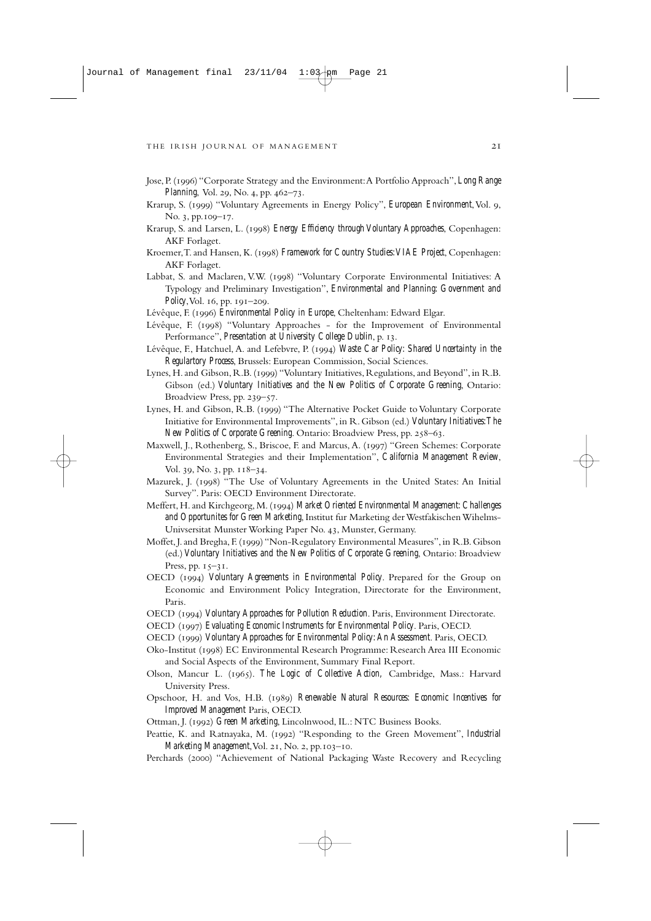- Jose, P. () "Corporate Strategy and the Environment:A Portfolio Approach", *Long Range Planning*, Vol. 29, No. 4, pp. 462-73.
- Krarup, S. (1999) "Voluntary Agreements in Energy Policy", *European Environment*, Vol. 9, No. 3, pp.109-17.
- Krarup, S. and Larsen, L. (1998) *Energy Efficiency through Voluntary Approaches*, Copenhagen: AKF Forlaget.
- Kroemer, T. and Hansen, K. (1998) Framework for Country Studies: VIAE Project, Copenhagen: AKF Forlaget.
- Labbat, S. and Maclaren, V.W. (1998) "Voluntary Corporate Environmental Initiatives: A Typology and Preliminary Investigation", *Environmental and Planning: Government and Policy*, Vol. 16, pp. 191–209.
- Lévêque, F. (1996) *Environmental Policy in Europe*, Cheltenham: Edward Elgar.
- Lévêque, F. (1998) "Voluntary Approaches for the Improvement of Environmental Performance", *Presentation at University College Dublin*, p. 13.
- Lévêque, F., Hatchuel, A. and Lefebvre, P. (1994) Waste Car Policy: Shared Uncertainty in the *Regulartory Process*, Brussels: European Commission, Social Sciences.
- Lynes, H. and Gibson, R.B. (1999) "Voluntary Initiatives, Regulations, and Beyond", in R.B. Gibson (ed.) *Voluntary Initiatives and the New Politics of Corporate Greening*, Ontario: Broadview Press, pp. 239-57.
- Lynes, H. and Gibson, R.B. (1999) "The Alternative Pocket Guide to Voluntary Corporate Initiative for Environmental Improvements", in R. Gibson (ed.) *Voluntary Initiatives:The New Politics of Corporate Greening. Ontario: Broadview Press, pp. 258–63.*
- Maxwell, J., Rothenberg, S., Briscoe, F. and Marcus, A. (1997) "Green Schemes: Corporate Environmental Strategies and their Implementation", *California Management Review*, Vol. 39, No. 3, pp. 118-34.
- Mazurek, J. (1998) "The Use of Voluntary Agreements in the United States: An Initial Survey". Paris: OECD Environment Directorate.
- Meffert, H. and Kirchgeorg, M. (1994) Market Oriented Environmental Management: Challenges *and Opportunites for Green Marketing*, Institut fur Marketing der Westfakischen Wihelms-Univsersitat Munster Working Paper No. 43, Munster, Germany.
- Moffet, J. and Bregha, F. (1999) "Non-Regulatory Environmental Measures", in R.B. Gibson (ed.) *Voluntary Initiatives and the New Politics of Corporate Greening*, Ontario: Broadview Press, pp.  $15-31$ .
- OECD (1994) Voluntary Agreements in Environmental Policy. Prepared for the Group on Economic and Environment Policy Integration, Directorate for the Environment, Paris.
- OECD (1994) Voluntary Approaches for Pollution Reduction. Paris, Environment Directorate.
- OECD (1997) *Evaluating Economic Instruments for Environmental Policy*. Paris, OECD.
- OECD () *Voluntary Approaches for Environmental Policy:An Assessment*. Paris, OECD.
- Oko-Institut (1998) EC Environmental Research Programme: Research Area III Economic and Social Aspects of the Environment, Summary Final Report.
- Olson, Mancur L. (1965). *The Logic of Collective Action*, Cambridge, Mass.: Harvard University Press.
- Opschoor, H. and Vos, H.B. (1989) *Renewable Natural Resources: Economic Incentives for Improved Management* Paris, OECD.
- Ottman, J. (1992) Green Marketing, Lincolnwood, IL.: NTC Business Books.
- Peattie, K. and Ratnayaka, M. (1992) "Responding to the Green Movement", *Industrial Marketing Management*, Vol. 21, No. 2, pp.103-10.
- Perchards (2000) "Achievement of National Packaging Waste Recovery and Recycling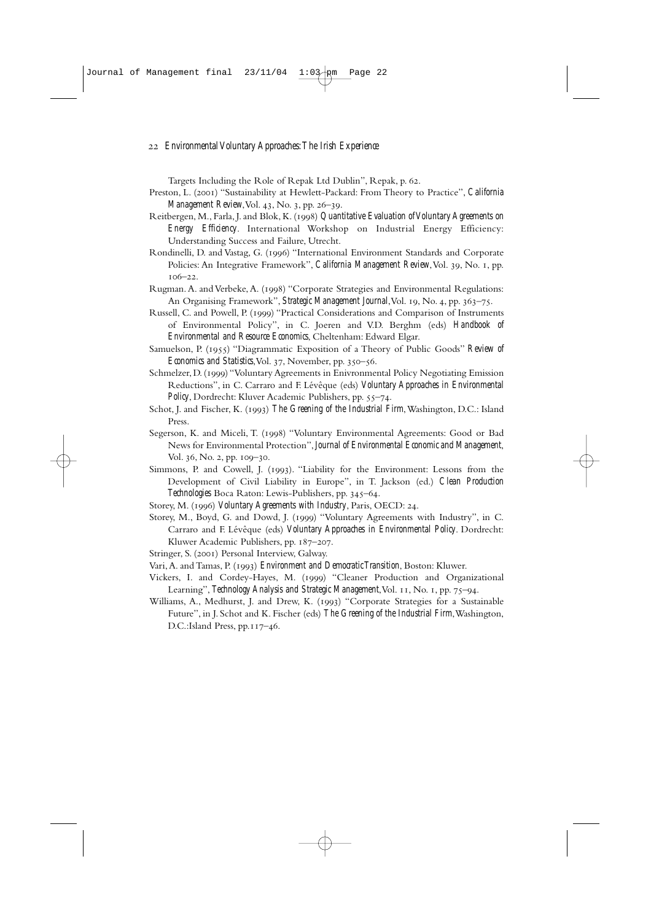Targets Including the Role of Repak Ltd Dublin", Repak, p. 62.

- Preston, L. (2001) "Sustainability at Hewlett-Packard: From Theory to Practice", *California Management Review*, Vol. 43, No. 3, pp. 26-39.
- Reitbergen, M., Farla, J. and Blok, K. (1998) *Quantitative Evaluation of Voluntary Agreements on Energy Efficiency*. International Workshop on Industrial Energy Efficiency: Understanding Success and Failure, Utrecht.
- Rondinelli, D. and Vastag, G. (1996) "International Environment Standards and Corporate Policies: An Integrative Framework", *California Management Review*, Vol. 39, No. 1, pp.  $106 - 22.$
- Rugman. A. and Verbeke, A. (1998) "Corporate Strategies and Environmental Regulations: An Organising Framework", Strategic Management Journal, Vol. 19, No. 4, pp. 363-75.
- Russell, C. and Powell, P. (1999) "Practical Considerations and Comparison of Instruments of Environmental Policy", in C. Joeren and V.D. Berghm (eds) *Handbook of Environmental and Resource Economics*, Cheltenham: Edward Elgar.
- Samuelson, P. (1955) "Diagrammatic Exposition of a Theory of Public Goods" *Review of Economics and Statistics*, Vol. 37, November, pp. 350-56.
- Schmelzer, D. (1999) "Voluntary Agreements in Enivronmental Policy Negotiating Emission Reductions", in C. Carraro and F. Lévêque (eds) *Voluntary Approaches in Environmental* Policy, Dordrecht: Kluver Academic Publishers, pp. 55-74.
- Schot, J. and Fischer, K. (1993) The Greening of the Industrial Firm, Washington, D.C.: Island Press.
- Segerson, K. and Miceli, T. (1998) "Voluntary Environmental Agreements: Good or Bad News for Environmental Protection",*Journal of Environmental Economic and Management*, Vol. 36, No. 2, pp. 109-30.
- Simmons, P. and Cowell, J. (1993). "Liability for the Environment: Lessons from the Development of Civil Liability in Europe", in T. Jackson (ed.) *Clean Production Technologies* Boca Raton: Lewis-Publishers, pp. 345–64.
- Storey, M. (1996) Voluntary Agreements with Industry, Paris, OECD: 24.
- Storey, M., Boyd, G. and Dowd, J. (1999) "Voluntary Agreements with Industry", in C. Carraro and F. Lévêque (eds) *Voluntary Approaches in Environmental Policy*. Dordrecht: Kluwer Academic Publishers, pp. 187-207.
- Stringer, S. (2001) Personal Interview, Galway.
- Vari, A. and Tamas, P. (1993) *Environment and Democratic Transition*, Boston: Kluwer.
- Vickers, I. and Cordey-Hayes, M. (1999) "Cleaner Production and Organizational Learning", *Technology Analysis and Strategic Management*, Vol. 11, No. 1, pp. 75–94.
- Williams, A., Medhurst, J. and Drew, K. (1993) "Corporate Strategies for a Sustainable Future", in J. Schot and K. Fischer (eds) *The Greening of the Industrial Firm*,Washington, D.C.:Island Press, pp.117-46.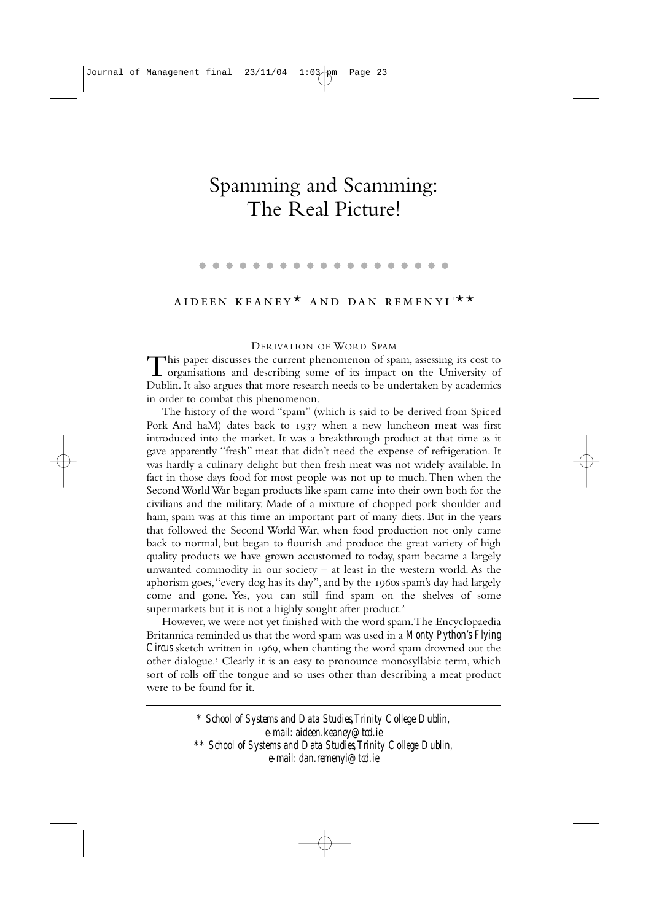## Spamming and Scamming: The Real Picture!

 $\bullet\hspace{0.1cm} \bullet\hspace{0.1cm}\bullet\hspace{0.1cm} \bullet$ 

### AIDEEN KEANEY<sup>\*</sup> AND DAN REMENYI'<sup>\*\*</sup>

#### DERIVATION OF WORD SPAM

This paper discusses the current phenomenon of spam, assessing its cost to organisations and describing some of its impact on the University of Dublin. It also argues that more research needs to be undertaken by academics in order to combat this phenomenon.

The history of the word "spam" (which is said to be derived from Spiced Pork And haM) dates back to 1937 when a new luncheon meat was first introduced into the market. It was a breakthrough product at that time as it gave apparently "fresh" meat that didn't need the expense of refrigeration. It was hardly a culinary delight but then fresh meat was not widely available. In fact in those days food for most people was not up to much.Then when the Second World War began products like spam came into their own both for the civilians and the military. Made of a mixture of chopped pork shoulder and ham, spam was at this time an important part of many diets. But in the years that followed the Second World War, when food production not only came back to normal, but began to flourish and produce the great variety of high quality products we have grown accustomed to today, spam became a largely unwanted commodity in our society  $-$  at least in the western world. As the aphorism goes, "every dog has its day", and by the 1960s spam's day had largely come and gone. Yes, you can still find spam on the shelves of some supermarkets but it is not a highly sought after product.<sup>2</sup>

However, we were not yet finished with the word spam.The Encyclopaedia Britannica reminded us that the word spam was used in a *Monty Python's Flying Circus* sketch written in 1969, when chanting the word spam drowned out the other dialogue.<sup>3</sup> Clearly it is an easy to pronounce monosyllabic term, which sort of rolls off the tongue and so uses other than describing a meat product were to be found for it.

> *\* School of Systems and Data Studies,Trinity College Dublin, e-mail: aideen.keaney@tcd.ie \*\* School of Systems and Data Studies,Trinity College Dublin, e-mail: dan.remenyi@tcd.ie*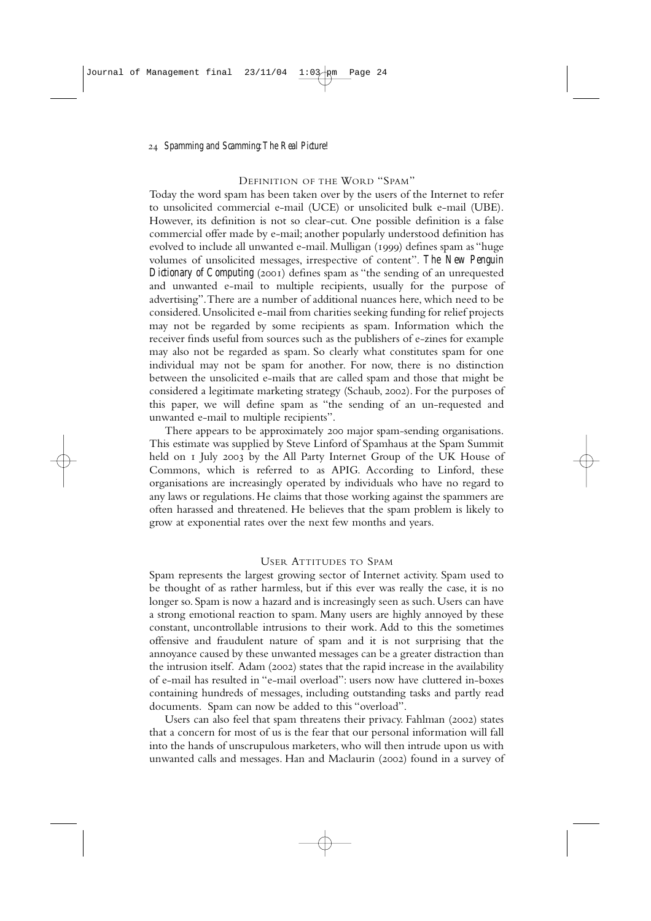#### DEFINITION OF THE WORD "SPAM"

Today the word spam has been taken over by the users of the Internet to refer to unsolicited commercial e-mail (UCE) or unsolicited bulk e-mail (UBE). However, its definition is not so clear-cut. One possible definition is a false commercial offer made by e-mail; another popularly understood definition has evolved to include all unwanted e-mail. Mulligan (1999) defines spam as "huge volumes of unsolicited messages, irrespective of content". *The New Penguin Dictionary of Computing* (2001) defines spam as "the sending of an unrequested and unwanted e-mail to multiple recipients, usually for the purpose of advertising".There are a number of additional nuances here, which need to be considered.Unsolicited e-mail from charities seeking funding for relief projects may not be regarded by some recipients as spam. Information which the receiver finds useful from sources such as the publishers of e-zines for example may also not be regarded as spam. So clearly what constitutes spam for one individual may not be spam for another. For now, there is no distinction between the unsolicited e-mails that are called spam and those that might be considered a legitimate marketing strategy (Schaub, 2002). For the purposes of this paper, we will define spam as "the sending of an un-requested and unwanted e-mail to multiple recipients".

There appears to be approximately 200 major spam-sending organisations. This estimate was supplied by Steve Linford of Spamhaus at the Spam Summit held on I July 2003 by the All Party Internet Group of the UK House of Commons, which is referred to as APIG. According to Linford, these organisations are increasingly operated by individuals who have no regard to any laws or regulations. He claims that those working against the spammers are often harassed and threatened. He believes that the spam problem is likely to grow at exponential rates over the next few months and years.

#### USER ATTITUDES TO SPAM

Spam represents the largest growing sector of Internet activity. Spam used to be thought of as rather harmless, but if this ever was really the case, it is no longer so. Spam is now a hazard and is increasingly seen as such. Users can have a strong emotional reaction to spam. Many users are highly annoyed by these constant, uncontrollable intrusions to their work. Add to this the sometimes offensive and fraudulent nature of spam and it is not surprising that the annoyance caused by these unwanted messages can be a greater distraction than the intrusion itself. Adam ( $2002$ ) states that the rapid increase in the availability of e-mail has resulted in "e-mail overload": users now have cluttered in-boxes containing hundreds of messages, including outstanding tasks and partly read documents. Spam can now be added to this "overload".

Users can also feel that spam threatens their privacy. Fahlman (2002) states that a concern for most of us is the fear that our personal information will fall into the hands of unscrupulous marketers, who will then intrude upon us with unwanted calls and messages. Han and Maclaurin (2002) found in a survey of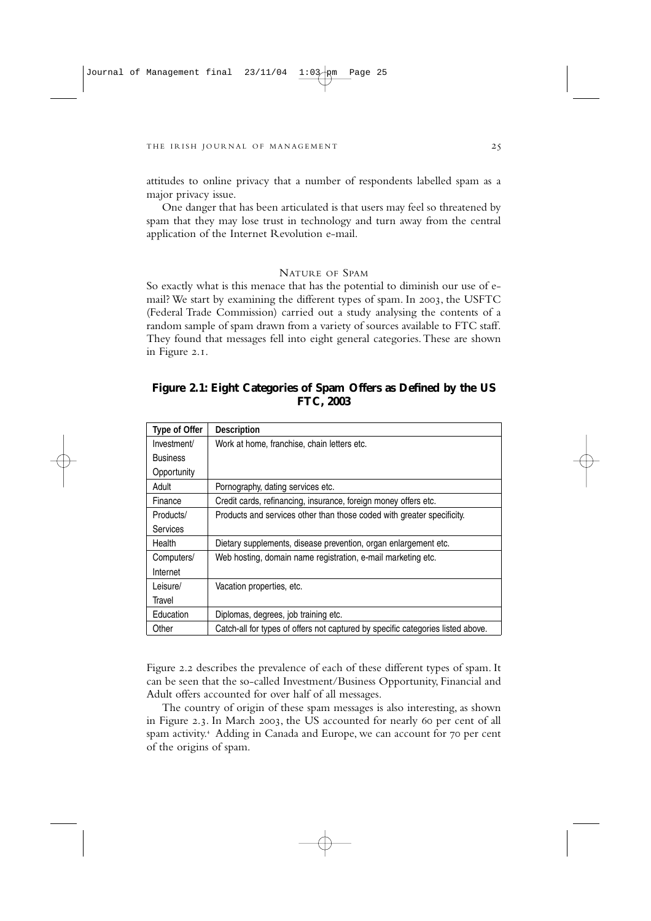attitudes to online privacy that a number of respondents labelled spam as a major privacy issue.

One danger that has been articulated is that users may feel so threatened by spam that they may lose trust in technology and turn away from the central application of the Internet Revolution e-mail.

#### NATURE OF SPAM

So exactly what is this menace that has the potential to diminish our use of email? We start by examining the different types of spam. In 2003, the USFTC (Federal Trade Commission) carried out a study analysing the contents of a random sample of spam drawn from a variety of sources available to FTC staff. They found that messages fell into eight general categories.These are shown in Figure 2.1.

#### **Figure 2.1: Eight Categories of Spam Offers as Defined by the US FTC, 2003**

| <b>Type of Offer</b> | <b>Description</b>                                                              |
|----------------------|---------------------------------------------------------------------------------|
| Investment/          | Work at home, franchise, chain letters etc.                                     |
| <b>Business</b>      |                                                                                 |
| Opportunity          |                                                                                 |
| Adult                | Pornography, dating services etc.                                               |
| Finance              | Credit cards, refinancing, insurance, foreign money offers etc.                 |
| Products/            | Products and services other than those coded with greater specificity.          |
| <b>Services</b>      |                                                                                 |
| Health               | Dietary supplements, disease prevention, organ enlargement etc.                 |
| Computers/           | Web hosting, domain name registration, e-mail marketing etc.                    |
| Internet             |                                                                                 |
| Leisure/             | Vacation properties, etc.                                                       |
| Travel               |                                                                                 |
| Education            | Diplomas, degrees, job training etc.                                            |
| Other                | Catch-all for types of offers not captured by specific categories listed above. |

Figure 2.2 describes the prevalence of each of these different types of spam. It can be seen that the so-called Investment/Business Opportunity, Financial and Adult offers accounted for over half of all messages.

The country of origin of these spam messages is also interesting, as shown in Figure 2.3. In March 2003, the US accounted for nearly 60 per cent of all spam activity.<sup>4</sup> Adding in Canada and Europe, we can account for 70 per cent of the origins of spam.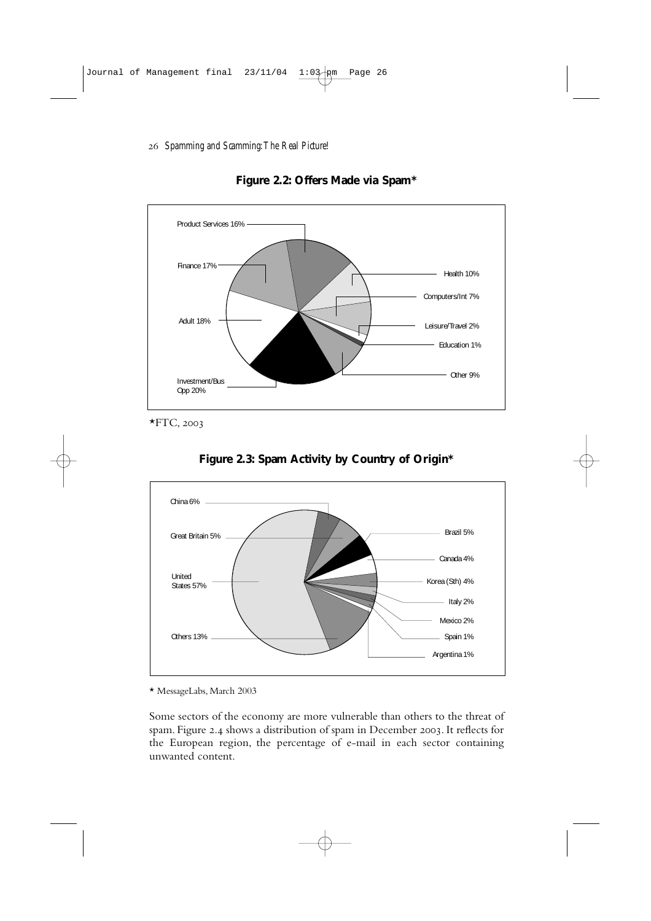

**Figure 2.2: Offers Made via Spam\***

 $*$ FTC, 2003



**Figure 2.3: Spam Activity by Country of Origin\***

\* MessageLabs, March 2003

Some sectors of the economy are more vulnerable than others to the threat of spam. Figure 2.4 shows a distribution of spam in December 2003. It reflects for the European region, the percentage of e-mail in each sector containing unwanted content.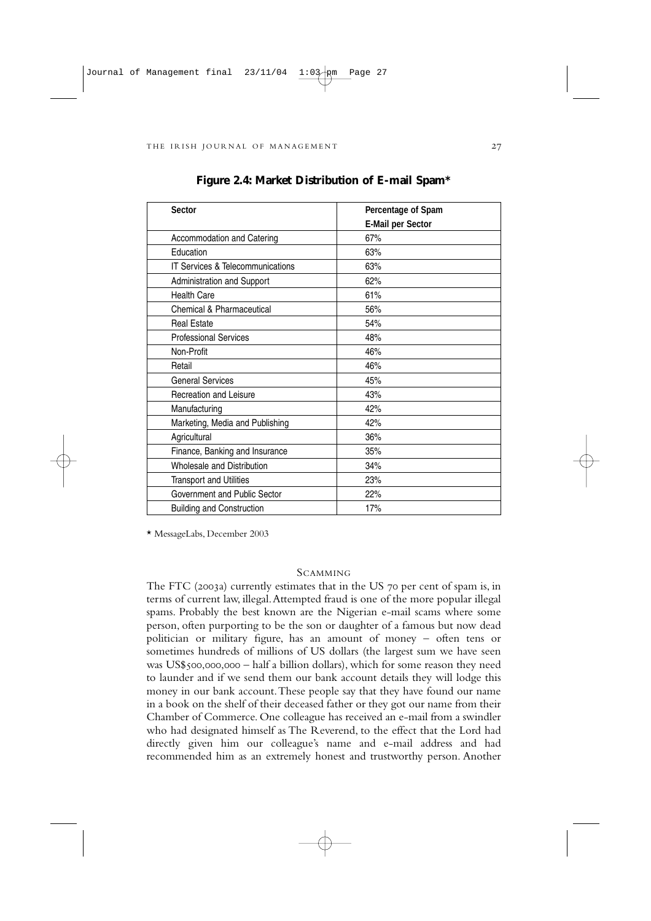| <b>Sector</b>                               | Percentage of Spam       |
|---------------------------------------------|--------------------------|
|                                             | <b>E-Mail per Sector</b> |
| Accommodation and Catering                  | 67%                      |
| Education                                   | 63%                      |
| <b>IT Services &amp; Telecommunications</b> | 63%                      |
| <b>Administration and Support</b>           | 62%                      |
| <b>Health Care</b>                          | 61%                      |
| Chemical & Pharmaceutical                   | 56%                      |
| <b>Real Estate</b>                          | 54%                      |
| <b>Professional Services</b>                | 48%                      |
| Non-Profit                                  | 46%                      |
| Retail                                      | 46%                      |
| <b>General Services</b>                     | 45%                      |
| Recreation and Leisure                      | 43%                      |
| Manufacturing                               | 42%                      |
| Marketing, Media and Publishing             | 42%                      |
| Agricultural                                | 36%                      |
| Finance, Banking and Insurance              | 35%                      |
| <b>Wholesale and Distribution</b>           | 34%                      |
| <b>Transport and Utilities</b>              | 23%                      |
| Government and Public Sector                | 22%                      |
| <b>Building and Construction</b>            | 17%                      |

**Figure 2.4: Market Distribution of E-mail Spam\***

\* MessageLabs, December 2003

#### **SCAMMING**

The FTC (2003a) currently estimates that in the US  $70$  per cent of spam is, in terms of current law, illegal.Attempted fraud is one of the more popular illegal spams. Probably the best known are the Nigerian e-mail scams where some person, often purporting to be the son or daughter of a famous but now dead politician or military figure, has an amount of money – often tens or sometimes hundreds of millions of US dollars (the largest sum we have seen was US\$500,000,000 – half a billion dollars), which for some reason they need to launder and if we send them our bank account details they will lodge this money in our bank account.These people say that they have found our name in a book on the shelf of their deceased father or they got our name from their Chamber of Commerce. One colleague has received an e-mail from a swindler who had designated himself as The Reverend, to the effect that the Lord had directly given him our colleague's name and e-mail address and had recommended him as an extremely honest and trustworthy person. Another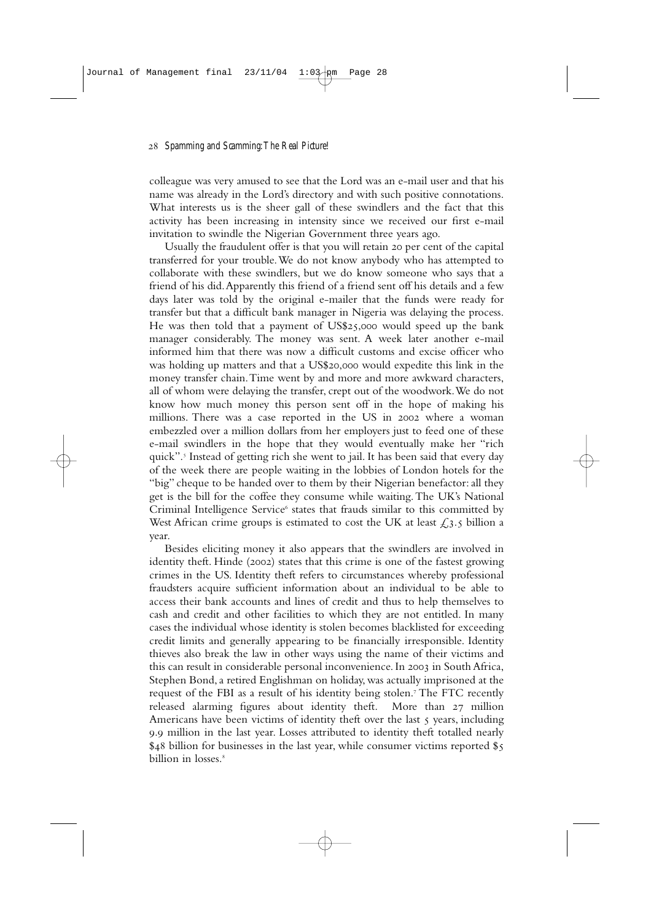colleague was very amused to see that the Lord was an e-mail user and that his name was already in the Lord's directory and with such positive connotations. What interests us is the sheer gall of these swindlers and the fact that this activity has been increasing in intensity since we received our first e-mail invitation to swindle the Nigerian Government three years ago.

Usually the fraudulent offer is that you will retain 20 per cent of the capital transferred for your trouble.We do not know anybody who has attempted to collaborate with these swindlers, but we do know someone who says that a friend of his did.Apparently this friend of a friend sent off his details and a few days later was told by the original e-mailer that the funds were ready for transfer but that a difficult bank manager in Nigeria was delaying the process. He was then told that a payment of  $US$25,000$  would speed up the bank manager considerably. The money was sent. A week later another e-mail informed him that there was now a difficult customs and excise officer who was holding up matters and that a US\$20,000 would expedite this link in the money transfer chain.Time went by and more and more awkward characters, all of whom were delaying the transfer, crept out of the woodwork.We do not know how much money this person sent off in the hope of making his millions. There was a case reported in the US in 2002 where a woman embezzled over a million dollars from her employers just to feed one of these e-mail swindlers in the hope that they would eventually make her "rich quick". Instead of getting rich she went to jail. It has been said that every day of the week there are people waiting in the lobbies of London hotels for the "big" cheque to be handed over to them by their Nigerian benefactor: all they get is the bill for the coffee they consume while waiting.The UK's National Criminal Intelligence Service<sup>6</sup> states that frauds similar to this committed by West African crime groups is estimated to cost the UK at least  $\mathcal{L}_3$ . billion a year.

Besides eliciting money it also appears that the swindlers are involved in identity theft. Hinde (2002) states that this crime is one of the fastest growing crimes in the US. Identity theft refers to circumstances whereby professional fraudsters acquire sufficient information about an individual to be able to access their bank accounts and lines of credit and thus to help themselves to cash and credit and other facilities to which they are not entitled. In many cases the individual whose identity is stolen becomes blacklisted for exceeding credit limits and generally appearing to be financially irresponsible. Identity thieves also break the law in other ways using the name of their victims and this can result in considerable personal inconvenience. In 2003 in South Africa, Stephen Bond, a retired Englishman on holiday, was actually imprisoned at the request of the FBI as a result of his identity being stolen.<sup>7</sup> The FTC recently released alarming figures about identity theft. More than 27 million Americans have been victims of identity theft over the last  $\zeta$  years, including 9.9 million in the last year. Losses attributed to identity theft totalled nearly  $$48$  billion for businesses in the last year, while consumer victims reported  $$5$ billion in losses.<sup>8</sup>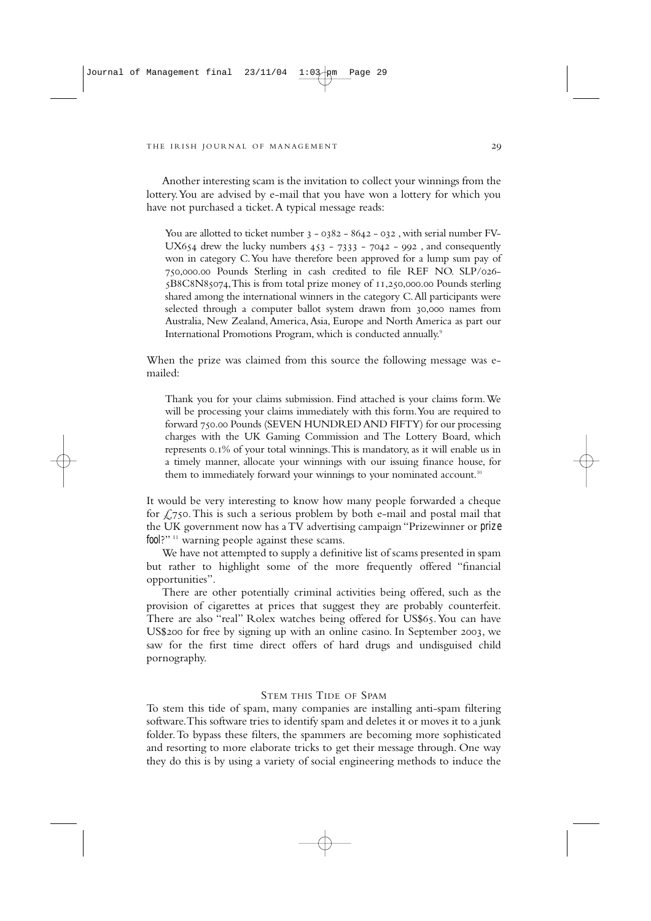Another interesting scam is the invitation to collect your winnings from the lottery.You are advised by e-mail that you have won a lottery for which you have not purchased a ticket.A typical message reads:

You are allotted to ticket number  $3 - 0382 - 8642 - 032$ , with serial number FV-UX654 drew the lucky numbers  $453 - 7333 - 7042 - 992$ , and consequently won in category C.You have therefore been approved for a lump sum pay of 750,000.00 Pounds Sterling in cash credited to file REF NO. SLP/026- $5B8C8N85074$ , This is from total prize money of  $11,250,000.00$  Pounds sterling shared among the international winners in the category C.All participants were selected through a computer ballot system drawn from 30,000 names from Australia, New Zealand,America,Asia, Europe and North America as part our International Promotions Program, which is conducted annually.9

When the prize was claimed from this source the following message was emailed:

Thank you for your claims submission. Find attached is your claims form.We will be processing your claims immediately with this form.You are required to forward 750.00 Pounds (SEVEN HUNDRED AND FIFTY) for our processing charges with the UK Gaming Commission and The Lottery Board, which represents 0.1% of your total winnings. This is mandatory, as it will enable us in a timely manner, allocate your winnings with our issuing finance house, for them to immediately forward your winnings to your nominated account.<sup>10</sup>

It would be very interesting to know how many people forwarded a cheque for  $\sqrt{2750}$ . This is such a serious problem by both e-mail and postal mail that the UK government now has a TV advertising campaign "Prizewinner or *prize fool*?"<sup>11</sup> warning people against these scams.

We have not attempted to supply a definitive list of scams presented in spam but rather to highlight some of the more frequently offered "financial opportunities".

There are other potentially criminal activities being offered, such as the provision of cigarettes at prices that suggest they are probably counterfeit. There are also "real" Rolex watches being offered for US\$65. You can have US\$200 for free by signing up with an online casino. In September 2003, we saw for the first time direct offers of hard drugs and undisguised child pornography.

#### STEM THIS TIDE OF SPAM

To stem this tide of spam, many companies are installing anti-spam filtering software.This software tries to identify spam and deletes it or moves it to a junk folder.To bypass these filters, the spammers are becoming more sophisticated and resorting to more elaborate tricks to get their message through. One way they do this is by using a variety of social engineering methods to induce the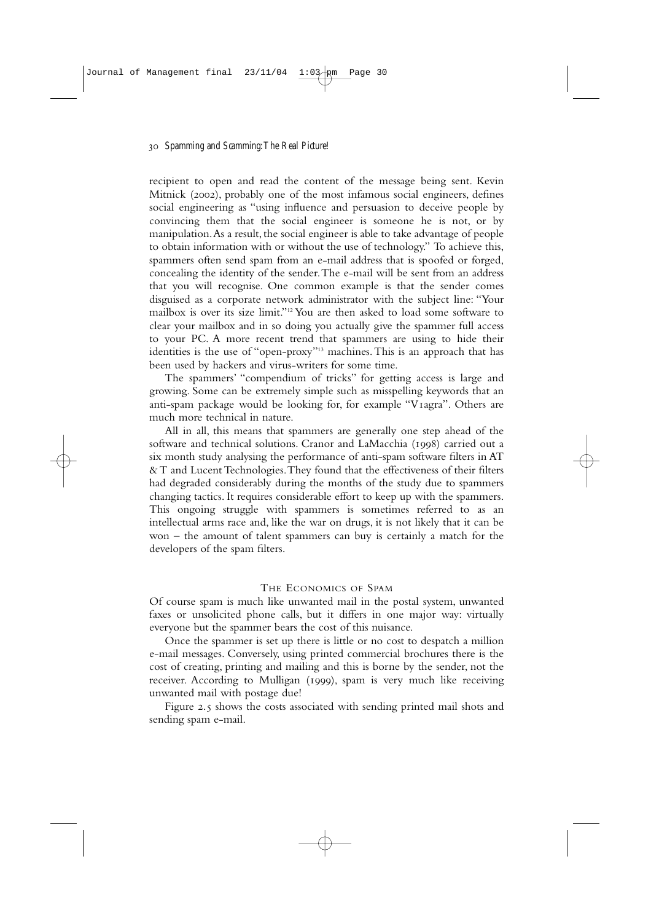recipient to open and read the content of the message being sent. Kevin Mitnick (2002), probably one of the most infamous social engineers, defines social engineering as "using influence and persuasion to deceive people by convincing them that the social engineer is someone he is not, or by manipulation.As a result, the social engineer is able to take advantage of people to obtain information with or without the use of technology." To achieve this, spammers often send spam from an e-mail address that is spoofed or forged, concealing the identity of the sender.The e-mail will be sent from an address that you will recognise. One common example is that the sender comes disguised as a corporate network administrator with the subject line: "Your mailbox is over its size limit."12 You are then asked to load some software to clear your mailbox and in so doing you actually give the spammer full access to your PC. A more recent trend that spammers are using to hide their identities is the use of "open-proxy"13 machines.This is an approach that has been used by hackers and virus-writers for some time.

The spammers' "compendium of tricks" for getting access is large and growing. Some can be extremely simple such as misspelling keywords that an anti-spam package would be looking for, for example "V<sub>Iagra</sub>". Others are much more technical in nature.

All in all, this means that spammers are generally one step ahead of the software and technical solutions. Cranor and LaMacchia (1998) carried out a six month study analysing the performance of anti-spam software filters in AT & T and Lucent Technologies.They found that the effectiveness of their filters had degraded considerably during the months of the study due to spammers changing tactics. It requires considerable effort to keep up with the spammers. This ongoing struggle with spammers is sometimes referred to as an intellectual arms race and, like the war on drugs, it is not likely that it can be won – the amount of talent spammers can buy is certainly a match for the developers of the spam filters.

#### THE ECONOMICS OF SPAM

Of course spam is much like unwanted mail in the postal system, unwanted faxes or unsolicited phone calls, but it differs in one major way: virtually everyone but the spammer bears the cost of this nuisance.

Once the spammer is set up there is little or no cost to despatch a million e-mail messages. Conversely, using printed commercial brochures there is the cost of creating, printing and mailing and this is borne by the sender, not the receiver. According to Mulligan (1999), spam is very much like receiving unwanted mail with postage due!

Figure 2.5 shows the costs associated with sending printed mail shots and sending spam e-mail.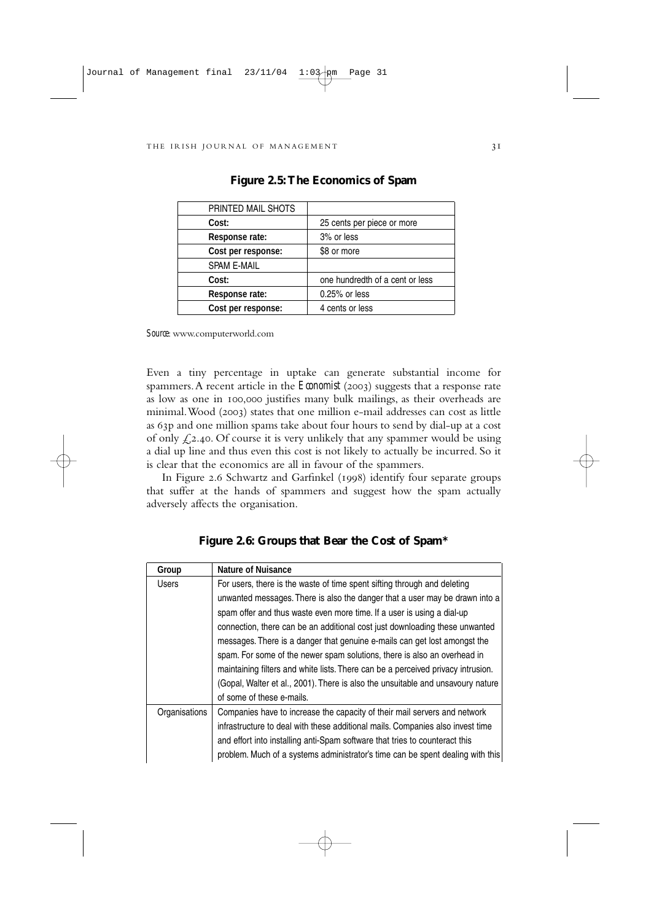| PRINTED MAIL SHOTS |                                 |
|--------------------|---------------------------------|
| Cost:              | 25 cents per piece or more      |
| Response rate:     | 3% or less                      |
| Cost per response: | \$8 or more                     |
| <b>SPAM E-MAIL</b> |                                 |
| Cost:              | one hundredth of a cent or less |
| Response rate:     | 0.25% or less                   |
| Cost per response: | 4 cents or less                 |

**Figure 2.5:The Economics of Spam**

*Source*: www.computerworld.com

Even a tiny percentage in uptake can generate substantial income for spammers. A recent article in the *Economist* (2003) suggests that a response rate as low as one in 100,000 justifies many bulk mailings, as their overheads are minimal. Wood (2003) states that one million e-mail addresses can cost as little as 63p and one million spams take about four hours to send by dial-up at a cost of only  $\mathcal{L}$ , 2.40. Of course it is very unlikely that any spammer would be using a dial up line and thus even this cost is not likely to actually be incurred. So it is clear that the economics are all in favour of the spammers.

In Figure 2.6 Schwartz and Garfinkel (1998) identify four separate groups that suffer at the hands of spammers and suggest how the spam actually adversely affects the organisation.

| Group         | <b>Nature of Nuisance</b>                                                        |  |  |  |  |  |  |  |
|---------------|----------------------------------------------------------------------------------|--|--|--|--|--|--|--|
| <b>Users</b>  | For users, there is the waste of time spent sifting through and deleting         |  |  |  |  |  |  |  |
|               | unwanted messages. There is also the danger that a user may be drawn into a      |  |  |  |  |  |  |  |
|               | spam offer and thus waste even more time. If a user is using a dial-up           |  |  |  |  |  |  |  |
|               | connection, there can be an additional cost just downloading these unwanted      |  |  |  |  |  |  |  |
|               | messages. There is a danger that genuine e-mails can get lost amongst the        |  |  |  |  |  |  |  |
|               | spam. For some of the newer spam solutions, there is also an overhead in         |  |  |  |  |  |  |  |
|               | maintaining filters and white lists. There can be a perceived privacy intrusion. |  |  |  |  |  |  |  |
|               | (Gopal, Walter et al., 2001). There is also the unsuitable and unsavoury nature  |  |  |  |  |  |  |  |
|               | of some of these e-mails.                                                        |  |  |  |  |  |  |  |
| Organisations | Companies have to increase the capacity of their mail servers and network        |  |  |  |  |  |  |  |
|               | infrastructure to deal with these additional mails. Companies also invest time   |  |  |  |  |  |  |  |
|               | and effort into installing anti-Spam software that tries to counteract this      |  |  |  |  |  |  |  |
|               | problem. Much of a systems administrator's time can be spent dealing with this   |  |  |  |  |  |  |  |

**Figure 2.6: Groups that Bear the Cost of Spam\***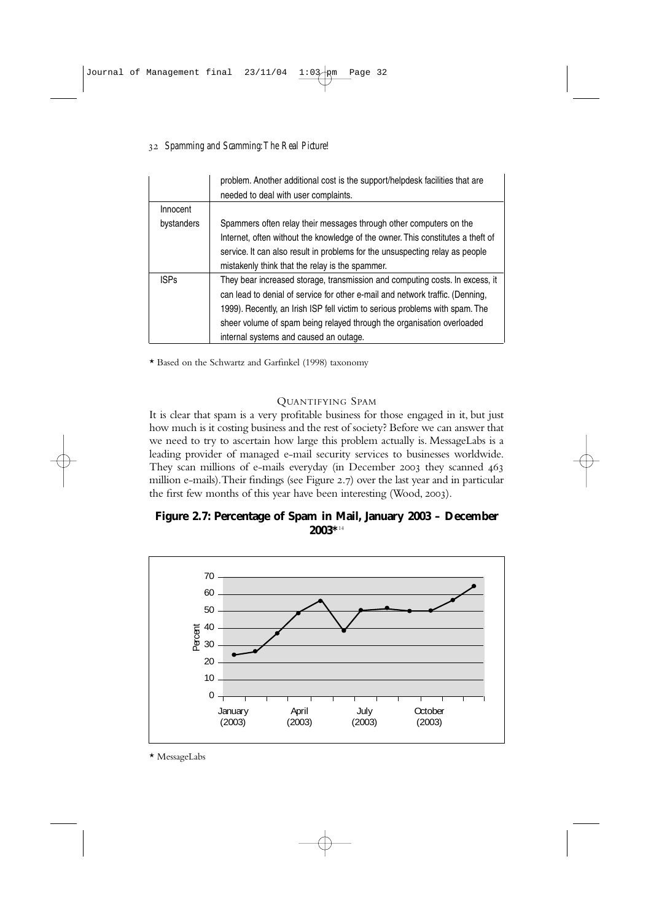## *Spamming and Scamming:The Real Picture!*

|             | problem. Another additional cost is the support/helpdesk facilities that are<br>needed to deal with user complaints. |
|-------------|----------------------------------------------------------------------------------------------------------------------|
| Innocent    |                                                                                                                      |
| bystanders  | Spammers often relay their messages through other computers on the                                                   |
|             | Internet, often without the knowledge of the owner. This constitutes a theft of                                      |
|             | service. It can also result in problems for the unsuspecting relay as people                                         |
|             | mistakenly think that the relay is the spammer.                                                                      |
| <b>ISPs</b> | They bear increased storage, transmission and computing costs. In excess, it                                         |
|             | can lead to denial of service for other e-mail and network traffic. (Denning,                                        |
|             | 1999). Recently, an Irish ISP fell victim to serious problems with spam. The                                         |
|             | sheer volume of spam being relayed through the organisation overloaded                                               |
|             | internal systems and caused an outage.                                                                               |

\* Based on the Schwartz and Garfinkel (1998) taxonomy

## QUANTIFYING SPAM

It is clear that spam is a very profitable business for those engaged in it, but just how much is it costing business and the rest of society? Before we can answer that we need to try to ascertain how large this problem actually is. MessageLabs is a leading provider of managed e-mail security services to businesses worldwide. They scan millions of e-mails everyday (in December 2003 they scanned 463 million e-mails). Their findings (see Figure 2.7) over the last year and in particular the first few months of this year have been interesting (Wood, 2003).

## **Figure 2.7: Percentage of Spam in Mail, January 2003 – December 2003\***<sup>14</sup>



\* MessageLabs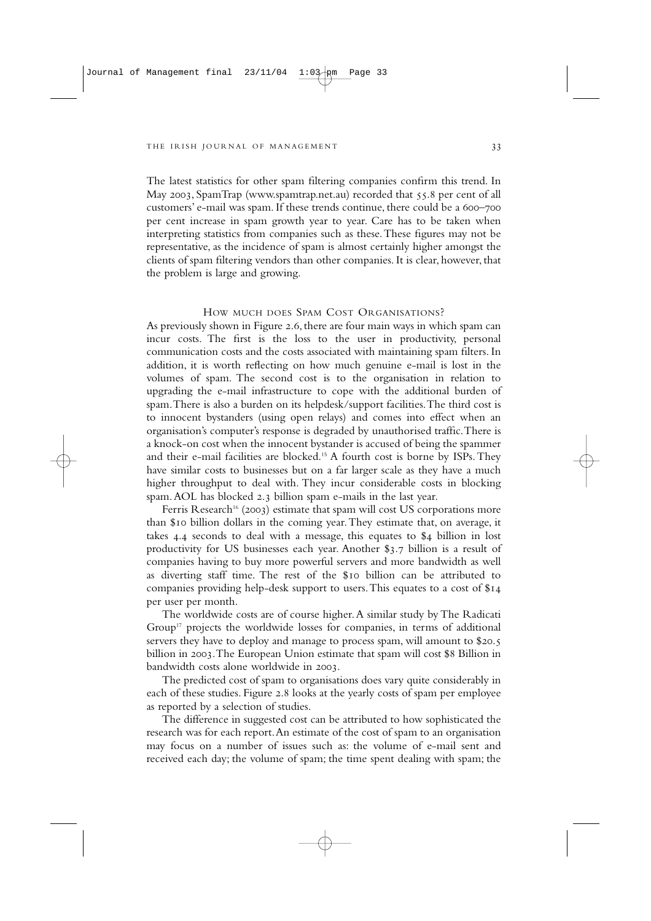The latest statistics for other spam filtering companies confirm this trend. In May 2003, SpamTrap (www.spamtrap.net.au) recorded that 55.8 per cent of all customers' e-mail was spam. If these trends continue, there could be a 600-700 per cent increase in spam growth year to year. Care has to be taken when interpreting statistics from companies such as these.These figures may not be representative, as the incidence of spam is almost certainly higher amongst the clients of spam filtering vendors than other companies. It is clear, however, that the problem is large and growing.

#### HOW MUCH DOES SPAM COST ORGANISATIONS?

As previously shown in Figure 2.6, there are four main ways in which spam can incur costs. The first is the loss to the user in productivity, personal communication costs and the costs associated with maintaining spam filters. In addition, it is worth reflecting on how much genuine e-mail is lost in the volumes of spam. The second cost is to the organisation in relation to upgrading the e-mail infrastructure to cope with the additional burden of spam.There is also a burden on its helpdesk/support facilities.The third cost is to innocent bystanders (using open relays) and comes into effect when an organisation's computer's response is degraded by unauthorised traffic.There is a knock-on cost when the innocent bystander is accused of being the spammer and their e-mail facilities are blocked.15 A fourth cost is borne by ISPs.They have similar costs to businesses but on a far larger scale as they have a much higher throughput to deal with. They incur considerable costs in blocking spam. AOL has blocked 2.3 billion spam e-mails in the last year.

Ferris Research<sup>16</sup> (2003) estimate that spam will cost US corporations more than \$10 billion dollars in the coming year. They estimate that, on average, it takes  $4.4$  seconds to deal with a message, this equates to  $$4$  billion in lost productivity for US businesses each year. Another \$3.7 billion is a result of companies having to buy more powerful servers and more bandwidth as well as diverting staff time. The rest of the \$10 billion can be attributed to companies providing help-desk support to users. This equates to a cost of \$14 per user per month.

The worldwide costs are of course higher.A similar study by The Radicati Group<sup>17</sup> projects the worldwide losses for companies, in terms of additional servers they have to deploy and manage to process spam, will amount to \$20.5 billion in 2003. The European Union estimate that spam will cost \$8 Billion in bandwidth costs alone worldwide in 2003.

The predicted cost of spam to organisations does vary quite considerably in each of these studies. Figure 2.8 looks at the yearly costs of spam per employee as reported by a selection of studies.

The difference in suggested cost can be attributed to how sophisticated the research was for each report.An estimate of the cost of spam to an organisation may focus on a number of issues such as: the volume of e-mail sent and received each day; the volume of spam; the time spent dealing with spam; the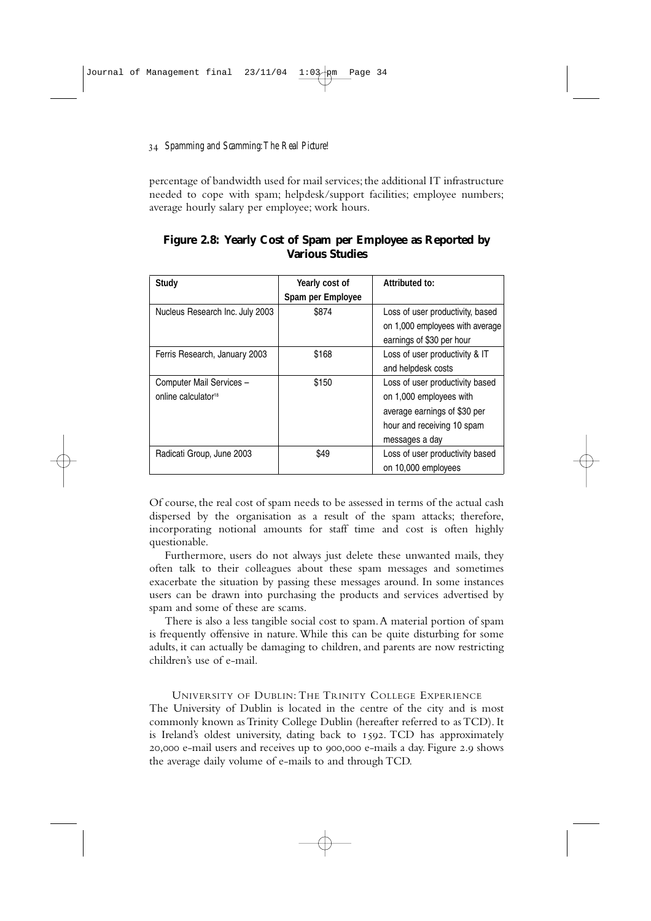percentage of bandwidth used for mail services; the additional IT infrastructure needed to cope with spam; helpdesk/support facilities; employee numbers; average hourly salary per employee; work hours.

| <b>Study</b>                                                | Yearly cost of<br>Spam per Employee | Attributed to:                                                                                                                             |
|-------------------------------------------------------------|-------------------------------------|--------------------------------------------------------------------------------------------------------------------------------------------|
| Nucleus Research Inc. July 2003                             | \$874                               | Loss of user productivity, based<br>on 1,000 employees with average<br>earnings of \$30 per hour                                           |
| Ferris Research, January 2003                               | \$168                               | Loss of user productivity & IT<br>and helpdesk costs                                                                                       |
| Computer Mail Services -<br>online calculator <sup>18</sup> | \$150                               | Loss of user productivity based<br>on 1,000 employees with<br>average earnings of \$30 per<br>hour and receiving 10 spam<br>messages a day |
| Radicati Group, June 2003                                   | \$49                                | Loss of user productivity based<br>on 10,000 employees                                                                                     |

**Figure 2.8: Yearly Cost of Spam per Employee as Reported by Various Studies**

Of course, the real cost of spam needs to be assessed in terms of the actual cash dispersed by the organisation as a result of the spam attacks; therefore, incorporating notional amounts for staff time and cost is often highly questionable.

Furthermore, users do not always just delete these unwanted mails, they often talk to their colleagues about these spam messages and sometimes exacerbate the situation by passing these messages around. In some instances users can be drawn into purchasing the products and services advertised by spam and some of these are scams.

There is also a less tangible social cost to spam.A material portion of spam is frequently offensive in nature.While this can be quite disturbing for some adults, it can actually be damaging to children, and parents are now restricting children's use of e-mail.

UNIVERSITY OF DUBLIN: THE TRINITY COLLEGE EXPERIENCE The University of Dublin is located in the centre of the city and is most commonly known as Trinity College Dublin (hereafter referred to as TCD). It is Ireland's oldest university, dating back to 1592. TCD has approximately 20,000 e-mail users and receives up to 900,000 e-mails a day. Figure 2.9 shows the average daily volume of e-mails to and through TCD.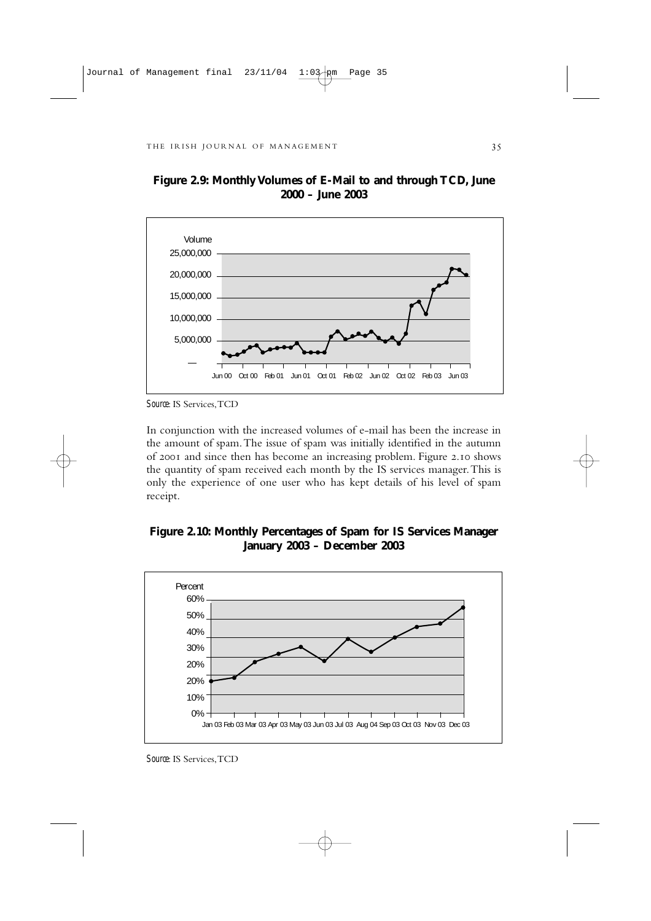

**Figure 2.9: Monthly Volumes of E-Mail to and through TCD, June 2000 – June 2003**

In conjunction with the increased volumes of e-mail has been the increase in the amount of spam.The issue of spam was initially identified in the autumn of 2001 and since then has become an increasing problem. Figure 2.10 shows the quantity of spam received each month by the IS services manager.This is only the experience of one user who has kept details of his level of spam receipt.





*Source*: IS Services,TCD

*Source*: IS Services,TCD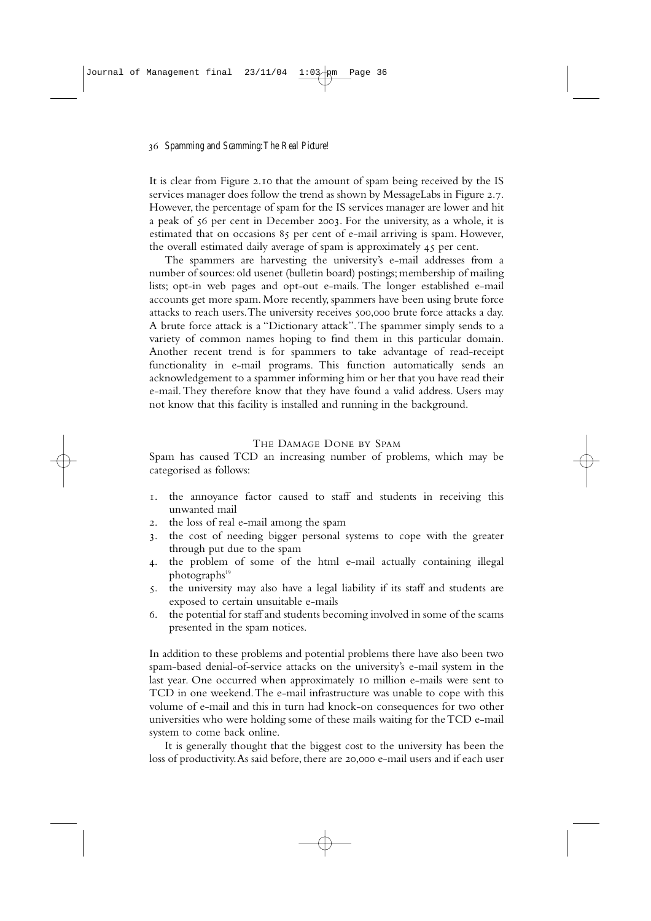It is clear from Figure 2.10 that the amount of spam being received by the IS services manager does follow the trend as shown by MessageLabs in Figure 2.7. However, the percentage of spam for the IS services manager are lower and hit a peak of 56 per cent in December 2003. For the university, as a whole, it is estimated that on occasions 85 per cent of e-mail arriving is spam. However, the overall estimated daily average of spam is approximately  $\overline{45}$  per cent.

The spammers are harvesting the university's e-mail addresses from a number of sources: old usenet (bulletin board) postings; membership of mailing lists; opt-in web pages and opt-out e-mails. The longer established e-mail accounts get more spam. More recently, spammers have been using brute force attacks to reach users. The university receives 500,000 brute force attacks a day. A brute force attack is a "Dictionary attack".The spammer simply sends to a variety of common names hoping to find them in this particular domain. Another recent trend is for spammers to take advantage of read-receipt functionality in e-mail programs. This function automatically sends an acknowledgement to a spammer informing him or her that you have read their e-mail.They therefore know that they have found a valid address. Users may not know that this facility is installed and running in the background.

### THE DAMAGE DONE BY SPAM

Spam has caused TCD an increasing number of problems, which may be categorised as follows:

- . the annoyance factor caused to staff and students in receiving this unwanted mail
- . the loss of real e-mail among the spam
- . the cost of needing bigger personal systems to cope with the greater through put due to the spam
- . the problem of some of the html e-mail actually containing illegal photographs<sup>19</sup>
- . the university may also have a legal liability if its staff and students are exposed to certain unsuitable e-mails
- . the potential for staff and students becoming involved in some of the scams presented in the spam notices.

In addition to these problems and potential problems there have also been two spam-based denial-of-service attacks on the university's e-mail system in the last year. One occurred when approximately 10 million e-mails were sent to TCD in one weekend.The e-mail infrastructure was unable to cope with this volume of e-mail and this in turn had knock-on consequences for two other universities who were holding some of these mails waiting for the TCD e-mail system to come back online.

It is generally thought that the biggest cost to the university has been the loss of productivity. As said before, there are 20,000 e-mail users and if each user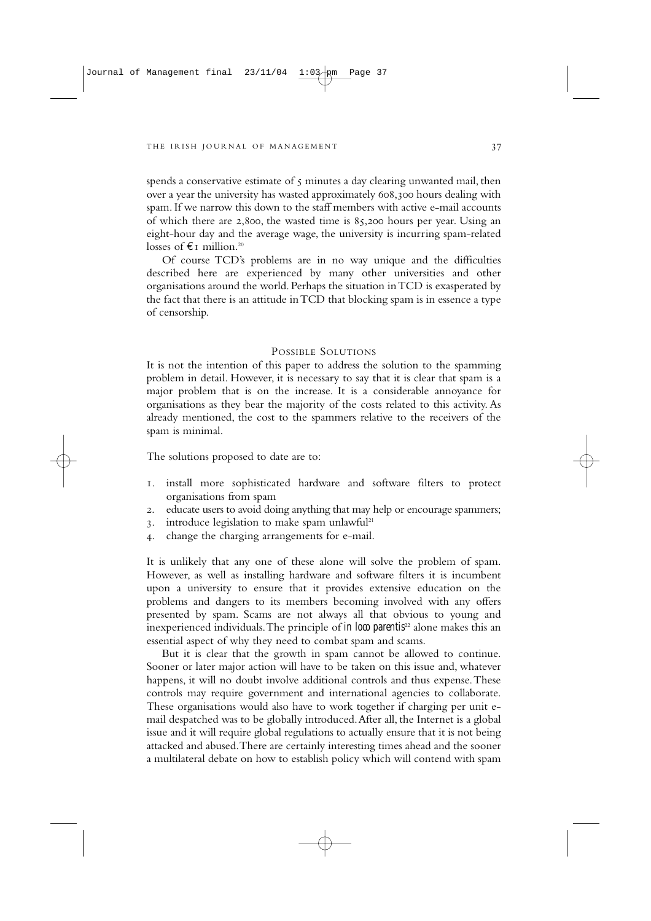spends a conservative estimate of  $\varsigma$  minutes a day clearing unwanted mail, then over a year the university has wasted approximately 608,300 hours dealing with spam. If we narrow this down to the staff members with active e-mail accounts of which there are  $2,800$ , the wasted time is  $85,200$  hours per year. Using an eight-hour day and the average wage, the university is incurring spam-related losses of  $E_I$  million.<sup>20</sup>

Of course TCD's problems are in no way unique and the difficulties described here are experienced by many other universities and other organisations around the world. Perhaps the situation in TCD is exasperated by the fact that there is an attitude in TCD that blocking spam is in essence a type of censorship.

#### POSSIBLE SOLUTIONS

It is not the intention of this paper to address the solution to the spamming problem in detail. However, it is necessary to say that it is clear that spam is a major problem that is on the increase. It is a considerable annoyance for organisations as they bear the majority of the costs related to this activity. As already mentioned, the cost to the spammers relative to the receivers of the spam is minimal.

The solutions proposed to date are to:

- . install more sophisticated hardware and software filters to protect organisations from spam
- . educate users to avoid doing anything that may help or encourage spammers;
- 3. introduce legislation to make spam unlawful<sup>21</sup>
- . change the charging arrangements for e-mail.

It is unlikely that any one of these alone will solve the problem of spam. However, as well as installing hardware and software filters it is incumbent upon a university to ensure that it provides extensive education on the problems and dangers to its members becoming involved with any offers presented by spam. Scams are not always all that obvious to young and inexperienced individuals. The principle of *in loco parentis*<sup>22</sup> alone makes this an essential aspect of why they need to combat spam and scams.

But it is clear that the growth in spam cannot be allowed to continue. Sooner or later major action will have to be taken on this issue and, whatever happens, it will no doubt involve additional controls and thus expense.These controls may require government and international agencies to collaborate. These organisations would also have to work together if charging per unit email despatched was to be globally introduced.After all, the Internet is a global issue and it will require global regulations to actually ensure that it is not being attacked and abused.There are certainly interesting times ahead and the sooner a multilateral debate on how to establish policy which will contend with spam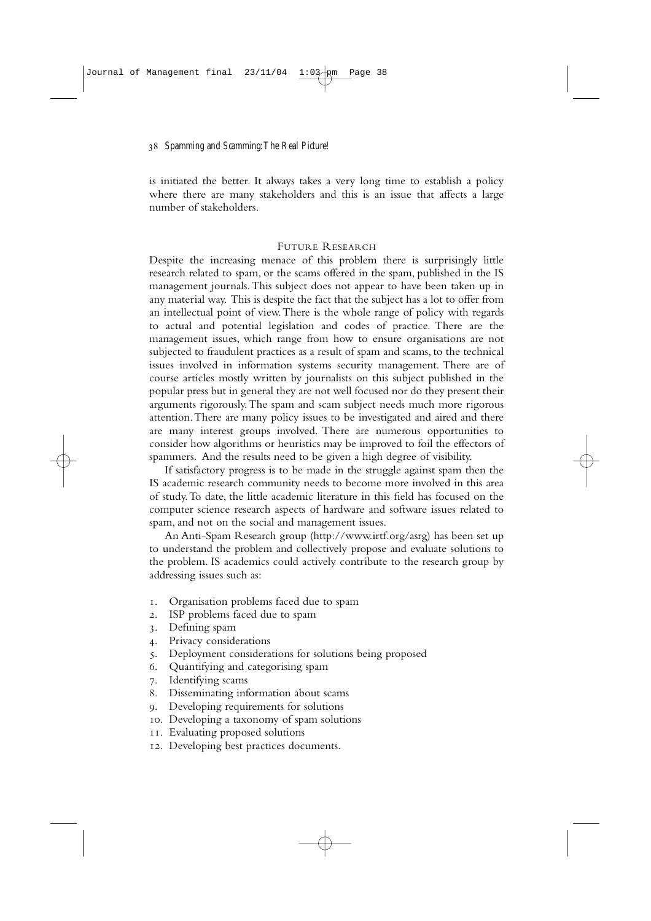is initiated the better. It always takes a very long time to establish a policy where there are many stakeholders and this is an issue that affects a large number of stakeholders.

## FUTURE RESEARCH

Despite the increasing menace of this problem there is surprisingly little research related to spam, or the scams offered in the spam, published in the IS management journals.This subject does not appear to have been taken up in any material way. This is despite the fact that the subject has a lot to offer from an intellectual point of view.There is the whole range of policy with regards to actual and potential legislation and codes of practice. There are the management issues, which range from how to ensure organisations are not subjected to fraudulent practices as a result of spam and scams, to the technical issues involved in information systems security management. There are of course articles mostly written by journalists on this subject published in the popular press but in general they are not well focused nor do they present their arguments rigorously.The spam and scam subject needs much more rigorous attention.There are many policy issues to be investigated and aired and there are many interest groups involved. There are numerous opportunities to consider how algorithms or heuristics may be improved to foil the effectors of spammers. And the results need to be given a high degree of visibility.

If satisfactory progress is to be made in the struggle against spam then the IS academic research community needs to become more involved in this area of study.To date, the little academic literature in this field has focused on the computer science research aspects of hardware and software issues related to spam, and not on the social and management issues.

An Anti-Spam Research group (http://www.irtf.org/asrg) has been set up to understand the problem and collectively propose and evaluate solutions to the problem. IS academics could actively contribute to the research group by addressing issues such as:

- . Organisation problems faced due to spam
- . ISP problems faced due to spam
- . Defining spam
- . Privacy considerations
- . Deployment considerations for solutions being proposed
- . Quantifying and categorising spam
- . Identifying scams
- . Disseminating information about scams
- . Developing requirements for solutions
- . Developing a taxonomy of spam solutions
- . Evaluating proposed solutions
- . Developing best practices documents.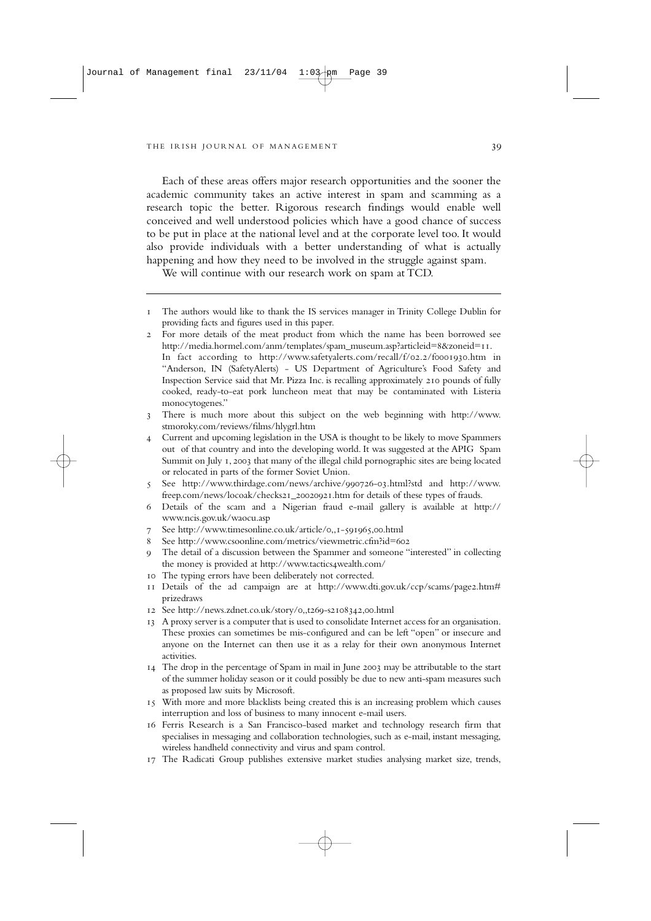Each of these areas offers major research opportunities and the sooner the academic community takes an active interest in spam and scamming as a research topic the better. Rigorous research findings would enable well conceived and well understood policies which have a good chance of success to be put in place at the national level and at the corporate level too. It would also provide individuals with a better understanding of what is actually happening and how they need to be involved in the struggle against spam.

We will continue with our research work on spam at TCD.

- The authors would like to thank the IS services manager in Trinity College Dublin for providing facts and figures used in this paper.
- For more details of the meat product from which the name has been borrowed see http://media.hormel.com/anm/templates/spam\_museum.asp?articleid=8&zoneid=11. In fact according to http://www.safetyalerts.com/recall/f/02.2/f0001930.htm in "Anderson, IN (SafetyAlerts) - US Department of Agriculture's Food Safety and Inspection Service said that Mr. Pizza Inc. is recalling approximately 210 pounds of fully cooked, ready-to-eat pork luncheon meat that may be contaminated with Listeria monocytogenes."
- There is much more about this subject on the web beginning with http://www. stmoroky.com/reviews/films/hlygrl.htm
- Current and upcoming legislation in the USA is thought to be likely to move Spammers out of that country and into the developing world. It was suggested at the APIG Spam Summit on July 1, 2003 that many of the illegal child pornographic sites are being located or relocated in parts of the former Soviet Union.
- See http://www.thirdage.com/news/archive/990726-03.html?std and http://www. freep.com/news/locoak/checks21\_20020921.htm for details of these types of frauds.
- Details of the scam and a Nigerian fraud e-mail gallery is available at http:// www.ncis.gov.uk/waocu.asp
- 7 See http://www.timesonline.co.uk/article/0,,1-591965,00.html
- 8 See http://www.csoonline.com/metrics/viewmetric.cfm?id=602
- The detail of a discussion between the Spammer and someone "interested" in collecting the money is provided at http://www.tactics4wealth.com/
- The typing errors have been deliberately not corrected.
- 11 Details of the ad campaign are at http://www.dti.gov.uk/ccp/scams/page2.htm# prizedraws
- 12 See http://news.zdnet.co.uk/story/0,,t269-s2108342,00.html
- A proxy server is a computer that is used to consolidate Internet access for an organisation. These proxies can sometimes be mis-configured and can be left "open" or insecure and anyone on the Internet can then use it as a relay for their own anonymous Internet activities.
- 14 The drop in the percentage of Spam in mail in June 2003 may be attributable to the start of the summer holiday season or it could possibly be due to new anti-spam measures such as proposed law suits by Microsoft.
- With more and more blacklists being created this is an increasing problem which causes interruption and loss of business to many innocent e-mail users.
- Ferris Research is a San Francisco-based market and technology research firm that specialises in messaging and collaboration technologies, such as e-mail, instant messaging, wireless handheld connectivity and virus and spam control.
- The Radicati Group publishes extensive market studies analysing market size, trends,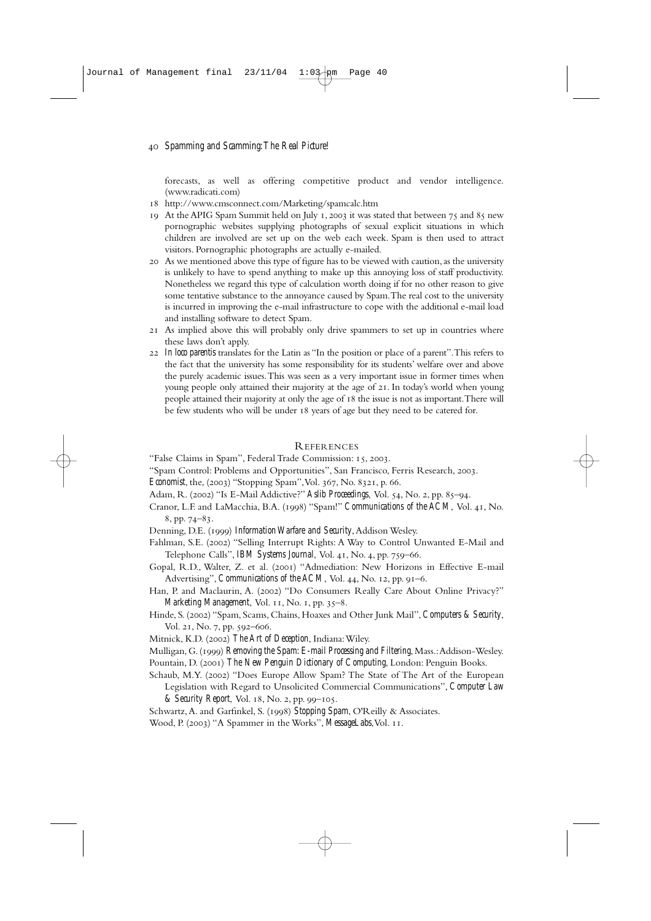forecasts, as well as offering competitive product and vendor intelligence. (www.radicati.com)

- http://www.cmsconnect.com/Marketing/spamcalc.htm
- 19 At the APIG Spam Summit held on July 1, 2003 it was stated that between  $75$  and  $85$  new pornographic websites supplying photographs of sexual explicit situations in which children are involved are set up on the web each week. Spam is then used to attract visitors. Pornographic photographs are actually e-mailed.
- As we mentioned above this type of figure has to be viewed with caution,as the university is unlikely to have to spend anything to make up this annoying loss of staff productivity. Nonetheless we regard this type of calculation worth doing if for no other reason to give some tentative substance to the annoyance caused by Spam.The real cost to the university is incurred in improving the e-mail infrastructure to cope with the additional e-mail load and installing software to detect Spam.
- As implied above this will probably only drive spammers to set up in countries where these laws don't apply.
- *In loco parentis* translates for the Latin as "In the position or place of a parent".This refers to the fact that the university has some responsibility for its students' welfare over and above the purely academic issues.This was seen as a very important issue in former times when young people only attained their majority at the age of 21. In today's world when young people attained their majority at only the age of 18 the issue is not as important. There will be few students who will be under 18 years of age but they need to be catered for.

#### REFERENCES

"False Claims in Spam", Federal Trade Commission: 15, 2003.

- "Spam Control: Problems and Opportunities", San Francisco, Ferris Research, 2003.
- *Economist*, the, (2003) "Stopping Spam", Vol. 367, No. 8321, p. 66.
- Adam, R. (2002) "Is E-Mail Addictive?" *Aslib Proceedings*, Vol. 54, No. 2, pp. 85-94.
- Cranor, L.F. and LaMacchia, B.A. (1998) "Spam!" *Communications of the ACM*, Vol. 41, No.  $8, pp. 74 - 83.$
- Denning, D.E. (1999) *Information Warfare and Security*, Addison Wesley.
- Fahlman, S.E. (2002) "Selling Interrupt Rights: A Way to Control Unwanted E-Mail and Telephone Calls", *IBM Systems Journal*, Vol. 41, No. 4, pp. 759-66.
- Gopal, R.D., Walter, Z. et al. (2001) "Admediation: New Horizons in Effective E-mail Advertising", *Communications of the ACM*, Vol. 44, No. 12, pp. 91-6.
- Han, P. and Maclaurin, A. (2002) "Do Consumers Really Care About Online Privacy?" *Marketing Management*, Vol. 11, No. 1, pp. 35-8.
- Hinde, S. (2002) "Spam, Scams, Chains, Hoaxes and Other Junk Mail", *Computers & Security*, Vol. 21, No. 7, pp. 592-606.
- Mitnick, K.D. (2002) The Art of Deception, Indiana: Wiley.
- Mulligan, G. (1999) Removing the Spam: E-mail Processing and Filtering, Mass.: Addison-Wesley.
- Pountain, D. (2001) *The New Penguin Dictionary of Computing*, London: Penguin Books.
- Schaub, M.Y. (2002) "Does Europe Allow Spam? The State of The Art of the European Legislation with Regard to Unsolicited Commercial Communications", *Computer Law & Security Report*, Vol. 18, No. 2, pp. 99-105.
- Schwartz, A. and Garfinkel, S. (1998) Stopping Spam, O'Reilly & Associates.
- Wood, P. (2003) "A Spammer in the Works", *MessageLabs*, Vol. 11.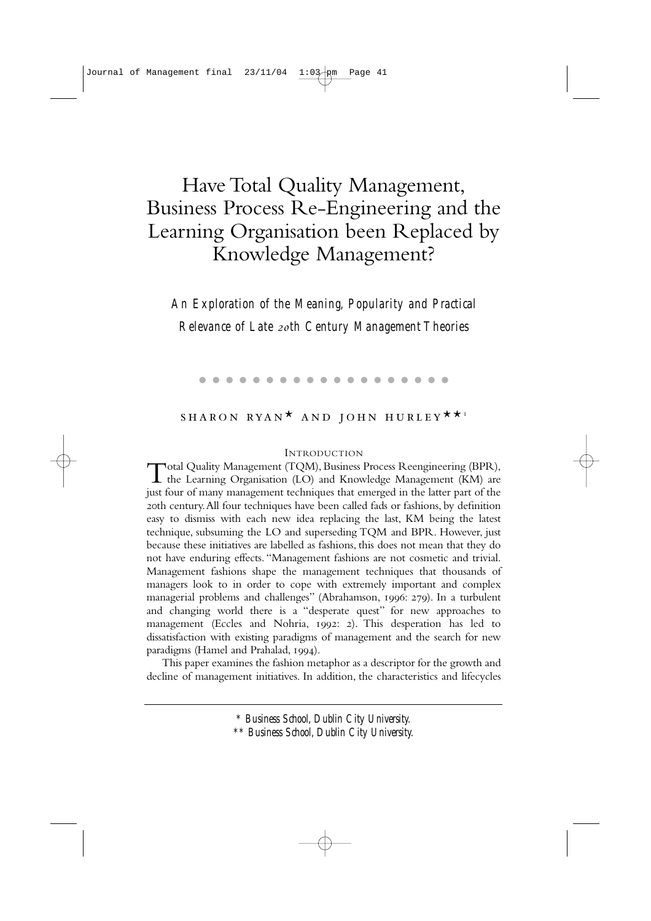# Have Total Quality Management, Business Process Re-Engineering and the Learning Organisation been Replaced by Knowledge Management?

*An Exploration of the Meaning, Popularity and Practical Relevance of Late th Century Management Theories*

#### . . . . . . . . . . . . . . . . . . .

# SHARON RYAN<sup>\*</sup> AND JOHN HURLEY<sup>\*\*</sup>'

#### INTRODUCTION

Total Quality Management (TQM), Business Process Reengineering (BPR), the Learning Organisation (LO) and Knowledge Management (KM) are just four of many management techniques that emerged in the latter part of the zoth century. All four techniques have been called fads or fashions, by definition easy to dismiss with each new idea replacing the last, KM being the latest technique, subsuming the LO and superseding TQM and BPR. However, just because these initiatives are labelled as fashions, this does not mean that they do not have enduring effects. "Management fashions are not cosmetic and trivial. Management fashions shape the management techniques that thousands of managers look to in order to cope with extremely important and complex managerial problems and challenges" (Abrahamson, 1996: 279). In a turbulent and changing world there is a "desperate quest" for new approaches to management (Eccles and Nohria, 1992: 2). This desperation has led to dissatisfaction with existing paradigms of management and the search for new paradigms (Hamel and Prahalad, 1994).

This paper examines the fashion metaphor as a descriptor for the growth and decline of management initiatives. In addition, the characteristics and lifecycles

> *\* Business School, Dublin City University. \*\* Business School, Dublin City University.*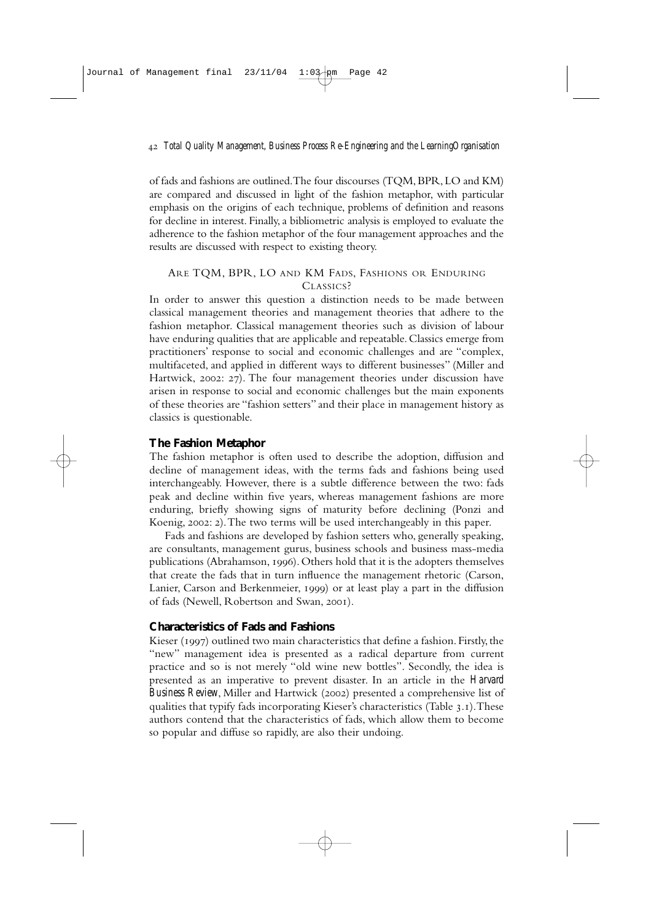of fads and fashions are outlined.The four discourses (TQM,BPR,LO and KM) are compared and discussed in light of the fashion metaphor, with particular emphasis on the origins of each technique, problems of definition and reasons for decline in interest. Finally, a bibliometric analysis is employed to evaluate the adherence to the fashion metaphor of the four management approaches and the results are discussed with respect to existing theory.

## ARE TQM, BPR, LO AND KM FADS, FASHIONS OR ENDURING CLASSICS?

In order to answer this question a distinction needs to be made between classical management theories and management theories that adhere to the fashion metaphor. Classical management theories such as division of labour have enduring qualities that are applicable and repeatable. Classics emerge from practitioners' response to social and economic challenges and are "complex, multifaceted, and applied in different ways to different businesses" (Miller and Hartwick, 2002: 27). The four management theories under discussion have arisen in response to social and economic challenges but the main exponents of these theories are "fashion setters" and their place in management history as classics is questionable.

## **The Fashion Metaphor**

The fashion metaphor is often used to describe the adoption, diffusion and decline of management ideas, with the terms fads and fashions being used interchangeably. However, there is a subtle difference between the two: fads peak and decline within five years, whereas management fashions are more enduring, briefly showing signs of maturity before declining (Ponzi and Koenig, 2002: 2). The two terms will be used interchangeably in this paper.

Fads and fashions are developed by fashion setters who, generally speaking, are consultants, management gurus, business schools and business mass-media publications (Abrahamson, 1996). Others hold that it is the adopters themselves that create the fads that in turn influence the management rhetoric (Carson, Lanier, Carson and Berkenmeier, 1999) or at least play a part in the diffusion of fads (Newell, Robertson and Swan, 2001).

## **Characteristics of Fads and Fashions**

Kieser (1997) outlined two main characteristics that define a fashion. Firstly, the "new" management idea is presented as a radical departure from current practice and so is not merely "old wine new bottles". Secondly, the idea is presented as an imperative to prevent disaster. In an article in the *Harvard Business Review*, Miller and Hartwick (2002) presented a comprehensive list of qualities that typify fads incorporating Kieser's characteristics (Table 3.1). These authors contend that the characteristics of fads, which allow them to become so popular and diffuse so rapidly, are also their undoing.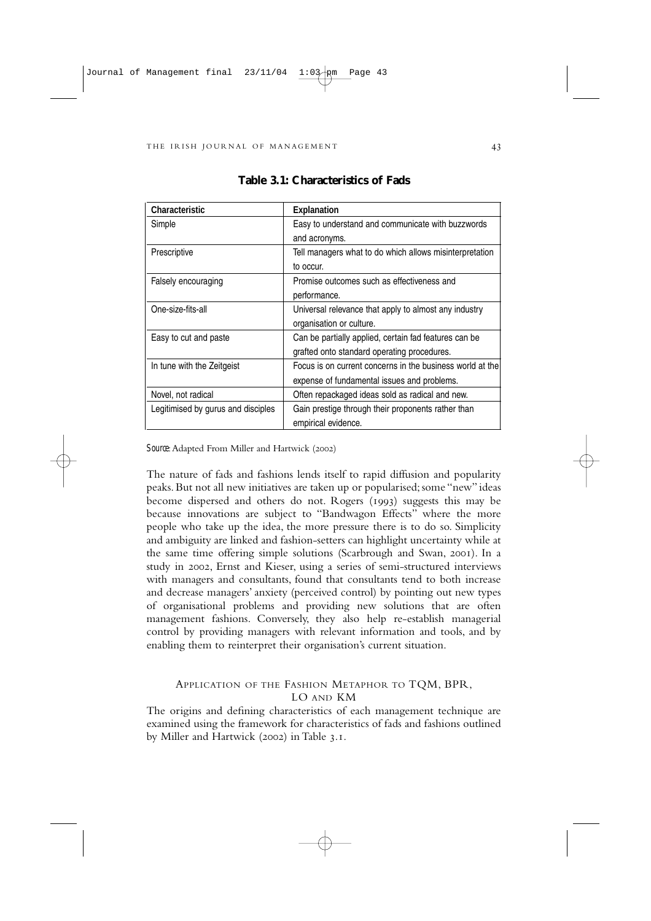| <b>Characteristic</b>              | <b>Explanation</b>                                        |
|------------------------------------|-----------------------------------------------------------|
| Simple                             | Easy to understand and communicate with buzzwords         |
|                                    | and acronyms.                                             |
| Prescriptive                       | Tell managers what to do which allows misinterpretation   |
|                                    | to occur.                                                 |
| Falsely encouraging                | Promise outcomes such as effectiveness and                |
|                                    | performance.                                              |
| One-size-fits-all                  | Universal relevance that apply to almost any industry     |
|                                    | organisation or culture.                                  |
| Easy to cut and paste              | Can be partially applied, certain fad features can be     |
|                                    | grafted onto standard operating procedures.               |
| In tune with the Zeitgeist         | Focus is on current concerns in the business world at the |
|                                    | expense of fundamental issues and problems.               |
| Novel, not radical                 | Often repackaged ideas sold as radical and new.           |
| Legitimised by gurus and disciples | Gain prestige through their proponents rather than        |
|                                    | empirical evidence.                                       |

| <b>Table 3.1: Characteristics of Fads</b> |  |
|-------------------------------------------|--|
|-------------------------------------------|--|

Source: Adapted From Miller and Hartwick (2002)

The nature of fads and fashions lends itself to rapid diffusion and popularity peaks. But not all new initiatives are taken up or popularised; some "new" ideas become dispersed and others do not. Rogers (1993) suggests this may be because innovations are subject to "Bandwagon Effects" where the more people who take up the idea, the more pressure there is to do so. Simplicity and ambiguity are linked and fashion-setters can highlight uncertainty while at the same time offering simple solutions (Scarbrough and Swan, 2001). In a study in 2002, Ernst and Kieser, using a series of semi-structured interviews with managers and consultants, found that consultants tend to both increase and decrease managers' anxiety (perceived control) by pointing out new types of organisational problems and providing new solutions that are often management fashions. Conversely, they also help re-establish managerial control by providing managers with relevant information and tools, and by enabling them to reinterpret their organisation's current situation.

## APPLICATION OF THE FASHION METAPHOR TO TQM, BPR, LO AND KM

The origins and defining characteristics of each management technique are examined using the framework for characteristics of fads and fashions outlined by Miller and Hartwick (2002) in Table 3.1.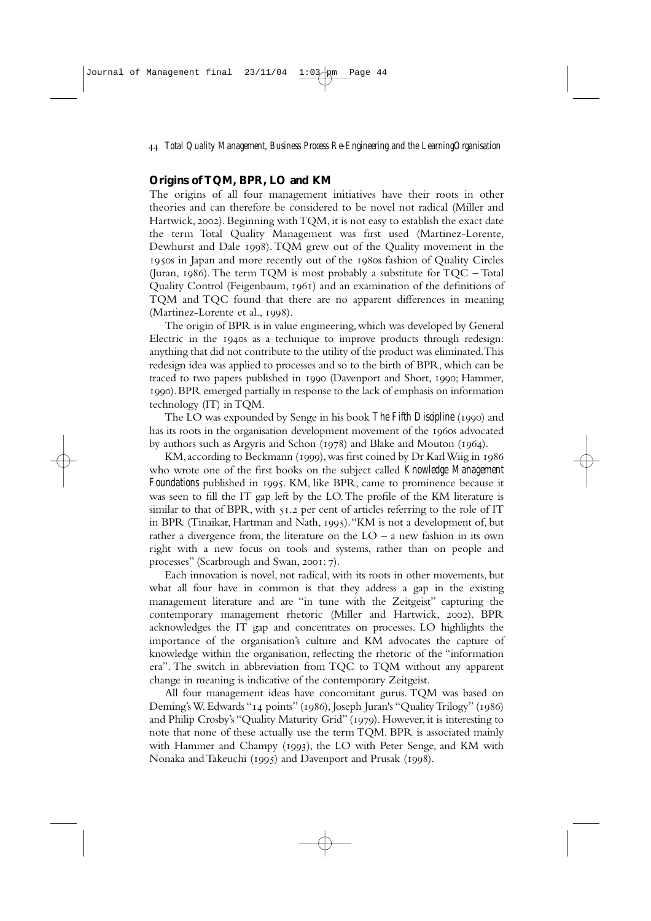## **Origins of TQM, BPR, LO and KM**

The origins of all four management initiatives have their roots in other theories and can therefore be considered to be novel not radical (Miller and Hartwick, 2002). Beginning with TQM, it is not easy to establish the exact date the term Total Quality Management was first used (Martinez-Lorente, Dewhurst and Dale 1998). TOM grew out of the Quality movement in the 1950s in Japan and more recently out of the 1980s fashion of Quality Circles (Juran, 1986). The term TQM is most probably a substitute for  $TQC - Total$ Quality Control (Feigenbaum, 1961) and an examination of the definitions of TQM and TQC found that there are no apparent differences in meaning (Martinez-Lorente et al., 1998).

The origin of BPR is in value engineering, which was developed by General Electric in the 1940s as a technique to improve products through redesign: anything that did not contribute to the utility of the product was eliminated.This redesign idea was applied to processes and so to the birth of BPR, which can be traced to two papers published in 1990 (Davenport and Short, 1990; Hammer, ).BPR emerged partially in response to the lack of emphasis on information technology (IT) in TQM.

The LO was expounded by Senge in his book *The Fifth Discipline* (1990) and has its roots in the organisation development movement of the 1960s advocated by authors such as Argyris and Schon ( $1978$ ) and Blake and Mouton ( $1964$ ).

KM, according to Beckmann (1999), was first coined by Dr Karl Wiig in  $1986$ who wrote one of the first books on the subject called *Knowledge Management Foundations* published in 1995. KM, like BPR, came to prominence because it was seen to fill the IT gap left by the LO.The profile of the KM literature is similar to that of BPR, with  $51.2$  per cent of articles referring to the role of IT in BPR (Tinaikar, Hartman and Nath, 1995). "KM is not a development of, but rather a divergence from, the literature on the  $LO - a$  new fashion in its own right with a new focus on tools and systems, rather than on people and processes" (Scarbrough and Swan, 2001: 7).

Each innovation is novel, not radical, with its roots in other movements, but what all four have in common is that they address a gap in the existing management literature and are "in tune with the Zeitgeist" capturing the contemporary management rhetoric (Miller and Hartwick, 2002). BPR acknowledges the IT gap and concentrates on processes. LO highlights the importance of the organisation's culture and KM advocates the capture of knowledge within the organisation, reflecting the rhetoric of the "information era". The switch in abbreviation from TQC to TQM without any apparent change in meaning is indicative of the contemporary Zeitgeist.

All four management ideas have concomitant gurus. TQM was based on Deming's W. Edwards "14 points" (1986), Joseph Juran's "Quality Trilogy" (1986) and Philip Crosby's "Quality Maturity Grid" (1979). However, it is interesting to note that none of these actually use the term TQM. BPR is associated mainly with Hammer and Champy (1993), the LO with Peter Senge, and KM with Nonaka and Takeuchi (1995) and Davenport and Prusak (1998).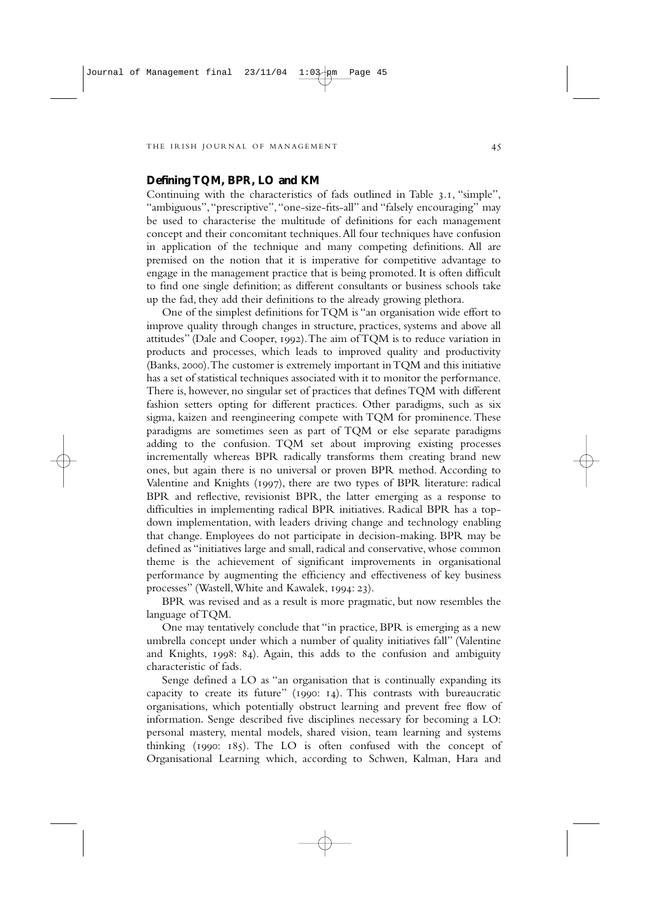## **Defining TQM, BPR, LO and KM**

Continuing with the characteristics of fads outlined in Table 3.1, "simple". "ambiguous", "prescriptive", "one-size-fits-all" and "falsely encouraging" may be used to characterise the multitude of definitions for each management concept and their concomitant techniques.All four techniques have confusion in application of the technique and many competing definitions. All are premised on the notion that it is imperative for competitive advantage to engage in the management practice that is being promoted. It is often difficult to find one single definition; as different consultants or business schools take up the fad, they add their definitions to the already growing plethora.

One of the simplest definitions for TQM is "an organisation wide effort to improve quality through changes in structure, practices, systems and above all attitudes" (Dale and Cooper, 1992). The aim of TQM is to reduce variation in products and processes, which leads to improved quality and productivity (Banks, 2000). The customer is extremely important in TQM and this initiative has a set of statistical techniques associated with it to monitor the performance. There is, however, no singular set of practices that defines TQM with different fashion setters opting for different practices. Other paradigms, such as six sigma, kaizen and reengineering compete with TQM for prominence. These paradigms are sometimes seen as part of TQM or else separate paradigms adding to the confusion. TQM set about improving existing processes incrementally whereas BPR radically transforms them creating brand new ones, but again there is no universal or proven BPR method. According to Valentine and Knights (1997), there are two types of BPR literature: radical BPR and reflective, revisionist BPR, the latter emerging as a response to difficulties in implementing radical BPR initiatives. Radical BPR has a topdown implementation, with leaders driving change and technology enabling that change. Employees do not participate in decision-making. BPR may be defined as "initiatives large and small, radical and conservative, whose common theme is the achievement of significant improvements in organisational performance by augmenting the efficiency and effectiveness of key business processes" (Wastell, White and Kawalek, 1994: 23).

BPR was revised and as a result is more pragmatic, but now resembles the language of TQM.

One may tentatively conclude that "in practice, BPR is emerging as a new umbrella concept under which a number of quality initiatives fall" (Valentine and Knights, 1998: 84). Again, this adds to the confusion and ambiguity characteristic of fads.

Senge defined a LO as "an organisation that is continually expanding its capacity to create its future" ( $1990: 14$ ). This contrasts with bureaucratic organisations, which potentially obstruct learning and prevent free flow of information*.* Senge described five disciplines necessary for becoming a LO: personal mastery, mental models, shared vision, team learning and systems thinking ( $1990: 185$ ). The LO is often confused with the concept of Organisational Learning which, according to Schwen, Kalman, Hara and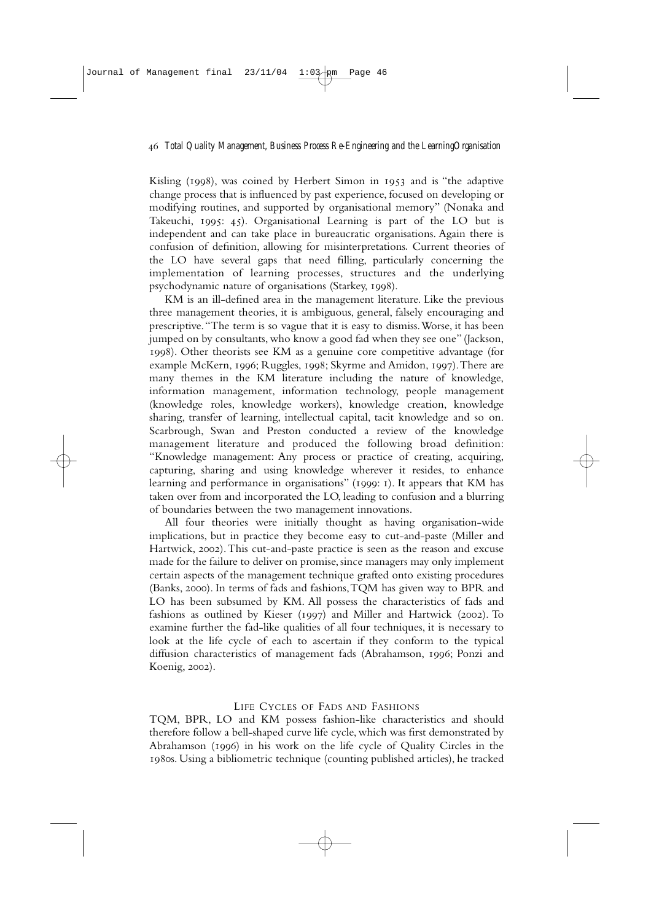Kisling  $(1998)$ , was coined by Herbert Simon in  $1953$  and is "the adaptive change process that is influenced by past experience, focused on developing or modifying routines, and supported by organisational memory" (Nonaka and Takeuchi, 1995: 45). Organisational Learning is part of the LO but is independent and can take place in bureaucratic organisations. Again there is confusion of definition, allowing for misinterpretations*.* Current theories of the LO have several gaps that need filling, particularly concerning the implementation of learning processes, structures and the underlying psychodynamic nature of organisations (Starkey, 1998).

KM is an ill-defined area in the management literature. Like the previous three management theories, it is ambiguous, general, falsely encouraging and prescriptive."The term is so vague that it is easy to dismiss.Worse, it has been jumped on by consultants, who know a good fad when they see one" (Jackson, ). Other theorists see KM as a genuine core competitive advantage (for example McKern, 1996; Ruggles, 1998; Skyrme and Amidon, 1997). There are many themes in the KM literature including the nature of knowledge, information management, information technology, people management (knowledge roles, knowledge workers), knowledge creation, knowledge sharing, transfer of learning, intellectual capital, tacit knowledge and so on. Scarbrough, Swan and Preston conducted a review of the knowledge management literature and produced the following broad definition: "Knowledge management: Any process or practice of creating, acquiring, capturing, sharing and using knowledge wherever it resides, to enhance learning and performance in organisations" (1999: 1). It appears that KM has taken over from and incorporated the LO, leading to confusion and a blurring of boundaries between the two management innovations.

All four theories were initially thought as having organisation-wide implications, but in practice they become easy to cut-and-paste (Miller and Hartwick, 2002). This cut-and-paste practice is seen as the reason and excuse made for the failure to deliver on promise, since managers may only implement certain aspects of the management technique grafted onto existing procedures (Banks, 2000). In terms of fads and fashions, TQM has given way to BPR and LO has been subsumed by KM. All possess the characteristics of fads and fashions as outlined by Kieser (1997) and Miller and Hartwick (2002). To examine further the fad-like qualities of all four techniques, it is necessary to look at the life cycle of each to ascertain if they conform to the typical diffusion characteristics of management fads (Abrahamson, 1996; Ponzi and Koenig, 2002).

#### LIFE CYCLES OF FADS AND FASHIONS

TQM, BPR, LO and KM possess fashion-like characteristics and should therefore follow a bell-shaped curve life cycle, which was first demonstrated by Abrahamson (1996) in his work on the life cycle of Quality Circles in the 1980s. Using a bibliometric technique (counting published articles), he tracked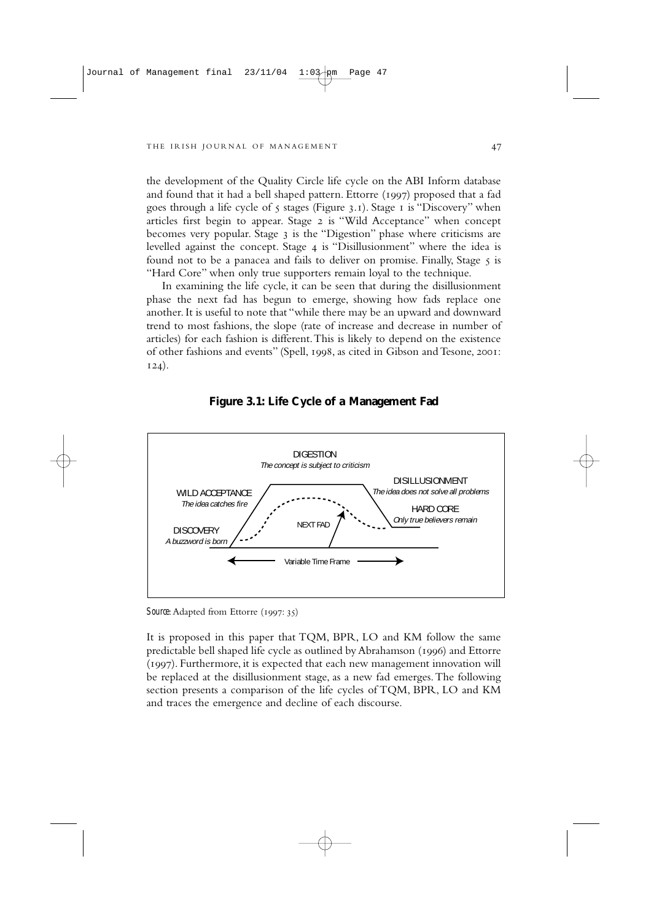the development of the Quality Circle life cycle on the ABI Inform database and found that it had a bell shaped pattern. Ettorre (1997) proposed that a fad goes through a life cycle of  $\zeta$  stages (Figure 3.1). Stage 1 is "Discovery" when articles first begin to appear. Stage 2 is "Wild Acceptance" when concept becomes very popular. Stage 3 is the "Digestion" phase where criticisms are levelled against the concept. Stage 4 is "Disillusionment" where the idea is found not to be a panacea and fails to deliver on promise. Finally, Stage 5 is "Hard Core" when only true supporters remain loyal to the technique.

In examining the life cycle, it can be seen that during the disillusionment phase the next fad has begun to emerge, showing how fads replace one another. It is useful to note that "while there may be an upward and downward trend to most fashions, the slope (rate of increase and decrease in number of articles) for each fashion is different.This is likely to depend on the existence of other fashions and events" (Spell, 1998, as cited in Gibson and Tesone, 2001;  $124)$ .





*Source*: Adapted from Ettorre (1997: 35)

It is proposed in this paper that TQM, BPR, LO and KM follow the same predictable bell shaped life cycle as outlined by Abrahamson (1996) and Ettorre (1997). Furthermore, it is expected that each new management innovation will be replaced at the disillusionment stage, as a new fad emerges.The following section presents a comparison of the life cycles of TQM, BPR, LO and KM and traces the emergence and decline of each discourse.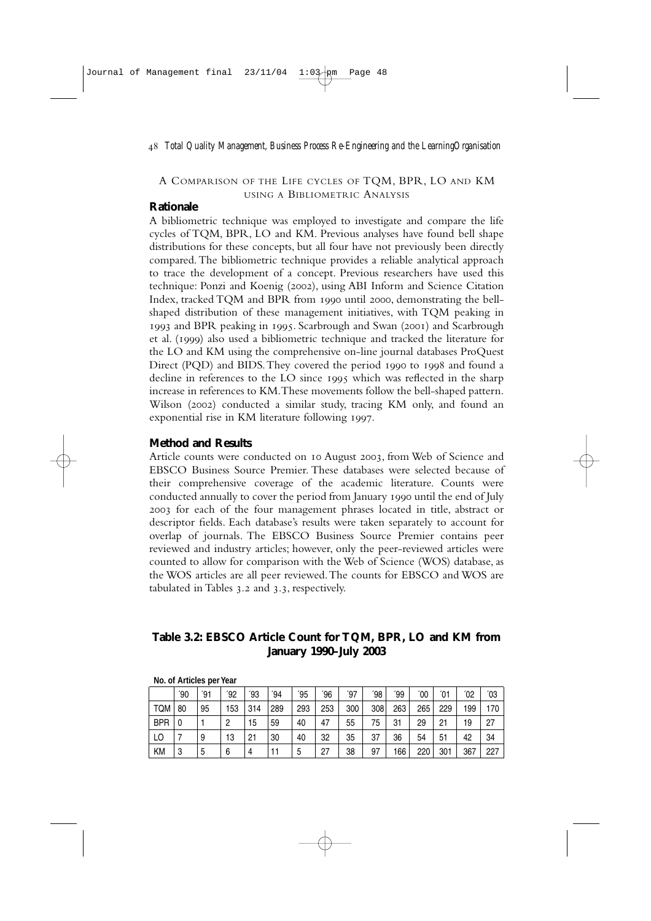## A COMPARISON OF THE LIFE CYCLES OF TQM, BPR, LO AND KM USING A BIBLIOMETRIC ANALYSIS

## **Rationale**

A bibliometric technique was employed to investigate and compare the life cycles of TQM, BPR, LO and KM. Previous analyses have found bell shape distributions for these concepts, but all four have not previously been directly compared.The bibliometric technique provides a reliable analytical approach to trace the development of a concept. Previous researchers have used this technique: Ponzi and Koenig (2002), using ABI Inform and Science Citation Index, tracked TOM and BPR from 1990 until 2000, demonstrating the bellshaped distribution of these management initiatives, with TQM peaking in 1993 and BPR peaking in 1995. Scarbrough and Swan (2001) and Scarbrough et al. (1999) also used a bibliometric technique and tracked the literature for the LO and KM using the comprehensive on-line journal databases ProQuest Direct (PQD) and BIDS. They covered the period 1990 to 1998 and found a decline in references to the LO since  $1995$  which was reflected in the sharp increase in references to KM.These movements follow the bell-shaped pattern. Wilson (2002) conducted a similar study, tracing KM only, and found an exponential rise in KM literature following 1997.

## **Method and Results**

Article counts were conducted on 10 August 2003, from Web of Science and EBSCO Business Source Premier. These databases were selected because of their comprehensive coverage of the academic literature. Counts were conducted annually to cover the period from January 1990 until the end of July for each of the four management phrases located in title, abstract or descriptor fields. Each database's results were taken separately to account for overlap of journals. The EBSCO Business Source Premier contains peer reviewed and industry articles; however, only the peer-reviewed articles were counted to allow for comparison with the Web of Science (WOS) database, as the WOS articles are all peer reviewed.The counts for EBSCO and WOS are tabulated in Tables  $3.2$  and  $3.3$ , respectively.

## **Table 3.2: EBSCO Article Count for TQM, BPR, LO and KM from January 1990–July 2003**

|            |     | 110.0111111010310111011 |     |     |               |     |     |     |     |               |     |     |               |       |
|------------|-----|-------------------------|-----|-----|---------------|-----|-----|-----|-----|---------------|-----|-----|---------------|-------|
|            | ΄90 | ΄91                     | ΄92 | ΄93 | $^{\prime}94$ | ΄95 | ΄96 | ΄97 | ΄98 | $^{\prime}99$ | ΄00 | ΄01 | $^{\prime}02$ | ʹ03   |
| <b>TQM</b> | 80  | 95                      | 153 | 314 | 289           | 293 | 253 | 300 | 308 | 263           | 265 | 229 | 199           | 170 l |
| <b>BPR</b> | 0   |                         | 2   | 15  | 59            | 40  | 47  | 55  | 75  | 31            | 29  | 21  | 19            | 27    |
| LO         |     | 9                       | 13  | 21  | 30            | 40  | 32  | 35  | 37  | 36            | 54  | 51  | 42            | 34    |
| <b>KM</b>  | 3   | 5                       | 6   | 4   |               | 5   | 27  | 38  | 97  | 166           | 220 | 301 | 367           | 227   |

#### **No. of Articles per Year**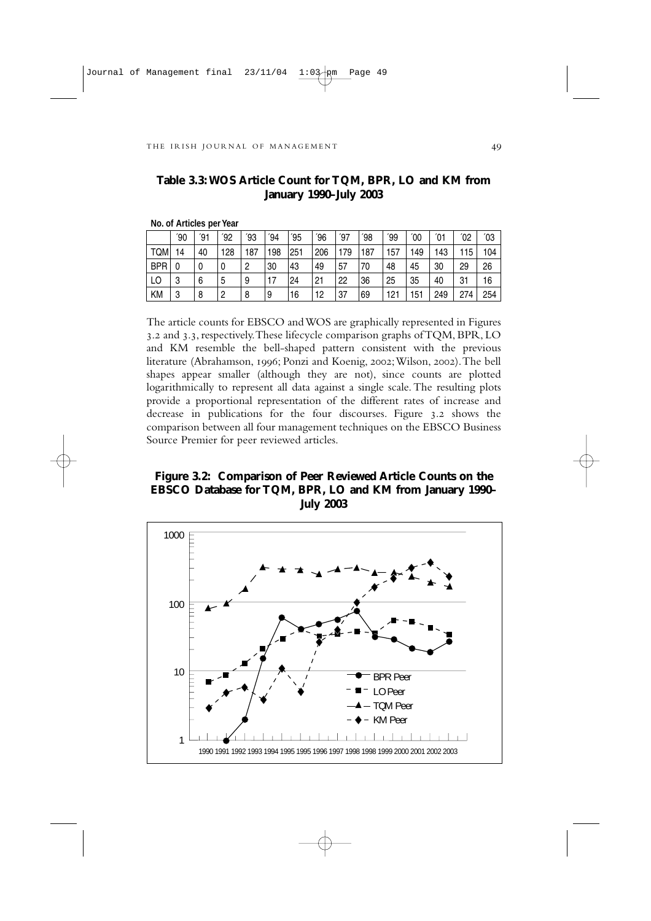**No. of Articles per Year**

|            | $^{\prime}90$ | ΄91 | '92 | ʹ93            | $^{\prime}94$ | $^{\prime}95$ | $^{\prime}96$ | ΄97 | $^{\prime}98$ | '99 | 00 <sup>'</sup> | $^{\prime}$ 01 | $^{\prime}02$ | '03 |
|------------|---------------|-----|-----|----------------|---------------|---------------|---------------|-----|---------------|-----|-----------------|----------------|---------------|-----|
| <b>TQM</b> | 14            | 40  | 128 | 187            | 198           | 251           | 206           | 179 | 187           | 157 | 149             | 143            | 115           | 104 |
| <b>BPR</b> | 0             | 0   | 0   | $\overline{c}$ | 30            | 43            | 49            | 57  | 70            | 48  | 45              | 30             | 29            | 26  |
| LO         | 3             | 6   | 5   | 9              | 17            | 24            | 21            | 22  | 36            | 25  | 35              | 40             | 31            | 16  |
| ΚM         | 3             | 8   | 2   | 8              | 9             | 16            | 12            | 37  | 69            | 121 | 151             | 249            | 274           | 254 |

## **Table 3.3:WOS Article Count for TQM, BPR, LO and KM from January 1990–July 2003**

The article counts for EBSCO and WOS are graphically represented in Figures 3.2 and 3.3, respectively. These lifecycle comparison graphs of TQM, BPR, LO and KM resemble the bell-shaped pattern consistent with the previous literature (Abrahamson, 1996; Ponzi and Koenig, 2002; Wilson, 2002). The bell shapes appear smaller (although they are not), since counts are plotted logarithmically to represent all data against a single scale. The resulting plots provide a proportional representation of the different rates of increase and  $\frac{1}{2}$  decrease in publications for the four discourses. Figure 3.2 shows the comparison between all four management techniques on the EBSCO Business Source Premier for peer reviewed articles.

## **Figure 3.2: Comparison of Peer Reviewed Article Counts on the EBSCO Database for TQM, BPR, LO and KM from January 1990– July 2003**

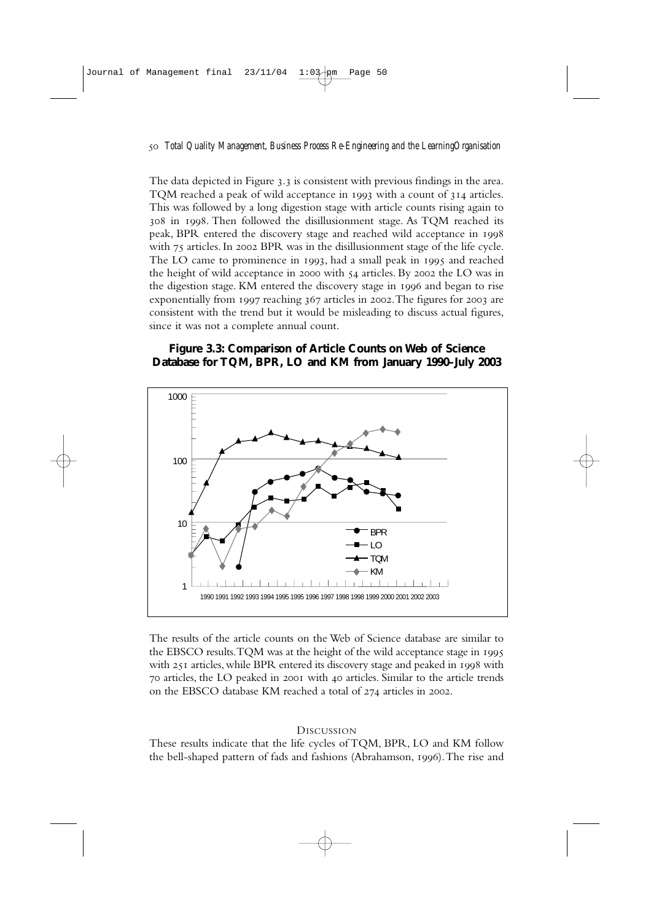The data depicted in Figure 3.3 is consistent with previous findings in the area. TOM reached a peak of wild acceptance in  $1993$  with a count of  $314$  articles. This was followed by a long digestion stage with article counts rising again to 308 in 1998. Then followed the disillusionment stage. As TQM reached its peak, BPR entered the discovery stage and reached wild acceptance in with 75 articles. In 2002 BPR was in the disillusionment stage of the life cycle. The LO came to prominence in  $1993$ , had a small peak in  $1995$  and reached the height of wild acceptance in 2000 with  $54$  articles. By 2002 the LO was in the digestion stage. KM entered the discovery stage in 1996 and began to rise exponentially from  $1997$  reaching  $367$  articles in 2002. The figures for 2003 are consistent with the trend but it would be misleading to discuss actual figures, since it was not a complete annual count.

## **Figure 3.3: Comparison of Article Counts on Web of Science Database for TQM, BPR, LO and KM from January 1990–July 2003**



The results of the article counts on the Web of Science database are similar to the EBSCO results.TQM was at the height of the wild acceptance stage in with 251 articles, while BPR entered its discovery stage and peaked in 1998 with 70 articles, the LO peaked in 2001 with 40 articles. Similar to the article trends on the EBSCO database KM reached a total of  $274$  articles in 2002.

#### **DISCUSSION**

These results indicate that the life cycles of TQM, BPR, LO and KM follow the bell-shaped pattern of fads and fashions (Abrahamson, 1996). The rise and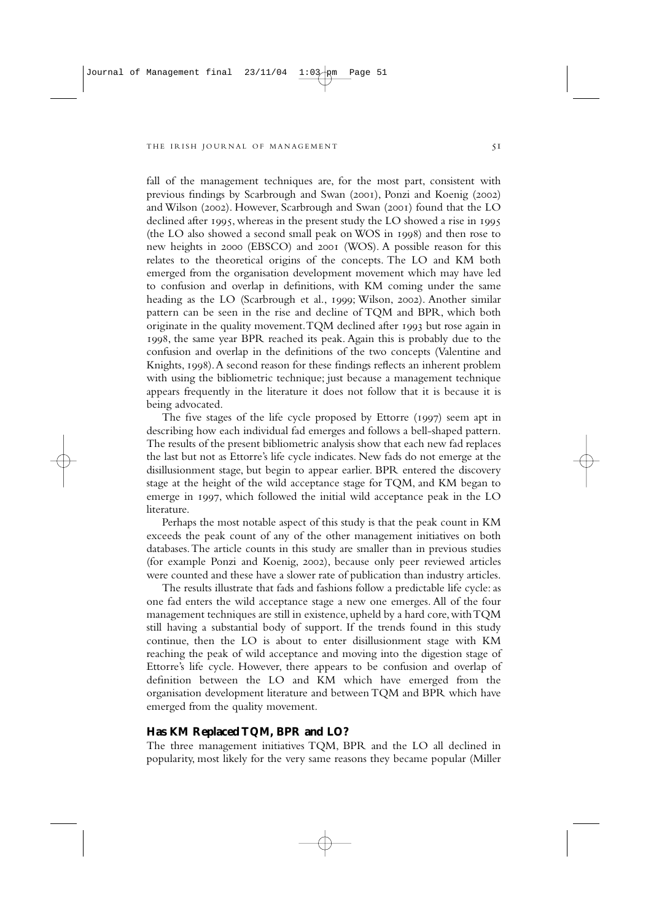fall of the management techniques are, for the most part, consistent with previous findings by Scarbrough and Swan (2001). Ponzi and Koenig (2002) and Wilson (2002). However, Scarbrough and Swan (2001) found that the LO declined after 1995, whereas in the present study the LO showed a rise in 1995 (the LO also showed a second small peak on WOS in 1998) and then rose to new heights in 2000 (EBSCO) and 2001 (WOS). A possible reason for this relates to the theoretical origins of the concepts. The LO and KM both emerged from the organisation development movement which may have led to confusion and overlap in definitions, with KM coming under the same heading as the LO (Scarbrough et al., 1999; Wilson, 2002). Another similar pattern can be seen in the rise and decline of TQM and BPR, which both originate in the quality movement. TQM declined after 1993 but rose again in 1998, the same year BPR reached its peak. Again this is probably due to the confusion and overlap in the definitions of the two concepts (Valentine and Knights, 1998). A second reason for these findings reflects an inherent problem with using the bibliometric technique; just because a management technique appears frequently in the literature it does not follow that it is because it is being advocated.

The five stages of the life cycle proposed by Ettorre  $(1997)$  seem apt in describing how each individual fad emerges and follows a bell-shaped pattern. The results of the present bibliometric analysis show that each new fad replaces the last but not as Ettorre's life cycle indicates. New fads do not emerge at the disillusionment stage, but begin to appear earlier. BPR entered the discovery stage at the height of the wild acceptance stage for TQM, and KM began to emerge in 1997, which followed the initial wild acceptance peak in the LO literature.

Perhaps the most notable aspect of this study is that the peak count in KM exceeds the peak count of any of the other management initiatives on both databases.The article counts in this study are smaller than in previous studies (for example Ponzi and Koenig, 2002), because only peer reviewed articles were counted and these have a slower rate of publication than industry articles.

The results illustrate that fads and fashions follow a predictable life cycle: as one fad enters the wild acceptance stage a new one emerges. All of the four management techniques are still in existence, upheld by a hard core, with TQM still having a substantial body of support. If the trends found in this study continue, then the LO is about to enter disillusionment stage with KM reaching the peak of wild acceptance and moving into the digestion stage of Ettorre's life cycle. However, there appears to be confusion and overlap of definition between the LO and KM which have emerged from the organisation development literature and between TQM and BPR which have emerged from the quality movement.

#### **Has KM Replaced TQM, BPR and LO?**

The three management initiatives TQM, BPR and the LO all declined in popularity, most likely for the very same reasons they became popular (Miller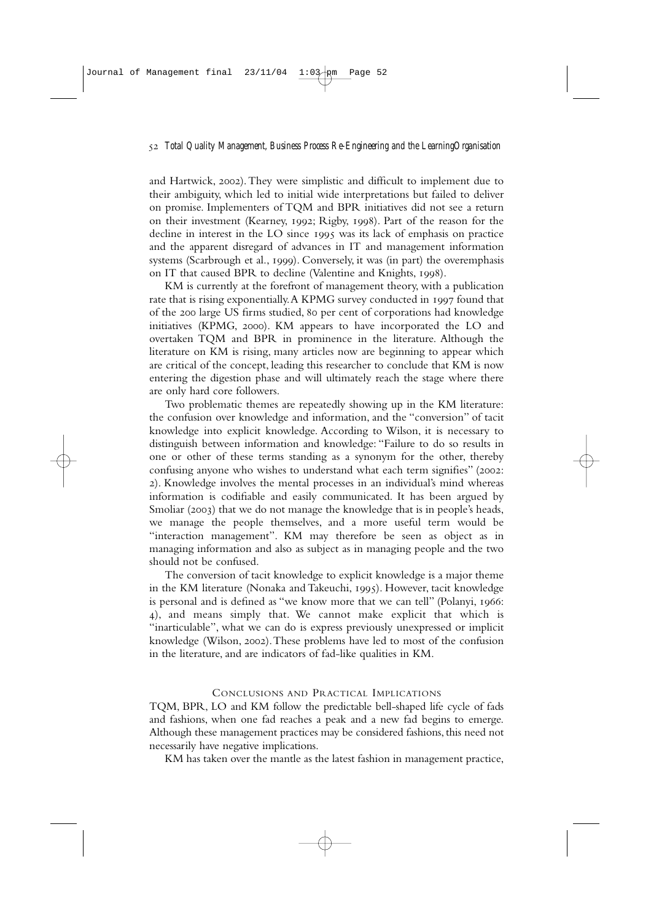and Hartwick, 2002). They were simplistic and difficult to implement due to their ambiguity, which led to initial wide interpretations but failed to deliver on promise. Implementers of TQM and BPR initiatives did not see a return on their investment (Kearney, 1992; Rigby, 1998). Part of the reason for the decline in interest in the LO since  $1995$  was its lack of emphasis on practice and the apparent disregard of advances in IT and management information systems (Scarbrough et al., 1999). Conversely, it was (in part) the overemphasis on IT that caused BPR to decline (Valentine and Knights, 1998).

KM is currently at the forefront of management theory, with a publication rate that is rising exponentially. A KPMG survey conducted in 1997 found that of the 200 large US firms studied, 80 per cent of corporations had knowledge initiatives (KPMG, 2000). KM appears to have incorporated the LO and overtaken TQM and BPR in prominence in the literature. Although the literature on KM is rising, many articles now are beginning to appear which are critical of the concept, leading this researcher to conclude that KM is now entering the digestion phase and will ultimately reach the stage where there are only hard core followers.

Two problematic themes are repeatedly showing up in the KM literature: the confusion over knowledge and information, and the "conversion" of tacit knowledge into explicit knowledge. According to Wilson, it is necessary to distinguish between information and knowledge: "Failure to do so results in one or other of these terms standing as a synonym for the other, thereby confusing anyone who wishes to understand what each term signifies" (2002: ). Knowledge involves the mental processes in an individual's mind whereas information is codifiable and easily communicated. It has been argued by Smoliar  $(2003)$  that we do not manage the knowledge that is in people's heads, we manage the people themselves, and a more useful term would be "interaction management". KM may therefore be seen as object as in managing information and also as subject as in managing people and the two should not be confused.

The conversion of tacit knowledge to explicit knowledge is a major theme in the KM literature (Nonaka and Takeuchi, 1995). However, tacit knowledge is personal and is defined as "we know more that we can tell" (Polanyi, 1966: ), and means simply that. We cannot make explicit that which is "inarticulable", what we can do is express previously unexpressed or implicit knowledge (Wilson, 2002). These problems have led to most of the confusion in the literature, and are indicators of fad-like qualities in KM.

## CONCLUSIONS AND PRACTICAL IMPLICATIONS

TQM, BPR, LO and KM follow the predictable bell-shaped life cycle of fads and fashions, when one fad reaches a peak and a new fad begins to emerge. Although these management practices may be considered fashions, this need not necessarily have negative implications.

KM has taken over the mantle as the latest fashion in management practice,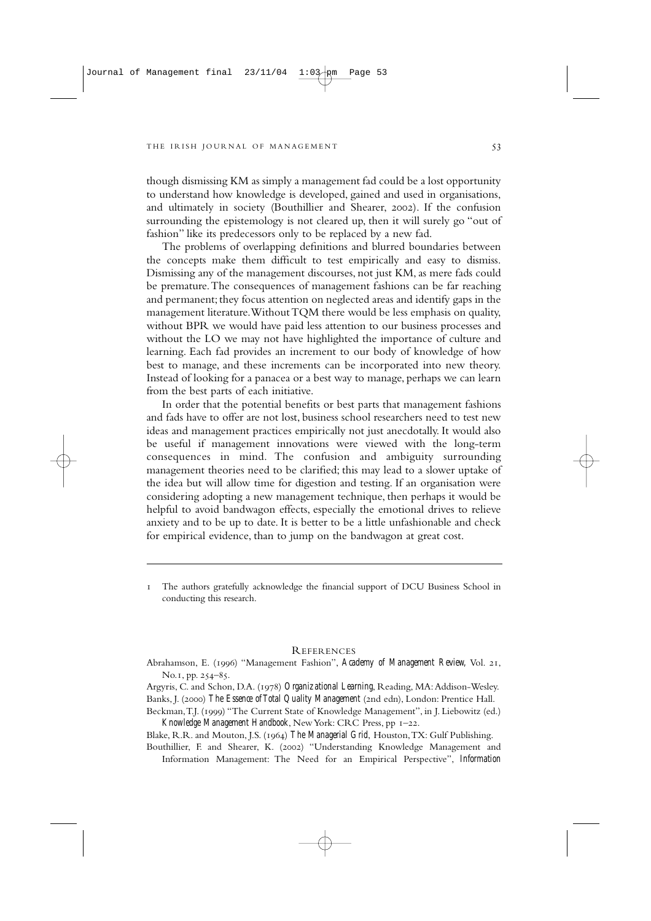though dismissing KM as simply a management fad could be a lost opportunity to understand how knowledge is developed, gained and used in organisations, and ultimately in society (Bouthillier and Shearer, 2002). If the confusion surrounding the epistemology is not cleared up, then it will surely go "out of fashion" like its predecessors only to be replaced by a new fad.

The problems of overlapping definitions and blurred boundaries between the concepts make them difficult to test empirically and easy to dismiss. Dismissing any of the management discourses, not just KM, as mere fads could be premature.The consequences of management fashions can be far reaching and permanent; they focus attention on neglected areas and identify gaps in the management literature.Without TQM there would be less emphasis on quality, without BPR we would have paid less attention to our business processes and without the LO we may not have highlighted the importance of culture and learning. Each fad provides an increment to our body of knowledge of how best to manage, and these increments can be incorporated into new theory. Instead of looking for a panacea or a best way to manage, perhaps we can learn from the best parts of each initiative.

In order that the potential benefits or best parts that management fashions and fads have to offer are not lost, business school researchers need to test new ideas and management practices empirically not just anecdotally. It would also be useful if management innovations were viewed with the long-term consequences in mind. The confusion and ambiguity surrounding management theories need to be clarified; this may lead to a slower uptake of the idea but will allow time for digestion and testing. If an organisation were considering adopting a new management technique, then perhaps it would be helpful to avoid bandwagon effects, especially the emotional drives to relieve anxiety and to be up to date. It is better to be a little unfashionable and check for empirical evidence, than to jump on the bandwagon at great cost.

#### **REFERENCES**

Abrahamson, E. (1996) "Management Fashion", *Academy of Management Review*, Vol. 21, No.1, pp. 254-85.

Argyris, C. and Schon, D.A. (1978) *Organizational Learning*, Reading, MA: Addison-Wesley. Banks, J. (2000) The Essence of Total Quality Management (2nd edn), London: Prentice Hall.

Beckman, T.J. (1999) "The Current State of Knowledge Management", in J. Liebowitz (ed.) *Knowledge Management Handbook*, New York: CRC Press, pp 1-22.

Blake, R.R. and Mouton, J.S. () *The Managerial Grid*, Houston,TX: Gulf Publishing.

Bouthillier, F. and Shearer, K. (2002) "Understanding Knowledge Management and Information Management: The Need for an Empirical Perspective", *Information*

The authors gratefully acknowledge the financial support of DCU Business School in conducting this research.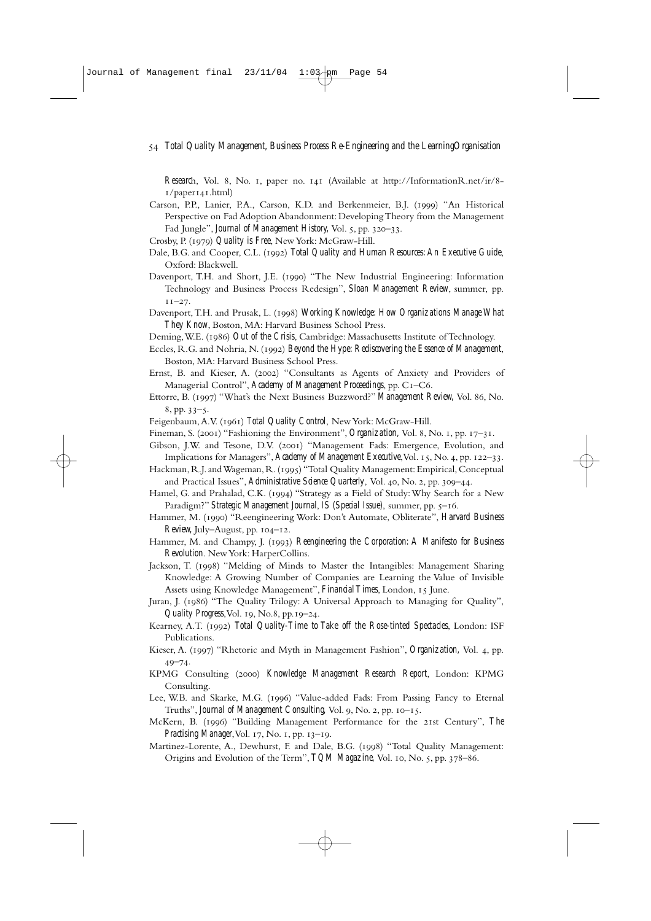*Research*, Vol. 8, No. 1, paper no. 141 (Available at http://InformationR.net/ir/8- $I$ /paper141.html)

- Carson, P.P., Lanier, P.A., Carson, K.D. and Berkenmeier, B.J. (1999) "An Historical Perspective on Fad Adoption Abandonment: Developing Theory from the Management Fad Jungle", *Journal of Management History*, Vol. 5, pp. 320-33.
- Crosby, P. () *Quality is Free*, New York: McGraw-Hill.
- Dale, B.G. and Cooper, C.L. (1992) *Total Quality and Human Resources: An Executive Guide*, Oxford: Blackwell.
- Davenport, T.H. and Short, J.E. (1990) "The New Industrial Engineering: Information Technology and Business Process Redesign", *Sloan Management Review*, summer, pp.  $11 - 27$ .
- Davenport, T.H. and Prusak, L. (1998) Working Knowledge: How Organizations Manage What *They Know*, Boston, MA: Harvard Business School Press.
- Deming, W.E. (1986) *Out of the Crisis*, Cambridge: Massachusetts Institute of Technology.
- Eccles, R.G. and Nohria, N. (1992) *Beyond the Hype: Rediscovering the Essence of Management*, Boston, MA: Harvard Business School Press.
- Ernst, B. and Kieser, A. (2002) "Consultants as Agents of Anxiety and Providers of Managerial Control", *Academy of Management Proceedings*, pp. C–C.
- Ettorre, B. (1997) "What's the Next Business Buzzword?" *Management Review*, Vol. 86, No.  $8, pp. 33 - 5.$
- Feigenbaum, A.V. (1961) Total Quality Control, New York: McGraw-Hill.
- Fineman, S. (2001) "Fashioning the Environment", *Organization*, Vol. 8, No. 1, pp. 17–31.
- Gibson, J.W. and Tesone, D.V. (2001) "Management Fads: Emergence, Evolution, and Implications for Managers", *Academy of Management Executive*, Vol. 15, No. 4, pp. 122-33.
- Hackman, R.J. and Wageman, R. (1995) "Total Quality Management: Empirical, Conceptual and Practical Issues", *Administrative Science Quarterly*, Vol. 40, No. 2, pp. 309-44.
- Hamel, G. and Prahalad, C.K. (1994) "Strategy as a Field of Study: Why Search for a New Paradigm?" *Strategic Management Journal, IS (Special Issue)*, summer, pp. 5-16.
- Hammer, M. (1990) "Reengineering Work: Don't Automate, Obliterate", *Harvard Business*  $Review$ , July–August, pp.  $104-12$ .
- Hammer, M. and Champy, J. (1993) *Reengineering the Corporation: A Manifesto for Business Revolution*. New York: HarperCollins.
- Jackson, T. (1998) "Melding of Minds to Master the Intangibles: Management Sharing Knowledge: A Growing Number of Companies are Learning the Value of Invisible Assets using Knowledge Management", *Financial Times*, London, 15 June.
- Juran, J. (1986) "The Quality Trilogy: A Universal Approach to Managing for Quality", *Quality Progress*, Vol. 19, No.8, pp.19-24.
- Kearney, A.T. (1992) *Total Quality-Time to Take off the Rose-tinted Spectacles*, London: ISF Publications.
- Kieser, A. (1997) "Rhetoric and Myth in Management Fashion", *Organization*, Vol. 4, pp.  $49 - 74$
- KPMG Consulting () *Knowledge Management Research Report*, London: KPMG Consulting.
- Lee, W.B. and Skarke, M.G. (1996) "Value-added Fads: From Passing Fancy to Eternal Truths", *Journal of Management Consulting*, Vol. 9, No. 2, pp. 10-15.
- McKern, B. (1996) "Building Management Performance for the 21st Century", *The Practising Manager*, Vol. 17, No. 1, pp. 13-19.
- Martinez-Lorente, A., Dewhurst, F. and Dale, B.G. (1998) "Total Quality Management: Origins and Evolution of the Term", *TQM Magazine*, Vol. 10, No. 5, pp. 378-86.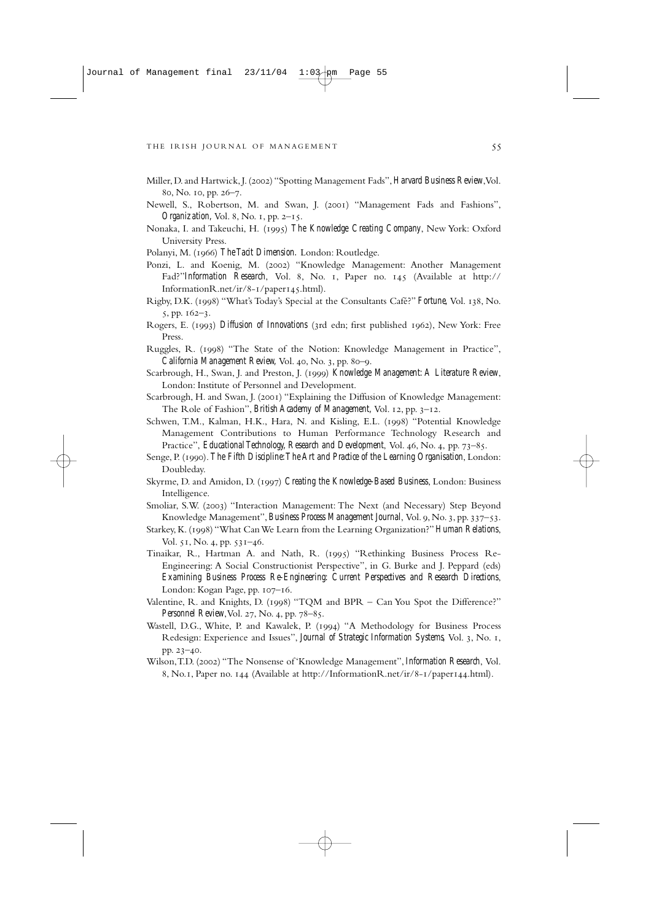- Miller, D. and Hartwick, J. (2002) "Spotting Management Fads", Harvard Business Review, Vol. 80, No. 10, pp. 26-7.
- Newell, S., Robertson, M. and Swan, J. (2001) "Management Fads and Fashions", *Organization*, Vol. 8, No. 1, pp. 2-15.
- Nonaka, I. and Takeuchi, H. (1995) The Knowledge Creating Company, New York: Oxford University Press.
- Polanyi, M. (1966) The Tacit Dimension. London: Routledge.
- Ponzi, L. and Koenig, M. (2002) "Knowledge Management: Another Management Fad?"*Information Research*, Vol. 8, No. 1, Paper no. 145 (Available at http:// InformationR.net/ir/8-1/paper145.html).
- Rigby, D.K. (1998) "What's Today's Special at the Consultants Café?" Fortune, Vol. 138, No.  $5, pp. 162 - 3.$
- Rogers, E. (1993) *Diffusion of Innovations* (3rd edn; first published 1962), New York: Free Press.
- Ruggles, R. (1998) "The State of the Notion: Knowledge Management in Practice", *California Management Review, Vol. 40, No. 3, pp. 80-9.*
- Scarbrough, H., Swan, J. and Preston, J. (1999) *Knowledge Management: A Literature Review*, London: Institute of Personnel and Development.
- Scarbrough, H. and Swan, J. (2001) "Explaining the Diffusion of Knowledge Management: The Role of Fashion", *British Academy of Management*, Vol. 12, pp. 3–12.
- Schwen, T.M., Kalman, H.K., Hara, N. and Kisling, E.L. (1998) "Potential Knowledge Management Contributions to Human Performance Technology Research and Practice", *Educational Technology, Research and Development*, Vol. 46, No. 4, pp. 73-85.
- Senge, P. (1990). *The Fifth Discipline: The Art and Practice of the Learning Organisation*, London: Doubleday.
- Skyrme, D. and Amidon, D. () *Creating the Knowledge-Based Business*, London: Business Intelligence.
- Smoliar, S.W. (2003) "Interaction Management: The Next (and Necessary) Step Beyond Knowledge Management", *Business Process Management Journal*, Vol. 9, No. 3, pp. 337–53.
- Starkey, K. () "What Can We Learn from the Learning Organization?" *Human Relations*, Vol. 51, No. 4, pp. 531-46.
- Tinaikar, R., Hartman A. and Nath, R. (1995) "Rethinking Business Process Re-Engineering: A Social Constructionist Perspective", in G. Burke and J. Peppard (eds) *Examining Business Process Re-Engineering: Current Perspectives and Research Directions*, London: Kogan Page, pp.  $107 - 16$ .
- Valentine, R. and Knights, D. (1998) "TQM and BPR Can You Spot the Difference?" *Personnel Review*, Vol. 27, No. 4, pp. 78-85.
- Wastell, D.G., White, P. and Kawalek, P. (1994) "A Methodology for Business Process Redesign: Experience and Issues", *Journal of Strategic Information Systems*, Vol. 3, No. 1, pp. 23-40.
- Wilson,T.D. () "The Nonsense of 'Knowledge Management", *Information Research*, Vol. 8, No.1, Paper no. 144 (Available at http://InformationR.net/ir/8-1/paper144.html).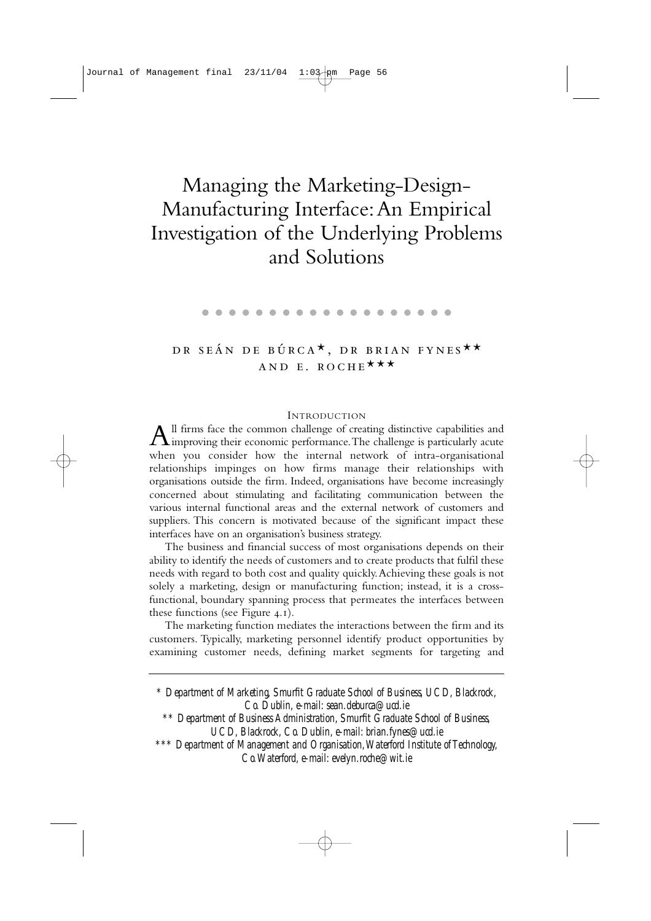# Managing the Marketing-Design-Manufacturing Interface:An Empirical Investigation of the Underlying Problems and Solutions

. . . . . . . . . . . . . . . . . . .

# DR SEÁN DE BÚRCA<sup>\*</sup>, DR BRIAN FYNES<sup>\*\*</sup> AND E. ROCHE \*\*\*

### **INTRODUCTION**

 $A$ <sup>ll</sup> firms face the common challenge of creating distinctive capabilities and improving their economic performance. The challenge is particularly acute when you consider how the internal network of intra-organisational relationships impinges on how firms manage their relationships with organisations outside the firm. Indeed, organisations have become increasingly concerned about stimulating and facilitating communication between the various internal functional areas and the external network of customers and suppliers. This concern is motivated because of the significant impact these interfaces have on an organisation's business strategy.

The business and financial success of most organisations depends on their ability to identify the needs of customers and to create products that fulfil these needs with regard to both cost and quality quickly.Achieving these goals is not solely a marketing, design or manufacturing function; instead, it is a crossfunctional, boundary spanning process that permeates the interfaces between these functions (see Figure  $4.1$ ).

The marketing function mediates the interactions between the firm and its customers. Typically, marketing personnel identify product opportunities by examining customer needs, defining market segments for targeting and

*\* Department of Marketing, Smurfit Graduate School of Business, UCD, Blackrock, Co. Dublin, e-mail: sean.deburca@ucd.ie \*\* Department of Business Administration, Smurfit Graduate School of Business, UCD, Blackrock, Co. Dublin, e-mail: brian.fynes@ucd.ie \*\*\* Department of Management and Organisation,Waterford Institute of Technology, Co.Waterford, e-mail: evelyn.roche@wit.ie*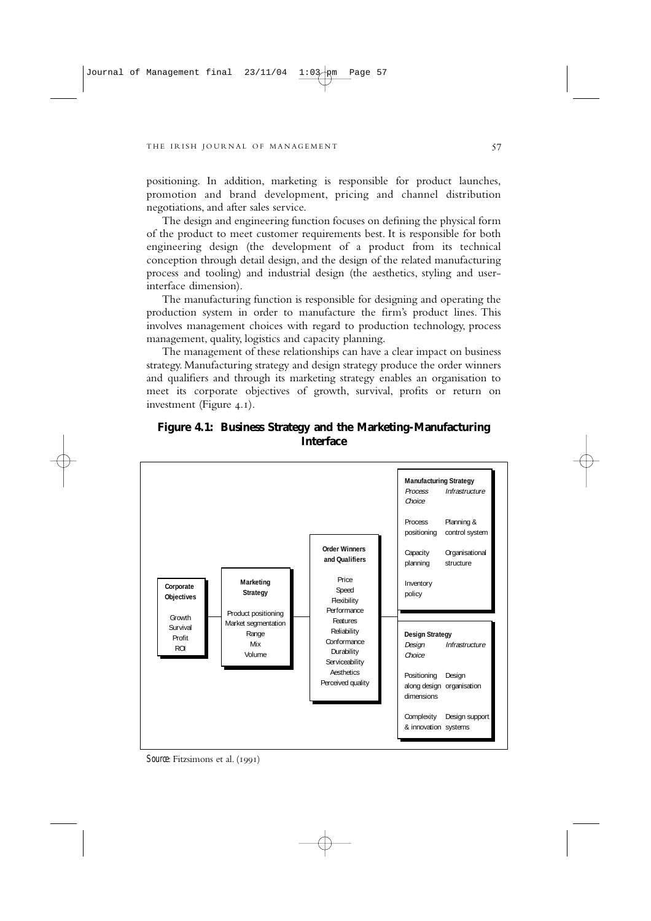positioning. In addition, marketing is responsible for product launches, promotion and brand development, pricing and channel distribution negotiations, and after sales service.

The design and engineering function focuses on defining the physical form of the product to meet customer requirements best. It is responsible for both engineering design (the development of a product from its technical conception through detail design, and the design of the related manufacturing process and tooling) and industrial design (the aesthetics, styling and userinterface dimension).

The manufacturing function is responsible for designing and operating the production system in order to manufacture the firm's product lines. This involves management choices with regard to production technology, process management, quality, logistics and capacity planning.

The management of these relationships can have a clear impact on business strategy. Manufacturing strategy and design strategy produce the order winners and qualifiers and through its marketing strategy enables an organisation to meet its corporate objectives of growth, survival, profits or return on investment (Figure  $4.1$ ).

**Figure 4.1: Business Strategy and the Marketing-Manufacturing Interface**



*Source*: Fitzsimons et al. (1991)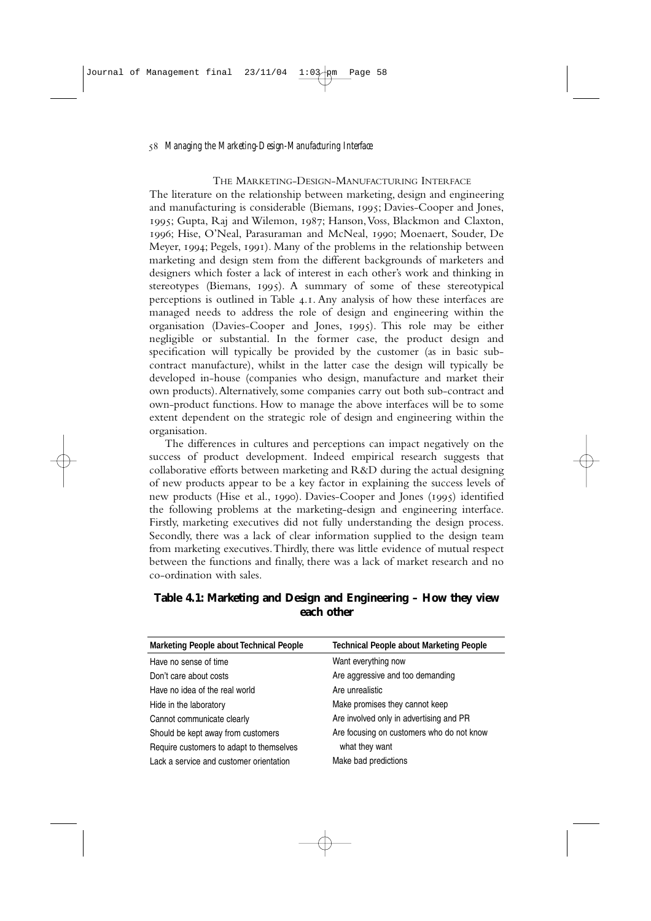#### THE MARKETING-DESIGN-MANUFACTURING INTERFACE

The literature on the relationship between marketing, design and engineering and manufacturing is considerable (Biemans, 1995; Davies-Cooper and Jones, 1995; Gupta, Raj and Wilemon, 1987; Hanson, Voss, Blackmon and Claxton. 1996: Hise, O'Neal, Parasuraman and McNeal, 1990; Moenaert, Souder, De Meyer, 1994; Pegels, 1991). Many of the problems in the relationship between marketing and design stem from the different backgrounds of marketers and designers which foster a lack of interest in each other's work and thinking in stereotypes (Biemans, 1995). A summary of some of these stereotypical perceptions is outlined in Table  $\alpha$ . Any analysis of how these interfaces are managed needs to address the role of design and engineering within the organisation (Davies-Cooper and Jones, 1995). This role may be either negligible or substantial. In the former case, the product design and specification will typically be provided by the customer (as in basic subcontract manufacture), whilst in the latter case the design will typically be developed in-house (companies who design, manufacture and market their own products).Alternatively, some companies carry out both sub-contract and own-product functions. How to manage the above interfaces will be to some extent dependent on the strategic role of design and engineering within the organisation.

The differences in cultures and perceptions can impact negatively on the success of product development. Indeed empirical research suggests that collaborative efforts between marketing and R&D during the actual designing of new products appear to be a key factor in explaining the success levels of new products (Hise et al., 1990). Davies-Cooper and Jones (1995) identified the following problems at the marketing-design and engineering interface. Firstly, marketing executives did not fully understanding the design process. Secondly, there was a lack of clear information supplied to the design team from marketing executives.Thirdly, there was little evidence of mutual respect between the functions and finally, there was a lack of market research and no co-ordination with sales.

| <b>Marketing People about Technical People</b> | <b>Technical People about Marketing People</b> |
|------------------------------------------------|------------------------------------------------|
| Have no sense of time                          | Want everything now                            |
| Don't care about costs                         | Are aggressive and too demanding               |
| Have no idea of the real world                 | Are unrealistic                                |
| Hide in the laboratory                         | Make promises they cannot keep                 |
| Cannot communicate clearly                     | Are involved only in advertising and PR        |
| Should be kept away from customers             | Are focusing on customers who do not know      |
| Require customers to adapt to themselves       | what they want                                 |
| Lack a service and customer orientation        | Make bad predictions                           |

**Table 4.1: Marketing and Design and Engineering – How they view each other**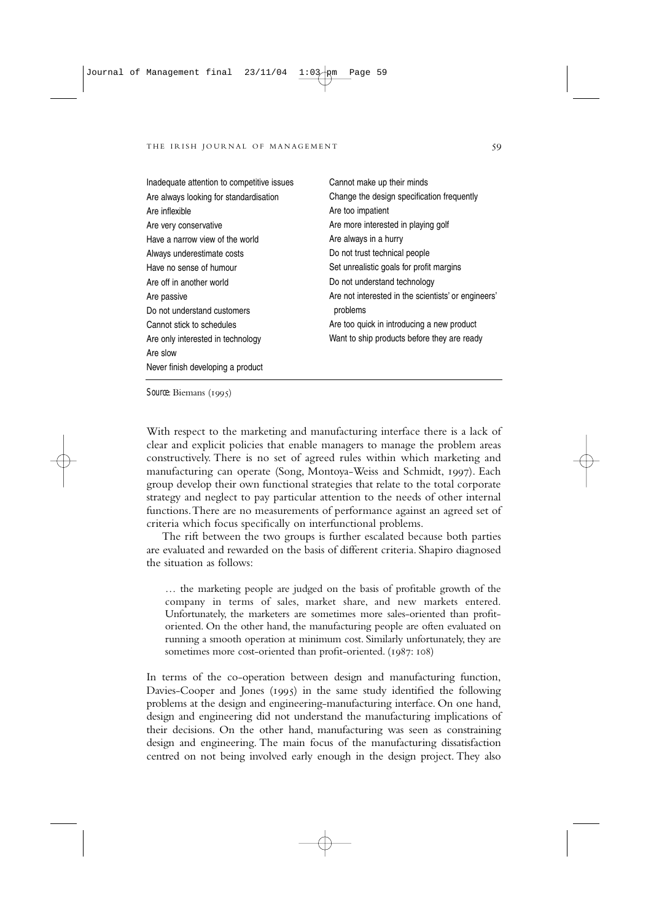| Inadequate attention to competitive issues | Cannot make up their minds                          |
|--------------------------------------------|-----------------------------------------------------|
| Are always looking for standardisation     | Change the design specification frequently          |
| Are inflexible                             | Are too impatient                                   |
| Are very conservative                      | Are more interested in playing golf                 |
| Have a narrow view of the world            | Are always in a hurry                               |
| Always underestimate costs                 | Do not trust technical people                       |
| Have no sense of humour                    | Set unrealistic goals for profit margins            |
| Are off in another world                   | Do not understand technology                        |
| Are passive                                | Are not interested in the scientists' or engineers' |
| Do not understand customers                | problems                                            |
| Cannot stick to schedules                  | Are too quick in introducing a new product          |
| Are only interested in technology          | Want to ship products before they are ready         |
| Are slow                                   |                                                     |
| Never finish developing a product          |                                                     |

*Source*: Biemans (1995)

With respect to the marketing and manufacturing interface there is a lack of clear and explicit policies that enable managers to manage the problem areas constructively. There is no set of agreed rules within which marketing and manufacturing can operate (Song, Montoya-Weiss and Schmidt, 1997). Each group develop their own functional strategies that relate to the total corporate strategy and neglect to pay particular attention to the needs of other internal functions.There are no measurements of performance against an agreed set of criteria which focus specifically on interfunctional problems.

The rift between the two groups is further escalated because both parties are evaluated and rewarded on the basis of different criteria. Shapiro diagnosed the situation as follows:

… the marketing people are judged on the basis of profitable growth of the company in terms of sales, market share, and new markets entered. Unfortunately, the marketers are sometimes more sales-oriented than profitoriented. On the other hand, the manufacturing people are often evaluated on running a smooth operation at minimum cost. Similarly unfortunately, they are sometimes more cost-oriented than profit-oriented. (1987: 108)

In terms of the co-operation between design and manufacturing function, Davies-Cooper and Jones (1995) in the same study identified the following problems at the design and engineering-manufacturing interface. On one hand, design and engineering did not understand the manufacturing implications of their decisions. On the other hand, manufacturing was seen as constraining design and engineering. The main focus of the manufacturing dissatisfaction centred on not being involved early enough in the design project. They also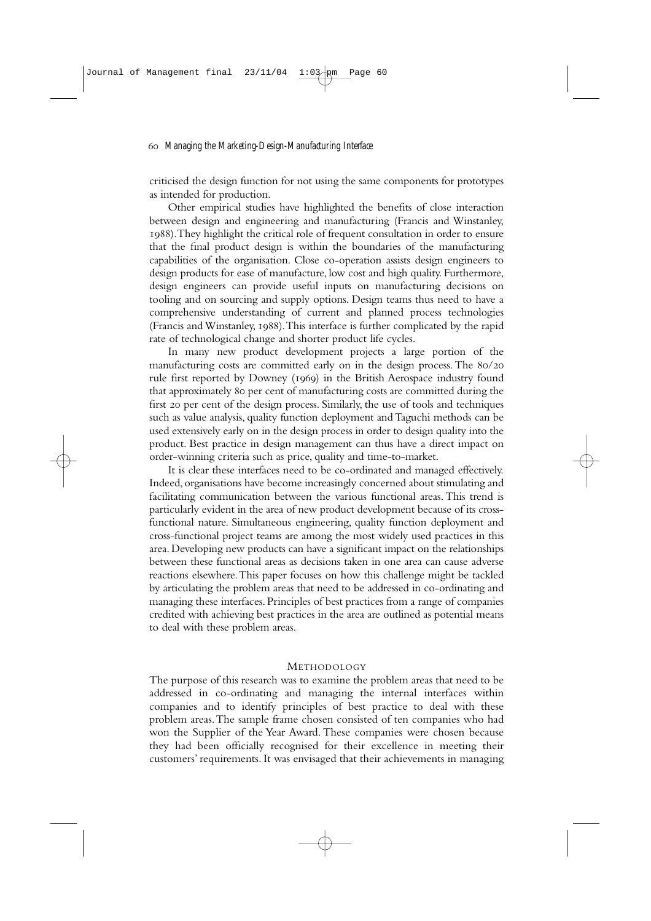criticised the design function for not using the same components for prototypes as intended for production.

Other empirical studies have highlighted the benefits of close interaction between design and engineering and manufacturing (Francis and Winstanley, ).They highlight the critical role of frequent consultation in order to ensure that the final product design is within the boundaries of the manufacturing capabilities of the organisation. Close co-operation assists design engineers to design products for ease of manufacture, low cost and high quality. Furthermore, design engineers can provide useful inputs on manufacturing decisions on tooling and on sourcing and supply options. Design teams thus need to have a comprehensive understanding of current and planned process technologies (Francis and Winstanley, 1988). This interface is further complicated by the rapid rate of technological change and shorter product life cycles.

In many new product development projects a large portion of the manufacturing costs are committed early on in the design process. The  $80/20$ rule first reported by Downey (1969) in the British Aerospace industry found that approximately 80 per cent of manufacturing costs are committed during the first 20 per cent of the design process. Similarly, the use of tools and techniques such as value analysis, quality function deployment and Taguchi methods can be used extensively early on in the design process in order to design quality into the product. Best practice in design management can thus have a direct impact on order-winning criteria such as price, quality and time-to-market.

It is clear these interfaces need to be co-ordinated and managed effectively. Indeed, organisations have become increasingly concerned about stimulating and facilitating communication between the various functional areas. This trend is particularly evident in the area of new product development because of its crossfunctional nature. Simultaneous engineering, quality function deployment and cross-functional project teams are among the most widely used practices in this area. Developing new products can have a significant impact on the relationships between these functional areas as decisions taken in one area can cause adverse reactions elsewhere.This paper focuses on how this challenge might be tackled by articulating the problem areas that need to be addressed in co-ordinating and managing these interfaces. Principles of best practices from a range of companies credited with achieving best practices in the area are outlined as potential means to deal with these problem areas.

#### METHODOLOGY

The purpose of this research was to examine the problem areas that need to be addressed in co-ordinating and managing the internal interfaces within companies and to identify principles of best practice to deal with these problem areas.The sample frame chosen consisted of ten companies who had won the Supplier of the Year Award. These companies were chosen because they had been officially recognised for their excellence in meeting their customers' requirements. It was envisaged that their achievements in managing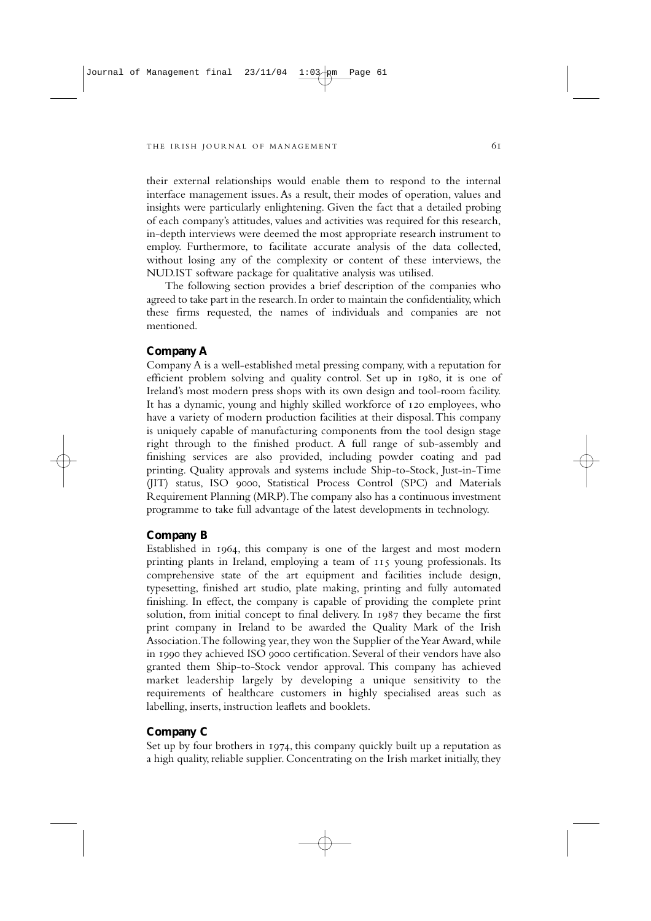their external relationships would enable them to respond to the internal interface management issues. As a result, their modes of operation, values and insights were particularly enlightening. Given the fact that a detailed probing of each company's attitudes, values and activities was required for this research, in-depth interviews were deemed the most appropriate research instrument to employ. Furthermore, to facilitate accurate analysis of the data collected, without losing any of the complexity or content of these interviews, the NUD.IST software package for qualitative analysis was utilised.

The following section provides a brief description of the companies who agreed to take part in the research. In order to maintain the confidentiality, which these firms requested, the names of individuals and companies are not mentioned.

### **Company A**

Company A is a well-established metal pressing company, with a reputation for efficient problem solving and quality control. Set up in 1980, it is one of Ireland's most modern press shops with its own design and tool-room facility. It has a dynamic, young and highly skilled workforce of 120 employees, who have a variety of modern production facilities at their disposal. This company is uniquely capable of manufacturing components from the tool design stage right through to the finished product. A full range of sub-assembly and finishing services are also provided, including powder coating and pad printing. Quality approvals and systems include Ship-to-Stock, Just-in-Time (JIT) status, ISO 9000, Statistical Process Control (SPC) and Materials Requirement Planning (MRP).The company also has a continuous investment programme to take full advantage of the latest developments in technology.

#### **Company B**

Established in 1964, this company is one of the largest and most modern printing plants in Ireland, employing a team of 115 young professionals. Its comprehensive state of the art equipment and facilities include design, typesetting, finished art studio, plate making, printing and fully automated finishing. In effect, the company is capable of providing the complete print solution, from initial concept to final delivery. In 1987 they became the first print company in Ireland to be awarded the Quality Mark of the Irish Association.The following year, they won the Supplier of the Year Award, while in 1990 they achieved ISO 9000 certification. Several of their vendors have also granted them Ship-to-Stock vendor approval. This company has achieved market leadership largely by developing a unique sensitivity to the requirements of healthcare customers in highly specialised areas such as labelling, inserts, instruction leaflets and booklets.

## **Company C**

Set up by four brothers in 1974, this company quickly built up a reputation as a high quality, reliable supplier. Concentrating on the Irish market initially, they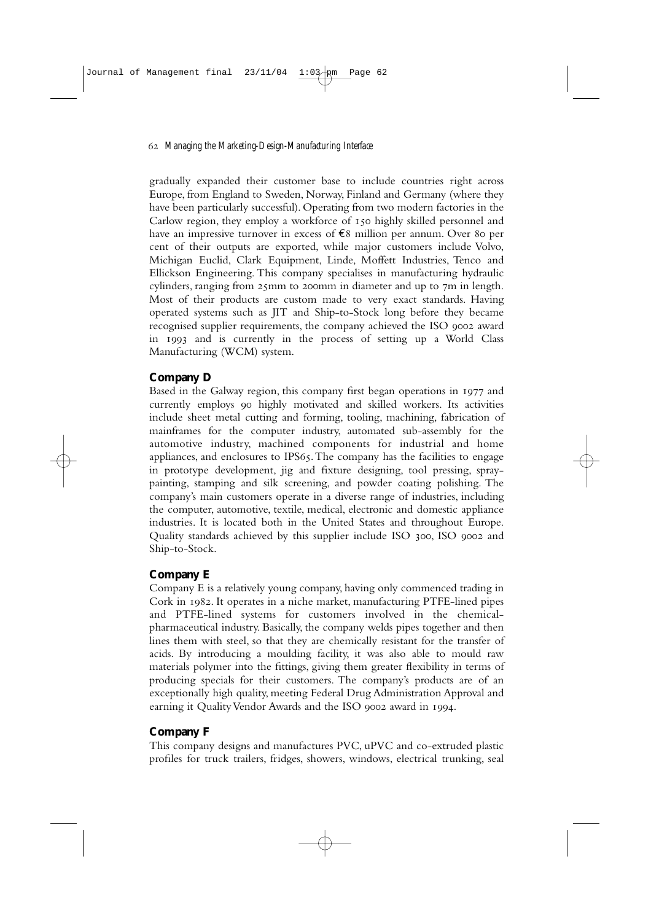gradually expanded their customer base to include countries right across Europe, from England to Sweden, Norway, Finland and Germany (where they have been particularly successful). Operating from two modern factories in the Carlow region, they employ a workforce of 150 highly skilled personnel and have an impressive turnover in excess of  $\epsilon$ 8 million per annum. Over 80 per cent of their outputs are exported, while major customers include Volvo, Michigan Euclid, Clark Equipment, Linde, Moffett Industries, Tenco and Ellickson Engineering. This company specialises in manufacturing hydraulic cylinders, ranging from  $25$ comm in diameter and up to  $7m$  in length. Most of their products are custom made to very exact standards. Having operated systems such as JIT and Ship-to-Stock long before they became recognised supplier requirements, the company achieved the ISO 9002 award in 1993 and is currently in the process of setting up a World Class Manufacturing (WCM) system.

## **Company D**

Based in the Galway region, this company first began operations in 1977 and currently employs highly motivated and skilled workers. Its activities include sheet metal cutting and forming, tooling, machining, fabrication of mainframes for the computer industry, automated sub-assembly for the automotive industry, machined components for industrial and home appliances, and enclosures to IPS65. The company has the facilities to engage in prototype development, jig and fixture designing, tool pressing, spraypainting, stamping and silk screening, and powder coating polishing. The company's main customers operate in a diverse range of industries, including the computer, automotive, textile, medical, electronic and domestic appliance industries. It is located both in the United States and throughout Europe. Quality standards achieved by this supplier include ISO 300, ISO 9002 and Ship-to-Stock.

## **Company E**

Company E is a relatively young company, having only commenced trading in Cork in 1982. It operates in a niche market, manufacturing PTFE-lined pipes and PTFE-lined systems for customers involved in the chemicalpharmaceutical industry. Basically, the company welds pipes together and then lines them with steel, so that they are chemically resistant for the transfer of acids. By introducing a moulding facility, it was also able to mould raw materials polymer into the fittings, giving them greater flexibility in terms of producing specials for their customers. The company's products are of an exceptionally high quality, meeting Federal Drug Administration Approval and earning it Quality Vendor Awards and the ISO 9002 award in 1994.

## **Company F**

This company designs and manufactures PVC, uPVC and co-extruded plastic profiles for truck trailers, fridges, showers, windows, electrical trunking, seal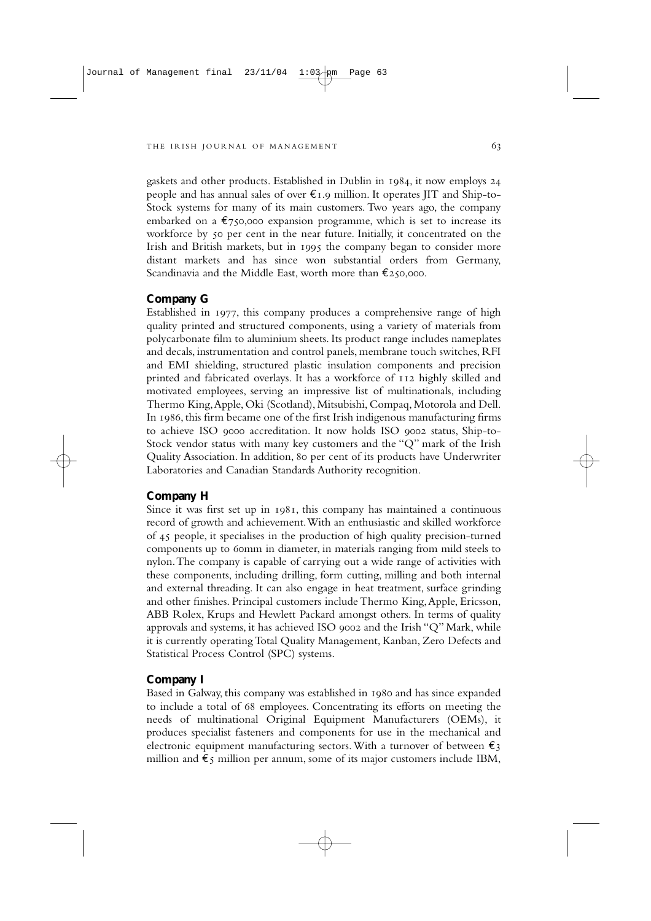gaskets and other products. Established in Dublin in 1984, it now employs 24 people and has annual sales of over  $\epsilon_{1.9}$  million. It operates IIT and Ship-to-Stock systems for many of its main customers. Two years ago, the company embarked on a  $\epsilon$ 750,000 expansion programme, which is set to increase its workforce by 50 per cent in the near future. Initially, it concentrated on the Irish and British markets, but in 1995 the company began to consider more distant markets and has since won substantial orders from Germany, Scandinavia and the Middle East, worth more than  $\epsilon$ 250,000.

## **Company G**

Established in 1977, this company produces a comprehensive range of high quality printed and structured components, using a variety of materials from polycarbonate film to aluminium sheets. Its product range includes nameplates and decals, instrumentation and control panels, membrane touch switches, RFI and EMI shielding, structured plastic insulation components and precision printed and fabricated overlays. It has a workforce of  $112$  highly skilled and motivated employees, serving an impressive list of multinationals, including Thermo King,Apple, Oki (Scotland), Mitsubishi, Compaq, Motorola and Dell. In 1986, this firm became one of the first Irish indigenous manufacturing firms to achieve ISO 0000 accreditation. It now holds ISO 0002 status, Ship-to-Stock vendor status with many key customers and the "Q" mark of the Irish Quality Association. In addition, 80 per cent of its products have Underwriter Laboratories and Canadian Standards Authority recognition.

#### **Company H**

Since it was first set up in  $1081$ , this company has maintained a continuous record of growth and achievement.With an enthusiastic and skilled workforce of people, it specialises in the production of high quality precision-turned components up to 60mm in diameter, in materials ranging from mild steels to nylon.The company is capable of carrying out a wide range of activities with these components, including drilling, form cutting, milling and both internal and external threading. It can also engage in heat treatment, surface grinding and other finishes. Principal customers include Thermo King,Apple, Ericsson, ABB Rolex, Krups and Hewlett Packard amongst others. In terms of quality approvals and systems, it has achieved ISO 9002 and the Irish "Q" Mark, while it is currently operating Total Quality Management, Kanban, Zero Defects and Statistical Process Control (SPC) systems.

#### **Company I**

Based in Galway, this company was established in 1980 and has since expanded to include a total of 68 employees. Concentrating its efforts on meeting the needs of multinational Original Equipment Manufacturers (OEMs), it produces specialist fasteners and components for use in the mechanical and electronic equipment manufacturing sectors. With a turnover of between  $\epsilon_3$ million and  $\epsilon_5$  million per annum, some of its major customers include IBM,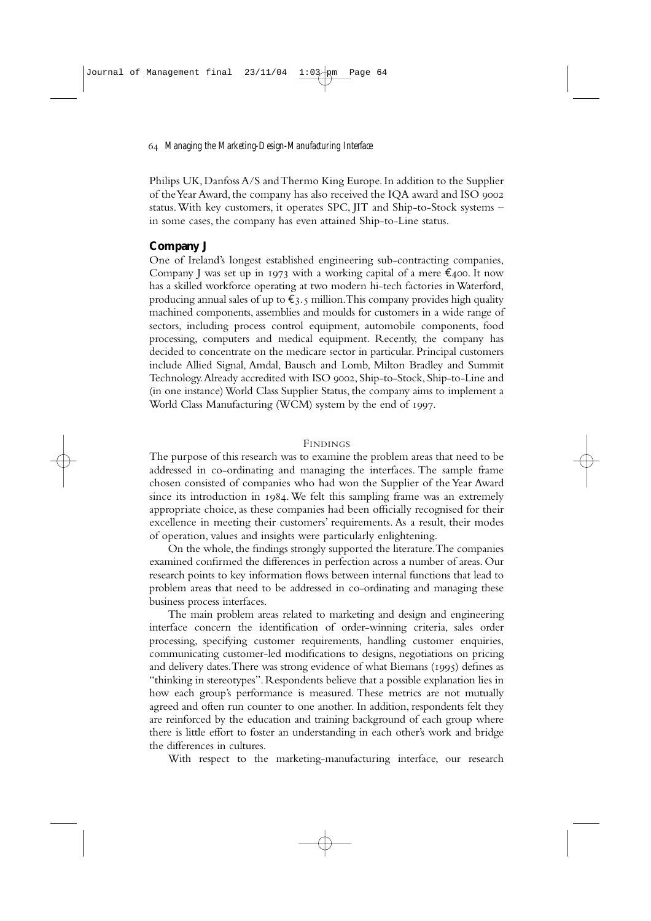Philips UK, Danfoss A/S and Thermo King Europe. In addition to the Supplier of the Year Award, the company has also received the IQA award and ISO status.With key customers, it operates SPC, JIT and Ship-to-Stock systems – in some cases, the company has even attained Ship-to-Line status.

## **Company J**

One of Ireland's longest established engineering sub-contracting companies, Company J was set up in 1973 with a working capital of a mere  $\epsilon_{400}$ . It now has a skilled workforce operating at two modern hi-tech factories in Waterford, producing annual sales of up to  $\widetilde{\epsilon}_3$ , million. This company provides high quality machined components, assemblies and moulds for customers in a wide range of sectors, including process control equipment, automobile components, food processing, computers and medical equipment. Recently, the company has decided to concentrate on the medicare sector in particular. Principal customers include Allied Signal, Amdal, Bausch and Lomb, Milton Bradley and Summit Technology. Already accredited with ISO 9002, Ship-to-Stock, Ship-to-Line and (in one instance) World Class Supplier Status, the company aims to implement a World Class Manufacturing (WCM) system by the end of 1997.

### FINDINGS

The purpose of this research was to examine the problem areas that need to be addressed in co-ordinating and managing the interfaces. The sample frame chosen consisted of companies who had won the Supplier of the Year Award since its introduction in  $1084$ . We felt this sampling frame was an extremely appropriate choice, as these companies had been officially recognised for their excellence in meeting their customers' requirements. As a result, their modes of operation, values and insights were particularly enlightening.

On the whole, the findings strongly supported the literature.The companies examined confirmed the differences in perfection across a number of areas. Our research points to key information flows between internal functions that lead to problem areas that need to be addressed in co-ordinating and managing these business process interfaces.

The main problem areas related to marketing and design and engineering interface concern the identification of order-winning criteria, sales order processing, specifying customer requirements, handling customer enquiries, communicating customer-led modifications to designs, negotiations on pricing and delivery dates. There was strong evidence of what Biemans (1995) defines as "thinking in stereotypes". Respondents believe that a possible explanation lies in how each group's performance is measured. These metrics are not mutually agreed and often run counter to one another. In addition, respondents felt they are reinforced by the education and training background of each group where there is little effort to foster an understanding in each other's work and bridge the differences in cultures.

With respect to the marketing-manufacturing interface, our research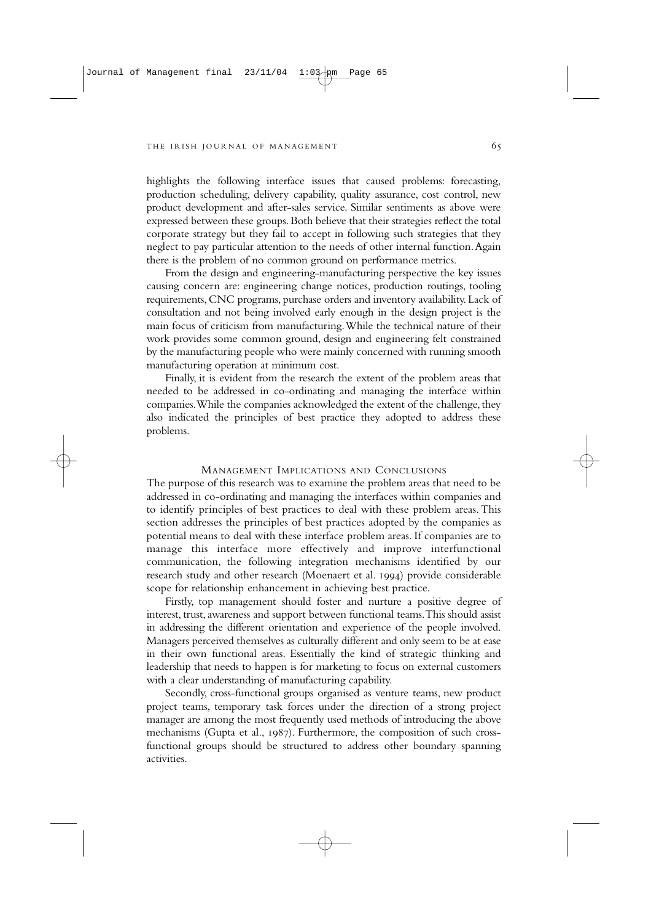highlights the following interface issues that caused problems: forecasting, production scheduling, delivery capability, quality assurance, cost control, new product development and after-sales service. Similar sentiments as above were expressed between these groups.Both believe that their strategies reflect the total corporate strategy but they fail to accept in following such strategies that they neglect to pay particular attention to the needs of other internal function.Again there is the problem of no common ground on performance metrics.

From the design and engineering-manufacturing perspective the key issues causing concern are: engineering change notices, production routings, tooling requirements, CNC programs, purchase orders and inventory availability. Lack of consultation and not being involved early enough in the design project is the main focus of criticism from manufacturing.While the technical nature of their work provides some common ground, design and engineering felt constrained by the manufacturing people who were mainly concerned with running smooth manufacturing operation at minimum cost.

Finally, it is evident from the research the extent of the problem areas that needed to be addressed in co-ordinating and managing the interface within companies.While the companies acknowledged the extent of the challenge, they also indicated the principles of best practice they adopted to address these problems.

### MANAGEMENT IMPLICATIONS AND CONCLUSIONS

The purpose of this research was to examine the problem areas that need to be addressed in co-ordinating and managing the interfaces within companies and to identify principles of best practices to deal with these problem areas. This section addresses the principles of best practices adopted by the companies as potential means to deal with these interface problem areas. If companies are to manage this interface more effectively and improve interfunctional communication, the following integration mechanisms identified by our research study and other research (Moenaert et al. 1994) provide considerable scope for relationship enhancement in achieving best practice.

Firstly, top management should foster and nurture a positive degree of interest, trust, awareness and support between functional teams.This should assist in addressing the different orientation and experience of the people involved. Managers perceived themselves as culturally different and only seem to be at ease in their own functional areas. Essentially the kind of strategic thinking and leadership that needs to happen is for marketing to focus on external customers with a clear understanding of manufacturing capability.

Secondly, cross-functional groups organised as venture teams, new product project teams, temporary task forces under the direction of a strong project manager are among the most frequently used methods of introducing the above mechanisms (Gupta et al., 1987). Furthermore, the composition of such crossfunctional groups should be structured to address other boundary spanning activities.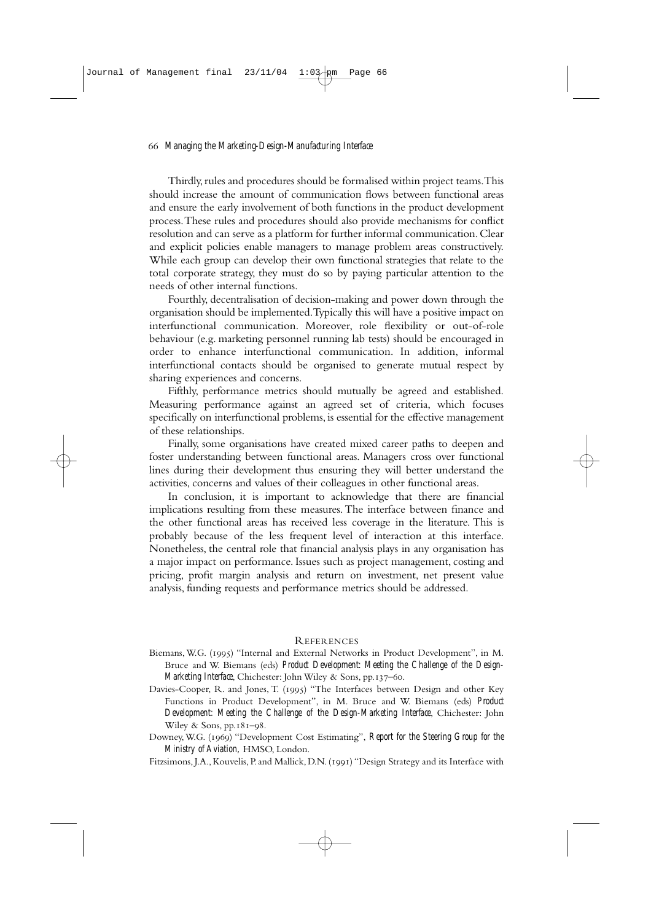Thirdly, rules and procedures should be formalised within project teams. This should increase the amount of communication flows between functional areas and ensure the early involvement of both functions in the product development process.These rules and procedures should also provide mechanisms for conflict resolution and can serve as a platform for further informal communication.Clear and explicit policies enable managers to manage problem areas constructively. While each group can develop their own functional strategies that relate to the total corporate strategy, they must do so by paying particular attention to the needs of other internal functions.

Fourthly, decentralisation of decision-making and power down through the organisation should be implemented.Typically this will have a positive impact on interfunctional communication. Moreover, role flexibility or out-of-role behaviour (e.g. marketing personnel running lab tests) should be encouraged in order to enhance interfunctional communication. In addition, informal interfunctional contacts should be organised to generate mutual respect by sharing experiences and concerns.

Fifthly, performance metrics should mutually be agreed and established. Measuring performance against an agreed set of criteria, which focuses specifically on interfunctional problems, is essential for the effective management of these relationships.

Finally, some organisations have created mixed career paths to deepen and foster understanding between functional areas. Managers cross over functional lines during their development thus ensuring they will better understand the activities, concerns and values of their colleagues in other functional areas.

In conclusion, it is important to acknowledge that there are financial implications resulting from these measures.The interface between finance and the other functional areas has received less coverage in the literature. This is probably because of the less frequent level of interaction at this interface. Nonetheless, the central role that financial analysis plays in any organisation has a major impact on performance. Issues such as project management, costing and pricing, profit margin analysis and return on investment, net present value analysis, funding requests and performance metrics should be addressed.

### REFERENCES

- Biemans, W.G. (1995) "Internal and External Networks in Product Development", in M. Bruce and W. Biemans (eds) *Product Development: Meeting the Challenge of the Design-Marketing Interface*, Chichester: John Wiley & Sons, pp.137-60.
- Davies-Cooper, R. and Jones, T. (1995) "The Interfaces between Design and other Key Functions in Product Development", in M. Bruce and W. Biemans (eds) *Product Development: Meeting the Challenge of the Design-Marketing Interface*, Chichester: John Wiley & Sons,  $pp.181 - 98$ .

Downey,W.G. () "Development Cost Estimating", *Report for the Steering Group for the Ministry of Aviation,* HMSO, London.

Fitzsimons, J.A., Kouvelis, P. and Mallick, D.N. (1991) "Design Strategy and its Interface with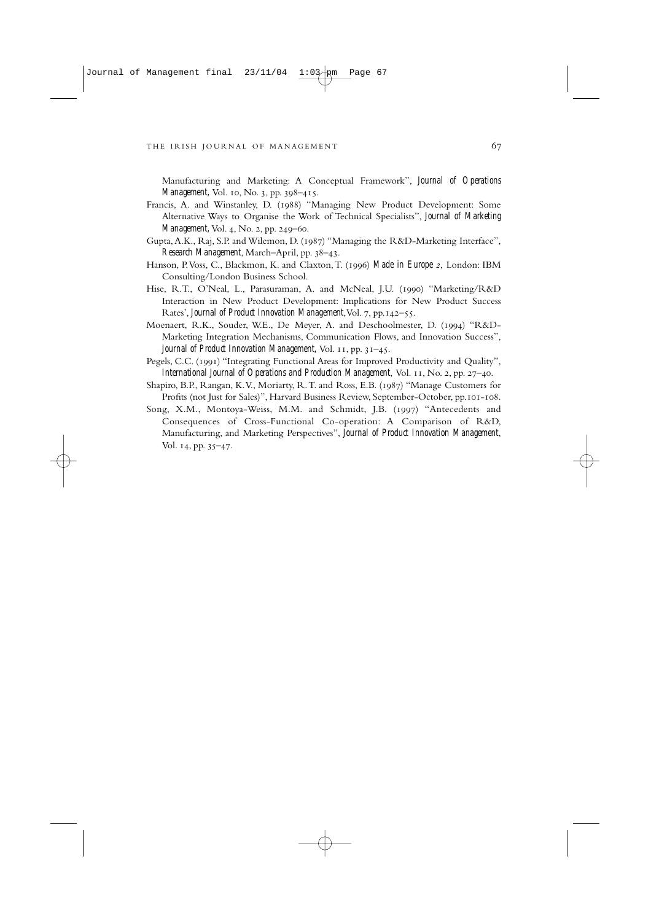Manufacturing and Marketing: A Conceptual Framework", *Journal of Operations Management, Vol. 10, No. 3, pp. 398-415.* 

- Francis, A. and Winstanley, D. (1988) "Managing New Product Development: Some Alternative Ways to Organise the Work of Technical Specialists", *Journal of Marketing Management, Vol. 4, No. 2, pp. 249-60.*
- Gupta, A.K., Raj, S.P. and Wilemon, D. (1987) "Managing the R&D-Marketing Interface", *Research Management*, March–April, pp. 38–43.
- Hanson, P. Voss, C., Blackmon, K. and Claxton, T. (1996) Made in Europe 2, London: IBM Consulting/London Business School.
- Hise, R.T., O'Neal, L., Parasuraman, A. and McNeal, J.U. (1990) "Marketing/R&D Interaction in New Product Development: Implications for New Product Success Rates', *Journal of Product Innovation Management*, Vol. 7, pp. 142–55.
- Moenaert, R.K., Souder, W.E., De Meyer, A. and Deschoolmester, D. (1994) "R&D-Marketing Integration Mechanisms, Communication Flows, and Innovation Success", *Journal of Product Innovation Management, Vol. 11, pp. 31-45.*
- Pegels, C.C. (1991) "Integrating Functional Areas for Improved Productivity and Quality", *International Journal of Operations and Production Management*, Vol. 11, No. 2, pp. 27–40.
- Shapiro, B.P., Rangan, K.V., Moriarty, R.T. and Ross, E.B. (1987) "Manage Customers for Profits (not Just for Sales)", Harvard Business Review, September-October, pp. 101-108.
- Song, X.M., Montoya-Weiss, M.M. and Schmidt, J.B. (1997) "Antecedents and Consequences of Cross-Functional Co-operation: A Comparison of R&D, Manufacturing, and Marketing Perspectives", *Journal of Product Innovation Management*, Vol.  $14$ , pp.  $35-47$ .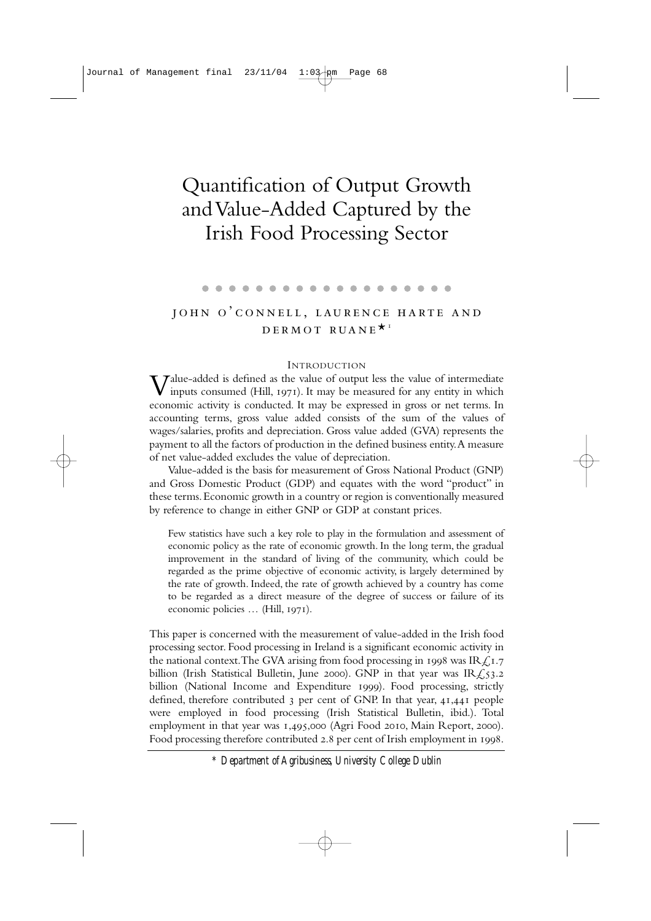# Quantification of Output Growth and Value-Added Captured by the Irish Food Processing Sector

### . . . . . . . .

# JOHN O'CONNELL, LAURENCE HARTE AND DERMOT RUANE<sup>\*</sup>

### INTRODUCTION

 $V^{\text{alue-added}}$  is defined as the value of output less the value of intermediate inputs consumed (Hill,  $1971$ ). It may be measured for any entity in which economic activity is conducted. It may be expressed in gross or net terms. In accounting terms, gross value added consists of the sum of the values of wages/salaries, profits and depreciation. Gross value added (GVA) represents the payment to all the factors of production in the defined business entity.A measure of net value-added excludes the value of depreciation.

Value-added is the basis for measurement of Gross National Product (GNP) and Gross Domestic Product (GDP) and equates with the word "product" in these terms.Economic growth in a country or region is conventionally measured by reference to change in either GNP or GDP at constant prices.

Few statistics have such a key role to play in the formulation and assessment of economic policy as the rate of economic growth. In the long term, the gradual improvement in the standard of living of the community, which could be regarded as the prime objective of economic activity, is largely determined by the rate of growth. Indeed, the rate of growth achieved by a country has come to be regarded as a direct measure of the degree of success or failure of its economic policies ... (Hill, 1971).

This paper is concerned with the measurement of value-added in the Irish food processing sector. Food processing in Ireland is a significant economic activity in the national context. The GVA arising from food processing in 1998 was IR $\angle$ 1.7 billion (Irish Statistical Bulletin, June 2000). GNP in that year was IR $\sqrt{(}53.2)$ billion (National Income and Expenditure 1999). Food processing, strictly defined, therefore contributed  $\alpha$  per cent of GNP. In that year,  $41,441$  people were employed in food processing (Irish Statistical Bulletin, ibid.). Total employment in that year was 1,495,000 (Agri Food 2010, Main Report, 2000). Food processing therefore contributed 2.8 per cent of Irish employment in 1998.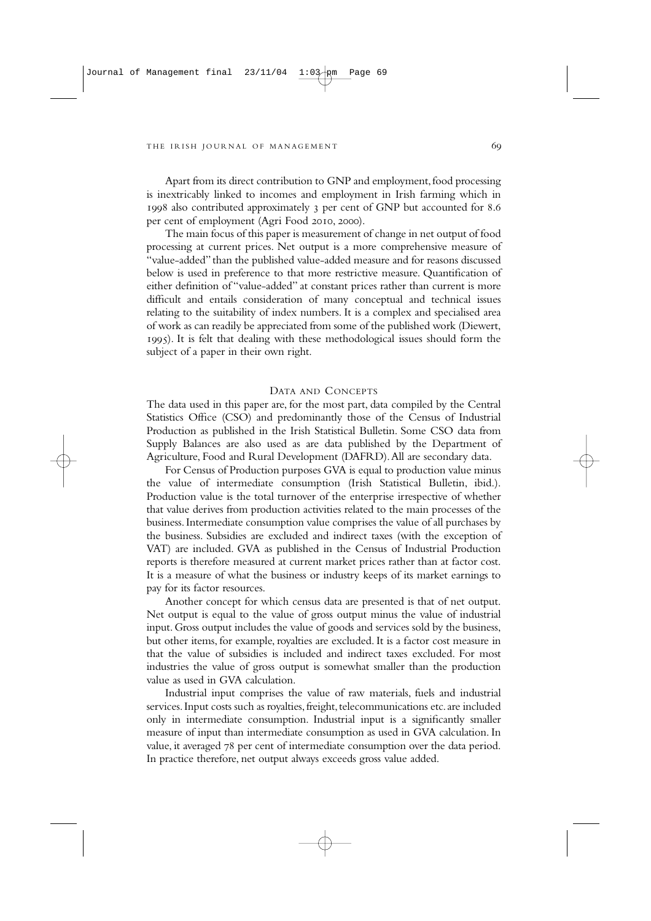Apart from its direct contribution to GNP and employment, food processing is inextricably linked to incomes and employment in Irish farming which in 1998 also contributed approximately 3 per cent of GNP but accounted for 8.6 per cent of employment (Agri Food 2010, 2000).

The main focus of this paper is measurement of change in net output of food processing at current prices. Net output is a more comprehensive measure of "value-added" than the published value-added measure and for reasons discussed below is used in preference to that more restrictive measure. Quantification of either definition of "value-added" at constant prices rather than current is more difficult and entails consideration of many conceptual and technical issues relating to the suitability of index numbers. It is a complex and specialised area of work as can readily be appreciated from some of the published work (Diewert, ). It is felt that dealing with these methodological issues should form the subject of a paper in their own right.

### DATA AND CONCEPTS

The data used in this paper are, for the most part, data compiled by the Central Statistics Office (CSO) and predominantly those of the Census of Industrial Production as published in the Irish Statistical Bulletin. Some CSO data from Supply Balances are also used as are data published by the Department of Agriculture, Food and Rural Development (DAFRD).All are secondary data.

For Census of Production purposes GVA is equal to production value minus the value of intermediate consumption (Irish Statistical Bulletin, ibid.). Production value is the total turnover of the enterprise irrespective of whether that value derives from production activities related to the main processes of the business.Intermediate consumption value comprises the value of all purchases by the business. Subsidies are excluded and indirect taxes (with the exception of VAT) are included. GVA as published in the Census of Industrial Production reports is therefore measured at current market prices rather than at factor cost. It is a measure of what the business or industry keeps of its market earnings to pay for its factor resources.

Another concept for which census data are presented is that of net output. Net output is equal to the value of gross output minus the value of industrial input. Gross output includes the value of goods and services sold by the business, but other items, for example, royalties are excluded. It is a factor cost measure in that the value of subsidies is included and indirect taxes excluded. For most industries the value of gross output is somewhat smaller than the production value as used in GVA calculation.

Industrial input comprises the value of raw materials, fuels and industrial services. Input costs such as royalties, freight, telecommunications etc. are included only in intermediate consumption. Industrial input is a significantly smaller measure of input than intermediate consumption as used in GVA calculation. In value, it averaged  $78$  per cent of intermediate consumption over the data period. In practice therefore, net output always exceeds gross value added.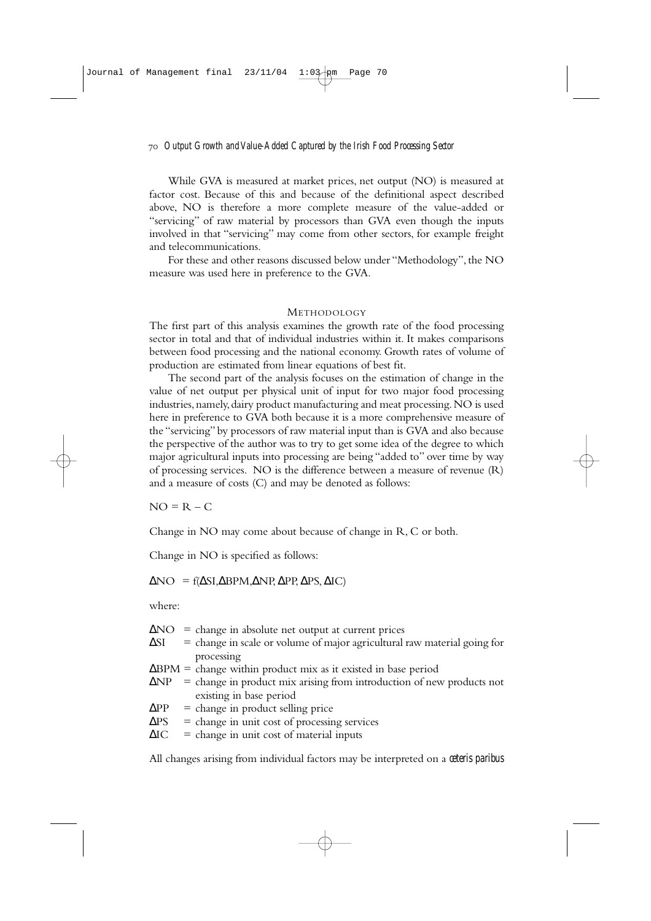While GVA is measured at market prices, net output (NO) is measured at factor cost. Because of this and because of the definitional aspect described above, NO is therefore a more complete measure of the value-added or "servicing" of raw material by processors than GVA even though the inputs involved in that "servicing" may come from other sectors, for example freight and telecommunications.

For these and other reasons discussed below under "Methodology", the NO measure was used here in preference to the GVA.

### **METHODOLOGY**

The first part of this analysis examines the growth rate of the food processing sector in total and that of individual industries within it. It makes comparisons between food processing and the national economy. Growth rates of volume of production are estimated from linear equations of best fit.

The second part of the analysis focuses on the estimation of change in the value of net output per physical unit of input for two major food processing industries,namely,dairy product manufacturing and meat processing.NO is used here in preference to GVA both because it is a more comprehensive measure of the "servicing" by processors of raw material input than is GVA and also because the perspective of the author was to try to get some idea of the degree to which major agricultural inputs into processing are being "added to" over time by way of processing services. NO is the difference between a measure of revenue (R) and a measure of costs (C) and may be denoted as follows:

 $NO = R - C$ 

Change in NO may come about because of change in R, C or both.

Change in NO is specified as follows:

 $\Delta NO = f(\Delta SI, \Delta BPM, \Delta NP, \Delta PP, \Delta PS, \Delta IC)$ 

where:

|             | $\Delta NO$ = change in absolute net output at current prices                     |
|-------------|-----------------------------------------------------------------------------------|
| ΔSI         | $=$ change in scale or volume of major agricultural raw material going for        |
|             | processing                                                                        |
|             | $\Delta$ BPM = change within product mix as it existed in base period             |
|             | $\Delta NP$ = change in product mix arising from introduction of new products not |
|             | existing in base period                                                           |
| $\Delta PP$ | $=$ change in product selling price                                               |
| $\Delta PS$ | $=$ change in unit cost of processing services                                    |
| $\Delta$ IC | $=$ change in unit cost of material inputs                                        |

All changes arising from individual factors may be interpreted on a *ceteris paribus*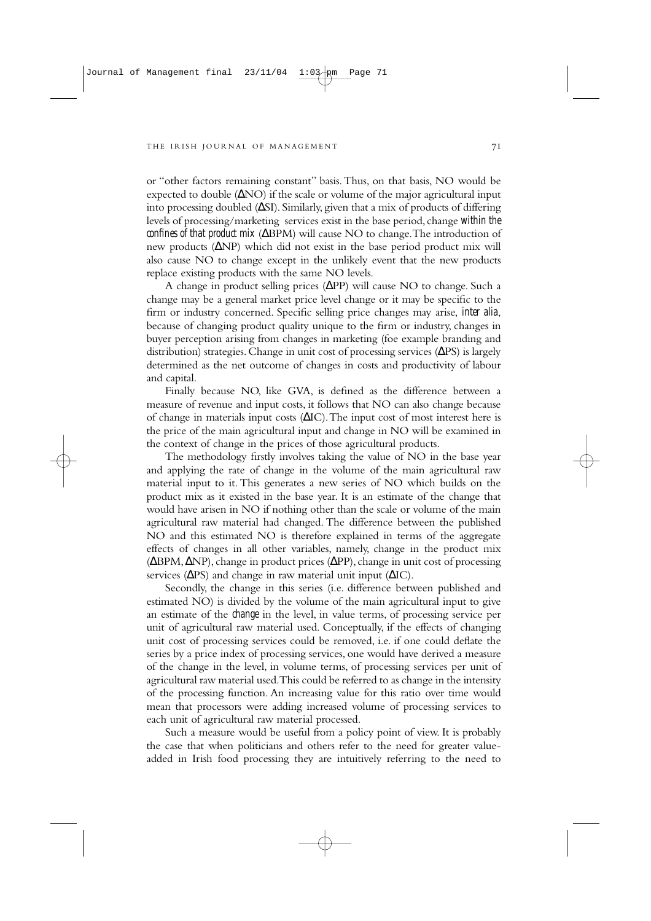or "other factors remaining constant" basis.Thus, on that basis, NO would be expected to double (∆NO) if the scale or volume of the major agricultural input into processing doubled (∆SI). Similarly, given that a mix of products of differing levels of processing/marketing services exist in the base period,change *within the confines of that product mix* (ΔBPM) will cause NO to change. The introduction of new products (∆NP) which did not exist in the base period product mix will also cause NO to change except in the unlikely event that the new products replace existing products with the same NO levels.

A change in product selling prices (∆PP) will cause NO to change. Such a change may be a general market price level change or it may be specific to the firm or industry concerned. Specific selling price changes may arise, *inter alia*, because of changing product quality unique to the firm or industry, changes in buyer perception arising from changes in marketing (foe example branding and distribution) strategies.Change in unit cost of processing services (∆PS) is largely determined as the net outcome of changes in costs and productivity of labour and capital.

Finally because NO, like GVA, is defined as the difference between a measure of revenue and input costs, it follows that NO can also change because of change in materials input costs (∆IC).The input cost of most interest here is the price of the main agricultural input and change in NO will be examined in the context of change in the prices of those agricultural products.

The methodology firstly involves taking the value of NO in the base year and applying the rate of change in the volume of the main agricultural raw material input to it. This generates a new series of NO which builds on the product mix as it existed in the base year. It is an estimate of the change that would have arisen in NO if nothing other than the scale or volume of the main agricultural raw material had changed. The difference between the published NO and this estimated NO is therefore explained in terms of the aggregate effects of changes in all other variables, namely, change in the product mix (∆BPM,∆NP),change in product prices (∆PP),change in unit cost of processing services ( $\Delta PS$ ) and change in raw material unit input ( $\Delta IC$ ).

Secondly, the change in this series (i.e. difference between published and estimated NO) is divided by the volume of the main agricultural input to give an estimate of the *change* in the level, in value terms, of processing service per unit of agricultural raw material used. Conceptually, if the effects of changing unit cost of processing services could be removed, i.e. if one could deflate the series by a price index of processing services, one would have derived a measure of the change in the level, in volume terms, of processing services per unit of agricultural raw material used.This could be referred to as change in the intensity of the processing function. An increasing value for this ratio over time would mean that processors were adding increased volume of processing services to each unit of agricultural raw material processed.

Such a measure would be useful from a policy point of view. It is probably the case that when politicians and others refer to the need for greater valueadded in Irish food processing they are intuitively referring to the need to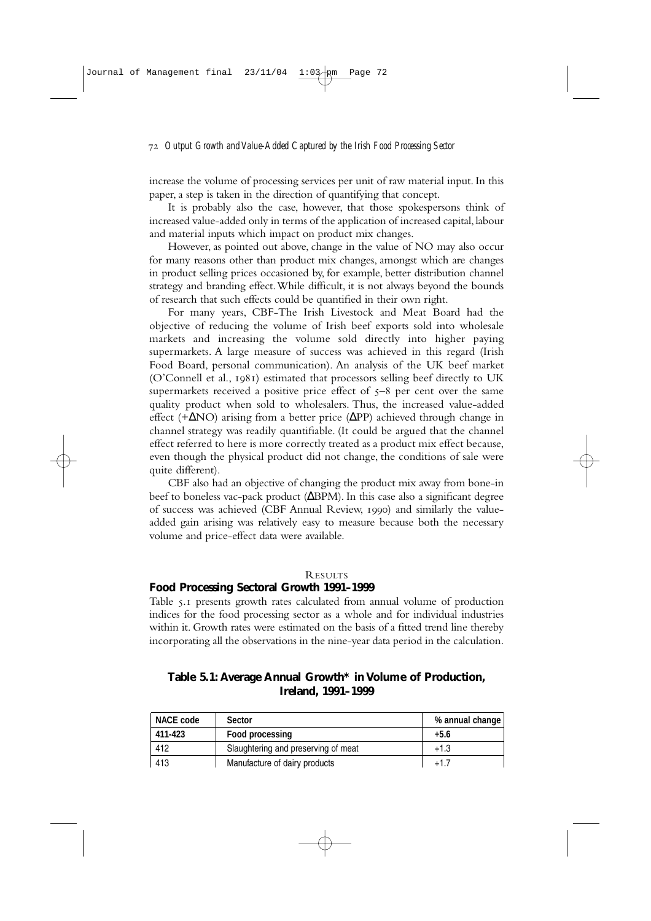increase the volume of processing services per unit of raw material input. In this paper, a step is taken in the direction of quantifying that concept.

It is probably also the case, however, that those spokespersons think of increased value-added only in terms of the application of increased capital, labour and material inputs which impact on product mix changes.

However, as pointed out above, change in the value of NO may also occur for many reasons other than product mix changes, amongst which are changes in product selling prices occasioned by, for example, better distribution channel strategy and branding effect.While difficult, it is not always beyond the bounds of research that such effects could be quantified in their own right.

For many years, CBF-The Irish Livestock and Meat Board had the objective of reducing the volume of Irish beef exports sold into wholesale markets and increasing the volume sold directly into higher paying supermarkets. A large measure of success was achieved in this regard (Irish Food Board, personal communication). An analysis of the UK beef market (O'Connell et al., 1981) estimated that processors selling beef directly to UK supermarkets received a positive price effect of  $5-8$  per cent over the same quality product when sold to wholesalers. Thus, the increased value-added effect (+∆NO) arising from a better price (∆PP) achieved through change in channel strategy was readily quantifiable. (It could be argued that the channel effect referred to here is more correctly treated as a product mix effect because, even though the physical product did not change, the conditions of sale were quite different).

CBF also had an objective of changing the product mix away from bone-in beef to boneless vac-pack product (∆BPM). In this case also a significant degree of success was achieved (CBF Annual Review, 1990) and similarly the valueadded gain arising was relatively easy to measure because both the necessary volume and price-effect data were available.

### **RESULTS**

# **Food Processing Sectoral Growth 1991–1999**

Table 5.1 presents growth rates calculated from annual volume of production indices for the food processing sector as a whole and for individual industries within it. Growth rates were estimated on the basis of a fitted trend line thereby incorporating all the observations in the nine-year data period in the calculation.

| <b>NACE code</b> | <b>Sector</b>                       | % annual change |
|------------------|-------------------------------------|-----------------|
| 411-423          | Food processing                     | $+5.6$          |
| 412              | Slaughtering and preserving of meat | $+1.3$          |
| 413              | Manufacture of dairy products       | $+1.7$          |

**Table 5.1: Average Annual Growth\* in Volume of Production, Ireland, 1991–1999**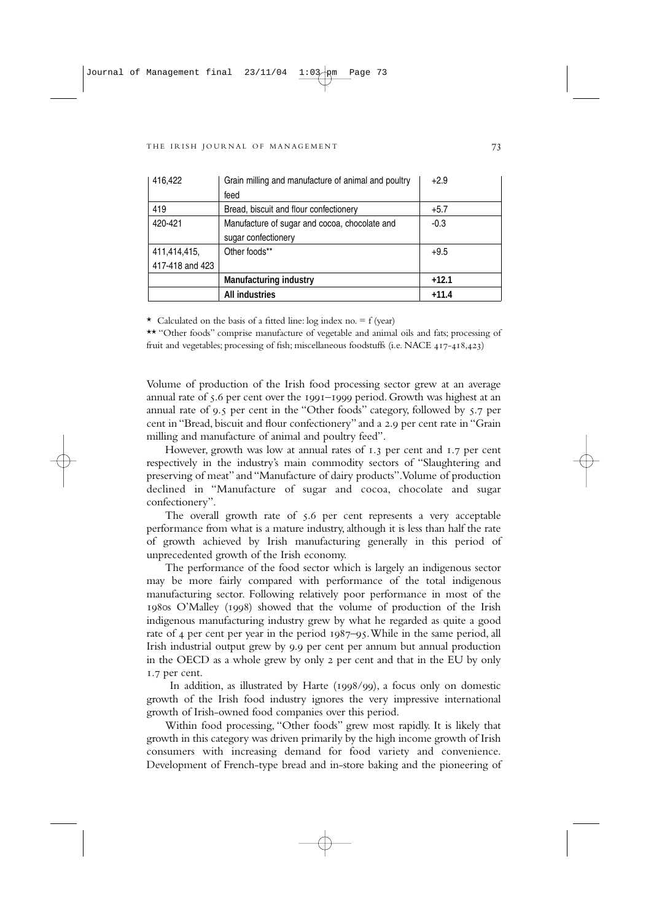| 416,422         | Grain milling and manufacture of animal and poultry | $+2.9$  |
|-----------------|-----------------------------------------------------|---------|
|                 | feed                                                |         |
| 419             | Bread, biscuit and flour confectionery              | $+5.7$  |
| 420-421         | Manufacture of sugar and cocoa, chocolate and       | $-0.3$  |
|                 | sugar confectionery                                 |         |
| 411,414,415,    | Other foods**                                       | $+9.5$  |
| 417-418 and 423 |                                                     |         |
|                 | <b>Manufacturing industry</b>                       | $+12.1$ |
|                 | <b>All industries</b>                               | $+11.4$ |

 $\star$  Calculated on the basis of a fitted line: log index no. = f (year)

\*\* "Other foods" comprise manufacture of vegetable and animal oils and fats; processing of fruit and vegetables; processing of fish; miscellaneous foodstuffs (i.e. NACE 417-418,423)

Volume of production of the Irish food processing sector grew at an average annual rate of 5.6 per cent over the 1991-1999 period. Growth was highest at an annual rate of 9.5 per cent in the "Other foods" category, followed by 5.7 per cent in "Bread, biscuit and flour confectionery" and a 2.9 per cent rate in "Grain milling and manufacture of animal and poultry feed".

However, growth was low at annual rates of 1.3 per cent and 1.7 per cent respectively in the industry's main commodity sectors of "Slaughtering and preserving of meat" and "Manufacture of dairy products".Volume of production declined in "Manufacture of sugar and cocoa, chocolate and sugar confectionery".

The overall growth rate of 5.6 per cent represents a very acceptable performance from what is a mature industry, although it is less than half the rate of growth achieved by Irish manufacturing generally in this period of unprecedented growth of the Irish economy.

The performance of the food sector which is largely an indigenous sector may be more fairly compared with performance of the total indigenous manufacturing sector. Following relatively poor performance in most of the 1980s O'Malley (1998) showed that the volume of production of the Irish indigenous manufacturing industry grew by what he regarded as quite a good rate of 4 per cent per year in the period 1987–95. While in the same period, all Irish industrial output grew by 9.9 per cent per annum but annual production in the OECD as a whole grew by only 2 per cent and that in the EU by only 1.7 per cent.

In addition, as illustrated by Harte ( $1998/99$ ), a focus only on domestic growth of the Irish food industry ignores the very impressive international growth of Irish-owned food companies over this period.

Within food processing, "Other foods" grew most rapidly. It is likely that growth in this category was driven primarily by the high income growth of Irish consumers with increasing demand for food variety and convenience. Development of French-type bread and in-store baking and the pioneering of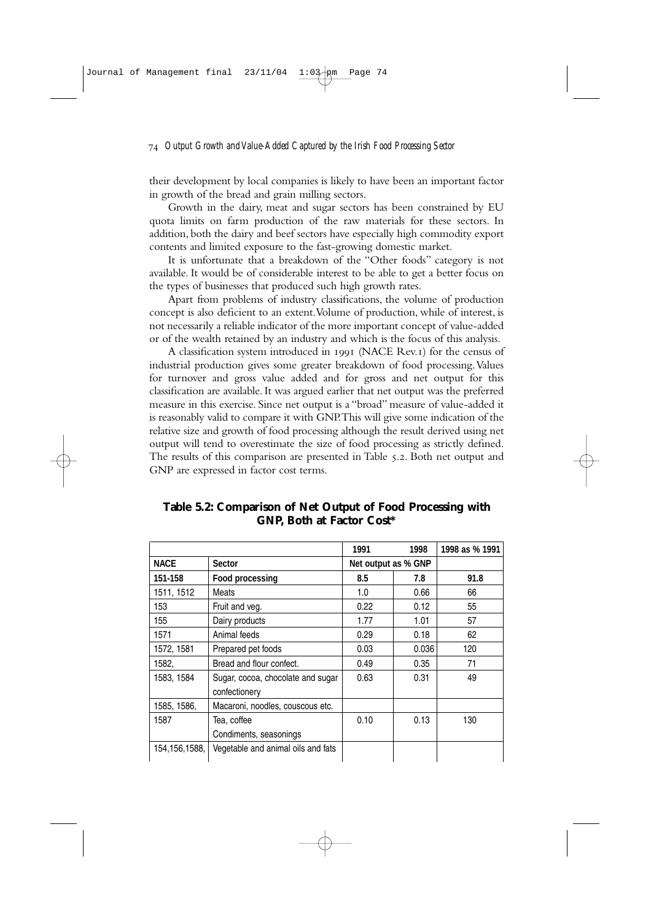their development by local companies is likely to have been an important factor in growth of the bread and grain milling sectors.

Growth in the dairy, meat and sugar sectors has been constrained by EU quota limits on farm production of the raw materials for these sectors. In addition, both the dairy and beef sectors have especially high commodity export contents and limited exposure to the fast-growing domestic market.

It is unfortunate that a breakdown of the "Other foods" category is not available. It would be of considerable interest to be able to get a better focus on the types of businesses that produced such high growth rates.

Apart from problems of industry classifications, the volume of production concept is also deficient to an extent.Volume of production, while of interest, is not necessarily a reliable indicator of the more important concept of value-added or of the wealth retained by an industry and which is the focus of this analysis.

A classification system introduced in (NACE Rev.) for the census of industrial production gives some greater breakdown of food processing. Values for turnover and gross value added and for gross and net output for this classification are available. It was argued earlier that net output was the preferred measure in this exercise. Since net output is a "broad" measure of value-added it is reasonably valid to compare it with GNP.This will give some indication of the relative size and growth of food processing although the result derived using net output will tend to overestimate the size of food processing as strictly defined. The results of this comparison are presented in Table 5.2. Both net output and GNP are expressed in factor cost terms.

|                 |                                                    | 1991                | 1998  | 1998 as % 1991 |
|-----------------|----------------------------------------------------|---------------------|-------|----------------|
| <b>NACE</b>     | <b>Sector</b>                                      | Net output as % GNP |       |                |
| 151-158         | <b>Food processing</b>                             | 8.5                 | 7.8   | 91.8           |
| 1511, 1512      | Meats                                              | 1.0                 | 0.66  | 66             |
| 153             | Fruit and veg.                                     | 0.22                | 0.12  | 55             |
| 155             | Dairy products                                     | 1.77                | 1.01  | 57             |
| 1571            | Animal feeds                                       | 0.29                | 0.18  | 62             |
| 1572, 1581      | Prepared pet foods                                 | 0.03                | 0.036 | 120            |
| 1582,           | Bread and flour confect.                           | 0.49                | 0.35  | 71             |
| 1583, 1584      | Sugar, cocoa, chocolate and sugar<br>confectionery | 0.63                | 0.31  | 49             |
| 1585, 1586,     | Macaroni, noodles, couscous etc.                   |                     |       |                |
| 1587            | Tea, coffee                                        | 0.10                | 0.13  | 130            |
|                 | Condiments, seasonings                             |                     |       |                |
| 154, 156, 1588, | Vegetable and animal oils and fats                 |                     |       |                |

**Table 5.2: Comparison of Net Output of Food Processing with GNP, Both at Factor Cost\***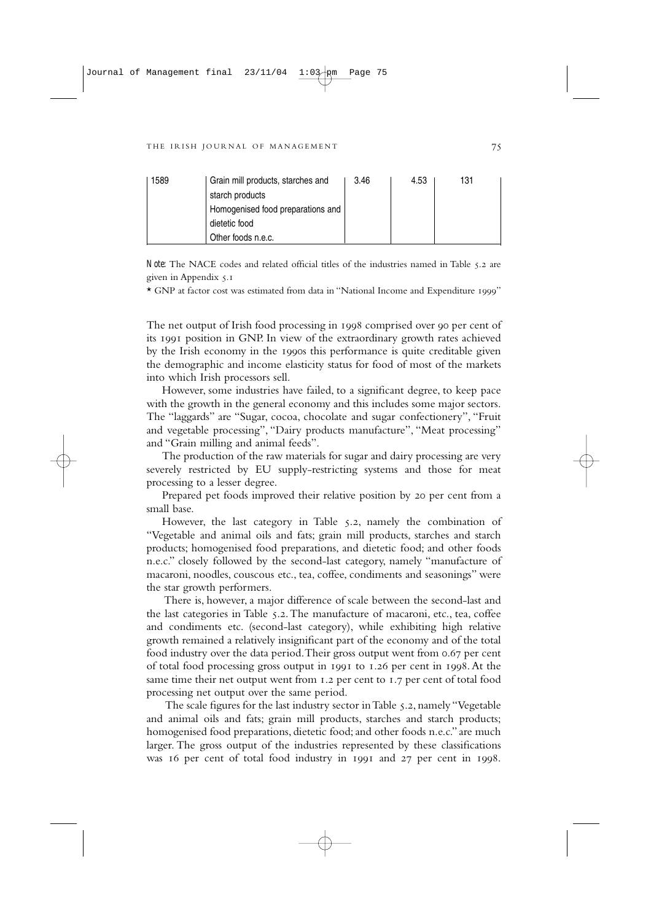| 1589 | Grain mill products, starches and | 3.46 | 4.53 | 131 |
|------|-----------------------------------|------|------|-----|
|      | starch products                   |      |      |     |
|      | Homogenised food preparations and |      |      |     |
|      | dietetic food                     |      |      |     |
|      | Other foods n.e.c.                |      |      |     |

*Note:* The NACE codes and related official titles of the industries named in Table 5.2 are given in Appendix 5.1

\* GNP at factor cost was estimated from data in "National Income and Expenditure 1999"

The net output of Irish food processing in 1998 comprised over 90 per cent of its 1991 position in GNP. In view of the extraordinary growth rates achieved by the Irish economy in the 1990s this performance is quite creditable given the demographic and income elasticity status for food of most of the markets into which Irish processors sell.

However, some industries have failed, to a significant degree, to keep pace with the growth in the general economy and this includes some major sectors. The "laggards" are "Sugar, cocoa, chocolate and sugar confectionery", "Fruit and vegetable processing", "Dairy products manufacture", "Meat processing" and "Grain milling and animal feeds".

The production of the raw materials for sugar and dairy processing are very severely restricted by EU supply-restricting systems and those for meat processing to a lesser degree.

Prepared pet foods improved their relative position by 20 per cent from a small base.

However, the last category in Table 5.2, namely the combination of "Vegetable and animal oils and fats; grain mill products, starches and starch products; homogenised food preparations, and dietetic food; and other foods n.e.c." closely followed by the second-last category, namely "manufacture of macaroni, noodles, couscous etc., tea, coffee, condiments and seasonings" were the star growth performers.

There is, however, a major difference of scale between the second-last and the last categories in Table 5.2. The manufacture of macaroni, etc., tea, coffee and condiments etc. (second-last category), while exhibiting high relative growth remained a relatively insignificant part of the economy and of the total food industry over the data period. Their gross output went from 0.67 per cent of total food processing gross output in 1991 to 1.26 per cent in 1998. At the same time their net output went from 1.2 per cent to 1.7 per cent of total food processing net output over the same period.

The scale figures for the last industry sector in Table 5.2, namely "Vegetable and animal oils and fats; grain mill products, starches and starch products; homogenised food preparations, dietetic food; and other foods n.e.c." are much larger. The gross output of the industries represented by these classifications was 16 per cent of total food industry in 1991 and 27 per cent in 1998.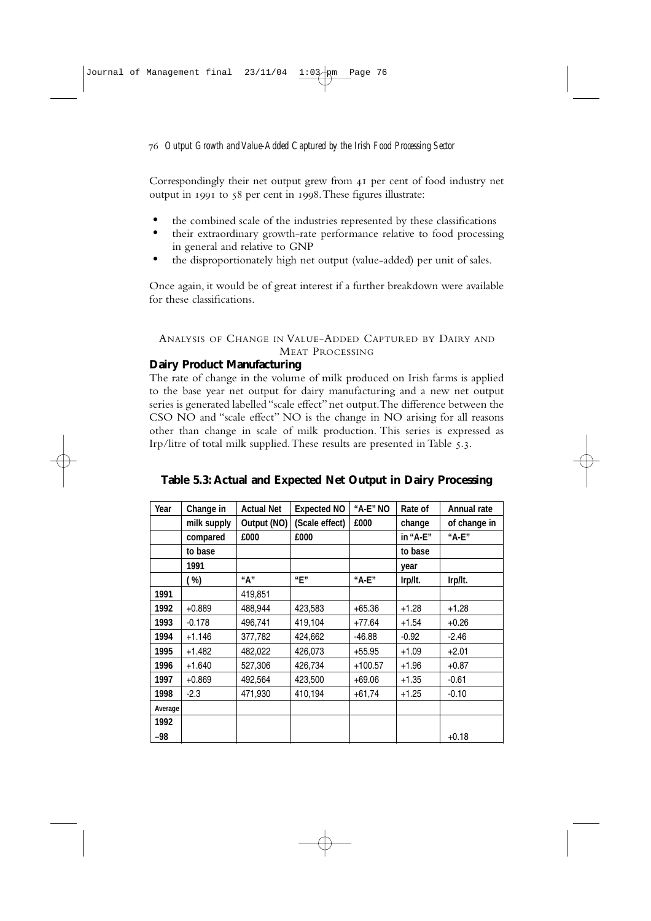Correspondingly their net output grew from 41 per cent of food industry net output in  $1991$  to  $58$  per cent in  $1998$ . These figures illustrate:

- the combined scale of the industries represented by these classifications
- their extraordinary growth-rate performance relative to food processing in general and relative to GNP
- the disproportionately high net output (value-added) per unit of sales.

Once again, it would be of great interest if a further breakdown were available for these classifications.

# ANALYSIS OF CHANGE IN VALUE-ADDED CAPTURED BY DAIRY AND MEAT PROCESSING

# **Dairy Product Manufacturing**

The rate of change in the volume of milk produced on Irish farms is applied to the base year net output for dairy manufacturing and a new net output series is generated labelled "scale effect" net output.The difference between the CSO NO and "scale effect" NO is the change in NO arising for all reasons other than change in scale of milk production. This series is expressed as Irp/litre of total milk supplied. These results are presented in Table 5.3.

| Year    | Change in   | <b>Actual Net</b> | <b>Expected NO</b> | "A-E" NO  | Rate of  | <b>Annual rate</b> |
|---------|-------------|-------------------|--------------------|-----------|----------|--------------------|
|         | milk supply | Output (NO)       | (Scale effect)     | £000      | change   | of change in       |
|         | compared    | £000              | £000               |           | in "A-E" | "A-E"              |
|         | to base     |                   |                    |           | to base  |                    |
|         | 1991        |                   |                    |           | year     |                    |
|         | ( %)        | "А"               | "F"                | "A-E"     | Irp/It.  | Irp/It.            |
| 1991    |             | 419,851           |                    |           |          |                    |
| 1992    | $+0.889$    | 488,944           | 423,583            | $+65.36$  | $+1.28$  | $+1.28$            |
| 1993    | $-0.178$    | 496,741           | 419,104            | $+77.64$  | $+1.54$  | $+0.26$            |
| 1994    | $+1.146$    | 377,782           | 424,662            | $-46.88$  | $-0.92$  | $-2.46$            |
| 1995    | $+1.482$    | 482,022           | 426,073            | $+55.95$  | $+1.09$  | $+2.01$            |
| 1996    | $+1.640$    | 527,306           | 426,734            | $+100.57$ | $+1.96$  | $+0.87$            |
| 1997    | $+0.869$    | 492,564           | 423,500            | $+69.06$  | +1.35    | $-0.61$            |
| 1998    | $-2.3$      | 471,930           | 410,194            | $+61,74$  | $+1.25$  | $-0.10$            |
| Average |             |                   |                    |           |          |                    |
| 1992    |             |                   |                    |           |          |                    |
| -98     |             |                   |                    |           |          | $+0.18$            |

# **Table 5.3: Actual and Expected Net Output in Dairy Processing**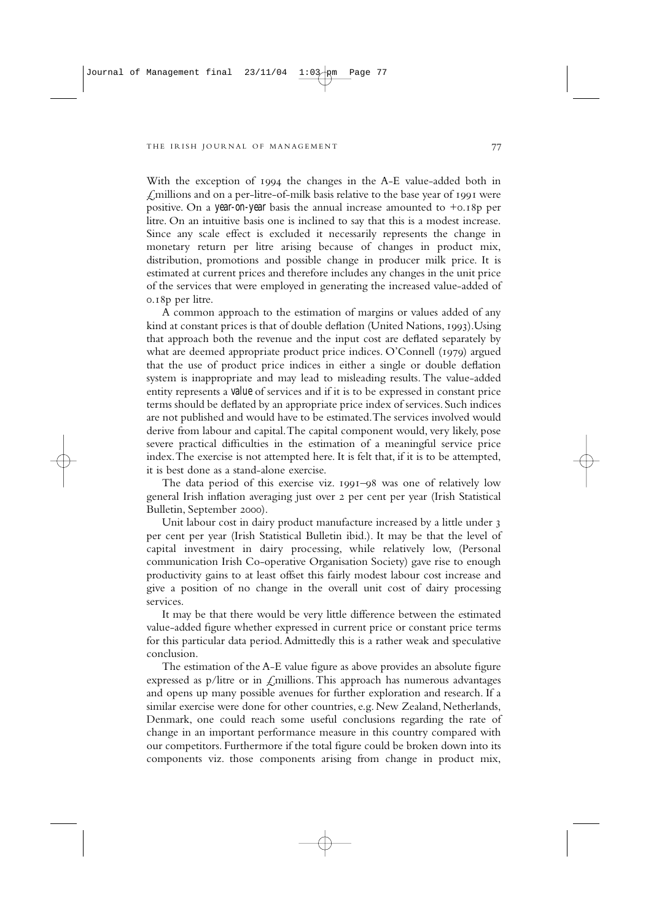With the exception of 1994 the changes in the A-E value-added both in  $\angle$  millions and on a per-litre-of-milk basis relative to the base year of 1991 were positive. On a *year-on-year* basis the annual increase amounted to  $+0.18p$  per litre. On an intuitive basis one is inclined to say that this is a modest increase. Since any scale effect is excluded it necessarily represents the change in monetary return per litre arising because of changes in product mix, distribution, promotions and possible change in producer milk price. It is estimated at current prices and therefore includes any changes in the unit price of the services that were employed in generating the increased value-added of  $0.18p$  per litre.

A common approach to the estimation of margins or values added of any kind at constant prices is that of double deflation (United Nations, 1993). Using that approach both the revenue and the input cost are deflated separately by what are deemed appropriate product price indices. O'Connell  $(1979)$  argued that the use of product price indices in either a single or double deflation system is inappropriate and may lead to misleading results. The value-added entity represents a *value* of services and if it is to be expressed in constant price terms should be deflated by an appropriate price index of services. Such indices are not published and would have to be estimated.The services involved would derive from labour and capital.The capital component would, very likely, pose severe practical difficulties in the estimation of a meaningful service price index.The exercise is not attempted here. It is felt that, if it is to be attempted, it is best done as a stand-alone exercise.

The data period of this exercise viz. 1991-98 was one of relatively low general Irish inflation averaging just over per cent per year (Irish Statistical Bulletin, September 2000).

Unit labour cost in dairy product manufacture increased by a little under 3 per cent per year (Irish Statistical Bulletin ibid.). It may be that the level of capital investment in dairy processing, while relatively low, (Personal communication Irish Co-operative Organisation Society) gave rise to enough productivity gains to at least offset this fairly modest labour cost increase and give a position of no change in the overall unit cost of dairy processing services.

It may be that there would be very little difference between the estimated value-added figure whether expressed in current price or constant price terms for this particular data period.Admittedly this is a rather weak and speculative conclusion.

The estimation of the A-E value figure as above provides an absolute figure expressed as p/litre or in  $\mathcal{L}$ millions. This approach has numerous advantages and opens up many possible avenues for further exploration and research. If a similar exercise were done for other countries, e.g. New Zealand, Netherlands, Denmark, one could reach some useful conclusions regarding the rate of change in an important performance measure in this country compared with our competitors. Furthermore if the total figure could be broken down into its components viz. those components arising from change in product mix,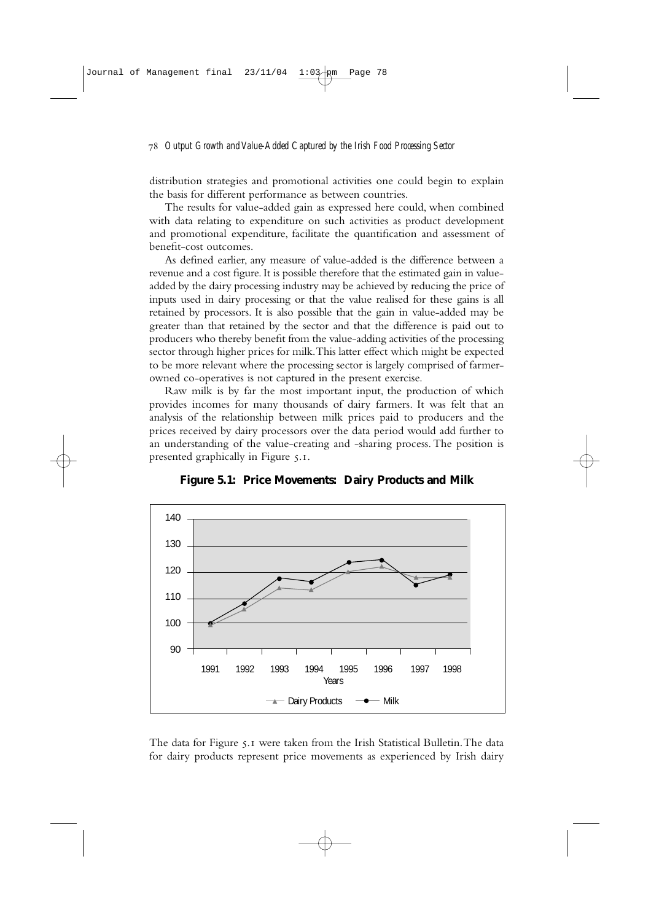distribution strategies and promotional activities one could begin to explain the basis for different performance as between countries.

The results for value-added gain as expressed here could, when combined with data relating to expenditure on such activities as product development and promotional expenditure, facilitate the quantification and assessment of benefit-cost outcomes.

As defined earlier, any measure of value-added is the difference between a revenue and a cost figure. It is possible therefore that the estimated gain in valueadded by the dairy processing industry may be achieved by reducing the price of inputs used in dairy processing or that the value realised for these gains is all retained by processors. It is also possible that the gain in value-added may be greater than that retained by the sector and that the difference is paid out to producers who thereby benefit from the value-adding activities of the processing sector through higher prices for milk.This latter effect which might be expected to be more relevant where the processing sector is largely comprised of farmerowned co-operatives is not captured in the present exercise.

Raw milk is by far the most important input, the production of which provides incomes for many thousands of dairy farmers. It was felt that an analysis of the relationship between milk prices paid to producers and the prices received by dairy processors over the data period would add further to an understanding of the value-creating and -sharing process. The position is presented graphically in Figure 5.1.



**Figure 5.1: Price Movements: Dairy Products and Milk**

The data for Figure 5.1 were taken from the Irish Statistical Bulletin. The data for dairy products represent price movements as experienced by Irish dairy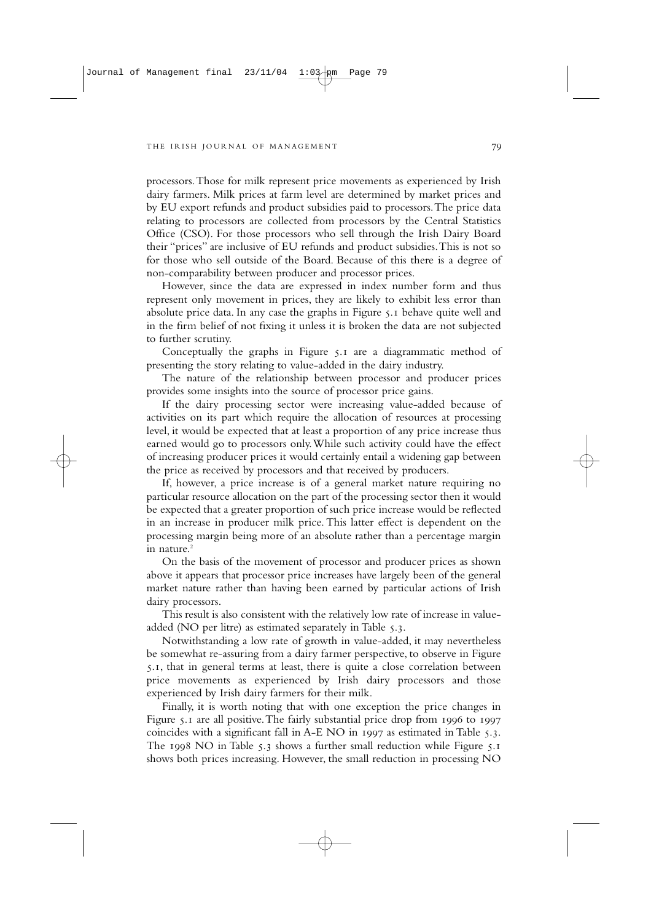processors.Those for milk represent price movements as experienced by Irish dairy farmers. Milk prices at farm level are determined by market prices and by EU export refunds and product subsidies paid to processors.The price data relating to processors are collected from processors by the Central Statistics Office (CSO). For those processors who sell through the Irish Dairy Board their "prices" are inclusive of EU refunds and product subsidies.This is not so for those who sell outside of the Board. Because of this there is a degree of non-comparability between producer and processor prices.

However, since the data are expressed in index number form and thus represent only movement in prices, they are likely to exhibit less error than absolute price data. In any case the graphs in Figure  $\zeta$ . behave quite well and in the firm belief of not fixing it unless it is broken the data are not subjected to further scrutiny.

Conceptually the graphs in Figure  $\zeta$ . are a diagrammatic method of presenting the story relating to value-added in the dairy industry.

The nature of the relationship between processor and producer prices provides some insights into the source of processor price gains.

If the dairy processing sector were increasing value-added because of activities on its part which require the allocation of resources at processing level, it would be expected that at least a proportion of any price increase thus earned would go to processors only.While such activity could have the effect of increasing producer prices it would certainly entail a widening gap between the price as received by processors and that received by producers.

If, however, a price increase is of a general market nature requiring no particular resource allocation on the part of the processing sector then it would be expected that a greater proportion of such price increase would be reflected in an increase in producer milk price. This latter effect is dependent on the processing margin being more of an absolute rather than a percentage margin in nature.<sup>2</sup>

On the basis of the movement of processor and producer prices as shown above it appears that processor price increases have largely been of the general market nature rather than having been earned by particular actions of Irish dairy processors.

This result is also consistent with the relatively low rate of increase in valueadded (NO per litre) as estimated separately in Table 5.3.

Notwithstanding a low rate of growth in value-added, it may nevertheless be somewhat re-assuring from a dairy farmer perspective, to observe in Figure 5.1, that in general terms at least, there is quite a close correlation between price movements as experienced by Irish dairy processors and those experienced by Irish dairy farmers for their milk.

Finally, it is worth noting that with one exception the price changes in Figure  $5.1$  are all positive. The fairly substantial price drop from  $1996$  to  $1997$ coincides with a significant fall in  $A-E NO$  in  $1997$  as estimated in Table 5.3. The  $1998$  NO in Table 5.3 shows a further small reduction while Figure 5.1 shows both prices increasing. However, the small reduction in processing NO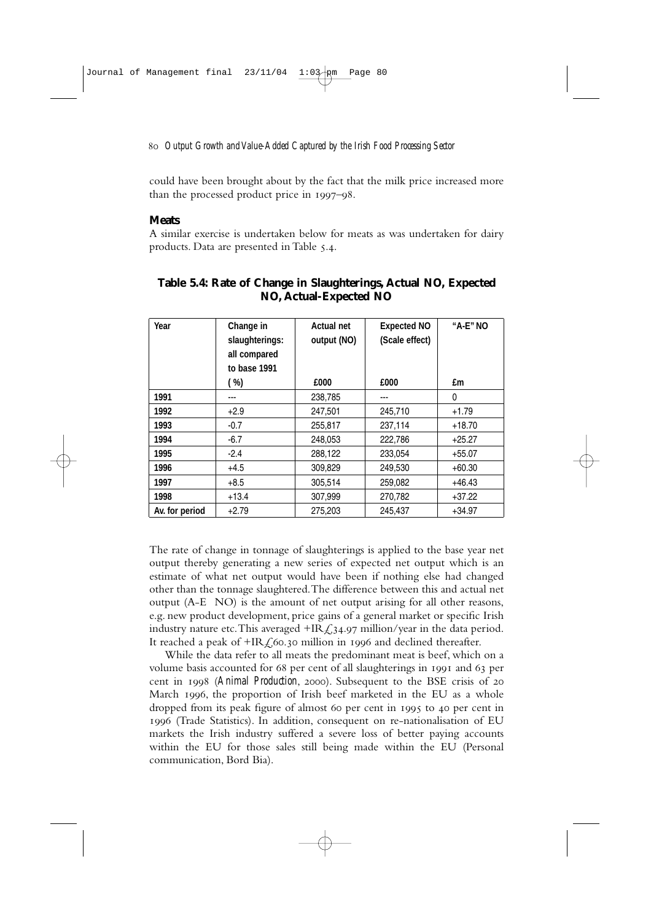could have been brought about by the fact that the milk price increased more than the processed product price in  $1997 - 98$ .

### **Meats**

A similar exercise is undertaken below for meats as was undertaken for dairy products. Data are presented in Table 5.4.

| Year           | Change in<br>slaughterings:<br>all compared<br>to base 1991 | <b>Actual net</b><br>output (NO) | <b>Expected NO</b><br>(Scale effect) | $H$ A-E $''$ NO |
|----------------|-------------------------------------------------------------|----------------------------------|--------------------------------------|-----------------|
|                | (%)                                                         | £000                             | £000                                 | £m              |
| 1991           | ---                                                         | 238,785                          | ---                                  | 0               |
| 1992           | $+2.9$                                                      | 247.501                          | 245,710                              | $+1.79$         |
| 1993           | $-0.7$                                                      | 255,817                          | 237,114                              | $+18.70$        |
| 1994           | $-6.7$                                                      | 248,053                          | 222,786                              | $+25.27$        |
| 1995           | $-2.4$                                                      | 288,122                          | 233,054                              | $+55.07$        |
| 1996           | $+4.5$                                                      | 309,829                          | 249,530                              | $+60.30$        |
| 1997           | $+8.5$                                                      | 305,514                          | 259,082                              | $+46.43$        |
| 1998           | $+13.4$                                                     | 307,999                          | 270,782                              | $+37.22$        |
| Av. for period | $+2.79$                                                     | 275.203                          | 245.437                              | $+34.97$        |

# **Table 5.4: Rate of Change in Slaughterings, Actual NO, Expected NO, Actual-Expected NO**

The rate of change in tonnage of slaughterings is applied to the base year net output thereby generating a new series of expected net output which is an estimate of what net output would have been if nothing else had changed other than the tonnage slaughtered.The difference between this and actual net output (A-E NO) is the amount of net output arising for all other reasons, e.g. new product development, price gains of a general market or specific Irish industry nature etc. This averaged  $HR \textless 34.97$  million/year in the data period. It reached a peak of  $HR f_0$ 60.30 million in 1996 and declined thereafter.

While the data refer to all meats the predominant meat is beef, which on a volume basis accounted for 68 per cent of all slaughterings in 1991 and 63 per cent in 1998 (Animal Production, 2000). Subsequent to the BSE crisis of 20 March 1996, the proportion of Irish beef marketed in the EU as a whole dropped from its peak figure of almost 60 per cent in 1995 to 40 per cent in (Trade Statistics). In addition, consequent on re-nationalisation of EU markets the Irish industry suffered a severe loss of better paying accounts within the EU for those sales still being made within the EU (Personal communication, Bord Bia).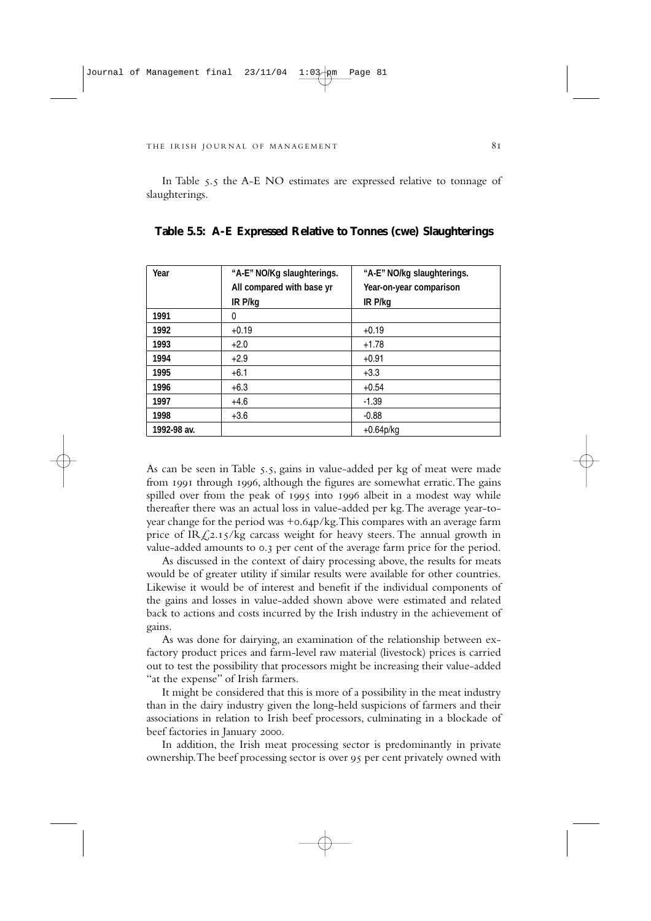In Table 5.5 the A-E NO estimates are expressed relative to tonnage of slaughterings.

| Year        | "A-E" NO/Kg slaughterings. | "A-E" NO/kg slaughterings. |
|-------------|----------------------------|----------------------------|
|             | All compared with base yr  | Year-on-year comparison    |
|             | IR P/kg                    | IR P/kg                    |
| 1991        | 0                          |                            |
| 1992        | $+0.19$                    | $+0.19$                    |
| 1993        | $+2.0$                     | $+1.78$                    |
| 1994        | $+2.9$                     | $+0.91$                    |
| 1995        | $+6.1$                     | $+3.3$                     |
| 1996        | $+6.3$                     | $+0.54$                    |
| 1997        | $+4.6$                     | $-1.39$                    |
| 1998        | $+3.6$                     | $-0.88$                    |
| 1992-98 av. |                            | $+0.64p/kg$                |

**Table 5.5: A-E Expressed Relative to Tonnes (cwe) Slaughterings**

As can be seen in Table 5.5, gains in value-added per kg of meat were made from 1991 through 1996, although the figures are somewhat erratic. The gains spilled over from the peak of 1995 into 1996 albeit in a modest way while thereafter there was an actual loss in value-added per kg.The average year-toyear change for the period was  $+o.64p/kg$ . This compares with an average farm price of IR $\sqrt{2.15/kg}$  carcass weight for heavy steers. The annual growth in value-added amounts to 0.3 per cent of the average farm price for the period.

As discussed in the context of dairy processing above, the results for meats would be of greater utility if similar results were available for other countries. Likewise it would be of interest and benefit if the individual components of the gains and losses in value-added shown above were estimated and related back to actions and costs incurred by the Irish industry in the achievement of gains.

As was done for dairying, an examination of the relationship between exfactory product prices and farm-level raw material (livestock) prices is carried out to test the possibility that processors might be increasing their value-added "at the expense" of Irish farmers.

It might be considered that this is more of a possibility in the meat industry than in the dairy industry given the long-held suspicions of farmers and their associations in relation to Irish beef processors, culminating in a blockade of beef factories in January 2000.

In addition, the Irish meat processing sector is predominantly in private ownership. The beef processing sector is over 95 per cent privately owned with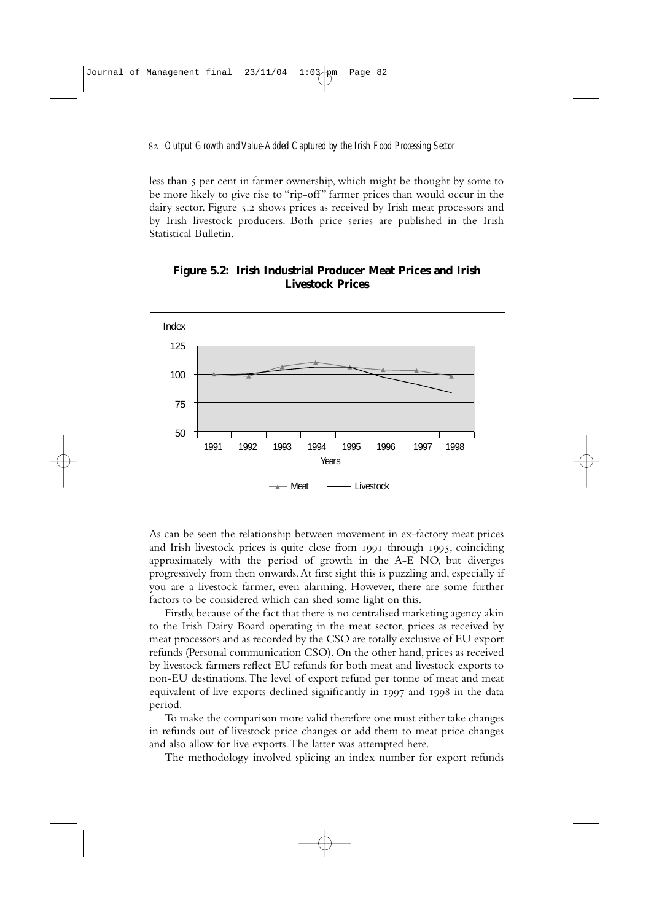less than  $\varsigma$  per cent in farmer ownership, which might be thought by some to be more likely to give rise to "rip-off" farmer prices than would occur in the dairy sector. Figure 5.2 shows prices as received by Irish meat processors and by Irish livestock producers. Both price series are published in the Irish Statistical Bulletin.

# **Figure 5.2: Irish Industrial Producer Meat Prices and Irish Livestock Prices**



As can be seen the relationship between movement in ex-factory meat prices and Irish livestock prices is quite close from 1991 through 1995, coinciding approximately with the period of growth in the A-E NO, but diverges progressively from then onwards.At first sight this is puzzling and, especially if you are a livestock farmer, even alarming. However, there are some further factors to be considered which can shed some light on this.

Firstly, because of the fact that there is no centralised marketing agency akin to the Irish Dairy Board operating in the meat sector, prices as received by meat processors and as recorded by the CSO are totally exclusive of EU export refunds (Personal communication CSO). On the other hand, prices as received by livestock farmers reflect EU refunds for both meat and livestock exports to non-EU destinations.The level of export refund per tonne of meat and meat equivalent of live exports declined significantly in 1997 and 1998 in the data period.

To make the comparison more valid therefore one must either take changes in refunds out of livestock price changes or add them to meat price changes and also allow for live exports.The latter was attempted here.

The methodology involved splicing an index number for export refunds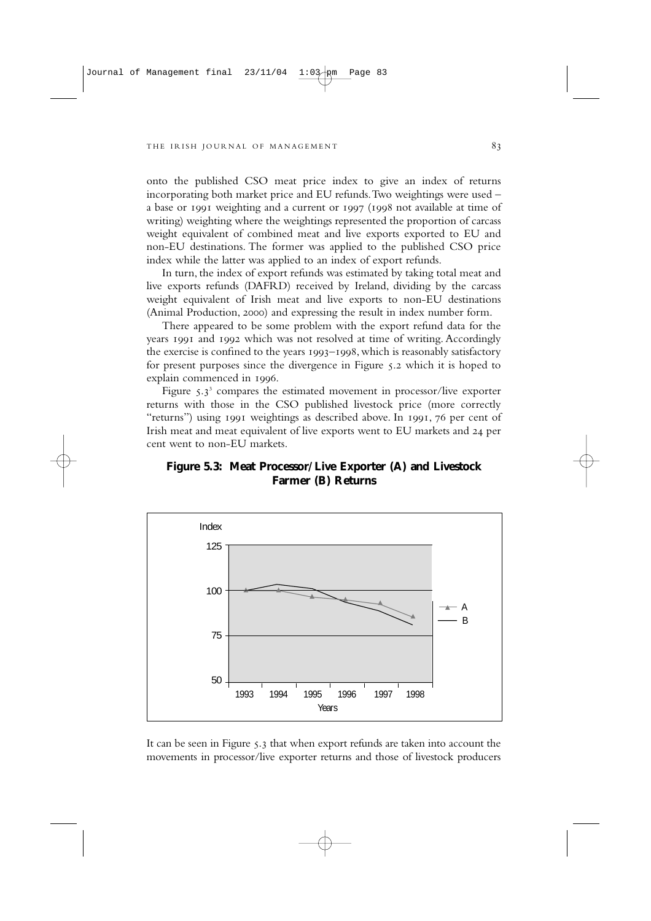onto the published CSO meat price index to give an index of returns incorporating both market price and EU refunds.Two weightings were used – a base or 1991 weighting and a current or 1997 (1998 not available at time of writing) weighting where the weightings represented the proportion of carcass weight equivalent of combined meat and live exports exported to EU and non-EU destinations. The former was applied to the published CSO price index while the latter was applied to an index of export refunds.

In turn, the index of export refunds was estimated by taking total meat and live exports refunds (DAFRD) received by Ireland, dividing by the carcass weight equivalent of Irish meat and live exports to non-EU destinations (Animal Production, 2000) and expressing the result in index number form.

There appeared to be some problem with the export refund data for the years 1991 and 1992 which was not resolved at time of writing. Accordingly the exercise is confined to the years  $1993 - 1998$ , which is reasonably satisfactory for present purposes since the divergence in Figure 5.2 which it is hoped to explain commenced in 1996.

Figure  $5.3^3$  compares the estimated movement in processor/live exporter returns with those in the CSO published livestock price (more correctly "returns") using 1991 weightings as described above. In 1991, 76 per cent of Irish meat and meat equivalent of live exports went to EU markets and 24 per cent went to non-EU markets.

# **Figure 5.3: Meat Processor/Live Exporter (A) and Livestock Farmer (B) Returns**



It can be seen in Figure  $\zeta$ , that when export refunds are taken into account the movements in processor/live exporter returns and those of livestock producers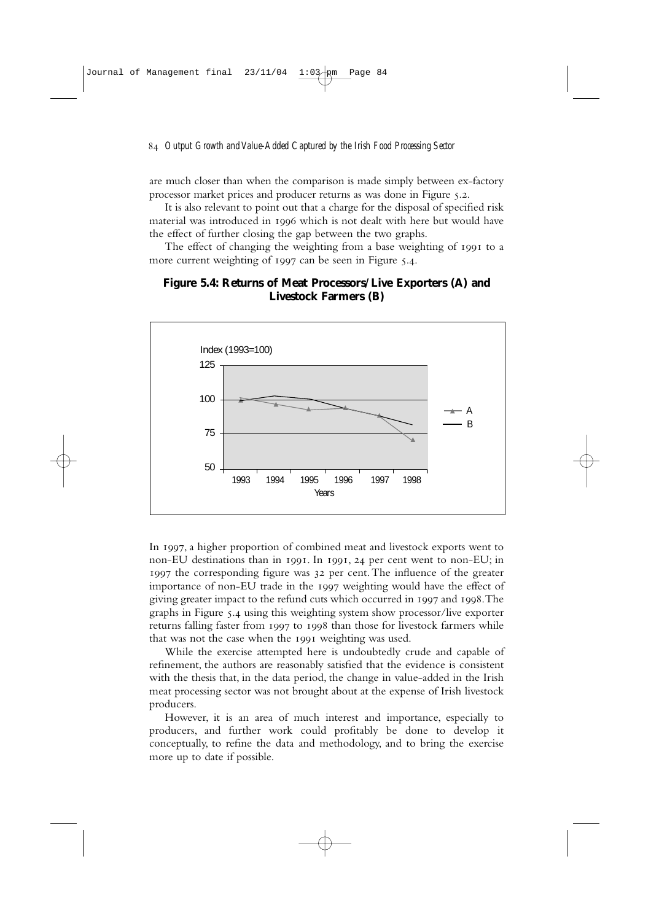are much closer than when the comparison is made simply between ex-factory processor market prices and producer returns as was done in Figure 5.2.

It is also relevant to point out that a charge for the disposal of specified risk material was introduced in 1996 which is not dealt with here but would have the effect of further closing the gap between the two graphs.

The effect of changing the weighting from a base weighting of 1991 to a more current weighting of  $1997$  can be seen in Figure 5.4.

# **Figure 5.4: Returns of Meat Processors/Live Exporters (A) and Livestock Farmers (B)**



In 1997, a higher proportion of combined meat and livestock exports went to non-EU destinations than in 1991. In 1991, 24 per cent went to non-EU; in 1997 the corresponding figure was 32 per cent. The influence of the greater importance of non-EU trade in the 1997 weighting would have the effect of giving greater impact to the refund cuts which occurred in 1997 and 1998. The graphs in Figure 5.4 using this weighting system show processor/live exporter returns falling faster from 1997 to 1998 than those for livestock farmers while that was not the case when the 1991 weighting was used.

While the exercise attempted here is undoubtedly crude and capable of refinement, the authors are reasonably satisfied that the evidence is consistent with the thesis that, in the data period, the change in value-added in the Irish meat processing sector was not brought about at the expense of Irish livestock producers.

However, it is an area of much interest and importance, especially to producers, and further work could profitably be done to develop it conceptually, to refine the data and methodology, and to bring the exercise more up to date if possible.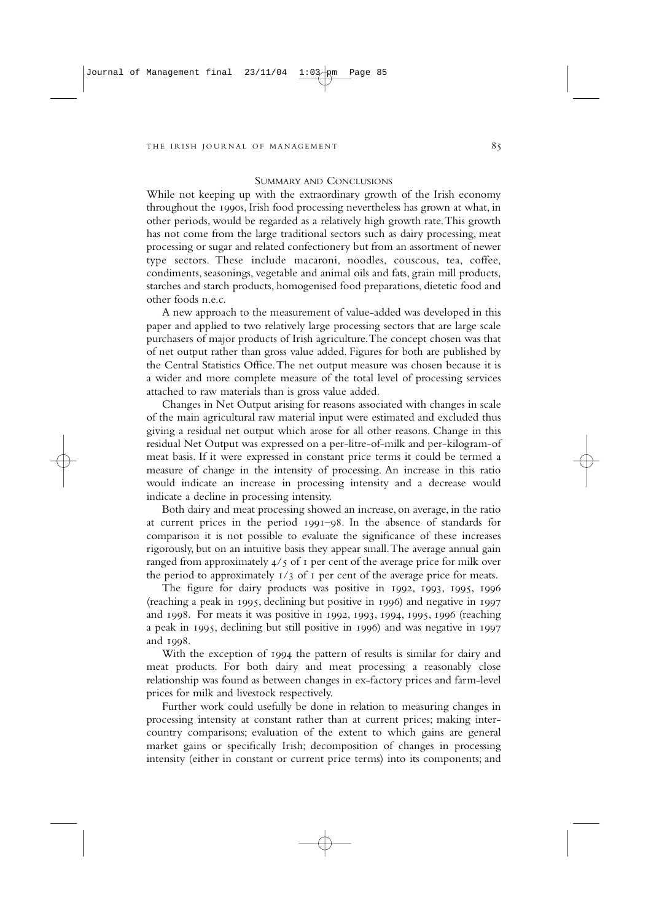### SUMMARY AND CONCLUSIONS

While not keeping up with the extraordinary growth of the Irish economy throughout the 1990s, Irish food processing nevertheless has grown at what, in other periods, would be regarded as a relatively high growth rate.This growth has not come from the large traditional sectors such as dairy processing, meat processing or sugar and related confectionery but from an assortment of newer type sectors. These include macaroni, noodles, couscous, tea, coffee, condiments, seasonings, vegetable and animal oils and fats, grain mill products, starches and starch products, homogenised food preparations, dietetic food and other foods n.e.c.

A new approach to the measurement of value-added was developed in this paper and applied to two relatively large processing sectors that are large scale purchasers of major products of Irish agriculture.The concept chosen was that of net output rather than gross value added. Figures for both are published by the Central Statistics Office.The net output measure was chosen because it is a wider and more complete measure of the total level of processing services attached to raw materials than is gross value added.

Changes in Net Output arising for reasons associated with changes in scale of the main agricultural raw material input were estimated and excluded thus giving a residual net output which arose for all other reasons. Change in this residual Net Output was expressed on a per-litre-of-milk and per-kilogram-of meat basis. If it were expressed in constant price terms it could be termed a measure of change in the intensity of processing. An increase in this ratio would indicate an increase in processing intensity and a decrease would indicate a decline in processing intensity.

Both dairy and meat processing showed an increase, on average, in the ratio at current prices in the period  $1991-98$ . In the absence of standards for comparison it is not possible to evaluate the significance of these increases rigorously, but on an intuitive basis they appear small.The average annual gain ranged from approximately  $4/5$  of  $\bar{1}$  per cent of the average price for milk over the period to approximately  $I/3$  of  $I$  per cent of the average price for meats.

The figure for dairy products was positive in  $1992, 1993, 1995, 1996$ (reaching a peak in  $1995$ , declining but positive in  $1996$ ) and negative in  $1997$ and 1998. For meats it was positive in 1992, 1993, 1994, 1995, 1996 (reaching a peak in  $1995$ , declining but still positive in  $1996$  and was negative in  $1997$ and 1998.

With the exception of 1994 the pattern of results is similar for dairy and meat products. For both dairy and meat processing a reasonably close relationship was found as between changes in ex-factory prices and farm-level prices for milk and livestock respectively.

Further work could usefully be done in relation to measuring changes in processing intensity at constant rather than at current prices; making intercountry comparisons; evaluation of the extent to which gains are general market gains or specifically Irish; decomposition of changes in processing intensity (either in constant or current price terms) into its components; and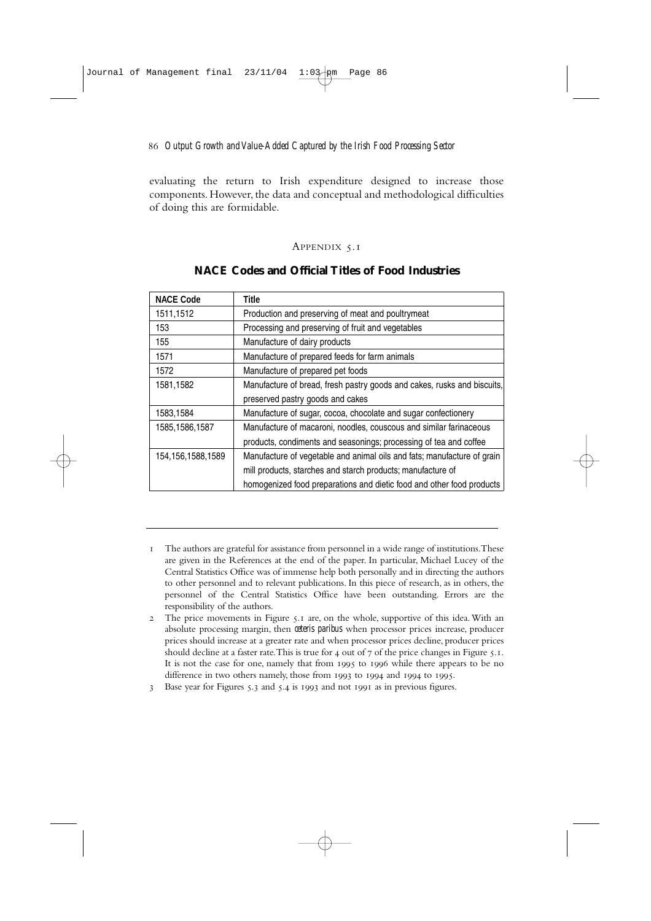evaluating the return to Irish expenditure designed to increase those components. However, the data and conceptual and methodological difficulties of doing this are formidable.

### APPENDIX 5.1

| <b>NACE Code</b>     | Title                                                                   |
|----------------------|-------------------------------------------------------------------------|
| 1511,1512            | Production and preserving of meat and poultrymeat                       |
| 153                  | Processing and preserving of fruit and vegetables                       |
| 155                  | Manufacture of dairy products                                           |
| 1571                 | Manufacture of prepared feeds for farm animals                          |
| 1572                 | Manufacture of prepared pet foods                                       |
| 1581,1582            | Manufacture of bread, fresh pastry goods and cakes, rusks and biscuits, |
|                      | preserved pastry goods and cakes                                        |
| 1583,1584            | Manufacture of sugar, cocoa, chocolate and sugar confectionery          |
| 1585, 1586, 1587     | Manufacture of macaroni, noodles, couscous and similar farinaceous      |
|                      | products, condiments and seasonings; processing of tea and coffee       |
| 154, 156, 1588, 1589 | Manufacture of vegetable and animal oils and fats; manufacture of grain |
|                      | mill products, starches and starch products; manufacture of             |
|                      | homogenized food preparations and dietic food and other food products   |

# **NACE Codes and Official Titles of Food Industries**

- The authors are grateful for assistance from personnel in a wide range of institutions.These are given in the References at the end of the paper. In particular, Michael Lucey of the Central Statistics Office was of immense help both personally and in directing the authors to other personnel and to relevant publications. In this piece of research, as in others, the personnel of the Central Statistics Office have been outstanding. Errors are the responsibility of the authors.
- $2$  The price movements in Figure  $5.1$  are, on the whole, supportive of this idea. With an absolute processing margin, then *ceteris paribus* when processor prices increase, producer prices should increase at a greater rate and when processor prices decline, producer prices should decline at a faster rate. This is true for  $4$  out of  $7$  of the price changes in Figure  $5.1$ . It is not the case for one, namely that from 1995 to 1996 while there appears to be no difference in two others namely, those from 1993 to 1994 and 1994 to 1995.
- 3 Base year for Figures 5.3 and 5.4 is 1993 and not 1991 as in previous figures.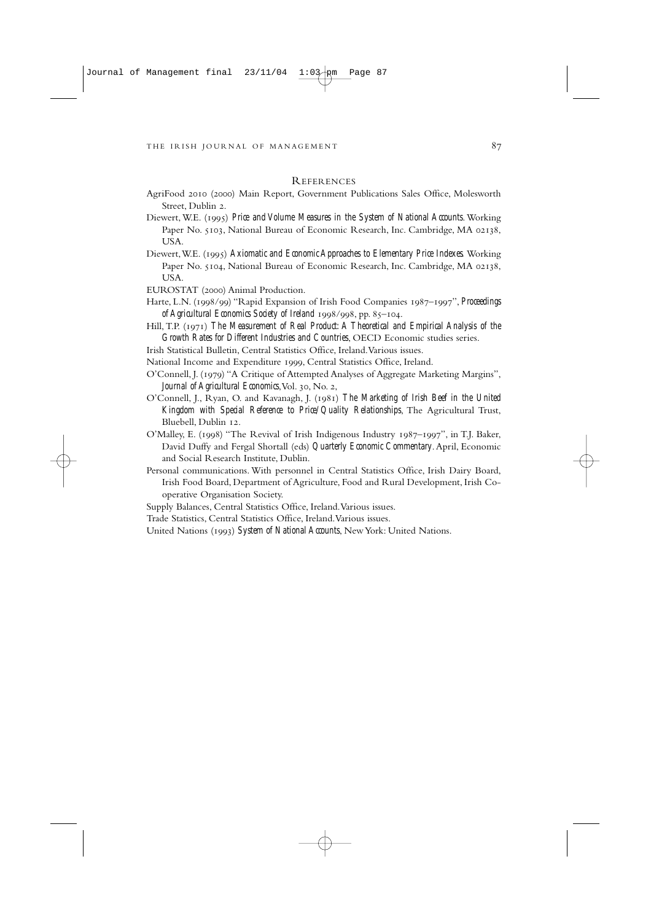### REFERENCES

- AgriFood 2010 (2000) Main Report, Government Publications Sales Office, Molesworth Street, Dublin 2.
- Diewert, W.E. () *Price and Volume Measures in the System of National Accounts*. Working Paper No. 5103, National Bureau of Economic Research, Inc. Cambridge, MA 02138, USA.
- Diewert, W.E. (1995) *Axiomatic and Economic Approaches to Elementary Price Indexes.* Working Paper No. 5104, National Bureau of Economic Research, Inc. Cambridge, MA 02138, USA.

EUROSTAT (2000) Animal Production.

- Harte, L.N. (1998/99) "Rapid Expansion of Irish Food Companies 1987–1997", *Proceedings of Agricultural Economics Society of Ireland* 1998/998, pp. 85-104.
- Hill, T.P. (1971) The Measurement of Real Product: A Theoretical and Empirical Analysis of the *Growth Rates for Different Industries and Countries*, OECD Economic studies series.
- Irish Statistical Bulletin, Central Statistics Office, Ireland.Various issues.

National Income and Expenditure 1999, Central Statistics Office, Ireland.

- O'Connell, J. (1979) "A Critique of Attempted Analyses of Aggregate Marketing Margins", *Journal of Agricultural Economics*, Vol. 30, No. 2,
- O'Connell, J., Ryan, O. and Kavanagh, J. () *The Marketing of Irish Beef in the United Kingdom with Special Reference to Price/Quality Relationships*, The Agricultural Trust, Bluebell, Dublin 12.
- O'Malley, E. (1998) "The Revival of Irish Indigenous Industry 1987–1997", in T.J. Baker, David Duffy and Fergal Shortall (eds) *Quarterly Economic Commentary*. April, Economic and Social Research Institute, Dublin.
- Personal communications. With personnel in Central Statistics Office, Irish Dairy Board, Irish Food Board, Department of Agriculture, Food and Rural Development, Irish Cooperative Organisation Society.
- Supply Balances, Central Statistics Office, Ireland.Various issues.
- Trade Statistics, Central Statistics Office, Ireland.Various issues.
- United Nations (1993) *System of National Accounts*, New York: United Nations.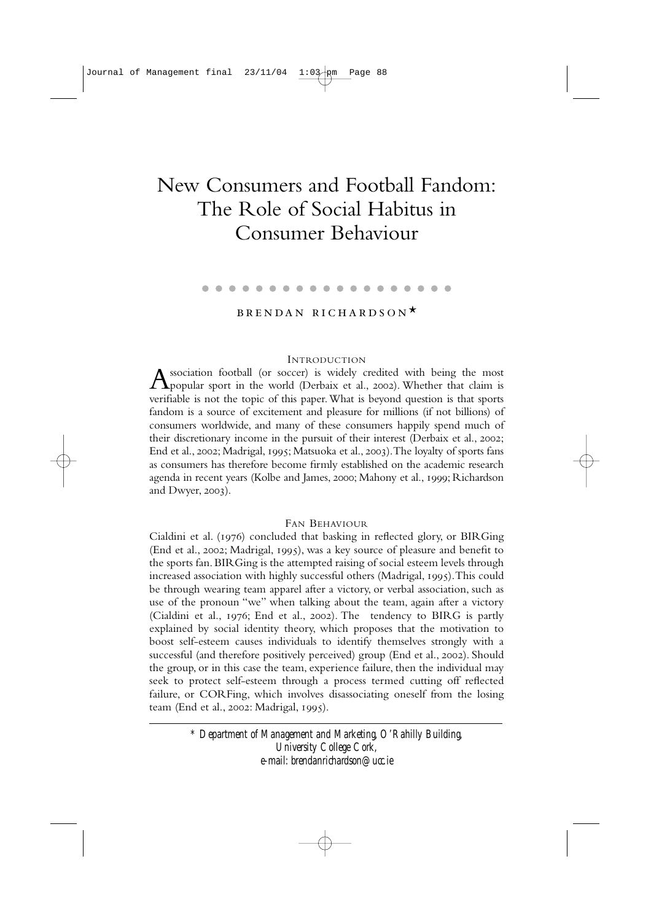# New Consumers and Football Fandom: The Role of Social Habitus in Consumer Behaviour

#### . . . . --------

# BRENDAN RICHARDSON<sup>\*</sup>

### INTRODUCTION

Association football (or soccer) is widely credited with being the most **T** popular sport in the world (Derbaix et al., 2002). Whether that claim is verifiable is not the topic of this paper.What is beyond question is that sports fandom is a source of excitement and pleasure for millions (if not billions) of consumers worldwide, and many of these consumers happily spend much of their discretionary income in the pursuit of their interest (Derbaix et al., 2002; End et al., 2002; Madrigal, 1995; Matsuoka et al., 2003). The loyalty of sports fans as consumers has therefore become firmly established on the academic research agenda in recent years (Kolbe and James, 2000; Mahony et al., 1999; Richardson and Dwyer,  $2003$ ).

### FAN BEHAVIOUR

Cialdini et al.  $(1976)$  concluded that basking in reflected glory, or BIRGing (End et al., 2002; Madrigal, 1995), was a key source of pleasure and benefit to the sports fan. BIRGing is the attempted raising of social esteem levels through increased association with highly successful others (Madrigal, 1995). This could be through wearing team apparel after a victory, or verbal association, such as use of the pronoun "we" when talking about the team, again after a victory (Cialdini et al., 1976; End et al., 2002). The tendency to BIRG is partly explained by social identity theory, which proposes that the motivation to boost self-esteem causes individuals to identify themselves strongly with a successful (and therefore positively perceived) group (End et al., 2002). Should the group, or in this case the team, experience failure, then the individual may seek to protect self-esteem through a process termed cutting off reflected failure, or CORFing, which involves disassociating oneself from the losing team (End et al., 2002: Madrigal, 1995).

> *\* Department of Management and Marketing, O'Rahilly Building, University College Cork, e-mail: brendanrichardson@ucc.ie*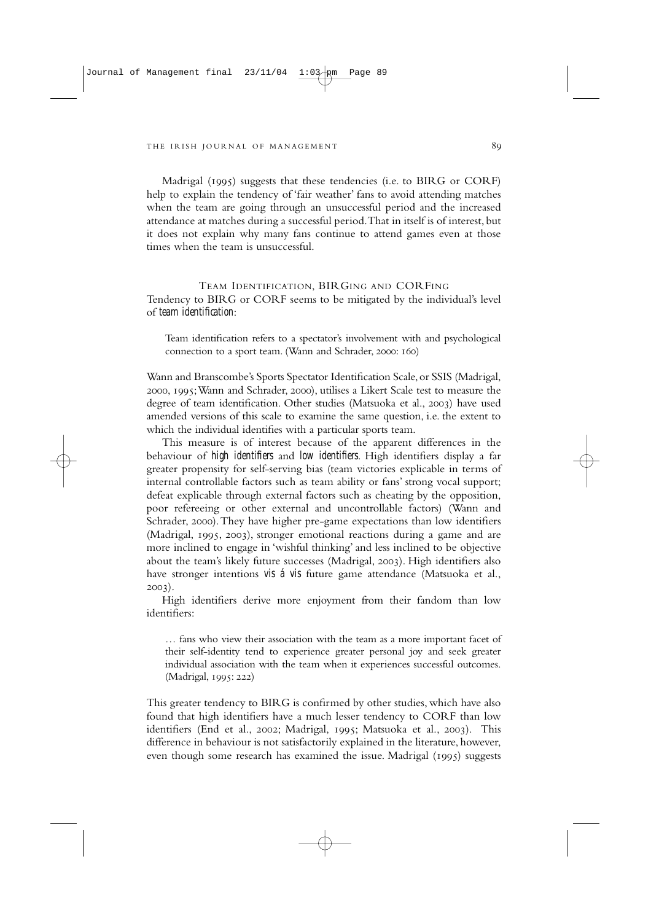Madrigal ( $1995$ ) suggests that these tendencies (i.e. to BIRG or CORF) help to explain the tendency of 'fair weather' fans to avoid attending matches when the team are going through an unsuccessful period and the increased attendance at matches during a successful period.That in itself is of interest, but it does not explain why many fans continue to attend games even at those times when the team is unsuccessful.

TEAM IDENTIFICATION, BIRGING AND CORFING Tendency to BIRG or CORF seems to be mitigated by the individual's level of *team identification*:

Team identification refers to a spectator's involvement with and psychological connection to a sport team. (Wann and Schrader, 2000: 160)

Wann and Branscombe's Sports Spectator Identification Scale,or SSIS (Madrigal, 2000, 1995; Wann and Schrader, 2000), utilises a Likert Scale test to measure the degree of team identification. Other studies (Matsuoka et al., 2003) have used amended versions of this scale to examine the same question, i.e. the extent to which the individual identifies with a particular sports team.

This measure is of interest because of the apparent differences in the behaviour of *high identifiers* and *low identifiers*. High identifiers display a far greater propensity for self-serving bias (team victories explicable in terms of internal controllable factors such as team ability or fans' strong vocal support; defeat explicable through external factors such as cheating by the opposition, poor refereeing or other external and uncontrollable factors) (Wann and Schrader, 2000). They have higher pre-game expectations than low identifiers  $(Madrical, 1995, 2003)$ , stronger emotional reactions during a game and are more inclined to engage in 'wishful thinking' and less inclined to be objective about the team's likely future successes (Madrigal, 2003). High identifiers also have stronger intentions *vis á vis* future game attendance (Matsuoka et al.,  $2003$ ).

High identifiers derive more enjoyment from their fandom than low identifiers:

… fans who view their association with the team as a more important facet of their self-identity tend to experience greater personal joy and seek greater individual association with the team when it experiences successful outcomes. (Madrigal, 1995: 222)

This greater tendency to BIRG is confirmed by other studies, which have also found that high identifiers have a much lesser tendency to CORF than low identifiers (End et al., 2002; Madrigal, 1995; Matsuoka et al., 2003). This difference in behaviour is not satisfactorily explained in the literature, however, even though some research has examined the issue. Madrigal  $(1995)$  suggests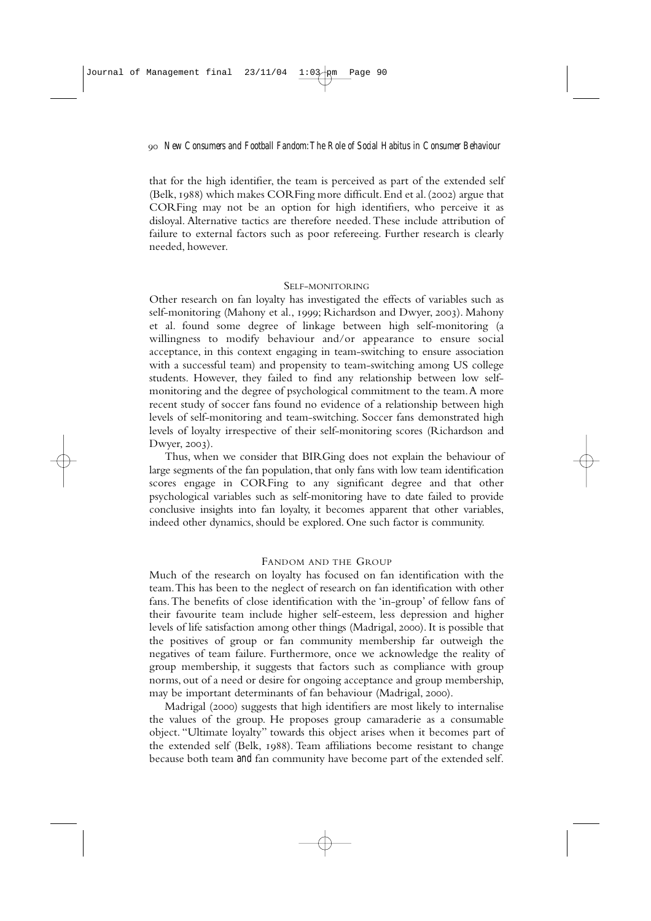that for the high identifier, the team is perceived as part of the extended self (Belk, 1988) which makes CORFing more difficult. End et al. (2002) argue that CORFing may not be an option for high identifiers, who perceive it as disloyal. Alternative tactics are therefore needed. These include attribution of failure to external factors such as poor refereeing. Further research is clearly needed, however.

### SELF-MONITORING

Other research on fan loyalty has investigated the effects of variables such as self-monitoring (Mahony et al., 1999; Richardson and Dwyer, 2003). Mahony et al. found some degree of linkage between high self-monitoring (a willingness to modify behaviour and/or appearance to ensure social acceptance, in this context engaging in team-switching to ensure association with a successful team) and propensity to team-switching among US college students. However, they failed to find any relationship between low selfmonitoring and the degree of psychological commitment to the team.A more recent study of soccer fans found no evidence of a relationship between high levels of self-monitoring and team-switching. Soccer fans demonstrated high levels of loyalty irrespective of their self-monitoring scores (Richardson and Dwyer, 2003).

Thus, when we consider that BIRGing does not explain the behaviour of large segments of the fan population, that only fans with low team identification scores engage in CORFing to any significant degree and that other psychological variables such as self-monitoring have to date failed to provide conclusive insights into fan loyalty, it becomes apparent that other variables, indeed other dynamics, should be explored. One such factor is community.

### FANDOM AND THE GROUP

Much of the research on loyalty has focused on fan identification with the team.This has been to the neglect of research on fan identification with other fans.The benefits of close identification with the 'in-group' of fellow fans of their favourite team include higher self-esteem, less depression and higher levels of life satisfaction among other things (Madrigal, 2000). It is possible that the positives of group or fan community membership far outweigh the negatives of team failure. Furthermore, once we acknowledge the reality of group membership, it suggests that factors such as compliance with group norms, out of a need or desire for ongoing acceptance and group membership, may be important determinants of fan behaviour (Madrigal, 2000).

Madrigal (2000) suggests that high identifiers are most likely to internalise the values of the group. He proposes group camaraderie as a consumable object. "Ultimate loyalty" towards this object arises when it becomes part of the extended self (Belk, 1988). Team affiliations become resistant to change because both team *and* fan community have become part of the extended self.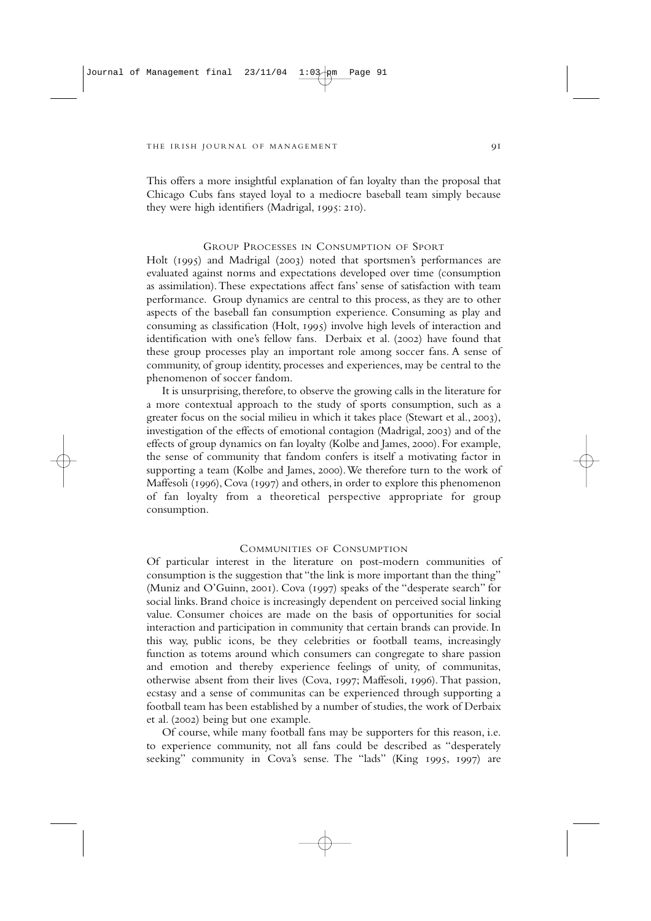This offers a more insightful explanation of fan loyalty than the proposal that Chicago Cubs fans stayed loyal to a mediocre baseball team simply because they were high identifiers (Madrigal, 1995: 210).

### GROUP PROCESSES IN CONSUMPTION OF SPORT

Holt (1995) and Madrigal (2003) noted that sportsmen's performances are evaluated against norms and expectations developed over time (consumption as assimilation).These expectations affect fans' sense of satisfaction with team performance. Group dynamics are central to this process, as they are to other aspects of the baseball fan consumption experience. Consuming as play and consuming as classification (Holt,  $1995$ ) involve high levels of interaction and identification with one's fellow fans. Derbaix et al. (2002) have found that these group processes play an important role among soccer fans. A sense of community, of group identity, processes and experiences, may be central to the phenomenon of soccer fandom.

It is unsurprising, therefore, to observe the growing calls in the literature for a more contextual approach to the study of sports consumption, such as a greater focus on the social milieu in which it takes place (Stewart et al., 2003), investigation of the effects of emotional contagion (Madrigal, 2003) and of the effects of group dynamics on fan loyalty (Kolbe and James, 2000). For example, the sense of community that fandom confers is itself a motivating factor in supporting a team (Kolbe and James, 2000). We therefore turn to the work of Maffesoli (1996), Cova (1997) and others, in order to explore this phenomenon of fan loyalty from a theoretical perspective appropriate for group consumption.

### COMMUNITIES OF CONSUMPTION

Of particular interest in the literature on post-modern communities of consumption is the suggestion that "the link is more important than the thing" (Muniz and O'Guinn, 2001). Cova (1997) speaks of the "desperate search" for social links. Brand choice is increasingly dependent on perceived social linking value. Consumer choices are made on the basis of opportunities for social interaction and participation in community that certain brands can provide. In this way, public icons, be they celebrities or football teams, increasingly function as totems around which consumers can congregate to share passion and emotion and thereby experience feelings of unity, of communitas, otherwise absent from their lives (Cova, 1997; Maffesoli, 1996). That passion, ecstasy and a sense of communitas can be experienced through supporting a football team has been established by a number of studies, the work of Derbaix et al. (2002) being but one example.

Of course, while many football fans may be supporters for this reason, i.e. to experience community, not all fans could be described as "desperately seeking" community in Cova's sense. The "lads" (King 1995, 1997) are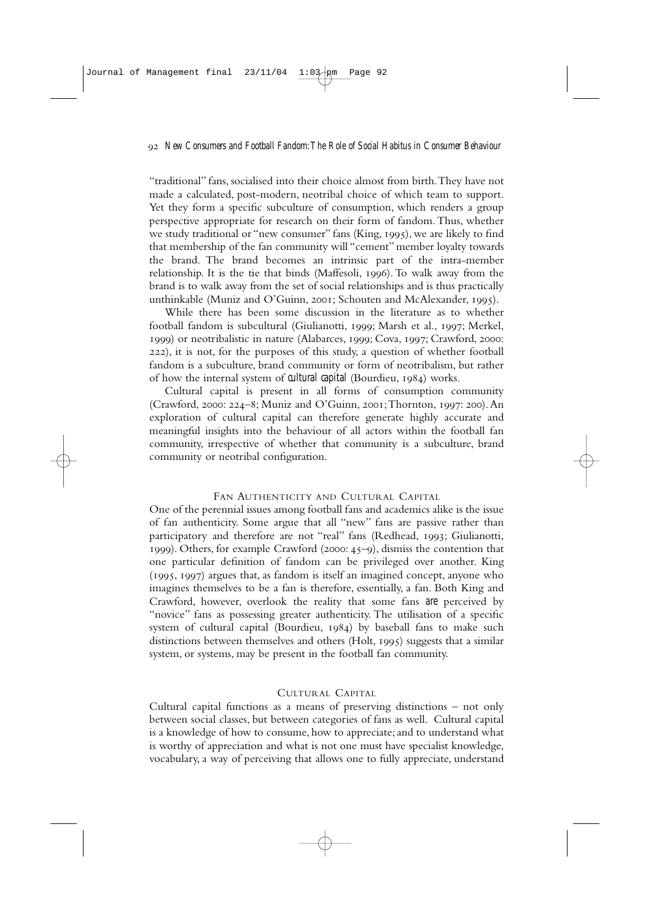"traditional" fans, socialised into their choice almost from birth.They have not made a calculated, post-modern, neotribal choice of which team to support. Yet they form a specific subculture of consumption, which renders a group perspective appropriate for research on their form of fandom.Thus, whether we study traditional or "new consumer" fans (King, 1995), we are likely to find that membership of the fan community will "cement" member loyalty towards the brand. The brand becomes an intrinsic part of the intra-member relationship. It is the tie that binds (Maffesoli, 1996). To walk away from the brand is to walk away from the set of social relationships and is thus practically unthinkable (Muniz and O'Guinn, 2001; Schouten and McAlexander, 1995).

While there has been some discussion in the literature as to whether football fandom is subcultural (Giulianotti, 1999; Marsh et al., 1997; Merkel, 1999) or neotribalistic in nature (Alabarces, 1999; Cova, 1997; Crawford, 2000: ), it is not, for the purposes of this study, a question of whether football fandom is a subculture, brand community or form of neotribalism, but rather of how the internal system of *cultural capital* (Bourdieu, 1984) works.

Cultural capital is present in all forms of consumption community (Crawford, 2000: 224–8; Muniz and O'Guinn, 2001; Thornton, 1997: 200). An exploration of cultural capital can therefore generate highly accurate and meaningful insights into the behaviour of all actors within the football fan community, irrespective of whether that community is a subculture, brand community or neotribal configuration.

### FAN AUTHENTICITY AND CULTURAL CAPITAL

One of the perennial issues among football fans and academics alike is the issue of fan authenticity. Some argue that all "new" fans are passive rather than participatory and therefore are not "real" fans (Redhead, 1993; Giulianotti,  $1999$ ). Others, for example Crawford (2000:  $45-9$ ), dismiss the contention that one particular definition of fandom can be privileged over another. King  $(1995, 1997)$  argues that, as fandom is itself an imagined concept, anyone who imagines themselves to be a fan is therefore, essentially, a fan. Both King and Crawford, however, overlook the reality that some fans *are* perceived by "novice" fans as possessing greater authenticity. The utilisation of a specific system of cultural capital (Bourdieu,  $1984$ ) by baseball fans to make such distinctions between themselves and others  $(Holt, 1995)$  suggests that a similar system, or systems, may be present in the football fan community.

### CULTURAL CAPITAL

Cultural capital functions as a means of preserving distinctions – not only between social classes, but between categories of fans as well. Cultural capital is a knowledge of how to consume, how to appreciate; and to understand what is worthy of appreciation and what is not one must have specialist knowledge, vocabulary, a way of perceiving that allows one to fully appreciate, understand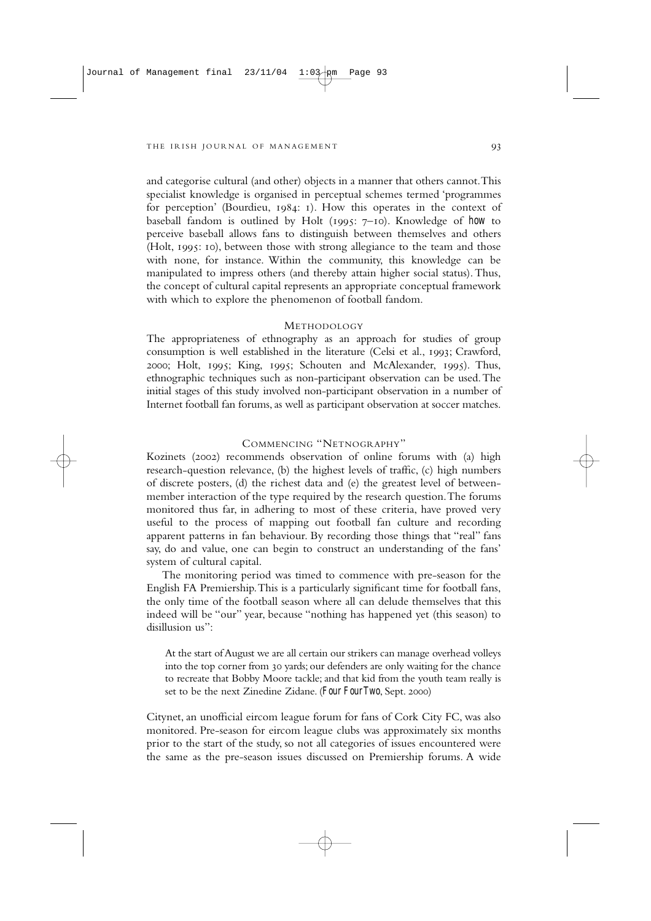and categorise cultural (and other) objects in a manner that others cannot.This specialist knowledge is organised in perceptual schemes termed 'programmes for perception' (Bourdieu,  $1984$ : 1). How this operates in the context of baseball fandom is outlined by Holt (1995: 7-10). Knowledge of *how* to perceive baseball allows fans to distinguish between themselves and others (Holt, 1995; 10), between those with strong allegiance to the team and those with none, for instance. Within the community, this knowledge can be manipulated to impress others (and thereby attain higher social status).Thus, the concept of cultural capital represents an appropriate conceptual framework with which to explore the phenomenon of football fandom.

### METHODOLOGY

The appropriateness of ethnography as an approach for studies of group consumption is well established in the literature (Celsi et al., 1993; Crawford,  $2000$ ; Holt,  $1995$ ; King,  $1995$ ; Schouten and McAlexander,  $1995$ ). Thus, ethnographic techniques such as non-participant observation can be used.The initial stages of this study involved non-participant observation in a number of Internet football fan forums, as well as participant observation at soccer matches.

### COMMENCING "NETNOGRAPHY"

Kozinets (2002) recommends observation of online forums with (a) high research-question relevance, (b) the highest levels of traffic, (c) high numbers of discrete posters, (d) the richest data and (e) the greatest level of betweenmember interaction of the type required by the research question.The forums monitored thus far, in adhering to most of these criteria, have proved very useful to the process of mapping out football fan culture and recording apparent patterns in fan behaviour. By recording those things that "real" fans say, do and value, one can begin to construct an understanding of the fans' system of cultural capital.

The monitoring period was timed to commence with pre-season for the English FA Premiership.This is a particularly significant time for football fans, the only time of the football season where all can delude themselves that this indeed will be "our" year, because "nothing has happened yet (this season) to disillusion us":

At the start of August we are all certain our strikers can manage overhead volleys into the top corner from 30 yards; our defenders are only waiting for the chance to recreate that Bobby Moore tackle; and that kid from the youth team really is set to be the next Zinedine Zidane. (*Four Four Two*, Sept. 2000)

Citynet, an unofficial eircom league forum for fans of Cork City FC, was also monitored. Pre-season for eircom league clubs was approximately six months prior to the start of the study, so not all categories of issues encountered were the same as the pre-season issues discussed on Premiership forums. A wide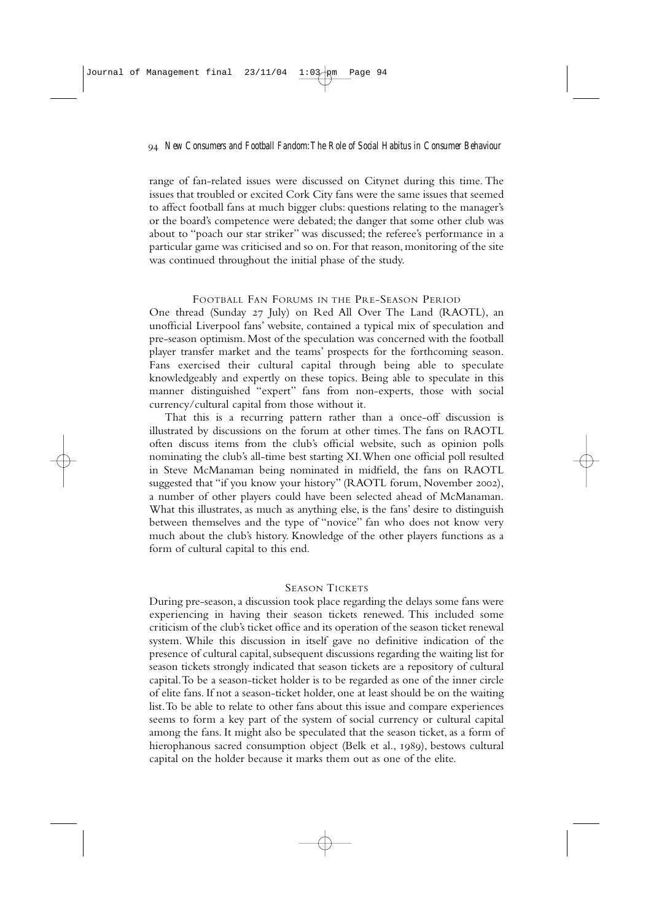range of fan-related issues were discussed on Citynet during this time. The issues that troubled or excited Cork City fans were the same issues that seemed to affect football fans at much bigger clubs: questions relating to the manager's or the board's competence were debated; the danger that some other club was about to "poach our star striker" was discussed; the referee's performance in a particular game was criticised and so on. For that reason, monitoring of the site was continued throughout the initial phase of the study.

### FOOTBALL FAN FORUMS IN THE PRE-SEASON PERIOD

One thread (Sunday 27 July) on Red All Over The Land (RAOTL), an unofficial Liverpool fans' website, contained a typical mix of speculation and pre-season optimism. Most of the speculation was concerned with the football player transfer market and the teams' prospects for the forthcoming season. Fans exercised their cultural capital through being able to speculate knowledgeably and expertly on these topics. Being able to speculate in this manner distinguished "expert" fans from non-experts, those with social currency/cultural capital from those without it.

That this is a recurring pattern rather than a once-off discussion is illustrated by discussions on the forum at other times. The fans on RAOTL often discuss items from the club's official website, such as opinion polls nominating the club's all-time best starting XI.When one official poll resulted in Steve McManaman being nominated in midfield, the fans on RAOTL suggested that "if you know your history" (RAOTL forum, November 2002), a number of other players could have been selected ahead of McManaman. What this illustrates, as much as anything else, is the fans' desire to distinguish between themselves and the type of "novice" fan who does not know very much about the club's history. Knowledge of the other players functions as a form of cultural capital to this end.

### SEASON TICKETS

During pre-season, a discussion took place regarding the delays some fans were experiencing in having their season tickets renewed. This included some criticism of the club's ticket office and its operation of the season ticket renewal system. While this discussion in itself gave no definitive indication of the presence of cultural capital, subsequent discussions regarding the waiting list for season tickets strongly indicated that season tickets are a repository of cultural capital.To be a season-ticket holder is to be regarded as one of the inner circle of elite fans. If not a season-ticket holder, one at least should be on the waiting list.To be able to relate to other fans about this issue and compare experiences seems to form a key part of the system of social currency or cultural capital among the fans. It might also be speculated that the season ticket, as a form of hierophanous sacred consumption object (Belk et al., 1989), bestows cultural capital on the holder because it marks them out as one of the elite.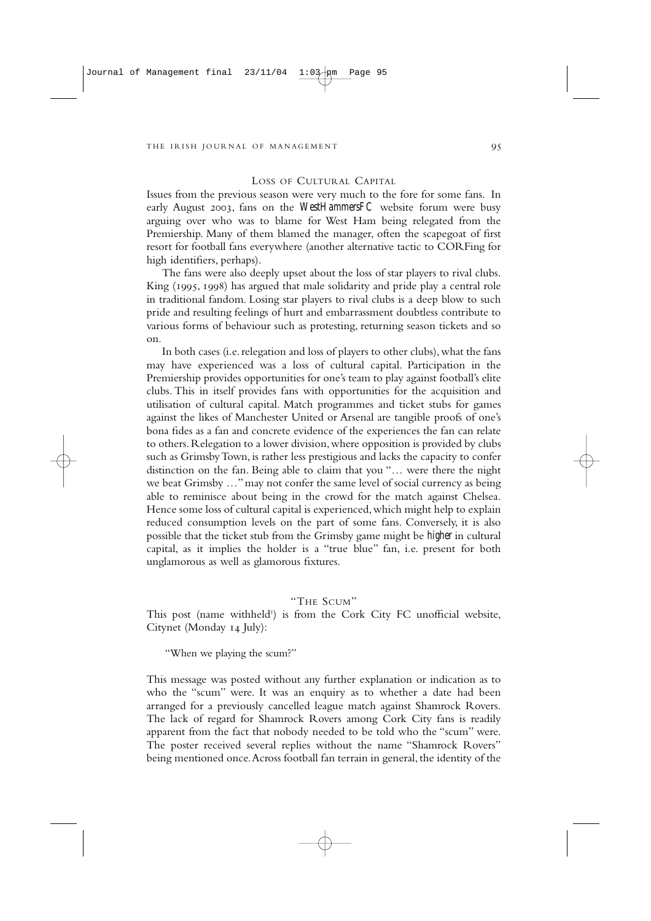### LOSS OF CULTURAL CAPITAL

Issues from the previous season were very much to the fore for some fans. In early August 2003, fans on the *WestHammersFC* website forum were busy arguing over who was to blame for West Ham being relegated from the Premiership. Many of them blamed the manager, often the scapegoat of first resort for football fans everywhere (another alternative tactic to CORFing for high identifiers, perhaps).

The fans were also deeply upset about the loss of star players to rival clubs. King (1995, 1998) has argued that male solidarity and pride play a central role in traditional fandom. Losing star players to rival clubs is a deep blow to such pride and resulting feelings of hurt and embarrassment doubtless contribute to various forms of behaviour such as protesting, returning season tickets and so on.

In both cases (i.e. relegation and loss of players to other clubs), what the fans may have experienced was a loss of cultural capital. Participation in the Premiership provides opportunities for one's team to play against football's elite clubs. This in itself provides fans with opportunities for the acquisition and utilisation of cultural capital. Match programmes and ticket stubs for games against the likes of Manchester United or Arsenal are tangible proofs of one's bona fides as a fan and concrete evidence of the experiences the fan can relate to others.Relegation to a lower division,where opposition is provided by clubs such as Grimsby Town, is rather less prestigious and lacks the capacity to confer distinction on the fan. Being able to claim that you "… were there the night we beat Grimsby …"may not confer the same level of social currency as being able to reminisce about being in the crowd for the match against Chelsea. Hence some loss of cultural capital is experienced,which might help to explain reduced consumption levels on the part of some fans. Conversely, it is also possible that the ticket stub from the Grimsby game might be *higher* in cultural capital, as it implies the holder is a "true blue" fan, i.e. present for both unglamorous as well as glamorous fixtures.

### "THE SCUM"

This post (name withheld<sup>1</sup>) is from the Cork City FC unofficial website, Citynet (Monday 14 July):

"When we playing the scum?"

This message was posted without any further explanation or indication as to who the "scum" were. It was an enquiry as to whether a date had been arranged for a previously cancelled league match against Shamrock Rovers. The lack of regard for Shamrock Rovers among Cork City fans is readily apparent from the fact that nobody needed to be told who the "scum" were. The poster received several replies without the name "Shamrock Rovers" being mentioned once.Across football fan terrain in general, the identity of the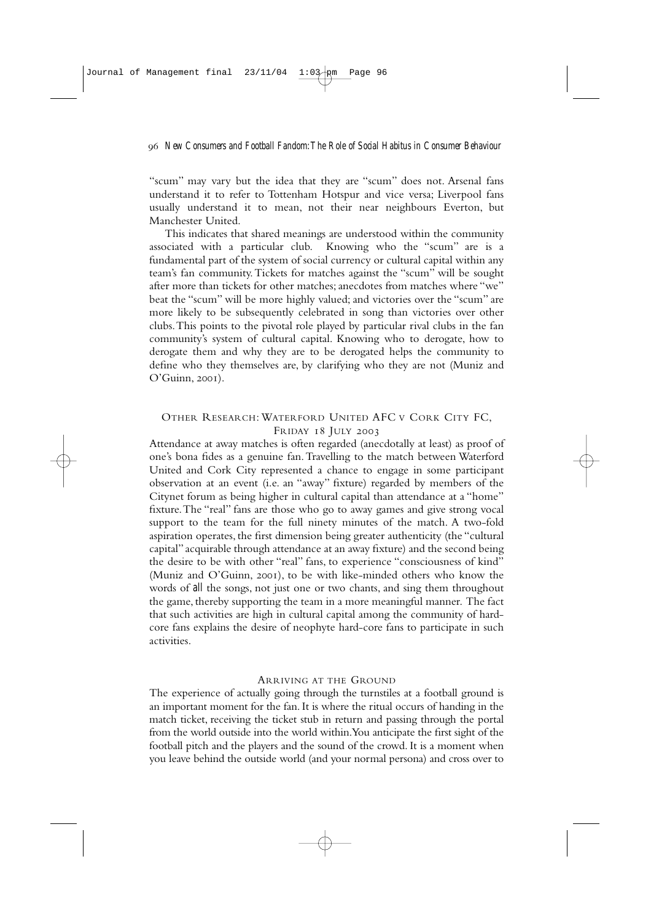"scum" may vary but the idea that they are "scum" does not. Arsenal fans understand it to refer to Tottenham Hotspur and vice versa; Liverpool fans usually understand it to mean, not their near neighbours Everton, but Manchester United.

This indicates that shared meanings are understood within the community associated with a particular club. Knowing who the "scum" are is a fundamental part of the system of social currency or cultural capital within any team's fan community.Tickets for matches against the "scum" will be sought after more than tickets for other matches; anecdotes from matches where "we" beat the "scum" will be more highly valued; and victories over the "scum" are more likely to be subsequently celebrated in song than victories over other clubs.This points to the pivotal role played by particular rival clubs in the fan community's system of cultural capital. Knowing who to derogate, how to derogate them and why they are to be derogated helps the community to define who they themselves are, by clarifying who they are not (Muniz and  $O'Guinn. 2001$ .

## OTHER RESEARCH: WATERFORD UNITED AFC V CORK CITY FC, FRIDAY 18 JULY 2003

Attendance at away matches is often regarded (anecdotally at least) as proof of one's bona fides as a genuine fan.Travelling to the match between Waterford United and Cork City represented a chance to engage in some participant observation at an event (i.e. an "away" fixture) regarded by members of the Citynet forum as being higher in cultural capital than attendance at a "home" fixture.The "real" fans are those who go to away games and give strong vocal support to the team for the full ninety minutes of the match. A two-fold aspiration operates, the first dimension being greater authenticity (the "cultural capital" acquirable through attendance at an away fixture) and the second being the desire to be with other "real" fans, to experience "consciousness of kind" (Muniz and O'Guinn, 2001), to be with like-minded others who know the words of *all* the songs, not just one or two chants, and sing them throughout the game, thereby supporting the team in a more meaningful manner. The fact that such activities are high in cultural capital among the community of hardcore fans explains the desire of neophyte hard-core fans to participate in such activities.

### ARRIVING AT THE GROUND

The experience of actually going through the turnstiles at a football ground is an important moment for the fan. It is where the ritual occurs of handing in the match ticket, receiving the ticket stub in return and passing through the portal from the world outside into the world within.You anticipate the first sight of the football pitch and the players and the sound of the crowd. It is a moment when you leave behind the outside world (and your normal persona) and cross over to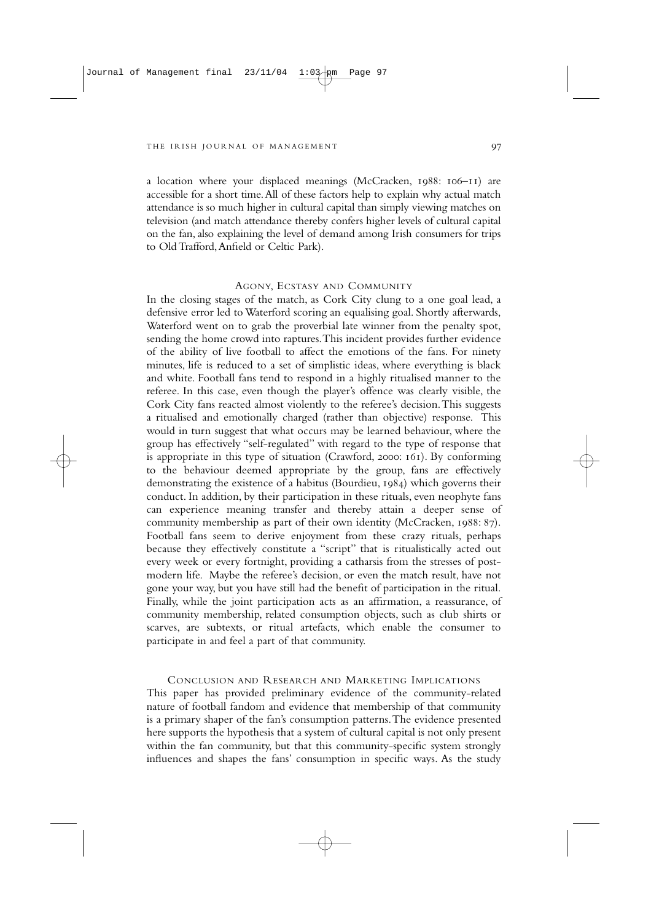a location where your displaced meanings (McCracken,  $1988$ :  $106-11$ ) are accessible for a short time.All of these factors help to explain why actual match attendance is so much higher in cultural capital than simply viewing matches on television (and match attendance thereby confers higher levels of cultural capital on the fan, also explaining the level of demand among Irish consumers for trips to Old Trafford,Anfield or Celtic Park).

### AGONY, ECSTASY AND COMMUNITY

In the closing stages of the match, as Cork City clung to a one goal lead, a defensive error led to Waterford scoring an equalising goal. Shortly afterwards, Waterford went on to grab the proverbial late winner from the penalty spot, sending the home crowd into raptures.This incident provides further evidence of the ability of live football to affect the emotions of the fans. For ninety minutes, life is reduced to a set of simplistic ideas, where everything is black and white. Football fans tend to respond in a highly ritualised manner to the referee. In this case, even though the player's offence was clearly visible, the Cork City fans reacted almost violently to the referee's decision.This suggests a ritualised and emotionally charged (rather than objective) response. This would in turn suggest that what occurs may be learned behaviour, where the group has effectively "self-regulated" with regard to the type of response that is appropriate in this type of situation (Crawford, 2000:  $161$ ). By conforming to the behaviour deemed appropriate by the group, fans are effectively demonstrating the existence of a habitus (Bourdieu,  $1984$ ) which governs their conduct. In addition, by their participation in these rituals, even neophyte fans can experience meaning transfer and thereby attain a deeper sense of community membership as part of their own identity (McCracken, 1988: 87). Football fans seem to derive enjoyment from these crazy rituals, perhaps because they effectively constitute a "script" that is ritualistically acted out every week or every fortnight, providing a catharsis from the stresses of postmodern life. Maybe the referee's decision, or even the match result, have not gone your way, but you have still had the benefit of participation in the ritual. Finally, while the joint participation acts as an affirmation, a reassurance, of community membership, related consumption objects, such as club shirts or scarves, are subtexts, or ritual artefacts, which enable the consumer to participate in and feel a part of that community.

CONCLUSION AND RESEARCH AND MARKETING IMPLICATIONS This paper has provided preliminary evidence of the community-related nature of football fandom and evidence that membership of that community is a primary shaper of the fan's consumption patterns.The evidence presented here supports the hypothesis that a system of cultural capital is not only present within the fan community, but that this community-specific system strongly influences and shapes the fans' consumption in specific ways. As the study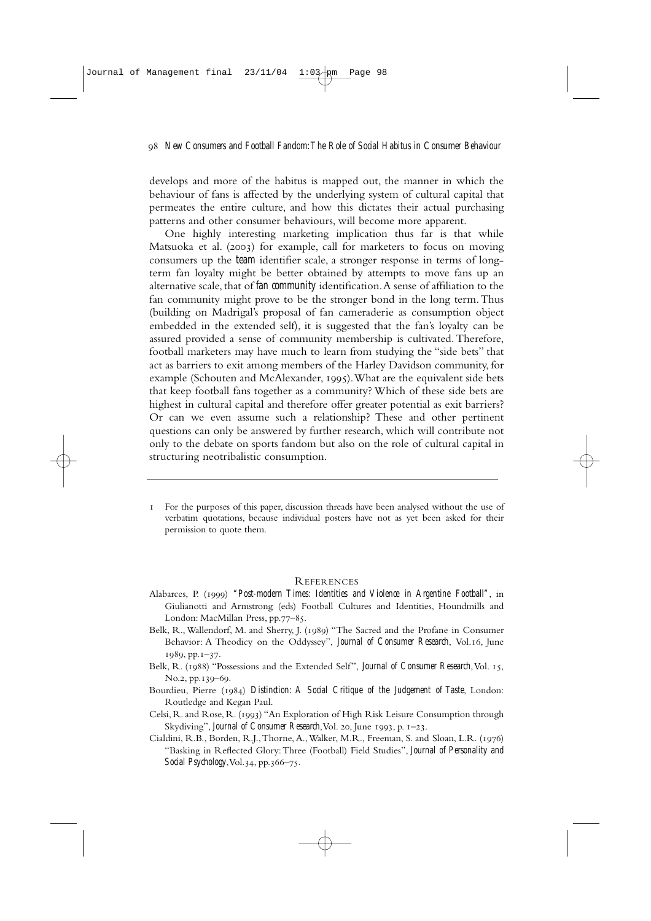develops and more of the habitus is mapped out, the manner in which the behaviour of fans is affected by the underlying system of cultural capital that permeates the entire culture, and how this dictates their actual purchasing patterns and other consumer behaviours, will become more apparent.

One highly interesting marketing implication thus far is that while Matsuoka et al. (2003) for example, call for marketers to focus on moving consumers up the *team* identifier scale, a stronger response in terms of longterm fan loyalty might be better obtained by attempts to move fans up an alternative scale, that of *fan community* identification.A sense of affiliation to the fan community might prove to be the stronger bond in the long term.Thus (building on Madrigal's proposal of fan cameraderie as consumption object embedded in the extended self), it is suggested that the fan's loyalty can be assured provided a sense of community membership is cultivated. Therefore, football marketers may have much to learn from studying the "side bets" that act as barriers to exit among members of the Harley Davidson community, for example (Schouten and McAlexander, 1995). What are the equivalent side bets that keep football fans together as a community? Which of these side bets are highest in cultural capital and therefore offer greater potential as exit barriers? Or can we even assume such a relationship? These and other pertinent questions can only be answered by further research, which will contribute not only to the debate on sports fandom but also on the role of cultural capital in structuring neotribalistic consumption.

 For the purposes of this paper, discussion threads have been analysed without the use of verbatim quotations, because individual posters have not as yet been asked for their permission to quote them.

### REFERENCES

- Alabarces, P. (1999) "Post-modern Times: Identities and Violence in Argentine Football", in Giulianotti and Armstrong (eds) Football Cultures and Identities, Houndmills and London: MacMillan Press, pp.77-85.
- Belk, R., Wallendorf, M. and Sherry, J. (1989) "The Sacred and the Profane in Consumer Behavior: A Theodicy on the Oddyssey", *Journal of Consumer Research*, Vol.16, June  $1989, pp.1-37.$
- Belk, R. (1988) "Possessions and the Extended Self", *Journal of Consumer Research*, Vol. 15, No.2, pp.139-69.
- Bourdieu, Pierre (1984) *Distinction: A Social Critique of the Judgement of Taste*, London: Routledge and Kegan Paul.
- Celsi, R. and Rose, R. (1993) "An Exploration of High Risk Leisure Consumption through Skydiving", *Journal of Consumer Research*, Vol. 20, June 1993, p. 1-23.
- Cialdini, R.B., Borden, R.J., Thorne, A., Walker, M.R., Freeman, S. and Sloan, L.R. (1976) "Basking in Reflected Glory:Three (Football) Field Studies", *Journal of Personality and Social Psychology*, Vol. 34, pp. 366–75.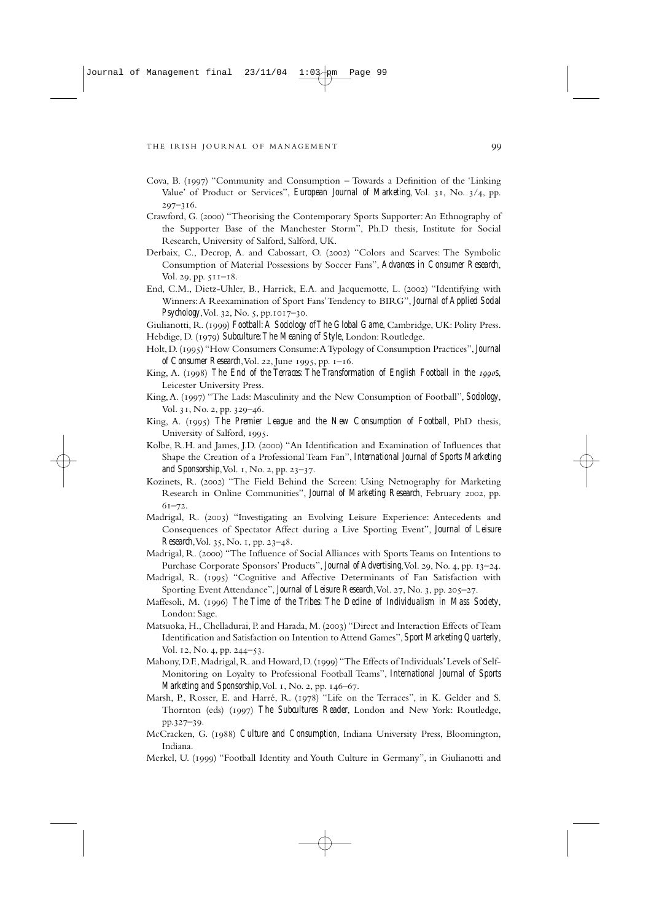- Cova, B. (1997) "Community and Consumption Towards a Definition of the 'Linking Value' of Product or Services", *European Journal of Marketing*, Vol. 31, No. 3/4, pp.  $207 - 316.$
- Crawford, G. (2000) "Theorising the Contemporary Sports Supporter: An Ethnography of the Supporter Base of the Manchester Storm", Ph.D thesis, Institute for Social Research, University of Salford, Salford, UK.
- Derbaix, C., Decrop, A. and Cabossart, O. (2002) "Colors and Scarves: The Symbolic Consumption of Material Possessions by Soccer Fans", *Advances in Consumer Research*, Vol. 29, pp.  $511 - 18$ .
- End, C.M., Dietz-Uhler, B., Harrick, E.A. and Jacquemotte, L. (2002) "Identifying with Winners:A Reexamination of Sport Fans'Tendency to BIRG", *Journal of Applied Social Psychology*, Vol. 32, No. 5, pp. 1017-30.
- Giulianotti, R. () *Football:A Sociology of The Global Game*, Cambridge, UK: Polity Press.
- Hebdige, D. (1979) Subculture: The Meaning of Style, London: Routledge.
- Holt, D. () "How Consumers Consume:A Typology of Consumption Practices", *Journal of Consumer Research*, Vol. 22, June 1995, pp.  $I-I6$ .
- King, A. (1998) The End of the Terraces: The Transformation of English Football in the 1990s, Leicester University Press.
- King, A. (1997) "The Lads: Masculinity and the New Consumption of Football", *Sociology*, Vol. 31, No. 2, pp. 329-46.
- King, A. (1995) *The Premier League and the New Consumption of Football*, PhD thesis, University of Salford, 1995.
- Kolbe, R.H. and James, J.D. (2000) "An Identification and Examination of Influences that Shape the Creation of a Professional Team Fan", *International Journal of Sports Marketing and Sponsorship*, Vol. 1, No. 2, pp. 23-37.
- Kozinets, R. (2002) "The Field Behind the Screen: Using Netnography for Marketing Research in Online Communities", *Journal of Marketing Research*, February 2002, pp.  $61 - 72.$
- Madrigal, R. (2003) "Investigating an Evolving Leisure Experience: Antecedents and Consequences of Spectator Affect during a Live Sporting Event", *Journal of Leisure Research*, Vol. 35, No. 1, pp. 23–48.
- Madrigal, R. (2000) "The Influence of Social Alliances with Sports Teams on Intentions to Purchase Corporate Sponsors' Products", *Journal of Advertising*, Vol. 29, No. 4, pp. 13-24.
- Madrigal, R. (1995) "Cognitive and Affective Determinants of Fan Satisfaction with Sporting Event Attendance", *Journal of Leisure Research*, Vol. 27, No. 3, pp. 205–27.
- Maffesoli, M. () *The Time of the Tribes: The Decline of Individualism in Mass Society*, London: Sage.
- Matsuoka, H., Chelladurai, P. and Harada, M. (2003) "Direct and Interaction Effects of Team Identification and Satisfaction on Intention to Attend Games", *Sport Marketing Quarterly*, Vol. 12, No. 4, pp. 244–53.
- Mahony, D.F., Madrigal, R. and Howard, D. (1999) "The Effects of Individuals' Levels of Self-Monitoring on Loyalty to Professional Football Teams", *International Journal of Sports Marketing and Sponsorship*, Vol. 1, No. 2, pp. 146-67.
- Marsh, P., Rosser, E. and Harré, R. (1978) "Life on the Terraces", in K. Gelder and S. Thornton (eds) (1997) The Subcultures Reader, London and New York: Routledge, pp.327-39.
- McCracken, G. (1988) *Culture and Consumption*, Indiana University Press, Bloomington, Indiana.
- Merkel, U. (1999) "Football Identity and Youth Culture in Germany", in Giulianotti and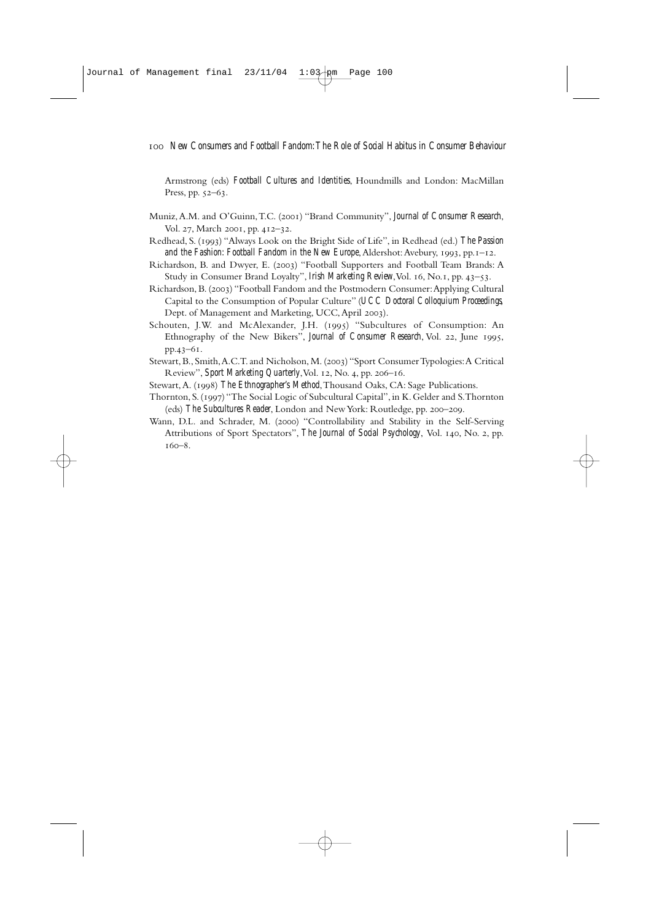Armstrong (eds) *Football Cultures and Identities*, Houndmills and London: MacMillan Press, pp.  $52-63$ .

- Muniz, A.M. and O'Guinn, T.C. (2001) "Brand Community", *Journal of Consumer Research*, Vol. 27, March 2001, pp. 412-32.
- Redhead, S. () "Always Look on the Bright Side of Life", in Redhead (ed.) *The Passion and the Fashion: Football Fandom in the New Europe*, Aldershot: Avebury, 1993, pp. 1-12.
- Richardson, B. and Dwyer, E. (2003) "Football Supporters and Football Team Brands: A Study in Consumer Brand Loyalty", *Irish Marketing Review*, Vol. 16, No.1, pp. 43-53.
- Richardson, B. (2003) "Football Fandom and the Postmodern Consumer: Applying Cultural Capital to the Consumption of Popular Culture" (*UCC Doctoral Colloquium Proceedings,* Dept. of Management and Marketing, UCC, April 2003).
- Schouten, J.W. and McAlexander, J.H. (1995) "Subcultures of Consumption: An Ethnography of the New Bikers", *Journal of Consumer Research*, Vol. 22, June 1995, pp.43-61.
- Stewart, B., Smith, A.C.T. and Nicholson, M. (2003) "Sport Consumer Typologies: A Critical Review", *Sport Marketing Quarterly*, Vol. 12, No. 4, pp. 206–16.
- Stewart, A. (1998) The Ethnographer's Method, Thousand Oaks, CA: Sage Publications.
- Thornton,S.() "The Social Logic of Subcultural Capital",in K.Gelder and S.Thornton (eds) The Subcultures Reader, London and New York: Routledge, pp. 200–209.
- Wann, D.L. and Schrader, M. (2000) "Controllability and Stability in the Self-Serving Attributions of Sport Spectators", *The Journal of Social Psychology*, Vol. 140, No. 2, pp.  $160 - 8$ .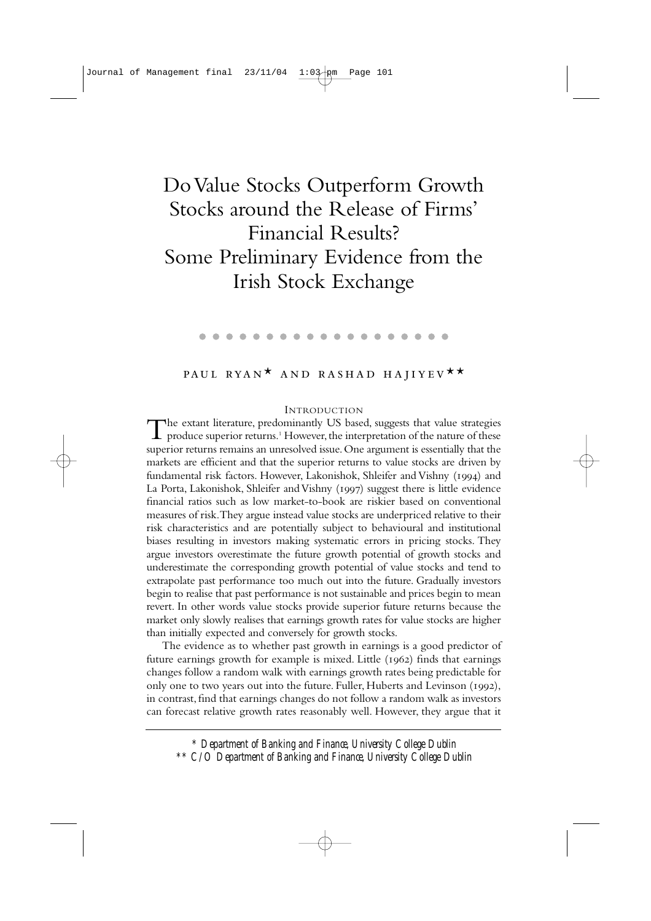# Do Value Stocks Outperform Growth Stocks around the Release of Firms' Financial Results? Some Preliminary Evidence from the Irish Stock Exchange

. . . . . . . . . . . . . . . . . . .

# PAUL RYAN<sup>\*</sup> AND RASHAD HAJIYEV<sup>\*\*</sup>

#### INTRODUCTION

The extant literature, predominantly US based, suggests that value strategies  $\perp$  produce superior returns.<sup>1</sup> However, the interpretation of the nature of these superior returns remains an unresolved issue.One argument is essentially that the markets are efficient and that the superior returns to value stocks are driven by fundamental risk factors. However, Lakonishok, Shleifer and Vishny (1994) and La Porta, Lakonishok, Shleifer and Vishny (1997) suggest there is little evidence financial ratios such as low market-to-book are riskier based on conventional measures of risk.They argue instead value stocks are underpriced relative to their risk characteristics and are potentially subject to behavioural and institutional biases resulting in investors making systematic errors in pricing stocks. They argue investors overestimate the future growth potential of growth stocks and underestimate the corresponding growth potential of value stocks and tend to extrapolate past performance too much out into the future. Gradually investors begin to realise that past performance is not sustainable and prices begin to mean revert. In other words value stocks provide superior future returns because the market only slowly realises that earnings growth rates for value stocks are higher than initially expected and conversely for growth stocks.

The evidence as to whether past growth in earnings is a good predictor of future earnings growth for example is mixed. Little  $(1962)$  finds that earnings changes follow a random walk with earnings growth rates being predictable for only one to two years out into the future. Fuller, Huberts and Levinson (1992), in contrast, find that earnings changes do not follow a random walk as investors can forecast relative growth rates reasonably well. However, they argue that it

*\* Department of Banking and Finance, University College Dublin \*\* C/O Department of Banking and Finance, University College Dublin*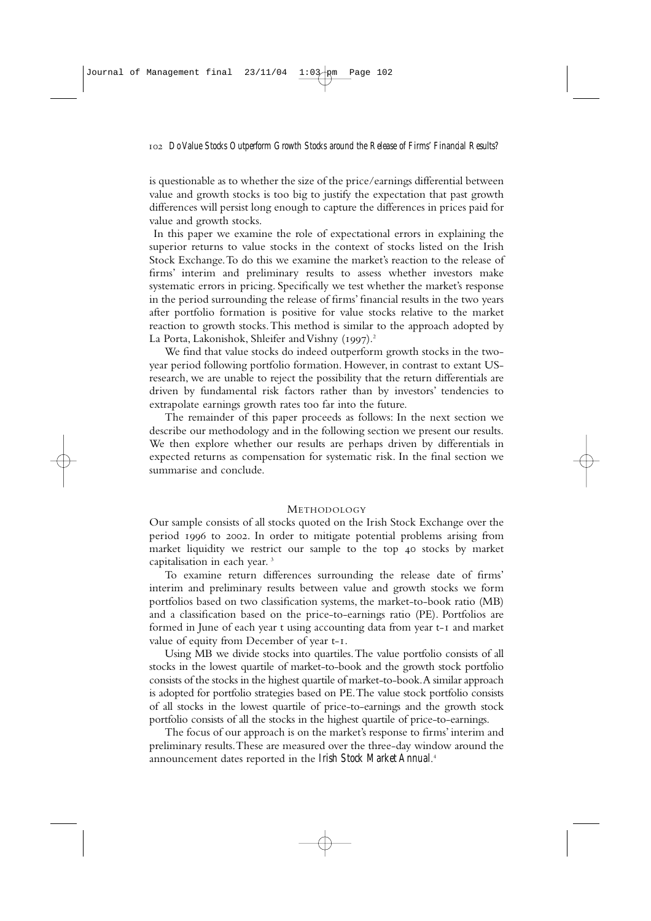is questionable as to whether the size of the price/earnings differential between value and growth stocks is too big to justify the expectation that past growth differences will persist long enough to capture the differences in prices paid for value and growth stocks.

In this paper we examine the role of expectational errors in explaining the superior returns to value stocks in the context of stocks listed on the Irish Stock Exchange.To do this we examine the market's reaction to the release of firms' interim and preliminary results to assess whether investors make systematic errors in pricing. Specifically we test whether the market's response in the period surrounding the release of firms' financial results in the two years after portfolio formation is positive for value stocks relative to the market reaction to growth stocks.This method is similar to the approach adopted by La Porta, Lakonishok, Shleifer and Vishny (1997).<sup>2</sup>

We find that value stocks do indeed outperform growth stocks in the twoyear period following portfolio formation. However, in contrast to extant USresearch, we are unable to reject the possibility that the return differentials are driven by fundamental risk factors rather than by investors' tendencies to extrapolate earnings growth rates too far into the future.

The remainder of this paper proceeds as follows: In the next section we describe our methodology and in the following section we present our results. We then explore whether our results are perhaps driven by differentials in expected returns as compensation for systematic risk. In the final section we summarise and conclude.

## METHODOLOGY

Our sample consists of all stocks quoted on the Irish Stock Exchange over the period 1996 to 2002. In order to mitigate potential problems arising from market liquidity we restrict our sample to the top 40 stocks by market capitalisation in each year. <sup>3</sup>

To examine return differences surrounding the release date of firms' interim and preliminary results between value and growth stocks we form portfolios based on two classification systems, the market-to-book ratio (MB) and a classification based on the price-to-earnings ratio (PE). Portfolios are formed in June of each year t using accounting data from year t-I and market value of equity from December of year t-1.

Using MB we divide stocks into quartiles.The value portfolio consists of all stocks in the lowest quartile of market-to-book and the growth stock portfolio consists of the stocks in the highest quartile of market-to-book.A similar approach is adopted for portfolio strategies based on PE.The value stock portfolio consists of all stocks in the lowest quartile of price-to-earnings and the growth stock portfolio consists of all the stocks in the highest quartile of price-to-earnings.

The focus of our approach is on the market's response to firms' interim and preliminary results.These are measured over the three-day window around the announcement dates reported in the *Irish Stock Market Annual*. 4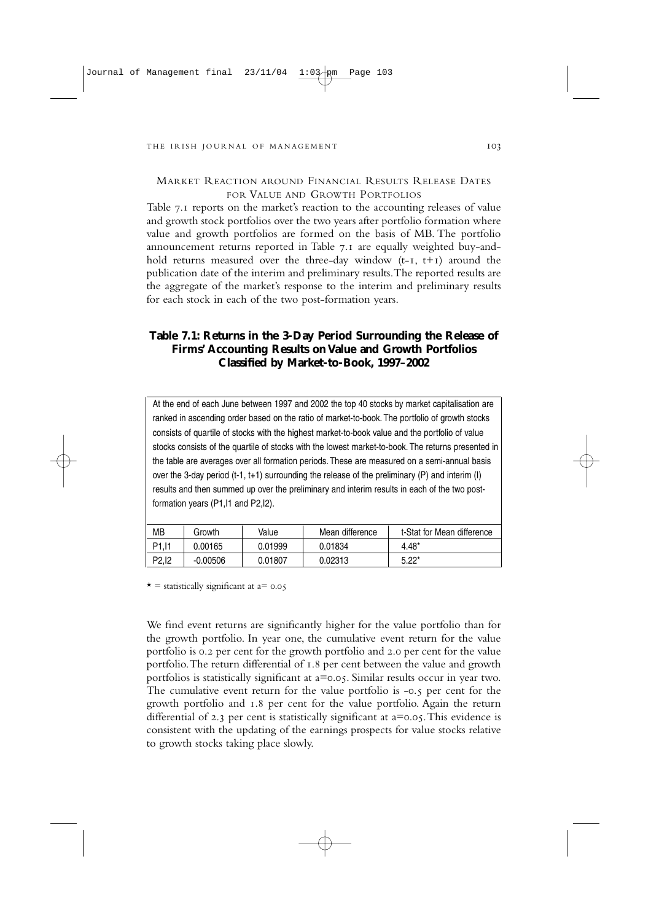## MARKET REACTION AROUND FINANCIAL RESULTS RELEASE DATES FOR VALUE AND GROWTH PORTFOLIOS

Table 7.1 reports on the market's reaction to the accounting releases of value and growth stock portfolios over the two years after portfolio formation where value and growth portfolios are formed on the basis of MB. The portfolio announcement returns reported in Table 7.1 are equally weighted buy-andhold returns measured over the three-day window  $(t-I, t+I)$  around the publication date of the interim and preliminary results.The reported results are the aggregate of the market's response to the interim and preliminary results for each stock in each of the two post-formation years.

## **Table 7.1: Returns in the 3-Day Period Surrounding the Release of Firms' Accounting Results on Value and Growth Portfolios Classified by Market-to-Book, 1997–2002**

At the end of each June between 1997 and 2002 the top 40 stocks by market capitalisation are ranked in ascending order based on the ratio of market-to-book. The portfolio of growth stocks consists of quartile of stocks with the highest market-to-book value and the portfolio of value stocks consists of the quartile of stocks with the lowest market-to-book. The returns presented in the table are averages over all formation periods. These are measured on a semi-annual basis over the 3-day period (t-1, t+1) surrounding the release of the preliminary (P) and interim (I) results and then summed up over the preliminary and interim results in each of the two postformation years (P1,I1 and P2,I2).

| <b>MB</b>           | Growth     | Value   | Mean difference | t-Stat for Mean difference |
|---------------------|------------|---------|-----------------|----------------------------|
| P <sub>1</sub> , 11 | 0.00165    | 0.01999 | 0.01834         | $4.48*$                    |
| P <sub>2</sub> .12  | $-0.00506$ | 0.01807 | 0.02313         | $5.22*$                    |

 $\star$  = statistically significant at a= 0.05

We find event returns are significantly higher for the value portfolio than for the growth portfolio. In year one, the cumulative event return for the value portfolio is 0.2 per cent for the growth portfolio and 2.0 per cent for the value portfolio. The return differential of 1.8 per cent between the value and growth portfolios is statistically significant at  $a=0.05$ . Similar results occur in year two. The cumulative event return for the value portfolio is  $-0.5$  per cent for the growth portfolio and  $I.8$  per cent for the value portfolio. Again the return differential of 2.3 per cent is statistically significant at  $a=0.05$ . This evidence is consistent with the updating of the earnings prospects for value stocks relative to growth stocks taking place slowly.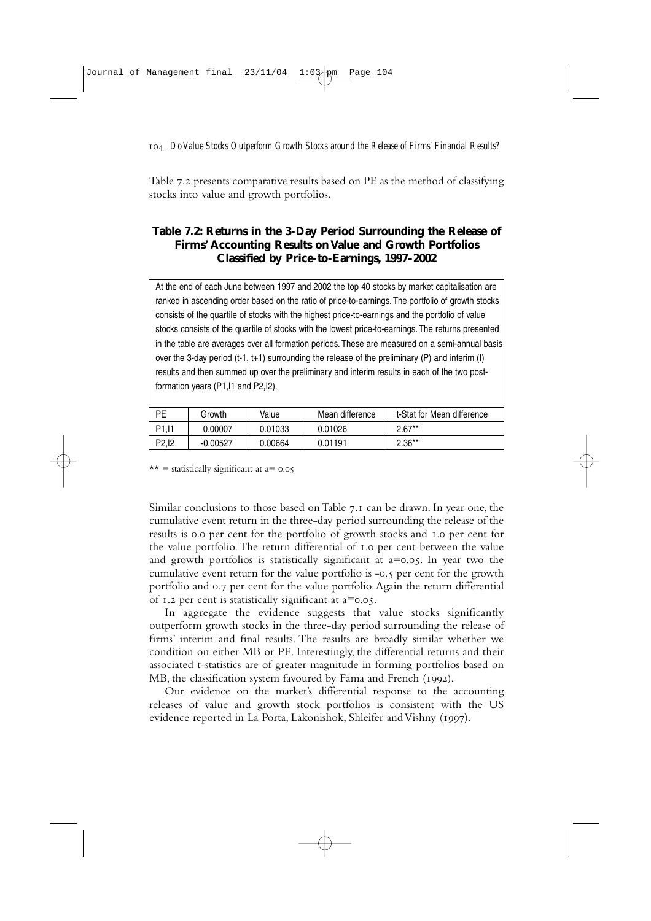Table 7.2 presents comparative results based on PE as the method of classifying stocks into value and growth portfolios.

## **Table 7.2: Returns in the 3-Day Period Surrounding the Release of Firms' Accounting Results on Value and Growth Portfolios Classified by Price-to-Earnings, 1997–2002**

At the end of each June between 1997 and 2002 the top 40 stocks by market capitalisation are ranked in ascending order based on the ratio of price-to-earnings. The portfolio of growth stocks consists of the quartile of stocks with the highest price-to-earnings and the portfolio of value stocks consists of the quartile of stocks with the lowest price-to-earnings. The returns presented in the table are averages over all formation periods. These are measured on a semi-annual basis over the 3-day period (t-1, t+1) surrounding the release of the preliminary (P) and interim (I) results and then summed up over the preliminary and interim results in each of the two postformation years (P1,I1 and P2,I2).

| PE                 | Growth     | Value   | Mean difference | t-Stat for Mean difference |
|--------------------|------------|---------|-----------------|----------------------------|
| P <sub>1.11</sub>  | 0.00007    | 0.01033 | 0.01026         | $2.67**$                   |
| P <sub>2</sub> .12 | $-0.00527$ | 0.00664 | 0.01191         | $2.36**$                   |

 $\star \star =$  statistically significant at a= 0.05

Similar conclusions to those based on Table  $7.1$  can be drawn. In year one, the cumulative event return in the three-day period surrounding the release of the results is 0.0 per cent for the portfolio of growth stocks and 1.0 per cent for the value portfolio. The return differential of 1.0 per cent between the value and growth portfolios is statistically significant at  $a=0.05$ . In year two the cumulative event return for the value portfolio is -0.5 per cent for the growth portfolio and 0.7 per cent for the value portfolio. Again the return differential of  $I.2$  per cent is statistically significant at  $a=0.05$ .

In aggregate the evidence suggests that value stocks significantly outperform growth stocks in the three-day period surrounding the release of firms' interim and final results. The results are broadly similar whether we condition on either MB or PE. Interestingly, the differential returns and their associated t-statistics are of greater magnitude in forming portfolios based on MB, the classification system favoured by Fama and French (1992).

Our evidence on the market's differential response to the accounting releases of value and growth stock portfolios is consistent with the US evidence reported in La Porta, Lakonishok, Shleifer and Vishny (1997).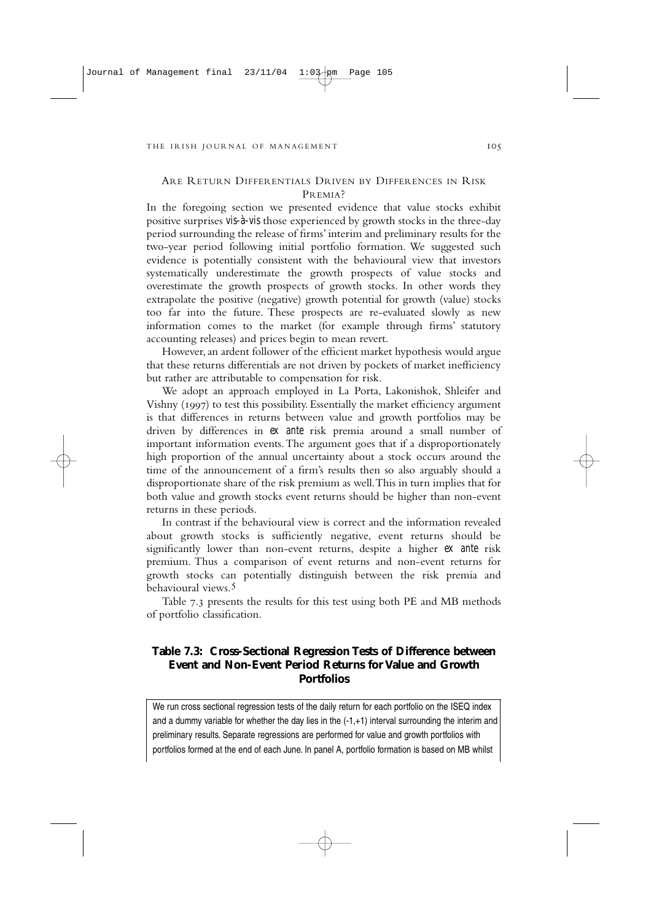## ARE RETURN DIFFERENTIALS DRIVEN BY DIFFERENCES IN RISK PREMIA?

In the foregoing section we presented evidence that value stocks exhibit positive surprises *vis-à-vis* those experienced by growth stocks in the three-day period surrounding the release of firms' interim and preliminary results for the two-year period following initial portfolio formation. We suggested such evidence is potentially consistent with the behavioural view that investors systematically underestimate the growth prospects of value stocks and overestimate the growth prospects of growth stocks. In other words they extrapolate the positive (negative) growth potential for growth (value) stocks too far into the future. These prospects are re-evaluated slowly as new information comes to the market (for example through firms' statutory accounting releases) and prices begin to mean revert.

However, an ardent follower of the efficient market hypothesis would argue that these returns differentials are not driven by pockets of market inefficiency but rather are attributable to compensation for risk.

We adopt an approach employed in La Porta, Lakonishok, Shleifer and Vishny (1997) to test this possibility. Essentially the market efficiency argument is that differences in returns between value and growth portfolios may be driven by differences in *ex ante* risk premia around a small number of important information events.The argument goes that if a disproportionately high proportion of the annual uncertainty about a stock occurs around the time of the announcement of a firm's results then so also arguably should a disproportionate share of the risk premium as well.This in turn implies that for both value and growth stocks event returns should be higher than non-event returns in these periods.

In contrast if the behavioural view is correct and the information revealed about growth stocks is sufficiently negative, event returns should be significantly lower than non-event returns, despite a higher *ex ante* risk premium. Thus a comparison of event returns and non-event returns for growth stocks can potentially distinguish between the risk premia and behavioural views.

Table 7.3 presents the results for this test using both PE and MB methods of portfolio classification.

## **Table 7.3: Cross-Sectional Regression Tests of Difference between Event and Non-Event Period Returns for Value and Growth Portfolios**

We run cross sectional regression tests of the daily return for each portfolio on the ISEQ index and a dummy variable for whether the day lies in the  $(-1, +1)$  interval surrounding the interim and preliminary results. Separate regressions are performed for value and growth portfolios with portfolios formed at the end of each June. In panel A, portfolio formation is based on MB whilst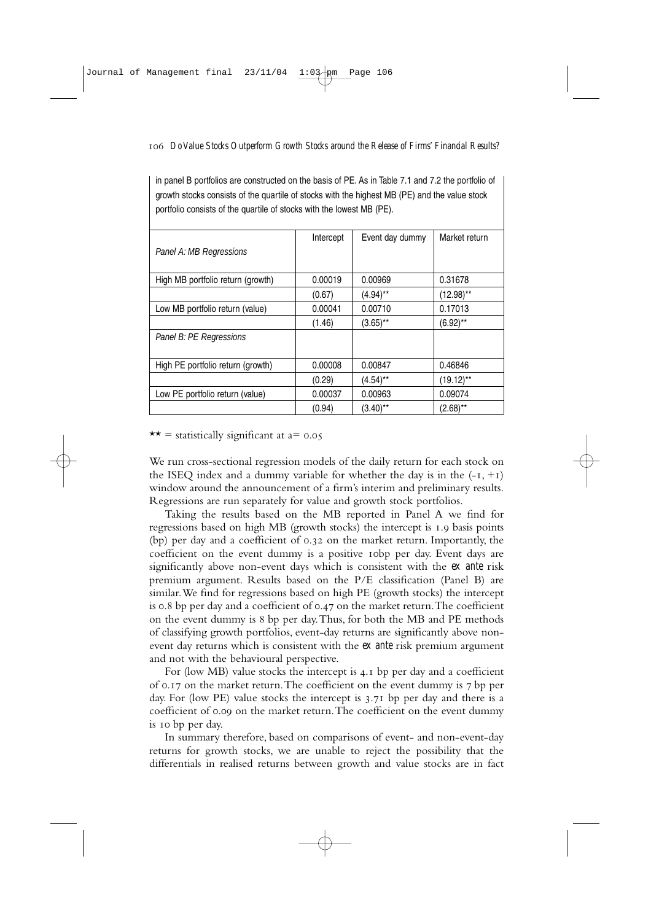in panel B portfolios are constructed on the basis of PE. As in Table 7.1 and 7.2 the portfolio of growth stocks consists of the quartile of stocks with the highest MB (PE) and the value stock portfolio consists of the quartile of stocks with the lowest MB (PE).

|                                   | Intercept | Event day dummy | Market return |
|-----------------------------------|-----------|-----------------|---------------|
| Panel A: MB Regressions           |           |                 |               |
| High MB portfolio return (growth) | 0.00019   | 0.00969         | 0.31678       |
|                                   | (0.67)    | $(4.94)$ **     | $(12.98)$ **  |
| Low MB portfolio return (value)   | 0.00041   | 0.00710         | 0.17013       |
|                                   | (1.46)    | $(3.65)$ **     | (6.92)**      |
| Panel B: PE Regressions           |           |                 |               |
|                                   |           |                 |               |
| High PE portfolio return (growth) | 0.00008   | 0.00847         | 0.46846       |
|                                   | (0.29)    | $(4.54)$ **     | $(19.12)$ **  |
| Low PE portfolio return (value)   | 0.00037   | 0.00963         | 0.09074       |
|                                   | (0.94)    | $(3.40)$ **     | $(2.68)$ **   |

 $\star \star =$  statistically significant at a= 0.05

We run cross-sectional regression models of the daily return for each stock on the ISEQ index and a dummy variable for whether the day is in the  $(-1, +1)$ window around the announcement of a firm's interim and preliminary results. Regressions are run separately for value and growth stock portfolios.

Taking the results based on the MB reported in Panel A we find for regressions based on high MB (growth stocks) the intercept is 1.9 basis points (bp) per day and a coefficient of 0.32 on the market return. Importantly, the coefficient on the event dummy is a positive 10bp per day. Event days are significantly above non-event days which is consistent with the *ex ante* risk premium argument. Results based on the P/E classification (Panel B) are similar.We find for regressions based on high PE (growth stocks) the intercept is 0.8 bp per day and a coefficient of  $0.47$  on the market return. The coefficient on the event dummy is bp per day.Thus, for both the MB and PE methods of classifying growth portfolios, event-day returns are significantly above nonevent day returns which is consistent with the *ex ante* risk premium argument and not with the behavioural perspective.

For (low MB) value stocks the intercept is 4.1 bp per day and a coefficient of  $0.17$  on the market return. The coefficient on the event dummy is  $7$  bp per day. For (low PE) value stocks the intercept is  $3.71$  bp per day and there is a coefficient of 0.09 on the market return. The coefficient on the event dummy is 10 bp per day.

In summary therefore, based on comparisons of event- and non-event-day returns for growth stocks, we are unable to reject the possibility that the differentials in realised returns between growth and value stocks are in fact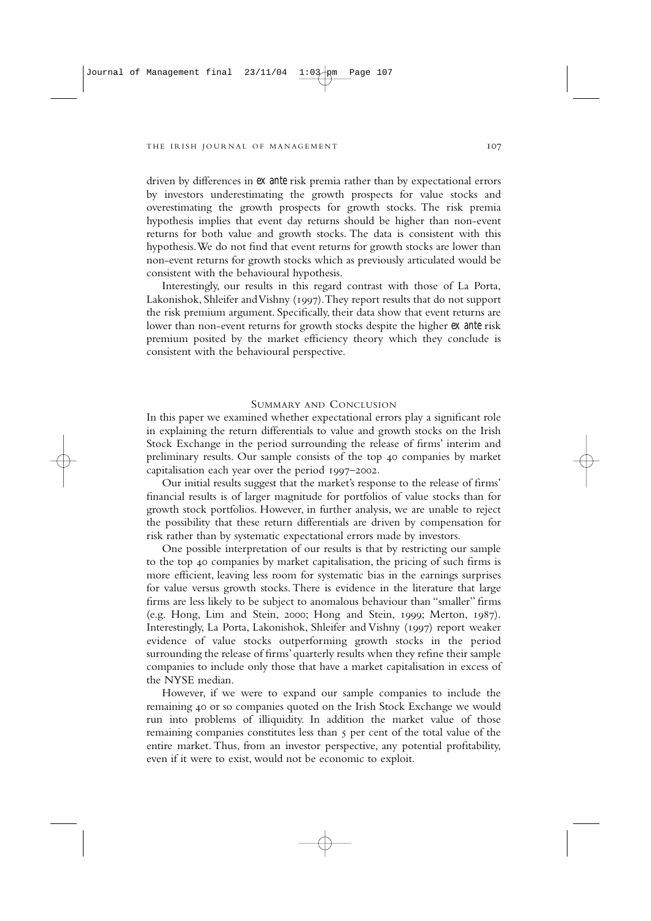driven by differences in *ex ante* risk premia rather than by expectational errors by investors underestimating the growth prospects for value stocks and overestimating the growth prospects for growth stocks. The risk premia hypothesis implies that event day returns should be higher than non-event returns for both value and growth stocks. The data is consistent with this hypothesis.We do not find that event returns for growth stocks are lower than non-event returns for growth stocks which as previously articulated would be consistent with the behavioural hypothesis.

Interestingly, our results in this regard contrast with those of La Porta, Lakonishok, Shleifer and Vishny (1997). They report results that do not support the risk premium argument. Specifically, their data show that event returns are lower than non-event returns for growth stocks despite the higher *ex ante* risk premium posited by the market efficiency theory which they conclude is consistent with the behavioural perspective.

## SUMMARY AND CONCLUSION

In this paper we examined whether expectational errors play a significant role in explaining the return differentials to value and growth stocks on the Irish Stock Exchange in the period surrounding the release of firms' interim and preliminary results. Our sample consists of the top companies by market capitalisation each year over the period  $1997-2002$ .

Our initial results suggest that the market's response to the release of firms' financial results is of larger magnitude for portfolios of value stocks than for growth stock portfolios. However, in further analysis, we are unable to reject the possibility that these return differentials are driven by compensation for risk rather than by systematic expectational errors made by investors.

One possible interpretation of our results is that by restricting our sample to the top companies by market capitalisation, the pricing of such firms is more efficient, leaving less room for systematic bias in the earnings surprises for value versus growth stocks. There is evidence in the literature that large firms are less likely to be subject to anomalous behaviour than "smaller" firms (e.g. Hong, Lim and Stein, 2000; Hong and Stein, 1999; Merton,  $1987$ ). Interestingly, La Porta, Lakonishok, Shleifer and Vishny (1997) report weaker evidence of value stocks outperforming growth stocks in the period surrounding the release of firms' quarterly results when they refine their sample companies to include only those that have a market capitalisation in excess of the NYSE median.

However, if we were to expand our sample companies to include the remaining 40 or so companies quoted on the Irish Stock Exchange we would run into problems of illiquidity. In addition the market value of those remaining companies constitutes less than 5 per cent of the total value of the entire market. Thus, from an investor perspective, any potential profitability, even if it were to exist, would not be economic to exploit.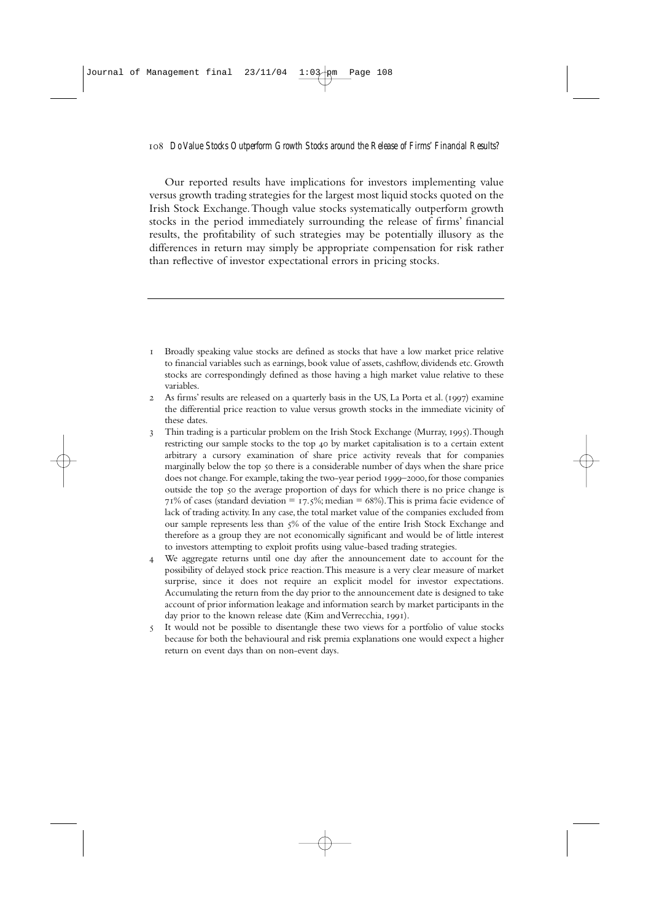Our reported results have implications for investors implementing value versus growth trading strategies for the largest most liquid stocks quoted on the Irish Stock Exchange.Though value stocks systematically outperform growth stocks in the period immediately surrounding the release of firms' financial results, the profitability of such strategies may be potentially illusory as the differences in return may simply be appropriate compensation for risk rather than reflective of investor expectational errors in pricing stocks.

- Broadly speaking value stocks are defined as stocks that have a low market price relative to financial variables such as earnings, book value of assets, cashflow, dividends etc. Growth stocks are correspondingly defined as those having a high market value relative to these variables.
- 2 As firms' results are released on a quarterly basis in the US, La Porta et al. (1997) examine the differential price reaction to value versus growth stocks in the immediate vicinity of these dates.
- 3 Thin trading is a particular problem on the Irish Stock Exchange (Murray, 1995). Though restricting our sample stocks to the top 40 by market capitalisation is to a certain extent arbitrary a cursory examination of share price activity reveals that for companies marginally below the top 50 there is a considerable number of days when the share price does not change. For example, taking the two-year period 1999-2000, for those companies outside the top 50 the average proportion of days for which there is no price change is 71% of cases (standard deviation = 17.5%; median = 68%). This is prima facie evidence of lack of trading activity. In any case, the total market value of the companies excluded from our sample represents less than 5% of the value of the entire Irish Stock Exchange and therefore as a group they are not economically significant and would be of little interest to investors attempting to exploit profits using value-based trading strategies.
- We aggregate returns until one day after the announcement date to account for the possibility of delayed stock price reaction.This measure is a very clear measure of market surprise, since it does not require an explicit model for investor expectations. Accumulating the return from the day prior to the announcement date is designed to take account of prior information leakage and information search by market participants in the day prior to the known release date (Kim and Verrecchia, 1991).
- It would not be possible to disentangle these two views for a portfolio of value stocks because for both the behavioural and risk premia explanations one would expect a higher return on event days than on non-event days.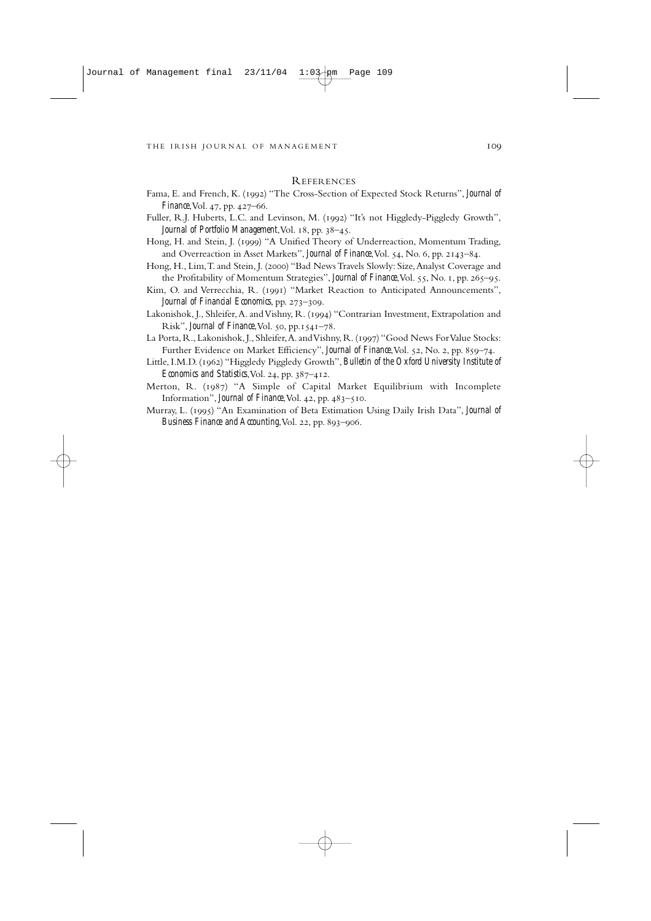#### REFERENCES

- Fama, E. and French, K. (1992) "The Cross-Section of Expected Stock Returns", *Journal of Finance*, Vol. 47, pp. 427–66.
- Fuller, R.J. Huberts, L.C. and Levinson, M. (1992) "It's not Higgledy-Piggledy Growth", *Journal of Portfolio Management*, Vol. 18, pp. 38-45.
- Hong, H. and Stein, J. (1999) "A Unified Theory of Underreaction, Momentum Trading, and Overreaction in Asset Markets", *Journal of Finance*, Vol. 54, No. 6, pp. 2143-84.
- Hong, H., Lim, T. and Stein, J. (2000) "Bad News Travels Slowly: Size, Analyst Coverage and the Profitability of Momentum Strategies", *Journal of Finance*, Vol. 55, No. 1, pp. 265-95.
- Kim, O. and Verrecchia, R. (1991) "Market Reaction to Anticipated Announcements", *Journal of Financial Economics*, pp. 273–309.
- Lakonishok, J., Shleifer, A. and Vishny, R. (1994) "Contrarian Investment, Extrapolation and Risk", *Journal of Finance*, Vol. 50, pp. 1541-78.
- La Porta, R., Lakonishok, J., Shleifer, A. and Vishny, R. (1997) "Good News For Value Stocks: Further Evidence on Market Efficiency", *Journal of Finance*, Vol. 52, No. 2, pp. 859-74.
- Little, I.M.D. (1962) "Higgledy Piggledy Growth", *Bulletin of the Oxford University Institute of Economics and Statistics*, Vol. 24, pp. 387-412.
- Merton, R. (1987) "A Simple of Capital Market Equilibrium with Incomplete Information", *Journal of Finance*, Vol. 42, pp.  $483 - 510$ .
- Murray, L. (1995) "An Examination of Beta Estimation Using Daily Irish Data", *Journal of* Business Finance and Accounting, Vol. 22, pp. 893-906.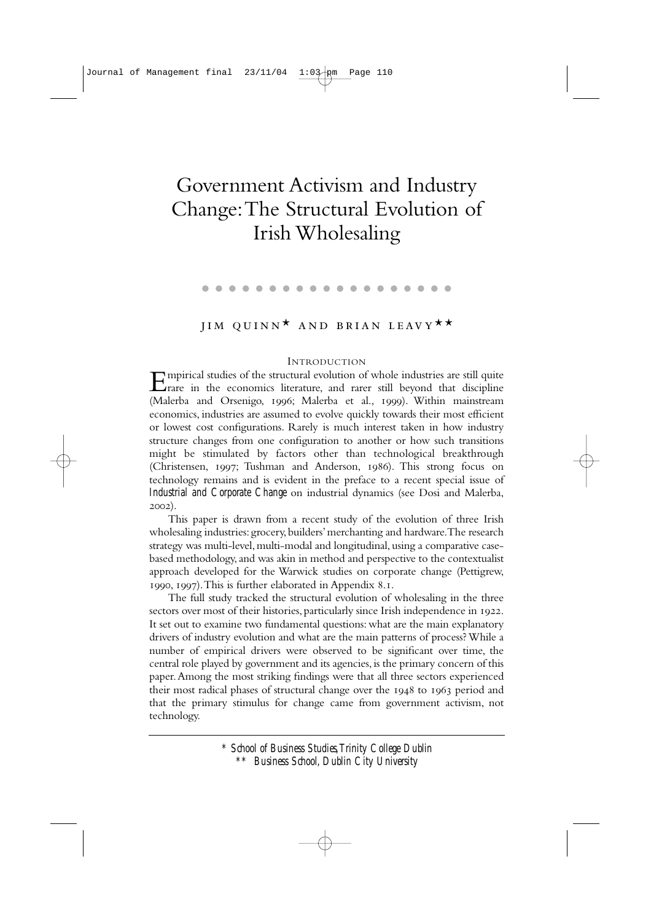# Government Activism and Industry Change:The Structural Evolution of Irish Wholesaling

#### . . . . . . . . . . . . . . .

# JIM QUINN<sup>\*</sup> AND BRIAN LEAVY<sup>\*\*</sup>

#### INTRODUCTION

Empirical studies of the structural evolution of whole industries are still quite  $\sum$ rare in the economics literature, and rarer still beyond that discipline (Malerba and Orsenigo, 1996; Malerba et al., 1999). Within mainstream economics, industries are assumed to evolve quickly towards their most efficient or lowest cost configurations. Rarely is much interest taken in how industry structure changes from one configuration to another or how such transitions might be stimulated by factors other than technological breakthrough (Christensen, 1997; Tushman and Anderson, 1986). This strong focus on technology remains and is evident in the preface to a recent special issue of *Industrial and Corporate Change* on industrial dynamics (see Dosi and Malerba,  $2002$ ).

This paper is drawn from a recent study of the evolution of three Irish wholesaling industries: grocery, builders' merchanting and hardware. The research strategy was multi-level, multi-modal and longitudinal, using a comparative casebased methodology, and was akin in method and perspective to the contextualist approach developed for the Warwick studies on corporate change (Pettigrew,  $1990, 1997$ . This is further elaborated in Appendix 8.1.

The full study tracked the structural evolution of wholesaling in the three sectors over most of their histories, particularly since Irish independence in 1922. It set out to examine two fundamental questions: what are the main explanatory drivers of industry evolution and what are the main patterns of process? While a number of empirical drivers were observed to be significant over time, the central role played by government and its agencies, is the primary concern of this paper.Among the most striking findings were that all three sectors experienced their most radical phases of structural change over the 1948 to 1963 period and that the primary stimulus for change came from government activism, not technology.

> *\* School of Business Studies,Trinity College Dublin \*\* Business School, Dublin City University*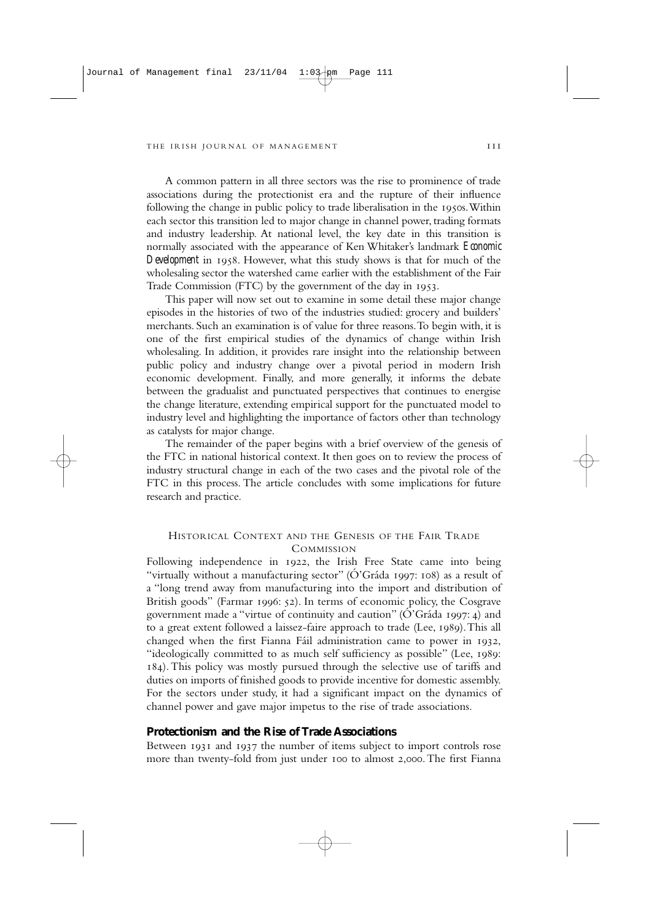A common pattern in all three sectors was the rise to prominence of trade associations during the protectionist era and the rupture of their influence following the change in public policy to trade liberalisation in the 1950s. Within each sector this transition led to major change in channel power, trading formats and industry leadership. At national level, the key date in this transition is normally associated with the appearance of Ken Whitaker's landmark *Economic Development* in 1958. However, what this study shows is that for much of the wholesaling sector the watershed came earlier with the establishment of the Fair Trade Commission (FTC) by the government of the day in 1953.

This paper will now set out to examine in some detail these major change episodes in the histories of two of the industries studied: grocery and builders' merchants. Such an examination is of value for three reasons.To begin with, it is one of the first empirical studies of the dynamics of change within Irish wholesaling. In addition, it provides rare insight into the relationship between public policy and industry change over a pivotal period in modern Irish economic development. Finally, and more generally, it informs the debate between the gradualist and punctuated perspectives that continues to energise the change literature, extending empirical support for the punctuated model to industry level and highlighting the importance of factors other than technology as catalysts for major change.

The remainder of the paper begins with a brief overview of the genesis of the FTC in national historical context. It then goes on to review the process of industry structural change in each of the two cases and the pivotal role of the FTC in this process. The article concludes with some implications for future research and practice.

## HISTORICAL CONTEXT AND THE GENESIS OF THE FAIR TRADE **COMMISSION**

Following independence in 1922, the Irish Free State came into being "virtually without a manufacturing sector" ( $\acute{O}$ 'Gráda 1997: 108) as a result of a "long trend away from manufacturing into the import and distribution of British goods" (Farmar 1996: 52). In terms of economic policy, the Cosgrave government made a "virtue of continuity and caution" ( $\acute{O}$ "Gráda 1997: 4) and to a great extent followed a laissez-faire approach to trade (Lee, 1989). This all changed when the first Fianna Fáil administration came to power in 1932, "ideologically committed to as much self sufficiency as possible" (Lee, 1989: ). This policy was mostly pursued through the selective use of tariffs and duties on imports of finished goods to provide incentive for domestic assembly. For the sectors under study, it had a significant impact on the dynamics of channel power and gave major impetus to the rise of trade associations.

## **Protectionism and the Rise of Trade Associations**

Between 1931 and 1937 the number of items subject to import controls rose more than twenty-fold from just under 100 to almost 2,000. The first Fianna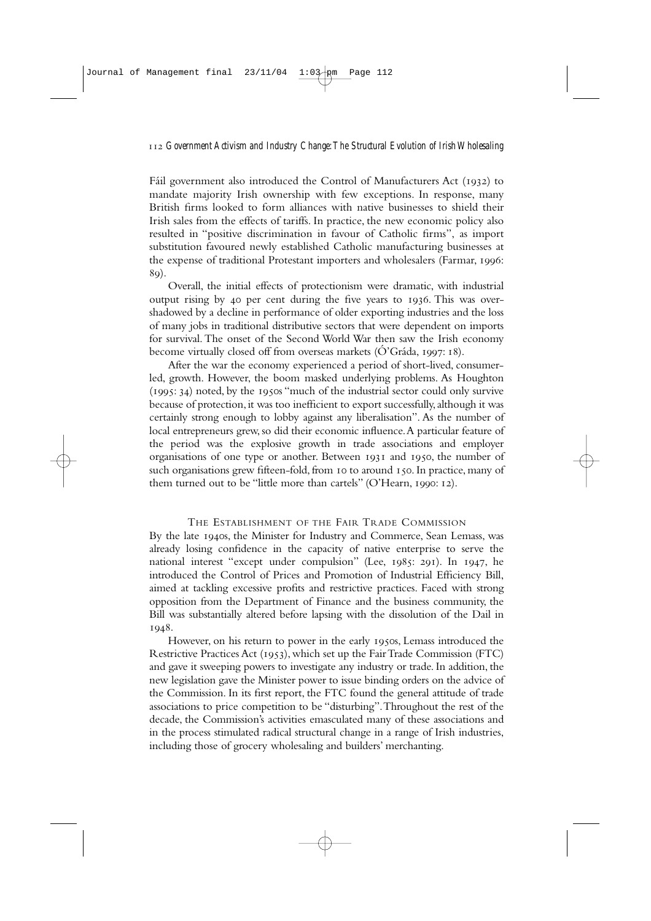Fáil government also introduced the Control of Manufacturers Act (1932) to mandate majority Irish ownership with few exceptions. In response, many British firms looked to form alliances with native businesses to shield their Irish sales from the effects of tariffs. In practice, the new economic policy also resulted in "positive discrimination in favour of Catholic firms", as import substitution favoured newly established Catholic manufacturing businesses at the expense of traditional Protestant importers and wholesalers (Farmar, : 89).

Overall, the initial effects of protectionism were dramatic, with industrial output rising by 40 per cent during the five years to  $1936$ . This was overshadowed by a decline in performance of older exporting industries and the loss of many jobs in traditional distributive sectors that were dependent on imports for survival. The onset of the Second World War then saw the Irish economy become virtually closed off from overseas markets  $\overrightarrow{O}$  Gráda, 1997; 18).

After the war the economy experienced a period of short-lived, consumerled, growth. However, the boom masked underlying problems. As Houghton (1995: 34) noted, by the 1950s "much of the industrial sector could only survive because of protection, it was too inefficient to export successfully, although it was certainly strong enough to lobby against any liberalisation". As the number of local entrepreneurs grew, so did their economic influence.A particular feature of the period was the explosive growth in trade associations and employer organisations of one type or another. Between  $1931$  and  $1950$ , the number of such organisations grew fifteen-fold, from 10 to around 150. In practice, many of them turned out to be "little more than cartels" (O'Hearn, 1990: 12).

## THE ESTABLISHMENT OF THE FAIR TRADE COMMISSION

By the late 1940s, the Minister for Industry and Commerce, Sean Lemass, was already losing confidence in the capacity of native enterprise to serve the national interest "except under compulsion" (Lee, 1985: 291). In 1947, he introduced the Control of Prices and Promotion of Industrial Efficiency Bill, aimed at tackling excessive profits and restrictive practices. Faced with strong opposition from the Department of Finance and the business community, the Bill was substantially altered before lapsing with the dissolution of the Dail in 1948.

However, on his return to power in the early 1950s, Lemass introduced the Restrictive Practices Act (1953), which set up the Fair Trade Commission (FTC) and gave it sweeping powers to investigate any industry or trade. In addition, the new legislation gave the Minister power to issue binding orders on the advice of the Commission. In its first report, the FTC found the general attitude of trade associations to price competition to be "disturbing".Throughout the rest of the decade, the Commission's activities emasculated many of these associations and in the process stimulated radical structural change in a range of Irish industries, including those of grocery wholesaling and builders' merchanting.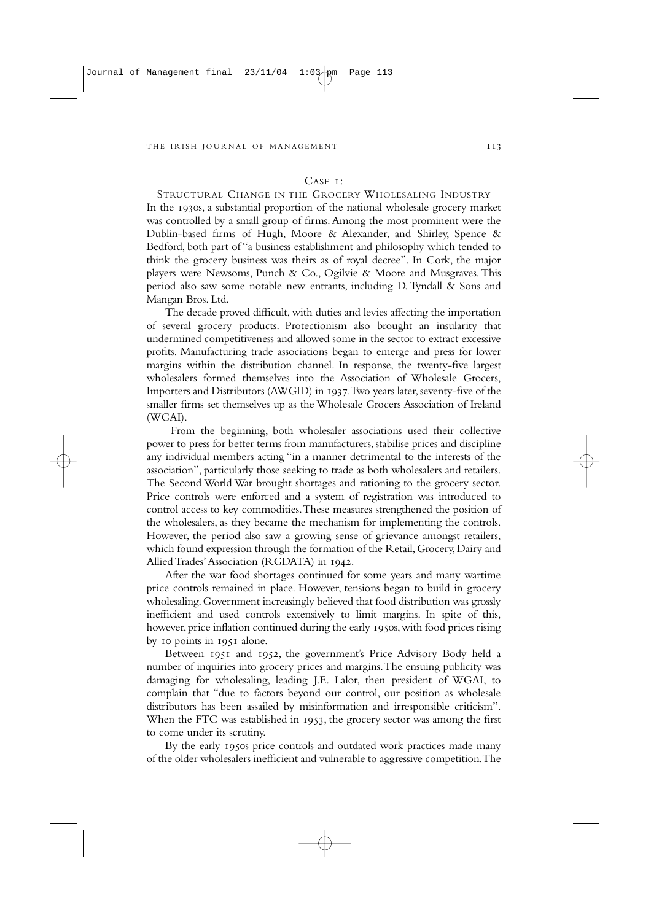#### $C$ ASE  $I$ <sup>.</sup>

STRUCTURAL CHANGE IN THE GROCERY WHOLESALING INDUSTRY In the 1930s, a substantial proportion of the national wholesale grocery market was controlled by a small group of firms.Among the most prominent were the Dublin-based firms of Hugh, Moore & Alexander, and Shirley, Spence & Bedford, both part of "a business establishment and philosophy which tended to think the grocery business was theirs as of royal decree". In Cork, the major players were Newsoms, Punch & Co., Ogilvie & Moore and Musgraves. This period also saw some notable new entrants, including D. Tyndall & Sons and Mangan Bros. Ltd.

The decade proved difficult, with duties and levies affecting the importation of several grocery products. Protectionism also brought an insularity that undermined competitiveness and allowed some in the sector to extract excessive profits. Manufacturing trade associations began to emerge and press for lower margins within the distribution channel. In response, the twenty-five largest wholesalers formed themselves into the Association of Wholesale Grocers, Importers and Distributors (AWGID) in 1937. Two years later, seventy-five of the smaller firms set themselves up as the Wholesale Grocers Association of Ireland (WGAI).

From the beginning, both wholesaler associations used their collective power to press for better terms from manufacturers, stabilise prices and discipline any individual members acting "in a manner detrimental to the interests of the association", particularly those seeking to trade as both wholesalers and retailers. The Second World War brought shortages and rationing to the grocery sector. Price controls were enforced and a system of registration was introduced to control access to key commodities.These measures strengthened the position of the wholesalers, as they became the mechanism for implementing the controls. However, the period also saw a growing sense of grievance amongst retailers, which found expression through the formation of the Retail,Grocery,Dairy and Allied Trades' Association (RGDATA) in 1942.

After the war food shortages continued for some years and many wartime price controls remained in place. However, tensions began to build in grocery wholesaling.Government increasingly believed that food distribution was grossly inefficient and used controls extensively to limit margins. In spite of this, however, price inflation continued during the early 1950s, with food prices rising by 10 points in 1951 alone.

Between 1951 and 1952, the government's Price Advisory Body held a number of inquiries into grocery prices and margins.The ensuing publicity was damaging for wholesaling, leading J.E. Lalor, then president of WGAI, to complain that "due to factors beyond our control, our position as wholesale distributors has been assailed by misinformation and irresponsible criticism". When the FTC was established in 1953, the grocery sector was among the first to come under its scrutiny.

By the early 1950s price controls and outdated work practices made many of the older wholesalers inefficient and vulnerable to aggressive competition.The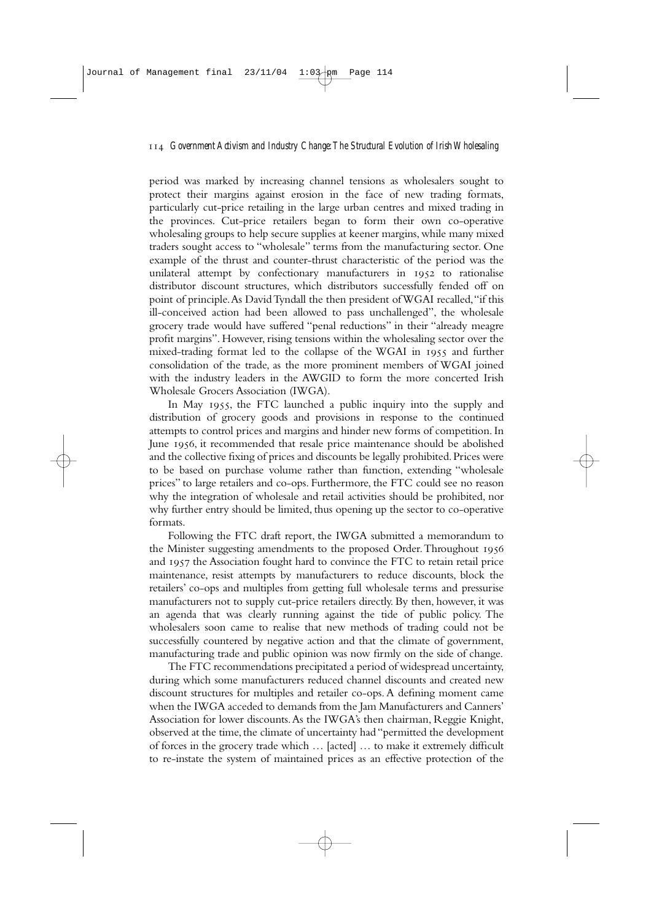period was marked by increasing channel tensions as wholesalers sought to protect their margins against erosion in the face of new trading formats, particularly cut-price retailing in the large urban centres and mixed trading in the provinces. Cut-price retailers began to form their own co-operative wholesaling groups to help secure supplies at keener margins, while many mixed traders sought access to "wholesale" terms from the manufacturing sector. One example of the thrust and counter-thrust characteristic of the period was the unilateral attempt by confectionary manufacturers in 1952 to rationalise distributor discount structures, which distributors successfully fended off on point of principle.As David Tyndall the then president of WGAI recalled,"if this ill-conceived action had been allowed to pass unchallenged", the wholesale grocery trade would have suffered "penal reductions" in their "already meagre profit margins". However, rising tensions within the wholesaling sector over the mixed-trading format led to the collapse of the WGAI in 1955 and further consolidation of the trade, as the more prominent members of WGAI joined with the industry leaders in the AWGID to form the more concerted Irish Wholesale Grocers Association (IWGA).

In May 1955, the FTC launched a public inquiry into the supply and distribution of grocery goods and provisions in response to the continued attempts to control prices and margins and hinder new forms of competition. In June 1956, it recommended that resale price maintenance should be abolished and the collective fixing of prices and discounts be legally prohibited.Prices were to be based on purchase volume rather than function, extending "wholesale prices" to large retailers and co-ops. Furthermore, the FTC could see no reason why the integration of wholesale and retail activities should be prohibited, nor why further entry should be limited, thus opening up the sector to co-operative formats.

Following the FTC draft report, the IWGA submitted a memorandum to the Minister suggesting amendments to the proposed Order. Throughout 1956 and 1957 the Association fought hard to convince the FTC to retain retail price maintenance, resist attempts by manufacturers to reduce discounts, block the retailers' co-ops and multiples from getting full wholesale terms and pressurise manufacturers not to supply cut-price retailers directly. By then, however, it was an agenda that was clearly running against the tide of public policy. The wholesalers soon came to realise that new methods of trading could not be successfully countered by negative action and that the climate of government, manufacturing trade and public opinion was now firmly on the side of change.

The FTC recommendations precipitated a period of widespread uncertainty, during which some manufacturers reduced channel discounts and created new discount structures for multiples and retailer co-ops. A defining moment came when the IWGA acceded to demands from the Jam Manufacturers and Canners' Association for lower discounts.As the IWGA's then chairman, Reggie Knight, observed at the time, the climate of uncertainty had "permitted the development of forces in the grocery trade which … [acted] … to make it extremely difficult to re-instate the system of maintained prices as an effective protection of the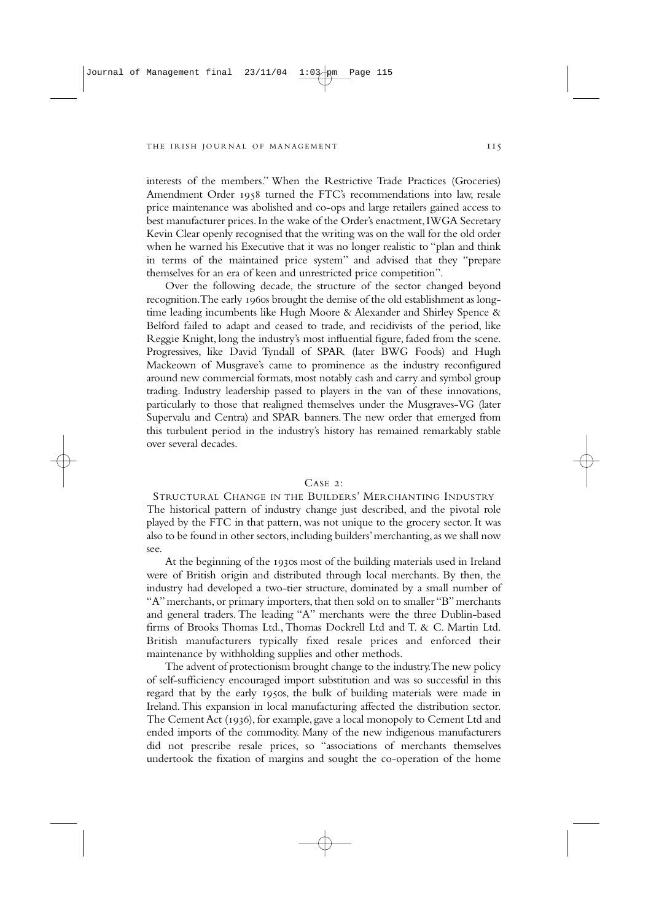interests of the members." When the Restrictive Trade Practices (Groceries) Amendment Order 1958 turned the FTC's recommendations into law, resale price maintenance was abolished and co-ops and large retailers gained access to best manufacturer prices.In the wake of the Order's enactment,IWGA Secretary Kevin Clear openly recognised that the writing was on the wall for the old order when he warned his Executive that it was no longer realistic to "plan and think in terms of the maintained price system" and advised that they "prepare themselves for an era of keen and unrestricted price competition".

Over the following decade, the structure of the sector changed beyond recognition. The early 1960s brought the demise of the old establishment as longtime leading incumbents like Hugh Moore & Alexander and Shirley Spence & Belford failed to adapt and ceased to trade, and recidivists of the period, like Reggie Knight, long the industry's most influential figure, faded from the scene. Progressives, like David Tyndall of SPAR (later BWG Foods) and Hugh Mackeown of Musgrave's came to prominence as the industry reconfigured around new commercial formats, most notably cash and carry and symbol group trading. Industry leadership passed to players in the van of these innovations, particularly to those that realigned themselves under the Musgraves-VG (later Supervalu and Centra) and SPAR banners.The new order that emerged from this turbulent period in the industry's history has remained remarkably stable over several decades.

#### $C_A$ SE  $2$

STRUCTURAL CHANGE IN THE BUILDERS' MERCHANTING INDUSTRY The historical pattern of industry change just described, and the pivotal role played by the FTC in that pattern, was not unique to the grocery sector. It was also to be found in other sectors, including builders' merchanting, as we shall now see.

At the beginning of the 1930s most of the building materials used in Ireland were of British origin and distributed through local merchants. By then, the industry had developed a two-tier structure, dominated by a small number of "A" merchants, or primary importers, that then sold on to smaller "B" merchants and general traders. The leading "A" merchants were the three Dublin-based firms of Brooks Thomas Ltd., Thomas Dockrell Ltd and T. & C. Martin Ltd. British manufacturers typically fixed resale prices and enforced their maintenance by withholding supplies and other methods.

The advent of protectionism brought change to the industry.The new policy of self-sufficiency encouraged import substitution and was so successful in this regard that by the early 1950s, the bulk of building materials were made in Ireland.This expansion in local manufacturing affected the distribution sector. The Cement Act (1936), for example, gave a local monopoly to Cement Ltd and ended imports of the commodity. Many of the new indigenous manufacturers did not prescribe resale prices, so "associations of merchants themselves undertook the fixation of margins and sought the co-operation of the home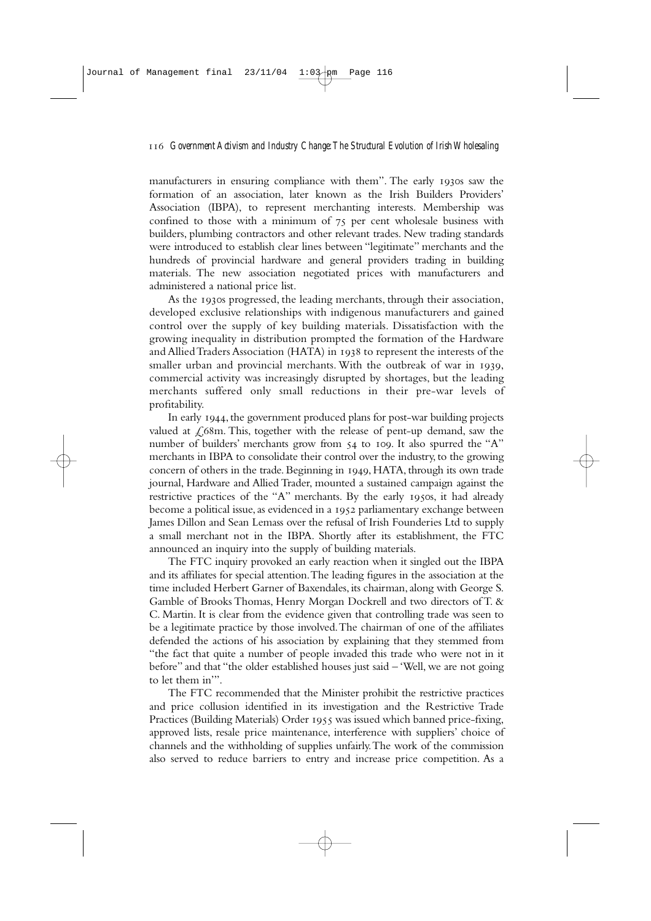manufacturers in ensuring compliance with them". The early 1930s saw the formation of an association, later known as the Irish Builders Providers' Association (IBPA), to represent merchanting interests. Membership was confined to those with a minimum of  $75$  per cent wholesale business with builders, plumbing contractors and other relevant trades. New trading standards were introduced to establish clear lines between "legitimate" merchants and the hundreds of provincial hardware and general providers trading in building materials. The new association negotiated prices with manufacturers and administered a national price list.

As the 1930s progressed, the leading merchants, through their association, developed exclusive relationships with indigenous manufacturers and gained control over the supply of key building materials. Dissatisfaction with the growing inequality in distribution prompted the formation of the Hardware and Allied Traders Association (HATA) in to represent the interests of the smaller urban and provincial merchants. With the outbreak of war in 1939, commercial activity was increasingly disrupted by shortages, but the leading merchants suffered only small reductions in their pre-war levels of profitability.

In early 1944, the government produced plans for post-war building projects valued at  $\angle$  68m. This, together with the release of pent-up demand, saw the number of builders' merchants grow from 54 to 109. It also spurred the "A" merchants in IBPA to consolidate their control over the industry, to the growing concern of others in the trade. Beginning in 1949, HATA, through its own trade journal, Hardware and Allied Trader, mounted a sustained campaign against the restrictive practices of the "A" merchants. By the early 1950s, it had already become a political issue, as evidenced in a 1952 parliamentary exchange between James Dillon and Sean Lemass over the refusal of Irish Founderies Ltd to supply a small merchant not in the IBPA. Shortly after its establishment, the FTC announced an inquiry into the supply of building materials.

The FTC inquiry provoked an early reaction when it singled out the IBPA and its affiliates for special attention.The leading figures in the association at the time included Herbert Garner of Baxendales, its chairman, along with George S. Gamble of Brooks Thomas, Henry Morgan Dockrell and two directors of T. & C. Martin. It is clear from the evidence given that controlling trade was seen to be a legitimate practice by those involved.The chairman of one of the affiliates defended the actions of his association by explaining that they stemmed from "the fact that quite a number of people invaded this trade who were not in it before" and that "the older established houses just said – 'Well, we are not going to let them in'".

The FTC recommended that the Minister prohibit the restrictive practices and price collusion identified in its investigation and the Restrictive Trade Practices (Building Materials) Order 1955 was issued which banned price-fixing, approved lists, resale price maintenance, interference with suppliers' choice of channels and the withholding of supplies unfairly.The work of the commission also served to reduce barriers to entry and increase price competition. As a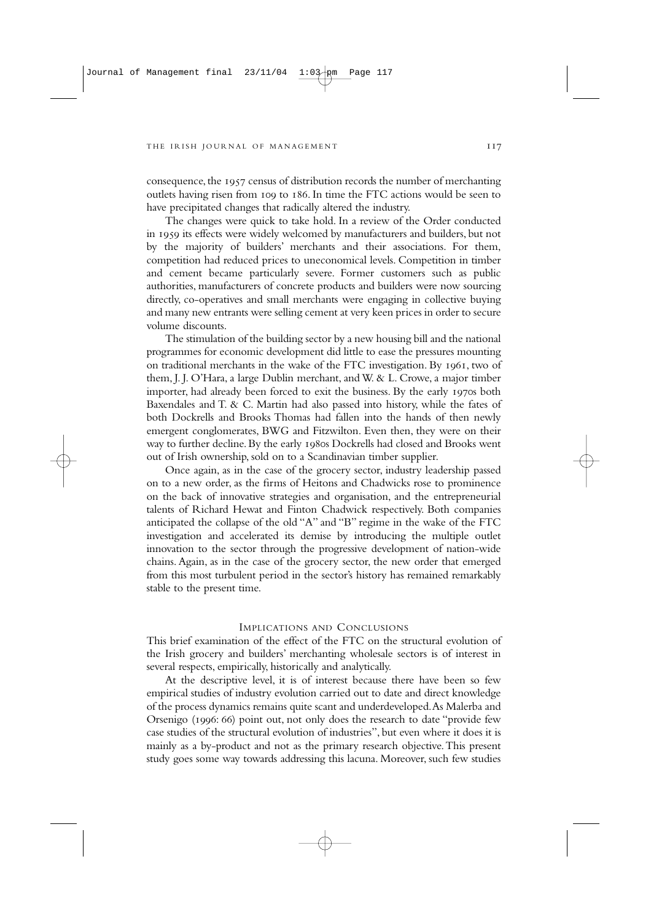consequence, the 1957 census of distribution records the number of merchanting outlets having risen from 100 to 186. In time the FTC actions would be seen to have precipitated changes that radically altered the industry.

The changes were quick to take hold. In a review of the Order conducted in 1959 its effects were widely welcomed by manufacturers and builders, but not by the majority of builders' merchants and their associations. For them, competition had reduced prices to uneconomical levels. Competition in timber and cement became particularly severe. Former customers such as public authorities, manufacturers of concrete products and builders were now sourcing directly, co-operatives and small merchants were engaging in collective buying and many new entrants were selling cement at very keen prices in order to secure volume discounts.

The stimulation of the building sector by a new housing bill and the national programmes for economic development did little to ease the pressures mounting on traditional merchants in the wake of the FTC investigation. By , two of them, J. J. O'Hara, a large Dublin merchant, and W. & L. Crowe, a major timber importer, had already been forced to exit the business. By the early 1970s both Baxendales and T. & C. Martin had also passed into history, while the fates of both Dockrells and Brooks Thomas had fallen into the hands of then newly emergent conglomerates, BWG and Fitzwilton. Even then, they were on their way to further decline. By the early 1980s Dockrells had closed and Brooks went out of Irish ownership, sold on to a Scandinavian timber supplier.

Once again, as in the case of the grocery sector, industry leadership passed on to a new order, as the firms of Heitons and Chadwicks rose to prominence on the back of innovative strategies and organisation, and the entrepreneurial talents of Richard Hewat and Finton Chadwick respectively. Both companies anticipated the collapse of the old "A" and "B" regime in the wake of the FTC investigation and accelerated its demise by introducing the multiple outlet innovation to the sector through the progressive development of nation-wide chains. Again, as in the case of the grocery sector, the new order that emerged from this most turbulent period in the sector's history has remained remarkably stable to the present time.

## IMPLICATIONS AND CONCLUSIONS

This brief examination of the effect of the FTC on the structural evolution of the Irish grocery and builders' merchanting wholesale sectors is of interest in several respects, empirically, historically and analytically.

At the descriptive level, it is of interest because there have been so few empirical studies of industry evolution carried out to date and direct knowledge of the process dynamics remains quite scant and underdeveloped.As Malerba and Orsenigo (1996: 66) point out, not only does the research to date "provide few case studies of the structural evolution of industries", but even where it does it is mainly as a by-product and not as the primary research objective.This present study goes some way towards addressing this lacuna. Moreover, such few studies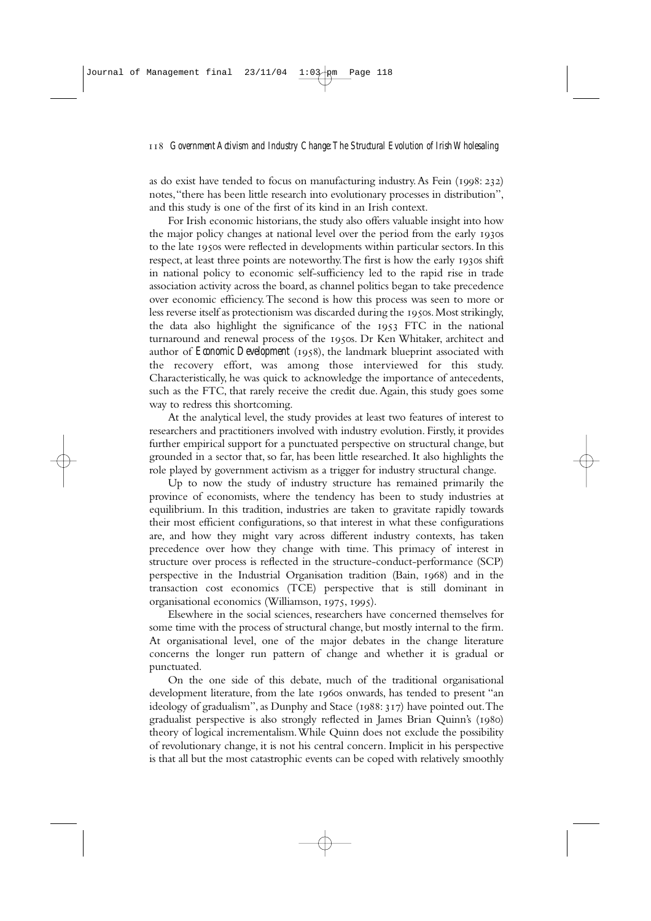as do exist have tended to focus on manufacturing industry. As Fein  $(1998: 232)$ notes,"there has been little research into evolutionary processes in distribution", and this study is one of the first of its kind in an Irish context.

For Irish economic historians, the study also offers valuable insight into how the major policy changes at national level over the period from the early 1930s to the late 1950s were reflected in developments within particular sectors. In this respect, at least three points are noteworthy. The first is how the early 1930s shift in national policy to economic self-sufficiency led to the rapid rise in trade association activity across the board, as channel politics began to take precedence over economic efficiency.The second is how this process was seen to more or less reverse itself as protectionism was discarded during the 1950s. Most strikingly, the data also highlight the significance of the  $1953$  FTC in the national turnaround and renewal process of the 1950s. Dr Ken Whitaker, architect and author of *Economic Development* (1958), the landmark blueprint associated with the recovery effort, was among those interviewed for this study. Characteristically, he was quick to acknowledge the importance of antecedents, such as the FTC, that rarely receive the credit due.Again, this study goes some way to redress this shortcoming.

At the analytical level, the study provides at least two features of interest to researchers and practitioners involved with industry evolution. Firstly, it provides further empirical support for a punctuated perspective on structural change, but grounded in a sector that, so far, has been little researched. It also highlights the role played by government activism as a trigger for industry structural change.

Up to now the study of industry structure has remained primarily the province of economists, where the tendency has been to study industries at equilibrium. In this tradition, industries are taken to gravitate rapidly towards their most efficient configurations, so that interest in what these configurations are, and how they might vary across different industry contexts, has taken precedence over how they change with time. This primacy of interest in structure over process is reflected in the structure-conduct-performance (SCP) perspective in the Industrial Organisation tradition (Bain, 1968) and in the transaction cost economics (TCE) perspective that is still dominant in organisational economics (Williamson, 1975, 1995).

Elsewhere in the social sciences, researchers have concerned themselves for some time with the process of structural change, but mostly internal to the firm. At organisational level, one of the major debates in the change literature concerns the longer run pattern of change and whether it is gradual or punctuated.

On the one side of this debate, much of the traditional organisational development literature, from the late 1960s onwards, has tended to present "an ideology of gradualism", as Dunphy and Stace (1988: 317) have pointed out. The gradualist perspective is also strongly reflected in James Brian Quinn's (1980) theory of logical incrementalism.While Quinn does not exclude the possibility of revolutionary change, it is not his central concern. Implicit in his perspective is that all but the most catastrophic events can be coped with relatively smoothly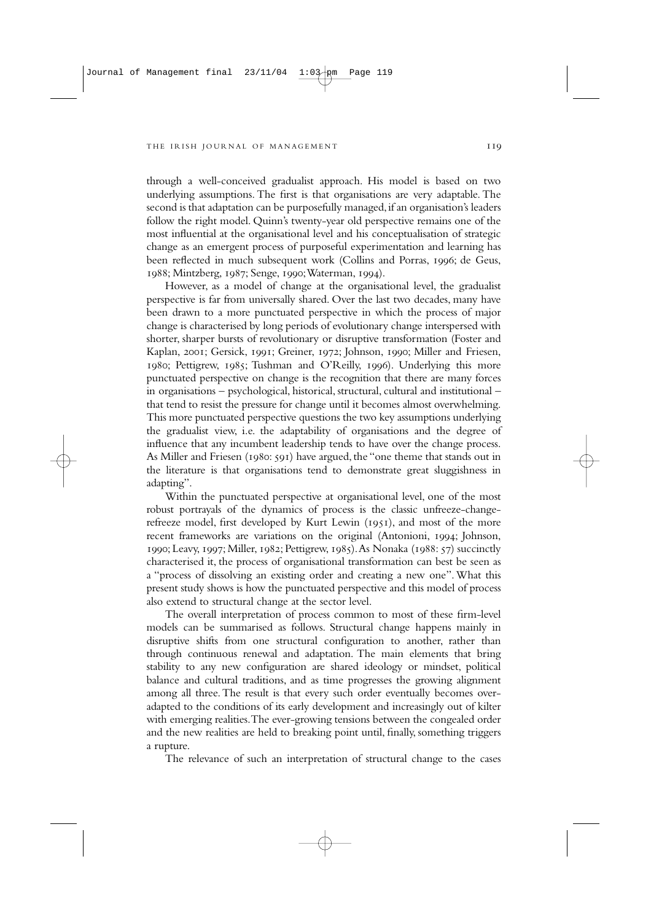through a well-conceived gradualist approach. His model is based on two underlying assumptions. The first is that organisations are very adaptable. The second is that adaptation can be purposefully managed, if an organisation's leaders follow the right model. Quinn's twenty-year old perspective remains one of the most influential at the organisational level and his conceptualisation of strategic change as an emergent process of purposeful experimentation and learning has been reflected in much subsequent work (Collins and Porras, 1996; de Geus, 1988; Mintzberg, 1987; Senge, 1990; Waterman, 1994).

However, as a model of change at the organisational level, the gradualist perspective is far from universally shared. Over the last two decades, many have been drawn to a more punctuated perspective in which the process of major change is characterised by long periods of evolutionary change interspersed with shorter, sharper bursts of revolutionary or disruptive transformation (Foster and Kaplan, 2001; Gersick, 1991; Greiner, 1972; Johnson, 1990; Miller and Friesen, 1980; Pettigrew, 1985; Tushman and O'Reilly, 1996). Underlying this more punctuated perspective on change is the recognition that there are many forces in organisations – psychological, historical, structural, cultural and institutional – that tend to resist the pressure for change until it becomes almost overwhelming. This more punctuated perspective questions the two key assumptions underlying the gradualist view, i.e. the adaptability of organisations and the degree of influence that any incumbent leadership tends to have over the change process. As Miller and Friesen ( $1980: 591$ ) have argued, the "one theme that stands out in the literature is that organisations tend to demonstrate great sluggishness in adapting".

Within the punctuated perspective at organisational level, one of the most robust portrayals of the dynamics of process is the classic unfreeze-changerefreeze model, first developed by Kurt Lewin (1951), and most of the more recent frameworks are variations on the original (Antonioni, 1994; Johnson, 1990; Leavy, 1997; Miller, 1982; Pettigrew, 1985). As Nonaka (1988: 57) succinctly characterised it, the process of organisational transformation can best be seen as a "process of dissolving an existing order and creating a new one". What this present study shows is how the punctuated perspective and this model of process also extend to structural change at the sector level.

The overall interpretation of process common to most of these firm-level models can be summarised as follows. Structural change happens mainly in disruptive shifts from one structural configuration to another, rather than through continuous renewal and adaptation. The main elements that bring stability to any new configuration are shared ideology or mindset, political balance and cultural traditions, and as time progresses the growing alignment among all three. The result is that every such order eventually becomes overadapted to the conditions of its early development and increasingly out of kilter with emerging realities.The ever-growing tensions between the congealed order and the new realities are held to breaking point until, finally, something triggers a rupture.

The relevance of such an interpretation of structural change to the cases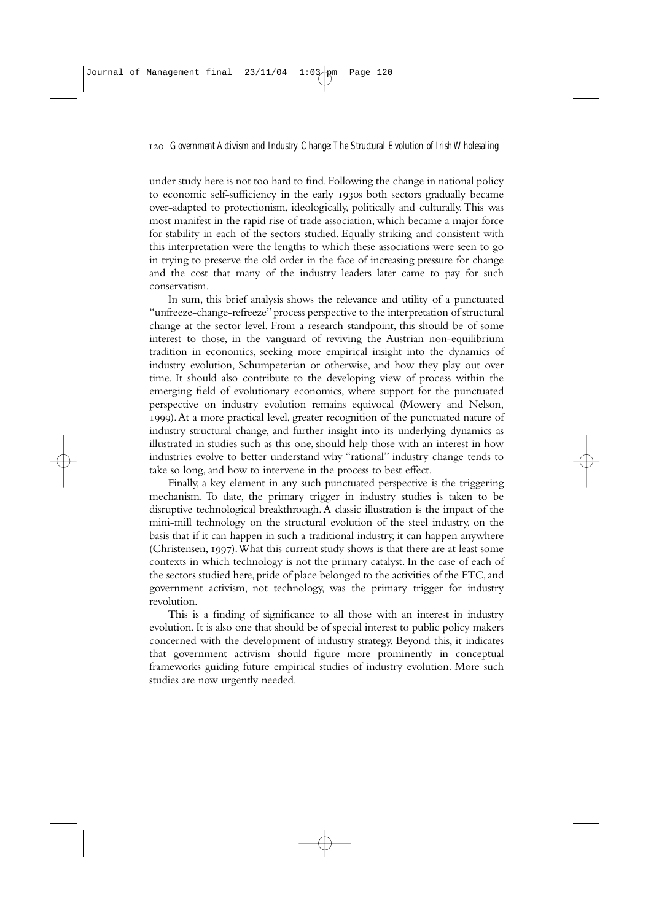under study here is not too hard to find. Following the change in national policy to economic self-sufficiency in the early 1930s both sectors gradually became over-adapted to protectionism, ideologically, politically and culturally. This was most manifest in the rapid rise of trade association, which became a major force for stability in each of the sectors studied. Equally striking and consistent with this interpretation were the lengths to which these associations were seen to go in trying to preserve the old order in the face of increasing pressure for change and the cost that many of the industry leaders later came to pay for such conservatism.

In sum, this brief analysis shows the relevance and utility of a punctuated "unfreeze-change-refreeze" process perspective to the interpretation of structural change at the sector level. From a research standpoint, this should be of some interest to those, in the vanguard of reviving the Austrian non-equilibrium tradition in economics, seeking more empirical insight into the dynamics of industry evolution, Schumpeterian or otherwise, and how they play out over time. It should also contribute to the developing view of process within the emerging field of evolutionary economics, where support for the punctuated perspective on industry evolution remains equivocal (Mowery and Nelson, ).At a more practical level, greater recognition of the punctuated nature of industry structural change, and further insight into its underlying dynamics as illustrated in studies such as this one, should help those with an interest in how industries evolve to better understand why "rational" industry change tends to take so long, and how to intervene in the process to best effect.

Finally, a key element in any such punctuated perspective is the triggering mechanism. To date, the primary trigger in industry studies is taken to be disruptive technological breakthrough. A classic illustration is the impact of the mini-mill technology on the structural evolution of the steel industry, on the basis that if it can happen in such a traditional industry, it can happen anywhere (Christensen, 1997). What this current study shows is that there are at least some contexts in which technology is not the primary catalyst. In the case of each of the sectors studied here, pride of place belonged to the activities of the FTC, and government activism, not technology, was the primary trigger for industry revolution.

This is a finding of significance to all those with an interest in industry evolution. It is also one that should be of special interest to public policy makers concerned with the development of industry strategy. Beyond this, it indicates that government activism should figure more prominently in conceptual frameworks guiding future empirical studies of industry evolution. More such studies are now urgently needed.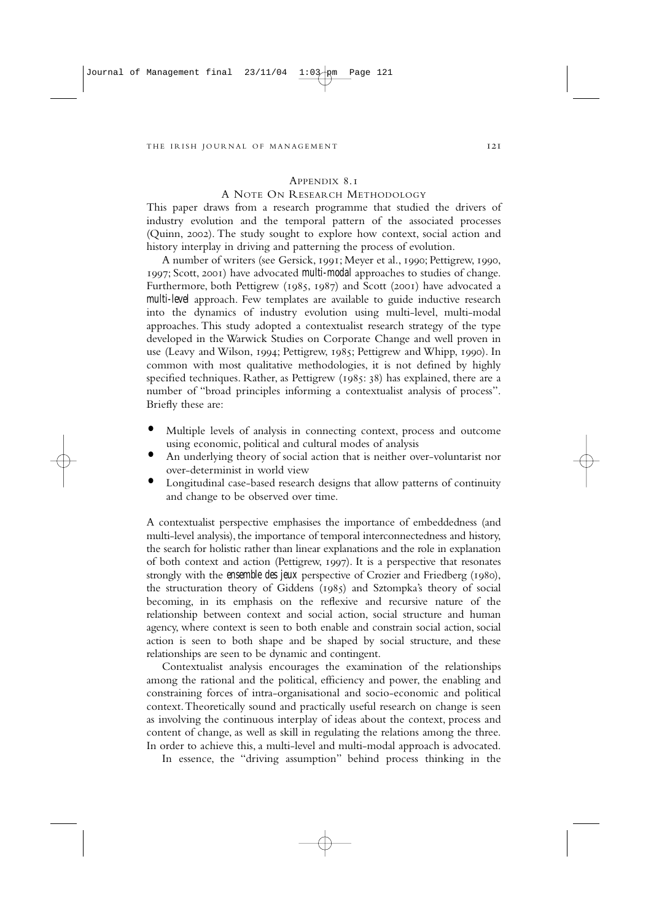# APPENDIX 8.1

## A NOTE ON RESEARCH METHODOLOGY

This paper draws from a research programme that studied the drivers of industry evolution and the temporal pattern of the associated processes (Quinn, 2002). The study sought to explore how context, social action and history interplay in driving and patterning the process of evolution.

A number of writers (see Gersick, 1991; Meyer et al., 1990; Pettigrew, 1990, ; Scott, ) have advocated *multi-modal* approaches to studies of change. Furthermore, both Pettigrew ( $1985$ ,  $1987$ ) and Scott (2001) have advocated a *multi-level* approach. Few templates are available to guide inductive research into the dynamics of industry evolution using multi-level, multi-modal approaches. This study adopted a contextualist research strategy of the type developed in the Warwick Studies on Corporate Change and well proven in use (Leavy and Wilson, 1994; Pettigrew, 1985; Pettigrew and Whipp, 1990). In common with most qualitative methodologies, it is not defined by highly specified techniques. Rather, as Pettigrew  $(1085: 38)$  has explained, there are a number of "broad principles informing a contextualist analysis of process". Briefly these are:

- **•** Multiple levels of analysis in connecting context, process and outcome using economic, political and cultural modes of analysis
- **•** An underlying theory of social action that is neither over-voluntarist nor over-determinist in world view
- **•** Longitudinal case-based research designs that allow patterns of continuity and change to be observed over time.

A contextualist perspective emphasises the importance of embeddedness (and multi-level analysis), the importance of temporal interconnectedness and history, the search for holistic rather than linear explanations and the role in explanation of both context and action (Pettigrew, 1997). It is a perspective that resonates strongly with the *ensemble des jeux* perspective of Crozier and Friedberg (1980), the structuration theory of Giddens  $(1985)$  and Sztompka's theory of social becoming, in its emphasis on the reflexive and recursive nature of the relationship between context and social action, social structure and human agency, where context is seen to both enable and constrain social action, social action is seen to both shape and be shaped by social structure, and these relationships are seen to be dynamic and contingent.

Contextualist analysis encourages the examination of the relationships among the rational and the political, efficiency and power, the enabling and constraining forces of intra-organisational and socio-economic and political context.Theoretically sound and practically useful research on change is seen as involving the continuous interplay of ideas about the context, process and content of change, as well as skill in regulating the relations among the three. In order to achieve this, a multi-level and multi-modal approach is advocated.

In essence, the "driving assumption" behind process thinking in the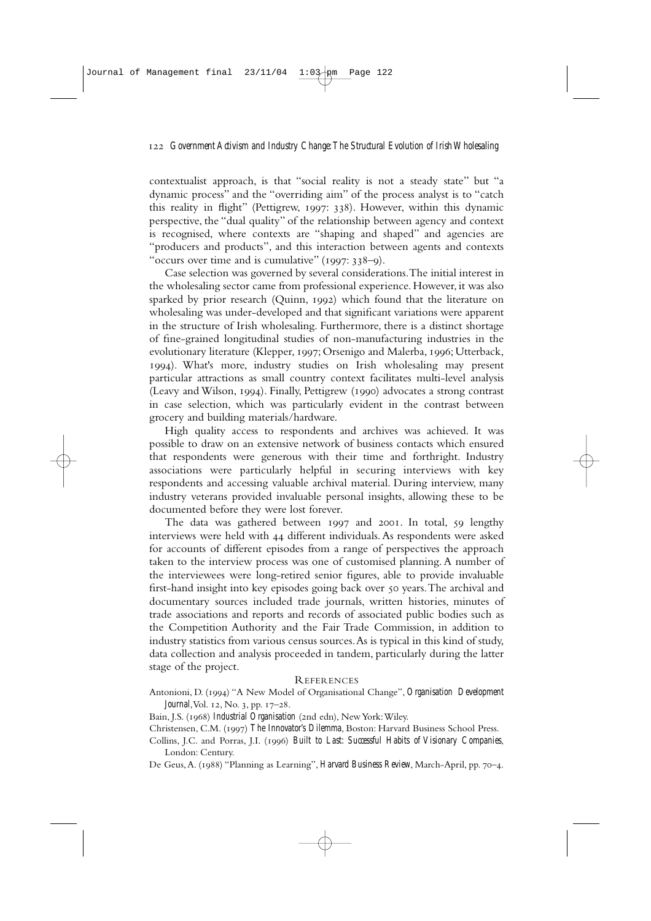contextualist approach, is that "social reality is not a steady state" but "a dynamic process" and the "overriding aim" of the process analyst is to "catch this reality in flight" (Pettigrew, 1997: 338). However, within this dynamic perspective, the "dual quality" of the relationship between agency and context is recognised, where contexts are "shaping and shaped" and agencies are "producers and products", and this interaction between agents and contexts "occurs over time and is cumulative"  $(1997: 338-9)$ .

Case selection was governed by several considerations.The initial interest in the wholesaling sector came from professional experience. However, it was also sparked by prior research (Quinn, 1992) which found that the literature on wholesaling was under-developed and that significant variations were apparent in the structure of Irish wholesaling. Furthermore, there is a distinct shortage of fine-grained longitudinal studies of non-manufacturing industries in the evolutionary literature (Klepper, 1997; Orsenigo and Malerba, 1996; Utterback, ). What's more, industry studies on Irish wholesaling may present particular attractions as small country context facilitates multi-level analysis (Leavy and Wilson,  $1994$ ). Finally, Pettigrew (1990) advocates a strong contrast in case selection, which was particularly evident in the contrast between grocery and building materials/hardware.

High quality access to respondents and archives was achieved. It was possible to draw on an extensive network of business contacts which ensured that respondents were generous with their time and forthright. Industry associations were particularly helpful in securing interviews with key respondents and accessing valuable archival material. During interview, many industry veterans provided invaluable personal insights, allowing these to be documented before they were lost forever.

The data was gathered between 1997 and 2001. In total, 59 lengthy interviews were held with 44 different individuals. As respondents were asked for accounts of different episodes from a range of perspectives the approach taken to the interview process was one of customised planning. A number of the interviewees were long-retired senior figures, able to provide invaluable first-hand insight into key episodes going back over 50 years. The archival and documentary sources included trade journals, written histories, minutes of trade associations and reports and records of associated public bodies such as the Competition Authority and the Fair Trade Commission, in addition to industry statistics from various census sources.As is typical in this kind of study, data collection and analysis proceeded in tandem, particularly during the latter stage of the project.

#### **REFERENCES**

Antonioni, D. (1994) "A New Model of Organisational Change", *Organisation Development Journal*, Vol. 12, No. 3, pp. 17-28.

Bain, J.S. (1968) *Industrial Organisation* (2nd edn), New York: Wiley.

Christensen, C.M. (1997) The Innovator's Dilemma, Boston: Harvard Business School Press.

Collins, J.C. and Porras, J.I. (1996) Built to Last: Successful Habits of Visionary Companies, London: Century.

De Geus, A. (1988) "Planning as Learning", *Harvard Business Review*, March-April, pp. 70–4.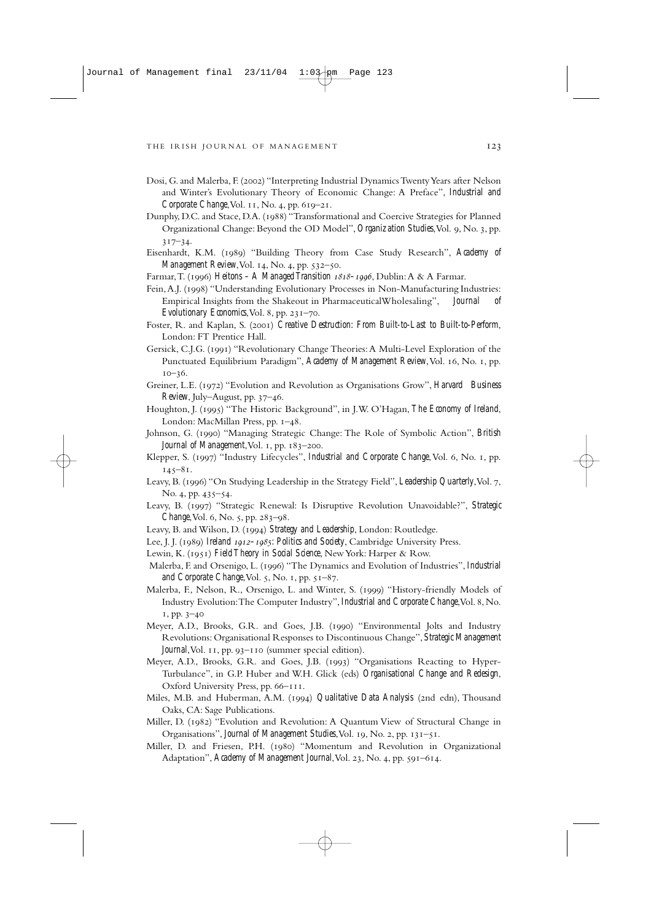- Dosi, G. and Malerba, F. (2002) "Interpreting Industrial Dynamics Twenty Years after Nelson and Winter's Evolutionary Theory of Economic Change: A Preface", *Industrial and Corporate Change*, Vol. 11, No. 4, pp. 619-21.
- Dunphy, D.C. and Stace, D.A. (1988) "Transformational and Coercive Strategies for Planned Organizational Change: Beyond the OD Model", *Organization Studies*, Vol. 9, No. 3, pp.  $317 - 34.$
- Eisenhardt, K.M. (1989) "Building Theory from Case Study Research", Academy of *Management Review*, Vol. 14, No. 4, pp. 532-50.
- Farmar, T. (1996) *Heitons A Managed Transition 1818–1996*, Dublin: A & A Farmar.
- Fein, A.J. (1998) "Understanding Evolutionary Processes in Non-Manufacturing Industries: Empirical Insights from the Shakeout in PharmaceuticalWholesaling", *Journal of Evolutionary Economics*, Vol. 8, pp. 231-70.
- Foster, R. and Kaplan, S. (2001) *Creative Destruction: From Built-to-Last to Built-to-Perform*, London: FT Prentice Hall.
- Gersick, C.J.G. (1991) "Revolutionary Change Theories: A Multi-Level Exploration of the Punctuated Equilibrium Paradigm", *Academy of Management Review*, Vol. 16, No. 1, pp.  $10 - 36.$
- Greiner, L.E. () "Evolution and Revolution as Organisations Grow", *Harvard Business Review*, July–August, pp. 37–46.
- Houghton, J. (1995) "The Historic Background", in J.W. O'Hagan, *The Economy of Ireland*, London: MacMillan Press, pp. 1-48.
- Johnson, G. () "Managing Strategic Change: The Role of Symbolic Action", *British* Journal of Management, Vol. 1, pp. 183-200.
- Klepper, S. (1997) "Industry Lifecycles", *Industrial and Corporate Change*, Vol. 6, No. 1, pp.  $145 - 81.$
- Leavy, B. (1996) "On Studying Leadership in the Strategy Field", *Leadership Quarterly*, Vol. 7, No. 4, pp. 435-54.
- Leavy, B. () "Strategic Renewal: Is Disruptive Revolution Unavoidable?", *Strategic Change*, Vol. 6, No. 5, pp. 283–98.
- Leavy, B. and Wilson, D. (1994) Strategy and Leadership, London: Routledge.
- Lee, J. J. (1989) *Ireland 1912–1985: Politics and Society*, Cambridge University Press.
- Lewin, K. (1951) Field Theory in Social Science, New York: Harper & Row.
- Malerba, F. and Orsenigo, L. (1996) "The Dynamics and Evolution of Industries", *Industrial and Corporate Change*, Vol. 5, No. 1, pp. 51-87.
- Malerba, F., Nelson, R., Orsenigo, L. and Winter, S. (1999) "History-friendly Models of Industry Evolution: The Computer Industry", *Industrial and Corporate Change*, Vol. 8, No.  $1, pp. 3-40$
- Meyer, A.D., Brooks, G.R. and Goes, J.B. (1990) "Environmental Jolts and Industry Revolutions: Organisational Responses to Discontinuous Change", *Strategic Management Journal*, Vol. 11, pp. 93-110 (summer special edition).
- Meyer, A.D., Brooks, G.R. and Goes, J.B. (1993) "Organisations Reacting to Hyper-Turbulance", in G.P. Huber and W.H. Glick (eds) *Organisational Change and Redesign*, Oxford University Press, pp. 66-111.
- Miles, M.B. and Huberman, A.M. (1994) *Qualitative Data Analysis* (2nd edn), Thousand Oaks, CA: Sage Publications.
- Miller, D. (1982) "Evolution and Revolution: A Quantum View of Structural Change in Organisations", *Journal of Management Studies*, Vol. 19, No. 2, pp. 131-51.
- Miller, D. and Friesen, P.H. (1980) "Momentum and Revolution in Organizational Adaptation", *Academy of Management Journal*, Vol. 23, No. 4, pp. 591-614.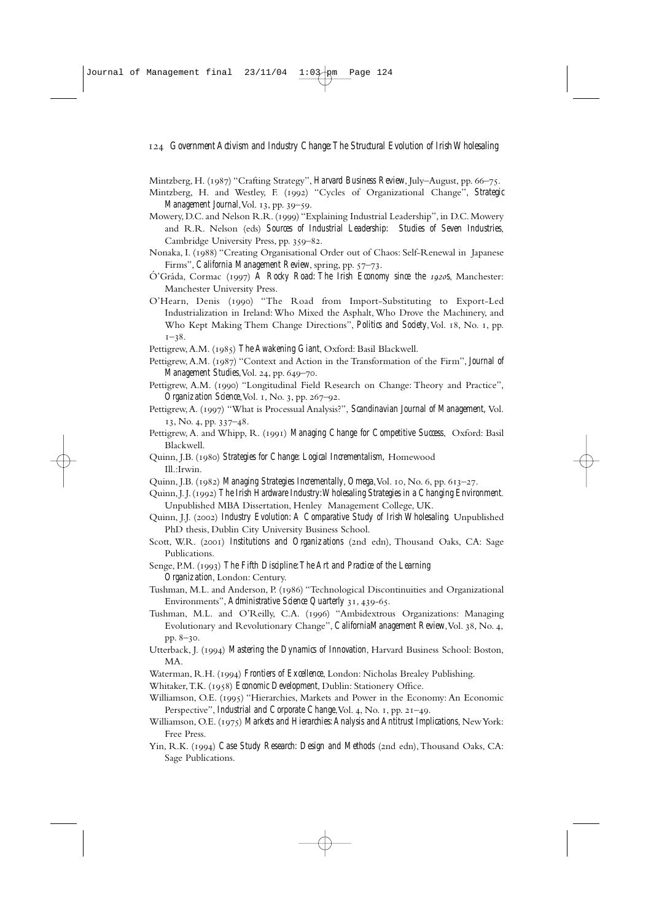Mintzberg, H. (1987) "Crafting Strategy", *Harvard Business Review*, July–August, pp. 66-75.

- Mintzberg, H. and Westley, F. (1992) "Cycles of Organizational Change", *Strategic Management Journal*, Vol. 13, pp. 39–59.
- Mowery, D.C. and Nelson R.R. (1999) "Explaining Industrial Leadership", in D.C. Mowery and R.R. Nelson (eds) *Sources of Industrial Leadership: Studies of Seven Industries*, Cambridge University Press, pp. 359-82.
- Nonaka, I. (1988) "Creating Organisational Order out of Chaos: Self-Renewal in Japanese Firms", *California Management Review*, spring, pp. 57-73.
- Ó'Gráda, Cormac (1997) A Rocky Road: The Irish Economy since the 1920S, Manchester: Manchester University Press.
- O'Hearn, Denis (1990) "The Road from Import-Substituting to Export-Led Industrialization in Ireland: Who Mixed the Asphalt, Who Drove the Machinery, and Who Kept Making Them Change Directions", *Politics and Society*, Vol. 18, No. 1, pp.  $1 - 38$ .
- Pettigrew, A.M. (1985) The Awakening Giant, Oxford: Basil Blackwell.
- Pettigrew, A.M. (1987) "Context and Action in the Transformation of the Firm", *Journal of Management Studies*, Vol. 24, pp. 649-70.
- Pettigrew, A.M. (1990) "Longitudinal Field Research on Change: Theory and Practice", *Organization Science*, Vol. 1, No. 3, pp. 267-92.
- Pettigrew, A. (1997) "What is Processual Analysis?", *Scandinavian Journal of Management*, Vol.  $13, No. 4, pp. 337-48.$
- Pettigrew, A. and Whipp, R. (1991) *Managing Change for Competitive Success*, Oxford: Basil Blackwell.
- Quinn, J.B. () *Strategies for Change: Logical Incrementalism,* Homewood Ill.:Irwin.
- Quinn, J.B. (1982) *Managing Strategies Incrementally*, *Omega*, Vol. 10, No. 6, pp. 613–27.
- Quinn,J.J.() *The Irish Hardware Industry:Wholesaling Strategies in a Changing Environment*. Unpublished MBA Dissertation, Henley Management College, UK.
- Quinn, J.J. () *Industry Evolution: A Comparative Study of Irish Wholesaling.* Unpublished PhD thesis, Dublin City University Business School.
- Scott, W.R. (2001) *Institutions and Organizations* (2nd edn), Thousand Oaks, CA: Sage Publications.
- Senge, P.M. (1993) The Fifth Discipline: The Art and Practice of the Learning *Organization*, London: Century.
- Tushman, M.L. and Anderson, P. (1986) "Technological Discontinuities and Organizational Environments", *Administrative Science Quarterly* 31, 439-65.
- Tushman, M.L. and O'Reilly, C.A. (1996) "Ambidextrous Organizations: Managing Evolutionary and Revolutionary Change", *CaliforniaManagement Review*, Vol. 38, No. 4, pp.  $8-30$ .
- Utterback, J. (1994) Mastering the Dynamics of Innovation, Harvard Business School: Boston, MA.
- Waterman, R.H. (1994) *Frontiers of Excellence*, London: Nicholas Brealey Publishing.
- Whitaker, T.K. (1958) *Economic Development*, Dublin: Stationery Office.
- Williamson, O.E. (1995) "Hierarchies, Markets and Power in the Economy: An Economic Perspective", *Industrial and Corporate Change*, Vol. 4, No. 1, pp. 21–49.
- Williamson, O.E. (1975) Markets and Hierarchies: Analysis and Antitrust Implications, New York: Free Press.
- Yin, R.K. (1994) Case Study Research: Design and Methods (2nd edn), Thousand Oaks, CA: Sage Publications.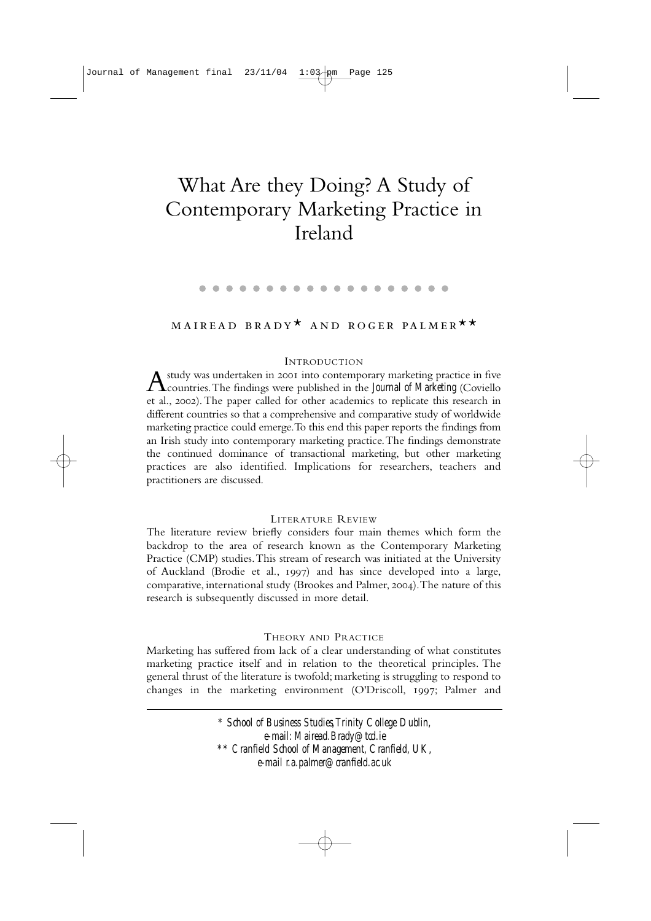# What Are they Doing? A Study of Contemporary Marketing Practice in Ireland

#### . . . . . . . . . . . . . . . . . . .

## MAIREAD BRADY<sup>\*</sup> AND ROGER PALMER<sup>\*\*</sup>

#### INTRODUCTION

 $\Lambda$  study was undertaken in 2001 into contemporary marketing practice in five countries.The findings were published in the *Journal of Marketing* (Coviello et al., 2002). The paper called for other academics to replicate this research in different countries so that a comprehensive and comparative study of worldwide marketing practice could emerge.To this end this paper reports the findings from an Irish study into contemporary marketing practice.The findings demonstrate the continued dominance of transactional marketing, but other marketing practices are also identified. Implications for researchers, teachers and practitioners are discussed.

#### LITERATURE REVIEW

The literature review briefly considers four main themes which form the backdrop to the area of research known as the Contemporary Marketing Practice (CMP) studies.This stream of research was initiated at the University of Auckland (Brodie et al., 1997) and has since developed into a large, comparative, international study (Brookes and Palmer, 2004). The nature of this research is subsequently discussed in more detail.

## THEORY AND PRACTICE

Marketing has suffered from lack of a clear understanding of what constitutes marketing practice itself and in relation to the theoretical principles. The general thrust of the literature is twofold; marketing is struggling to respond to changes in the marketing environment (O'Driscoll, 1997; Palmer and

> *\* School of Business Studies,Trinity College Dublin, e-mail: Mairead.Brady@tcd.ie \*\* Cranfield School of Management, Cranfield, UK, e-mail r.a.palmer@cranfield.ac.uk*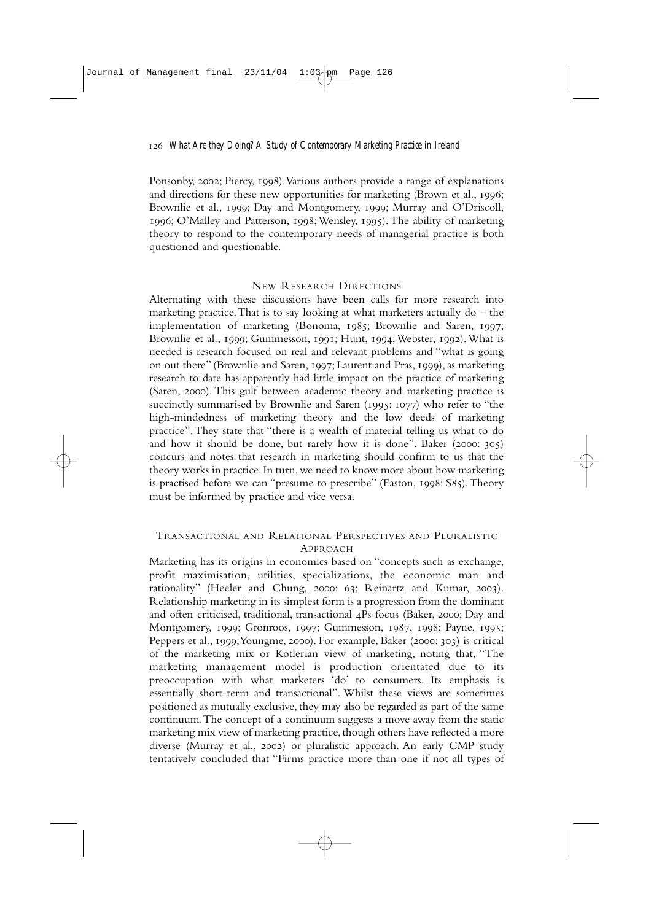Ponsonby, 2002; Piercy, 1998). Various authors provide a range of explanations and directions for these new opportunities for marketing (Brown et al., 1996; Brownlie et al., 1999; Day and Montgomery, 1999; Murray and O'Driscoll, 1996; O'Malley and Patterson, 1998; Wensley, 1995). The ability of marketing theory to respond to the contemporary needs of managerial practice is both questioned and questionable.

## NEW RESEARCH DIRECTIONS

Alternating with these discussions have been calls for more research into marketing practice. That is to say looking at what marketers actually  $d\sigma$  – the implementation of marketing (Bonoma, 1985; Brownlie and Saren, 1997; Brownlie et al., 1999; Gummesson, 1991; Hunt, 1994; Webster, 1992). What is needed is research focused on real and relevant problems and "what is going on out there" (Brownlie and Saren, 1997; Laurent and Pras, 1999), as marketing research to date has apparently had little impact on the practice of marketing (Saren, 2000). This gulf between academic theory and marketing practice is succinctly summarised by Brownlie and Saren ( $1995: 1077$ ) who refer to "the high-mindedness of marketing theory and the low deeds of marketing practice".They state that "there is a wealth of material telling us what to do and how it should be done, but rarely how it is done". Baker (2000:  $305$ ) concurs and notes that research in marketing should confirm to us that the theory works in practice.In turn,we need to know more about how marketing is practised before we can "presume to prescribe" (Easton, 1998: S85). Theory must be informed by practice and vice versa.

## TRANSACTIONAL AND RELATIONAL PERSPECTIVES AND PLURALISTIC APPROACH

Marketing has its origins in economics based on "concepts such as exchange, profit maximisation, utilities, specializations, the economic man and rationality" (Heeler and Chung, 2000: 63; Reinartz and Kumar, 2003). Relationship marketing in its simplest form is a progression from the dominant and often criticised, traditional, transactional 4Ps focus (Baker, 2000; Day and Montgomery, 1999; Gronroos, 1997; Gummesson, 1987, 1998; Payne, 1995; Peppers et al., 1999; Youngme, 2000). For example, Baker (2000: 303) is critical of the marketing mix or Kotlerian view of marketing, noting that, "The marketing management model is production orientated due to its preoccupation with what marketers 'do' to consumers. Its emphasis is essentially short-term and transactional". Whilst these views are sometimes positioned as mutually exclusive, they may also be regarded as part of the same continuum.The concept of a continuum suggests a move away from the static marketing mix view of marketing practice, though others have reflected a more diverse (Murray et al., 2002) or pluralistic approach. An early CMP study tentatively concluded that "Firms practice more than one if not all types of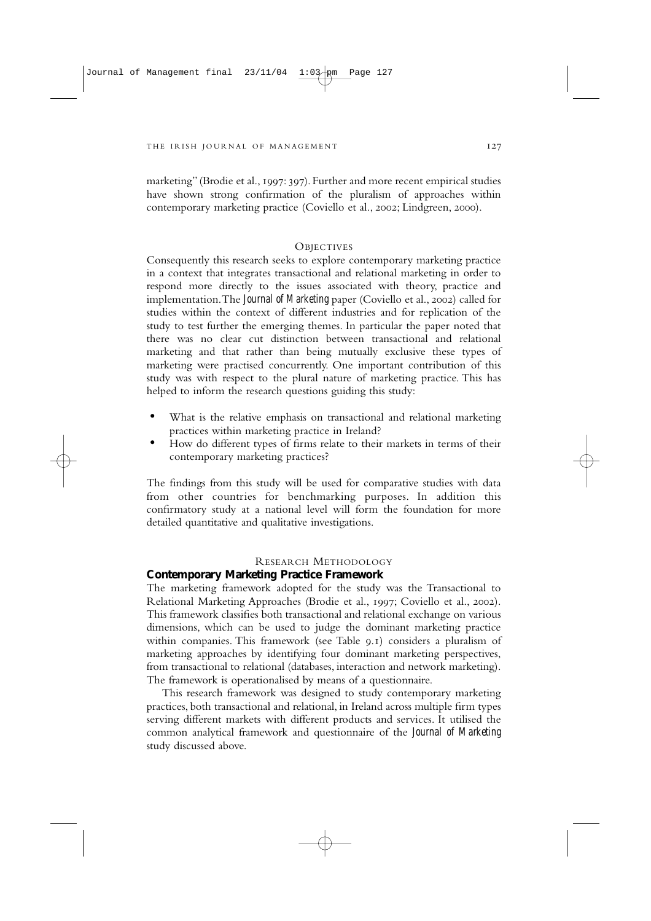marketing" (Brodie et al., 1997: 397). Further and more recent empirical studies have shown strong confirmation of the pluralism of approaches within contemporary marketing practice (Coviello et al., 2002; Lindgreen, 2000).

## **OBJECTIVES**

Consequently this research seeks to explore contemporary marketing practice in a context that integrates transactional and relational marketing in order to respond more directly to the issues associated with theory, practice and implementation. The *Journal of Marketing* paper (Coviello et al., 2002) called for studies within the context of different industries and for replication of the study to test further the emerging themes. In particular the paper noted that there was no clear cut distinction between transactional and relational marketing and that rather than being mutually exclusive these types of marketing were practised concurrently. One important contribution of this study was with respect to the plural nature of marketing practice. This has helped to inform the research questions guiding this study:

- What is the relative emphasis on transactional and relational marketing practices within marketing practice in Ireland?
- How do different types of firms relate to their markets in terms of their contemporary marketing practices?

The findings from this study will be used for comparative studies with data from other countries for benchmarking purposes. In addition this confirmatory study at a national level will form the foundation for more detailed quantitative and qualitative investigations.

## RESEARCH METHODOLOGY

#### **Contemporary Marketing Practice Framework**

The marketing framework adopted for the study was the Transactional to Relational Marketing Approaches (Brodie et al., 1997: Coviello et al., 2002). This framework classifies both transactional and relational exchange on various dimensions, which can be used to judge the dominant marketing practice within companies. This framework (see Table  $9.1$ ) considers a pluralism of marketing approaches by identifying four dominant marketing perspectives, from transactional to relational (databases, interaction and network marketing). The framework is operationalised by means of a questionnaire.

This research framework was designed to study contemporary marketing practices, both transactional and relational, in Ireland across multiple firm types serving different markets with different products and services. It utilised the common analytical framework and questionnaire of the *Journal of Marketing* study discussed above.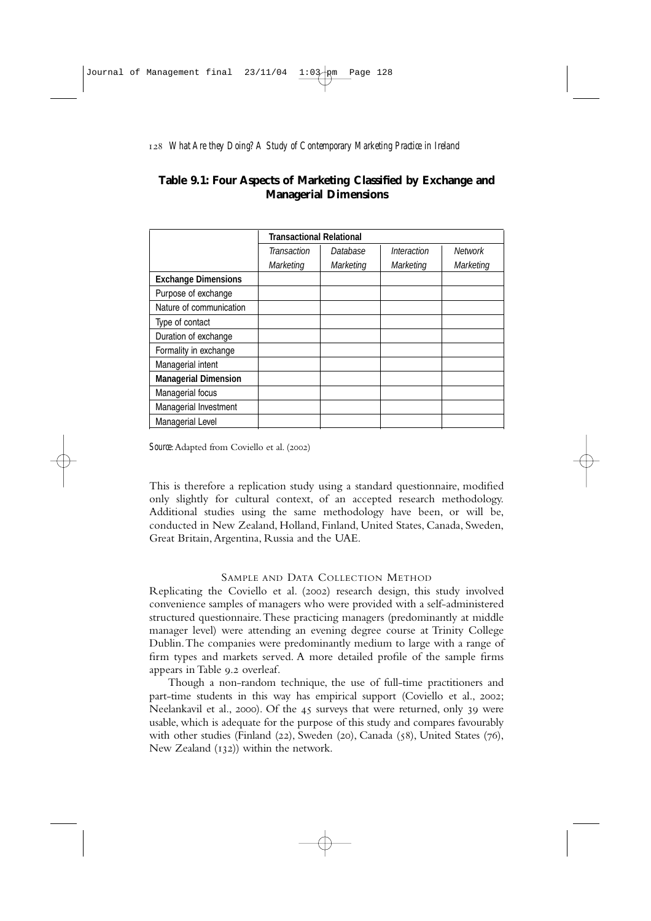## **Table 9.1: Four Aspects of Marketing Classified by Exchange and Managerial Dimensions**

|                             | <b>Transactional Relational</b> |                  |                  |                |
|-----------------------------|---------------------------------|------------------|------------------|----------------|
|                             | Transaction                     | Database         | Interaction      | <b>Network</b> |
|                             | <b>Marketing</b>                | <b>Marketing</b> | <b>Marketing</b> | Marketing      |
| <b>Exchange Dimensions</b>  |                                 |                  |                  |                |
| Purpose of exchange         |                                 |                  |                  |                |
| Nature of communication     |                                 |                  |                  |                |
| Type of contact             |                                 |                  |                  |                |
| Duration of exchange        |                                 |                  |                  |                |
| Formality in exchange       |                                 |                  |                  |                |
| Managerial intent           |                                 |                  |                  |                |
| <b>Managerial Dimension</b> |                                 |                  |                  |                |
| Managerial focus            |                                 |                  |                  |                |
| Managerial Investment       |                                 |                  |                  |                |
| Managerial Level            |                                 |                  |                  |                |

*Source*: Adapted from Coviello et al. (2002)

This is therefore a replication study using a standard questionnaire, modified only slightly for cultural context, of an accepted research methodology. Additional studies using the same methodology have been, or will be, conducted in New Zealand, Holland, Finland, United States, Canada, Sweden, Great Britain,Argentina, Russia and the UAE.

## SAMPLE AND DATA COLLECTION METHOD

Replicating the Coviello et al. (2002) research design, this study involved convenience samples of managers who were provided with a self-administered structured questionnaire.These practicing managers (predominantly at middle manager level) were attending an evening degree course at Trinity College Dublin.The companies were predominantly medium to large with a range of firm types and markets served. A more detailed profile of the sample firms appears in Table 9.2 overleaf.

Though a non-random technique, the use of full-time practitioners and part-time students in this way has empirical support (Coviello et al., 2002; Neelankavil et al., 2000). Of the 45 surveys that were returned, only 39 were usable, which is adequate for the purpose of this study and compares favourably with other studies (Finland (22), Sweden (20), Canada (58), United States (76), New Zealand  $(132)$ ) within the network.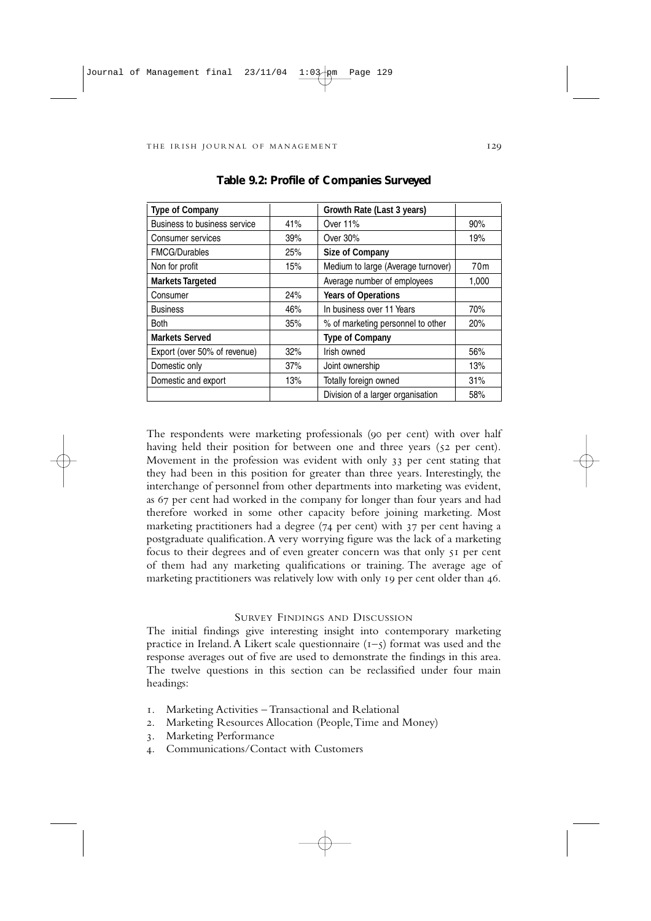| <b>Type of Company</b>       |     | Growth Rate (Last 3 years)         |                 |
|------------------------------|-----|------------------------------------|-----------------|
| Business to business service | 41% | Over 11%                           | 90%             |
| Consumer services            | 39% | Over 30%                           | 19%             |
| <b>FMCG/Durables</b>         | 25% | <b>Size of Company</b>             |                 |
| Non for profit               | 15% | Medium to large (Average turnover) | 70 <sub>m</sub> |
| <b>Markets Targeted</b>      |     | Average number of employees        | 1,000           |
| Consumer                     | 24% | <b>Years of Operations</b>         |                 |
| <b>Business</b>              | 46% | In business over 11 Years          | 70%             |
| <b>Both</b>                  | 35% | % of marketing personnel to other  | 20%             |
| <b>Markets Served</b>        |     | <b>Type of Company</b>             |                 |
| Export (over 50% of revenue) | 32% | Irish owned                        | 56%             |
| Domestic only                | 37% | Joint ownership                    | 13%             |
| Domestic and export          | 13% | Totally foreign owned              | 31%             |
|                              |     | Division of a larger organisation  | 58%             |

**Table 9.2: Profile of Companies Surveyed**

The respondents were marketing professionals (90 per cent) with over half having held their position for between one and three years (52 per cent). Movement in the profession was evident with only 33 per cent stating that they had been in this position for greater than three years. Interestingly, the interchange of personnel from other departments into marketing was evident, as 67 per cent had worked in the company for longer than four years and had therefore worked in some other capacity before joining marketing. Most marketing practitioners had a degree  $(74 \text{ per cent})$  with  $37 \text{ per cent}$  having a postgraduate qualification.A very worrying figure was the lack of a marketing focus to their degrees and of even greater concern was that only per cent of them had any marketing qualifications or training. The average age of marketing practitioners was relatively low with only 19 per cent older than 46.

#### SURVEY FINDINGS AND DISCUSSION

The initial findings give interesting insight into contemporary marketing practice in Ireland. A Likert scale questionnaire  $(1 - 5)$  format was used and the response averages out of five are used to demonstrate the findings in this area. The twelve questions in this section can be reclassified under four main headings:

- . Marketing Activities Transactional and Relational
- . Marketing Resources Allocation (People,Time and Money)
- . Marketing Performance
- . Communications/Contact with Customers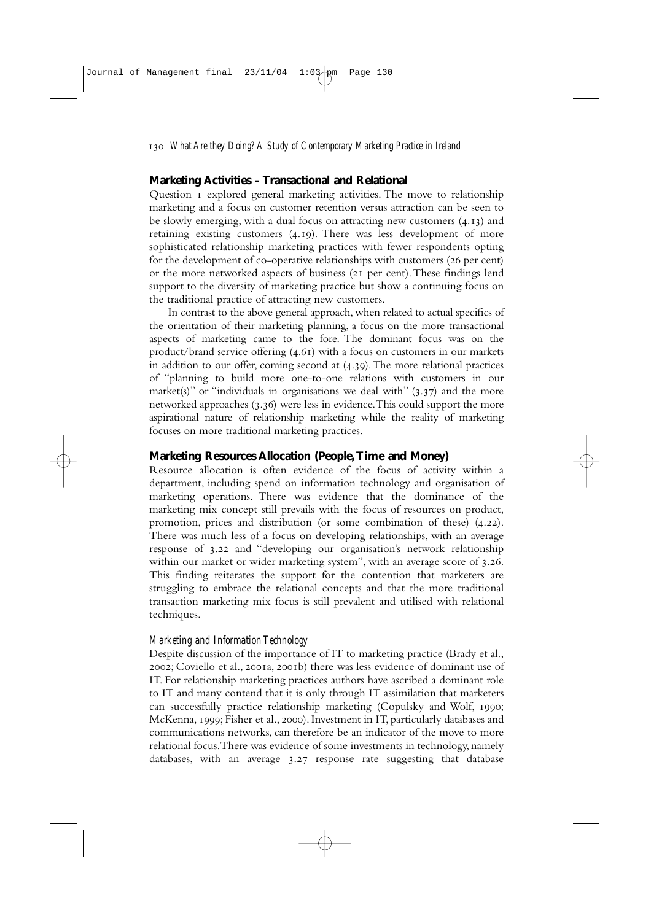## **Marketing Activities – Transactional and Relational**

Question I explored general marketing activities. The move to relationship marketing and a focus on customer retention versus attraction can be seen to be slowly emerging, with a dual focus on attracting new customers  $(4.13)$  and retaining existing customers  $(4.19)$ . There was less development of more sophisticated relationship marketing practices with fewer respondents opting for the development of co-operative relationships with customers (26 per cent) or the more networked aspects of business  $(2I)$  per cent). These findings lend support to the diversity of marketing practice but show a continuing focus on the traditional practice of attracting new customers.

In contrast to the above general approach, when related to actual specifics of the orientation of their marketing planning, a focus on the more transactional aspects of marketing came to the fore. The dominant focus was on the product/brand service offering  $(4.61)$  with a focus on customers in our markets in addition to our offer, coming second at  $(4.39)$ . The more relational practices of "planning to build more one-to-one relations with customers in our market(s)" or "individuals in organisations we deal with"  $(3.37)$  and the more networked approaches  $(3.36)$  were less in evidence. This could support the more aspirational nature of relationship marketing while the reality of marketing focuses on more traditional marketing practices.

## **Marketing Resources Allocation (People,Time and Money)**

Resource allocation is often evidence of the focus of activity within a department, including spend on information technology and organisation of marketing operations. There was evidence that the dominance of the marketing mix concept still prevails with the focus of resources on product, promotion, prices and distribution (or some combination of these)  $(4.22)$ . There was much less of a focus on developing relationships, with an average response of 3.22 and "developing our organisation's network relationship within our market or wider marketing system", with an average score of 3.26. This finding reiterates the support for the contention that marketers are struggling to embrace the relational concepts and that the more traditional transaction marketing mix focus is still prevalent and utilised with relational techniques.

## *Marketing and Information Technology*

Despite discussion of the importance of IT to marketing practice (Brady et al., 2002; Coviello et al., 2001a, 2001b) there was less evidence of dominant use of IT. For relationship marketing practices authors have ascribed a dominant role to IT and many contend that it is only through IT assimilation that marketers can successfully practice relationship marketing (Copulsky and Wolf, 1990; McKenna, 1999; Fisher et al., 2000). Investment in IT, particularly databases and communications networks, can therefore be an indicator of the move to more relational focus.There was evidence of some investments in technology, namely databases, with an average 3.27 response rate suggesting that database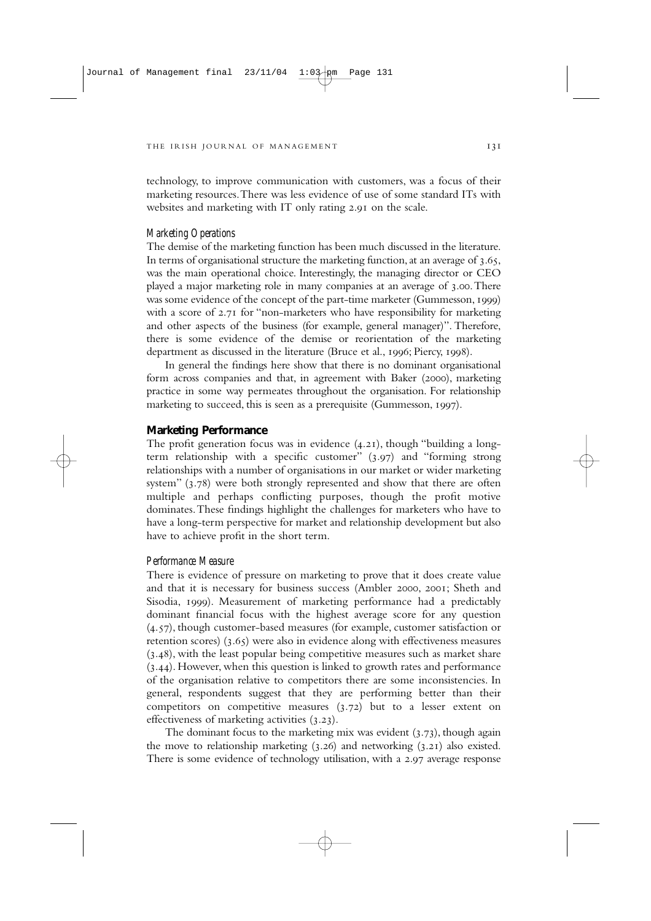technology, to improve communication with customers, was a focus of their marketing resources.There was less evidence of use of some standard ITs with websites and marketing with IT only rating 2.91 on the scale.

#### *Marketing Operations*

The demise of the marketing function has been much discussed in the literature. In terms of organisational structure the marketing function, at an average of  $3.65$ , was the main operational choice. Interestingly, the managing director or CEO played a major marketing role in many companies at an average of 3.00. There was some evidence of the concept of the part-time marketer (Gummesson, 1999) with a score of  $2.71$  for "non-marketers who have responsibility for marketing and other aspects of the business (for example, general manager)". Therefore, there is some evidence of the demise or reorientation of the marketing department as discussed in the literature (Bruce et al., 1996; Piercy, 1998).

In general the findings here show that there is no dominant organisational form across companies and that, in agreement with Baker (2000), marketing practice in some way permeates throughout the organisation. For relationship marketing to succeed, this is seen as a prerequisite (Gummesson,  $1997$ ).

## **Marketing Performance**

The profit generation focus was in evidence  $(4.21)$ , though "building a longterm relationship with a specific customer"  $(3.97)$  and "forming strong relationships with a number of organisations in our market or wider marketing system"  $(3.78)$  were both strongly represented and show that there are often multiple and perhaps conflicting purposes, though the profit motive dominates.These findings highlight the challenges for marketers who have to have a long-term perspective for market and relationship development but also have to achieve profit in the short term.

#### *Performance Measure*

There is evidence of pressure on marketing to prove that it does create value and that it is necessary for business success (Ambler 2000, 2001; Sheth and Sisodia, 1999). Measurement of marketing performance had a predictably dominant financial focus with the highest average score for any question  $(4.57)$ , though customer-based measures (for example, customer satisfaction or retention scores)  $(3.65)$  were also in evidence along with effectiveness measures  $(3.48)$ , with the least popular being competitive measures such as market share  $(3.44)$ . However, when this question is linked to growth rates and performance of the organisation relative to competitors there are some inconsistencies. In general, respondents suggest that they are performing better than their competitors on competitive measures  $(3.72)$  but to a lesser extent on effectiveness of marketing activities  $(3.23)$ .

The dominant focus to the marketing mix was evident  $(3.73)$ , though again the move to relationship marketing  $(3.26)$  and networking  $(3.21)$  also existed. There is some evidence of technology utilisation, with a 2.97 average response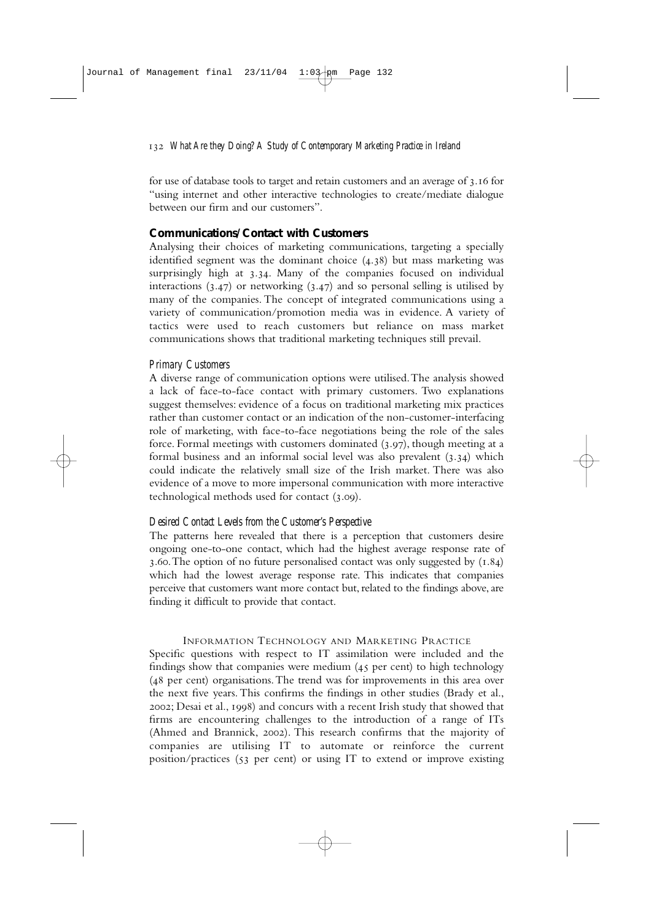for use of database tools to target and retain customers and an average of 3.16 for "using internet and other interactive technologies to create/mediate dialogue between our firm and our customers".

## **Communications/Contact with Customers**

Analysing their choices of marketing communications, targeting a specially identified segment was the dominant choice  $(4.38)$  but mass marketing was surprisingly high at 3.34. Many of the companies focused on individual interactions  $(3.47)$  or networking  $(3.47)$  and so personal selling is utilised by many of the companies. The concept of integrated communications using a variety of communication/promotion media was in evidence. A variety of tactics were used to reach customers but reliance on mass market communications shows that traditional marketing techniques still prevail.

## *Primary Customers*

A diverse range of communication options were utilised.The analysis showed a lack of face-to-face contact with primary customers. Two explanations suggest themselves: evidence of a focus on traditional marketing mix practices rather than customer contact or an indication of the non-customer-interfacing role of marketing, with face-to-face negotiations being the role of the sales force. Formal meetings with customers dominated  $(3.97)$ , though meeting at a formal business and an informal social level was also prevalent  $(3.34)$  which could indicate the relatively small size of the Irish market. There was also evidence of a move to more impersonal communication with more interactive technological methods used for contact (3.00).

## *Desired Contact Levels from the Customer's Perspective*

The patterns here revealed that there is a perception that customers desire ongoing one-to-one contact, which had the highest average response rate of 3.60. The option of no future personalised contact was only suggested by  $(1.84)$ which had the lowest average response rate. This indicates that companies perceive that customers want more contact but, related to the findings above, are finding it difficult to provide that contact.

## INFORMATION TECHNOLOGY AND MARKETING PRACTICE

Specific questions with respect to IT assimilation were included and the findings show that companies were medium  $(45$  per cent) to high technology  $(48$  per cent) organisations. The trend was for improvements in this area over the next five years. This confirms the findings in other studies (Brady et al., 2002; Desai et al., 1998) and concurs with a recent Irish study that showed that firms are encountering challenges to the introduction of a range of ITs (Ahmed and Brannick, 2002). This research confirms that the majority of companies are utilising IT to automate or reinforce the current position/practices ( $53$  per cent) or using IT to extend or improve existing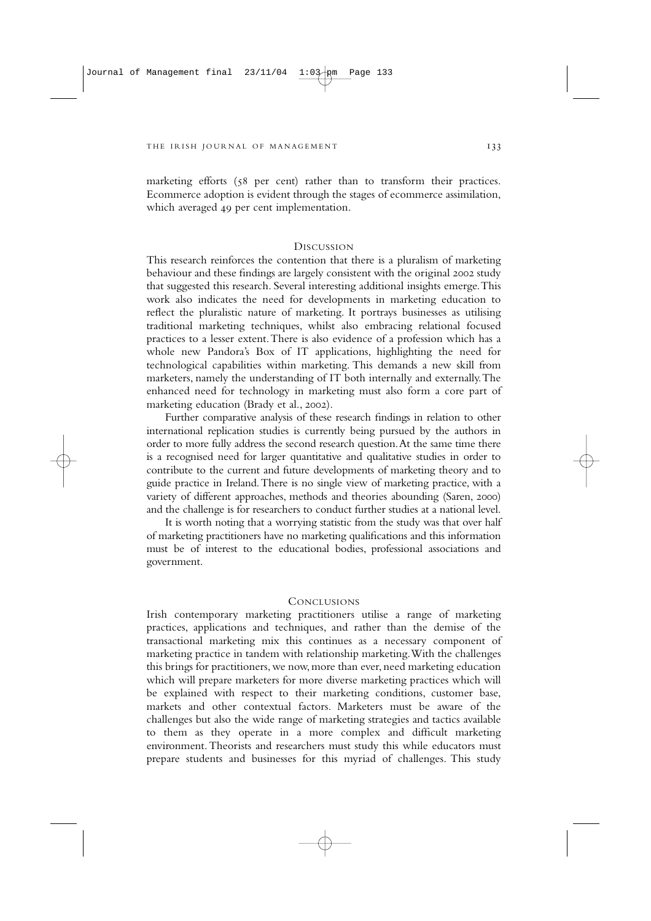marketing efforts  $(58 \text{ per cent})$  rather than to transform their practices. Ecommerce adoption is evident through the stages of ecommerce assimilation, which averaged 49 per cent implementation.

## **DISCUSSION**

This research reinforces the contention that there is a pluralism of marketing behaviour and these findings are largely consistent with the original 2002 study that suggested this research. Several interesting additional insights emerge.This work also indicates the need for developments in marketing education to reflect the pluralistic nature of marketing. It portrays businesses as utilising traditional marketing techniques, whilst also embracing relational focused practices to a lesser extent.There is also evidence of a profession which has a whole new Pandora's Box of IT applications, highlighting the need for technological capabilities within marketing. This demands a new skill from marketers, namely the understanding of IT both internally and externally.The enhanced need for technology in marketing must also form a core part of marketing education (Brady et al., 2002).

Further comparative analysis of these research findings in relation to other international replication studies is currently being pursued by the authors in order to more fully address the second research question.At the same time there is a recognised need for larger quantitative and qualitative studies in order to contribute to the current and future developments of marketing theory and to guide practice in Ireland.There is no single view of marketing practice, with a variety of different approaches, methods and theories abounding (Saren, 2000) and the challenge is for researchers to conduct further studies at a national level.

It is worth noting that a worrying statistic from the study was that over half of marketing practitioners have no marketing qualifications and this information must be of interest to the educational bodies, professional associations and government.

## CONCLUSIONS

Irish contemporary marketing practitioners utilise a range of marketing practices, applications and techniques, and rather than the demise of the transactional marketing mix this continues as a necessary component of marketing practice in tandem with relationship marketing.With the challenges this brings for practitioners, we now, more than ever, need marketing education which will prepare marketers for more diverse marketing practices which will be explained with respect to their marketing conditions, customer base, markets and other contextual factors. Marketers must be aware of the challenges but also the wide range of marketing strategies and tactics available to them as they operate in a more complex and difficult marketing environment.Theorists and researchers must study this while educators must prepare students and businesses for this myriad of challenges. This study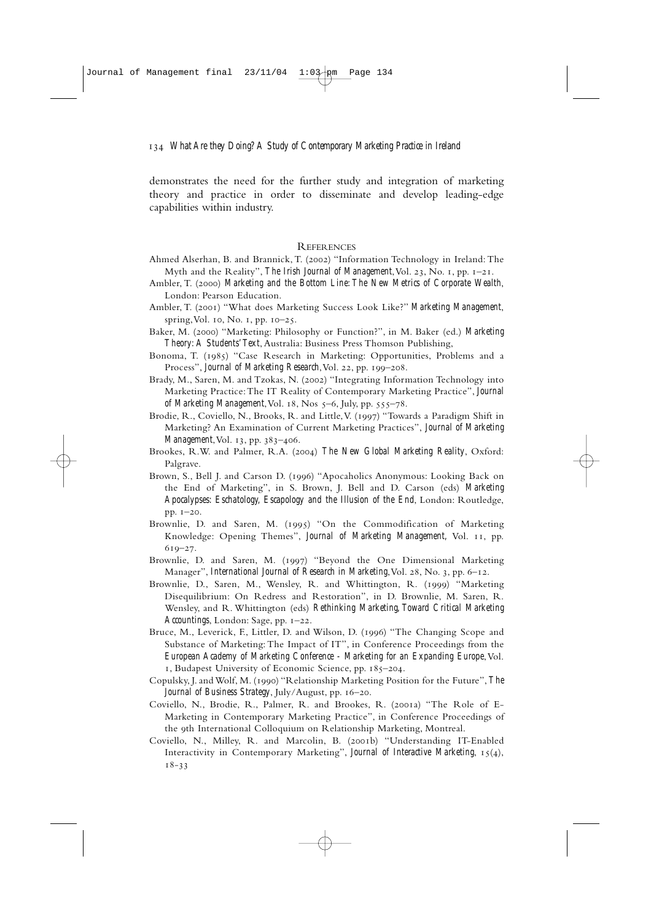demonstrates the need for the further study and integration of marketing theory and practice in order to disseminate and develop leading-edge capabilities within industry.

## REFERENCES

- Ahmed Alserhan, B. and Brannick, T. (2002) "Information Technology in Ireland: The Myth and the Reality", *The Irish Journal of Management*, Vol. 23, No. 1, pp. 1-21.
- Ambler, T. (2000) Marketing and the Bottom Line: The New Metrics of Corporate Wealth, London: Pearson Education.
- Ambler, T. (2001) "What does Marketing Success Look Like?" *Marketing Management*, spring, Vol. 10, No. 1, pp.  $10-25$ .
- Baker, M. (2000) "Marketing: Philosophy or Function?", in M. Baker (ed.) *Marketing Theory: A Students'Text*, Australia: Business Press Thomson Publishing,
- Bonoma, T. (1985) "Case Research in Marketing: Opportunities, Problems and a Process", *Journal of Marketing Research*, Vol. 22, pp. 199-208.
- Brady, M., Saren, M. and Tzokas, N. (2002) "Integrating Information Technology into Marketing Practice:The IT Reality of Contemporary Marketing Practice", *Journal of Marketing Management*, Vol. 18, Nos 5-6, July, pp. 555-78.
- Brodie, R., Coviello, N., Brooks, R. and Little, V. (1997) "Towards a Paradigm Shift in Marketing? An Examination of Current Marketing Practices", *Journal of Marketing Management*, Vol. 13, pp. 383-406.
- Brookes, R.W. and Palmer, R.A. (2004) *The New Global Marketing Reality*, Oxford: Palgrave.
- Brown, S., Bell J. and Carson D. (1996) "Apocaholics Anonymous: Looking Back on the End of Marketing", in S. Brown, J. Bell and D. Carson (eds) *Marketing Apocalypses: Eschatology, Escapology and the Illusion of the End*, London: Routledge, pp.  $I-20$ .
- Brownlie, D. and Saren, M. (1995) "On the Commodification of Marketing Knowledge: Opening Themes", *Journal of Marketing Management*, Vol. 11, pp.  $619 - 27.$
- Brownlie, D. and Saren, M. (1997) "Beyond the One Dimensional Marketing Manager", *International Journal of Research in Marketing*, Vol. 28, No. 3, pp. 6–12.
- Brownlie, D., Saren, M., Wensley, R. and Whittington, R. (1999) "Marketing Disequilibrium: On Redress and Restoration", in D. Brownlie, M. Saren, R. Wensley, and R. Whittington (eds) *Rethinking Marketing, Toward Critical Marketing Accountings*, London: Sage, pp. 1-22.
- Bruce, M., Leverick, F., Littler, D. and Wilson, D. (1996) "The Changing Scope and Substance of Marketing: The Impact of IT", in Conference Proceedings from the *European Academy of Marketing Conference - Marketing for an Expanding Europe*, Vol. 1, Budapest University of Economic Science, pp. 185-204.
- Copulsky, J. and Wolf, M. () "Relationship Marketing Position for the Future", *The Journal of Business Strategy*, July/August, pp. 16-20.
- Coviello, N., Brodie, R., Palmer, R. and Brookes, R. (2001a) "The Role of E-Marketing in Contemporary Marketing Practice", in Conference Proceedings of the 9th International Colloquium on Relationship Marketing, Montreal.
- Coviello, N., Milley, R. and Marcolin, B. (2001b) "Understanding IT-Enabled Interactivity in Contemporary Marketing", *Journal of Interactive Marketing*,  $15(4)$ ,  $18 - 33$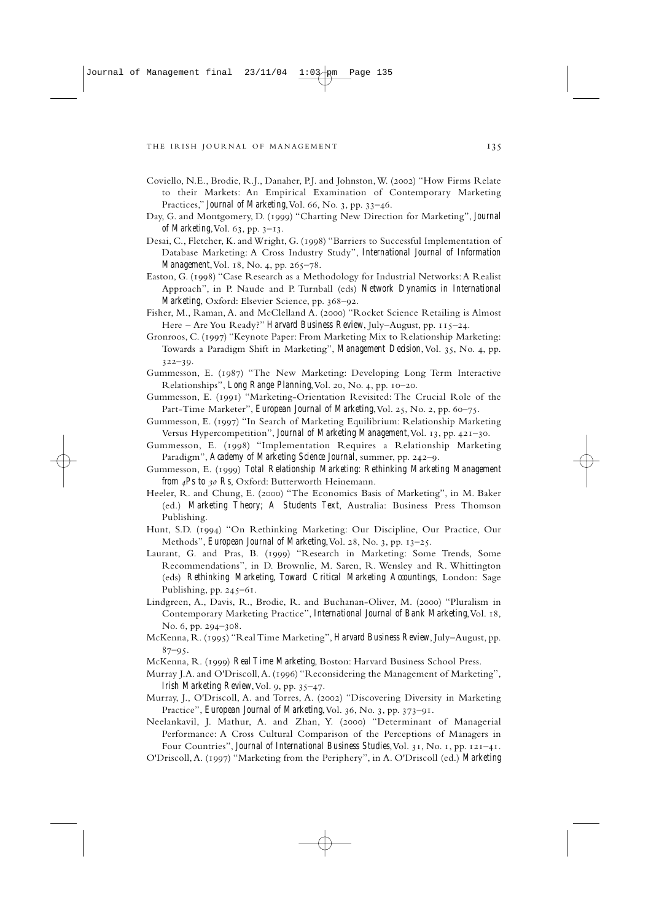- Coviello, N.E., Brodie, R.J., Danaher, P.J. and Johnston, W. (2002) "How Firms Relate to their Markets: An Empirical Examination of Contemporary Marketing Practices," *Journal of Marketing*, Vol. 66, No. 3, pp. 33-46.
- Day, G. and Montgomery, D. (1999) "Charting New Direction for Marketing", *Journal of Marketing*, Vol. 63, pp. 3-13.
- Desai, C., Fletcher, K. and Wright, G. (1998) "Barriers to Successful Implementation of Database Marketing: A Cross Industry Study", *International Journal of Information Management*, Vol. 18, No. 4, pp. 265-78.
- Easton, G. (1998) "Case Research as a Methodology for Industrial Networks: A Realist Approach", in P. Naude and P. Turnball (eds) *Network Dynamics in International Marketing*, Oxford: Elsevier Science, pp. 368-92.
- Fisher, M., Raman, A. and McClelland A. (2000) "Rocket Science Retailing is Almost Here - Are You Ready?" *Harvard Business Review*, July-August, pp. 115-24.
- Gronroos, C. (1997) "Keynote Paper: From Marketing Mix to Relationship Marketing: Towards a Paradigm Shift in Marketing", *Management Decision*, Vol. 35, No. 4, pp.  $322 - 39.$
- Gummesson, E. (1987) "The New Marketing: Developing Long Term Interactive Relationships", *Long Range Planning*, Vol. 20, No. 4, pp. 10-20.
- Gummesson, E. (1991) "Marketing-Orientation Revisited: The Crucial Role of the Part-Time Marketer", *European Journal of Marketing*, Vol. 25, No. 2, pp. 60-75.
- Gummesson, E. (1997) "In Search of Marketing Equilibrium: Relationship Marketing Versus Hypercompetition", *Journal of Marketing Management*, Vol. 13, pp. 421-30.
- Gummesson, E. (1998) "Implementation Requires a Relationship Marketing Paradigm", *Academy of Marketing Science Journal*, summer, pp. 242-9.
- Gummesson, E. (1999) *Total Relationship Marketing: Rethinking Marketing Management from 4Ps to 30 Rs*, Oxford: Butterworth Heinemann.
- Heeler, R. and Chung, E. (2000) "The Economics Basis of Marketing", in M. Baker (ed.) *Marketing Theory; A Students Text*, Australia: Business Press Thomson Publishing.
- Hunt, S.D. (1994) "On Rethinking Marketing: Our Discipline, Our Practice, Our Methods", *European Journal of Marketing*, Vol. 28, No. 3, pp. 13-25.
- Laurant, G. and Pras, B. (1999) "Research in Marketing: Some Trends, Some Recommendations", in D. Brownlie, M. Saren, R. Wensley and R. Whittington (eds) *Rethinking Marketing, Toward Critical Marketing Accountings*, London: Sage Publishing, pp.  $245-61$ .
- Lindgreen, A., Davis, R., Brodie, R. and Buchanan-Oliver, M. (2000) "Pluralism in Contemporary Marketing Practice", *International Journal of Bank Marketing*, Vol. 18, No. 6, pp. 294-308.
- McKenna, R. () "Real Time Marketing", *Harvard Business Review*, July–August, pp.  $87 - 95.$
- McKenna, R. (1999) *Real Time Marketing*, Boston: Harvard Business School Press.
- Murray J.A. and O'Driscoll, A. (1996) "Reconsidering the Management of Marketing", *Irish Marketing Review*, Vol. 9, pp. 35-47.
- Murray, J., O'Driscoll, A. and Torres, A. (2002) "Discovering Diversity in Marketing Practice", *European Journal of Marketing*, Vol. 36, No. 3, pp. 373-91.
- Neelankavil, J. Mathur, A. and Zhan, Y. (2000) "Determinant of Managerial Performance: A Cross Cultural Comparison of the Perceptions of Managers in Four Countries", *Journal of International Business Studies*, Vol. 31, No. 1, pp. 121-41.

O'Driscoll,A. () "Marketing from the Periphery", in A. O'Driscoll (ed.) *Marketing*